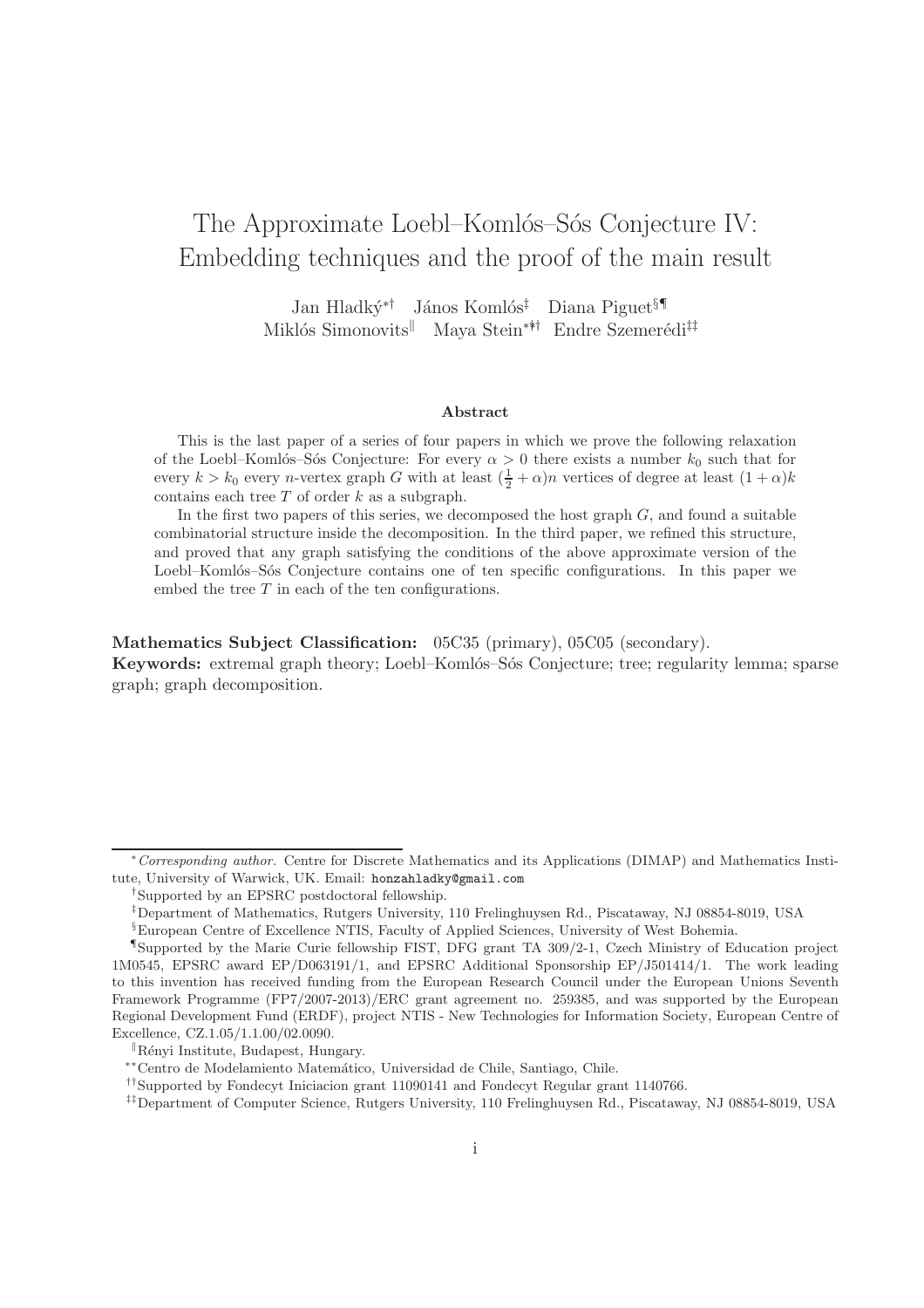# The Approximate Loebl–Komlós–Sós Conjecture IV: Embedding techniques and the proof of the main result

Jan Hladký<sup>∗†</sup> János Komlós<sup>‡</sup> Diana Piguet§¶ Miklós Simonovits<sup>||</sup> Maya Stein<sup>∗∗†</sup> Endre Szemerédi<sup>‡‡</sup>

#### Abstract

This is the last paper of a series of four papers in which we prove the following relaxation of the Loebl–Komlós–Sós Conjecture: For every  $\alpha > 0$  there exists a number  $k_0$  such that for every  $k > k_0$  every n-vertex graph G with at least  $(\frac{1}{2} + \alpha)n$  vertices of degree at least  $(1 + \alpha)k$ contains each tree  $T$  of order  $k$  as a subgraph.

In the first two papers of this series, we decomposed the host graph  $G$ , and found a suitable combinatorial structure inside the decomposition. In the third paper, we refined this structure, and proved that any graph satisfying the conditions of the above approximate version of the Loebl–Komlós–Sós Conjecture contains one of ten specific configurations. In this paper we embed the tree  $T$  in each of the ten configurations.

Mathematics Subject Classification: 05C35 (primary), 05C05 (secondary). Keywords: extremal graph theory; Loebl–Komlós–Sós Conjecture; tree; regularity lemma; sparse graph; graph decomposition.

<sup>∗</sup>Corresponding author. Centre for Discrete Mathematics and its Applications (DIMAP) and Mathematics Institute, University of Warwick, UK. Email: honzahladky@gmail.com

<sup>†</sup> Supported by an EPSRC postdoctoral fellowship.

<sup>‡</sup>Department of Mathematics, Rutgers University, 110 Frelinghuysen Rd., Piscataway, NJ 08854-8019, USA

<sup>§</sup>European Centre of Excellence NTIS, Faculty of Applied Sciences, University of West Bohemia.

<sup>¶</sup> Supported by the Marie Curie fellowship FIST, DFG grant TA 309/2-1, Czech Ministry of Education project 1M0545, EPSRC award EP/D063191/1, and EPSRC Additional Sponsorship EP/J501414/1. The work leading to this invention has received funding from the European Research Council under the European Unions Seventh Framework Programme (FP7/2007-2013)/ERC grant agreement no. 259385, and was supported by the European Regional Development Fund (ERDF), project NTIS - New Technologies for Information Society, European Centre of Excellence, CZ.1.05/1.1.00/02.0090.

 $\mathbb{R}$ ényi Institute, Budapest, Hungary.

<sup>∗∗</sup>Centro de Modelamiento Matem´atico, Universidad de Chile, Santiago, Chile.

<sup>††</sup>Supported by Fondecyt Iniciacion grant 11090141 and Fondecyt Regular grant 1140766.

<sup>‡‡</sup>Department of Computer Science, Rutgers University, 110 Frelinghuysen Rd., Piscataway, NJ 08854-8019, USA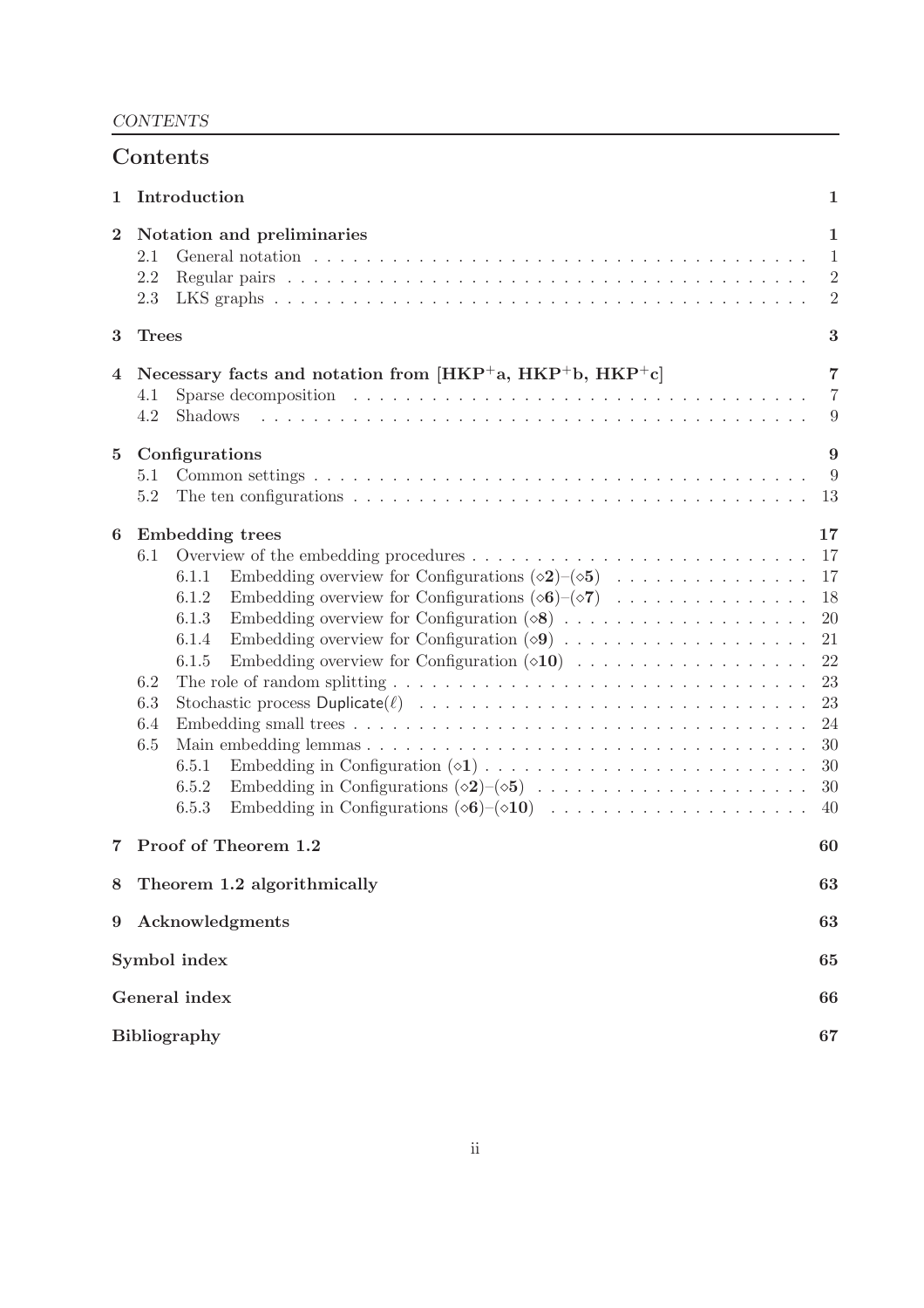| Contents         |                                                                                                                                                                                                                                                                                                                                                                                                                                                                                        |                                                                                  |  |  |  |
|------------------|----------------------------------------------------------------------------------------------------------------------------------------------------------------------------------------------------------------------------------------------------------------------------------------------------------------------------------------------------------------------------------------------------------------------------------------------------------------------------------------|----------------------------------------------------------------------------------|--|--|--|
| 1                | Introduction                                                                                                                                                                                                                                                                                                                                                                                                                                                                           |                                                                                  |  |  |  |
| $\boldsymbol{2}$ | Notation and preliminaries<br>2.1<br>General notation $\ldots \ldots \ldots \ldots \ldots \ldots \ldots \ldots \ldots \ldots \ldots \ldots \ldots$<br>2.2<br>2.3                                                                                                                                                                                                                                                                                                                       | $\mathbf{1}$<br>$\mathbf{1}$<br>$\overline{2}$<br>$\overline{2}$                 |  |  |  |
| 3                | $\boldsymbol{3}$<br><b>Trees</b>                                                                                                                                                                                                                                                                                                                                                                                                                                                       |                                                                                  |  |  |  |
| 4                | Necessary facts and notation from $[HKP^+a, HKP^+b, HKP^+c]$<br>4.1<br>4.2<br><b>Shadows</b>                                                                                                                                                                                                                                                                                                                                                                                           | $\overline{7}$<br>$\overline{7}$<br>9                                            |  |  |  |
| 5                | Configurations<br>5.1<br>The ten configurations $\dots \dots \dots \dots \dots \dots \dots \dots \dots \dots \dots \dots \dots \dots$<br>5.2                                                                                                                                                                                                                                                                                                                                           | 9<br>-9<br>13                                                                    |  |  |  |
| 6                | <b>Embedding trees</b><br>Overview of the embedding procedures<br>6.1<br>Embedding overview for Configurations $(\diamond 2)$ - $(\diamond 5)$<br>6.1.1<br>Embedding overview for Configurations $(\infty 6)-(\infty 7)$<br>6.1.2<br>6.1.3<br>6.1.4<br>6.1.5<br>6.2<br>The role of random splitting $\ldots \ldots \ldots \ldots \ldots \ldots \ldots \ldots \ldots \ldots \ldots$<br>6.3<br>6.4<br>6.5<br>6.5.1<br>6.5.2<br>Embedding in Configurations $(\& 6)$ - $(\& 10)$<br>6.5.3 | 17<br>17<br>17<br>18<br>20<br>21<br>22<br>23<br>23<br>24<br>30<br>30<br>30<br>40 |  |  |  |
| 7                | Proof of Theorem 1.2                                                                                                                                                                                                                                                                                                                                                                                                                                                                   | 60                                                                               |  |  |  |
| 8                | Theorem 1.2 algorithmically                                                                                                                                                                                                                                                                                                                                                                                                                                                            | 63                                                                               |  |  |  |
| 9                | Acknowledgments<br>63                                                                                                                                                                                                                                                                                                                                                                                                                                                                  |                                                                                  |  |  |  |
|                  | Symbol index<br>65                                                                                                                                                                                                                                                                                                                                                                                                                                                                     |                                                                                  |  |  |  |
|                  | General index                                                                                                                                                                                                                                                                                                                                                                                                                                                                          |                                                                                  |  |  |  |
|                  | Bibliography<br>67                                                                                                                                                                                                                                                                                                                                                                                                                                                                     |                                                                                  |  |  |  |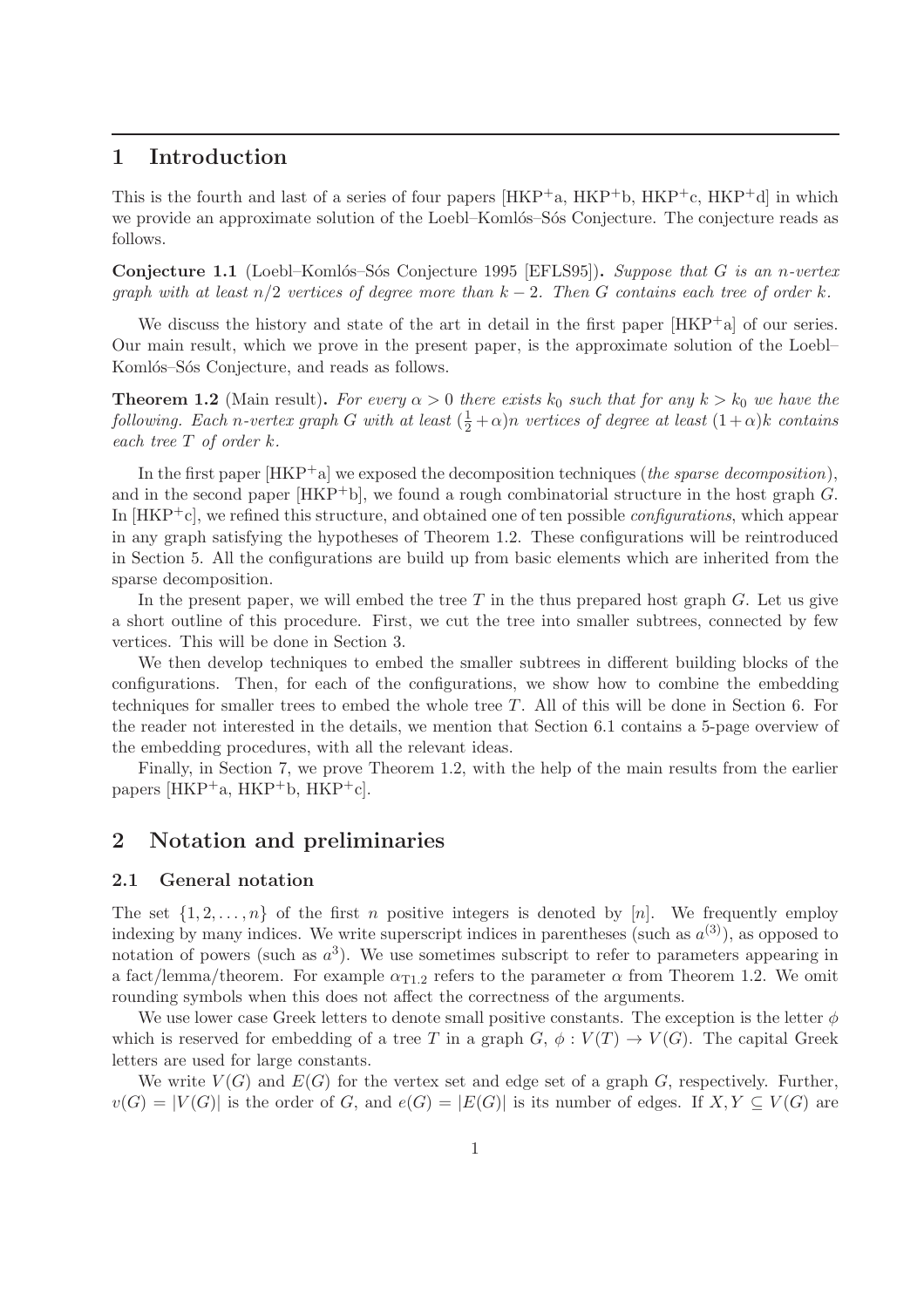## 1 Introduction

This is the fourth and last of a series of four papers  $[HKP^+a, HKP^+b, HKP^+c, HKP^+d]$  in which we provide an approximate solution of the Loebl–Komlós–Sós Conjecture. The conjecture reads as follows.

Conjecture 1.1 (Loebl–Komlós–Sós Conjecture 1995 [EFLS95]). *Suppose that* G *is an n-vertex graph with at least* n/2 *vertices of degree more than* k − 2*. Then* G *contains each tree of order* k*.*

We discuss the history and state of the art in detail in the first paper [HKP+a] of our series. Our main result, which we prove in the present paper, is the approximate solution of the Loebl– Komlós–Sós Conjecture, and reads as follows.

**Theorem 1.2** (Main result). *For every*  $\alpha > 0$  *there exists*  $k_0$  *such that for any*  $k > k_0$  *we have the following. Each n*-vertex graph G with at least  $(\frac{1}{2} + \alpha)n$  vertices of degree at least  $(1 + \alpha)k$  *contains each tree* T *of order* k*.*

In the first paper [HKP+a] we exposed the decomposition techniques (*the sparse decomposition*), and in the second paper  $[HKP^+b]$ , we found a rough combinatorial structure in the host graph  $G$ . In [HKP+c], we refined this structure, and obtained one of ten possible *configurations*, which appear in any graph satisfying the hypotheses of Theorem 1.2. These configurations will be reintroduced in Section 5. All the configurations are build up from basic elements which are inherited from the sparse decomposition.

In the present paper, we will embed the tree  $T$  in the thus prepared host graph  $G$ . Let us give a short outline of this procedure. First, we cut the tree into smaller subtrees, connected by few vertices. This will be done in Section 3.

We then develop techniques to embed the smaller subtrees in different building blocks of the configurations. Then, for each of the configurations, we show how to combine the embedding techniques for smaller trees to embed the whole tree  $T$ . All of this will be done in Section 6. For the reader not interested in the details, we mention that Section 6.1 contains a 5-page overview of the embedding procedures, with all the relevant ideas.

Finally, in Section 7, we prove Theorem 1.2, with the help of the main results from the earlier papers [HKP<sup>+</sup>a, HKP<sup>+</sup>b, HKP<sup>+</sup>c].

## 2 Notation and preliminaries

#### 2.1 General notation

The set  $\{1, 2, \ldots, n\}$  of the first n positive integers is denoted by [n]. We frequently employ indexing by many indices. We write superscript indices in parentheses (such as  $a^{(3)}$ ), as opposed to notation of powers (such as  $a^3$ ). We use sometimes subscript to refer to parameters appearing in a fact/lemma/theorem. For example  $\alpha_{T1,2}$  refers to the parameter  $\alpha$  from Theorem 1.2. We omit rounding symbols when this does not affect the correctness of the arguments.

We use lower case Greek letters to denote small positive constants. The exception is the letter  $\phi$ which is reserved for embedding of a tree T in a graph  $G, \phi : V(T) \to V(G)$ . The capital Greek letters are used for large constants.

We write  $V(G)$  and  $E(G)$  for the vertex set and edge set of a graph G, respectively. Further,  $v(G) = |V(G)|$  is the order of G, and  $e(G) = |E(G)|$  is its number of edges. If  $X, Y \subseteq V(G)$  are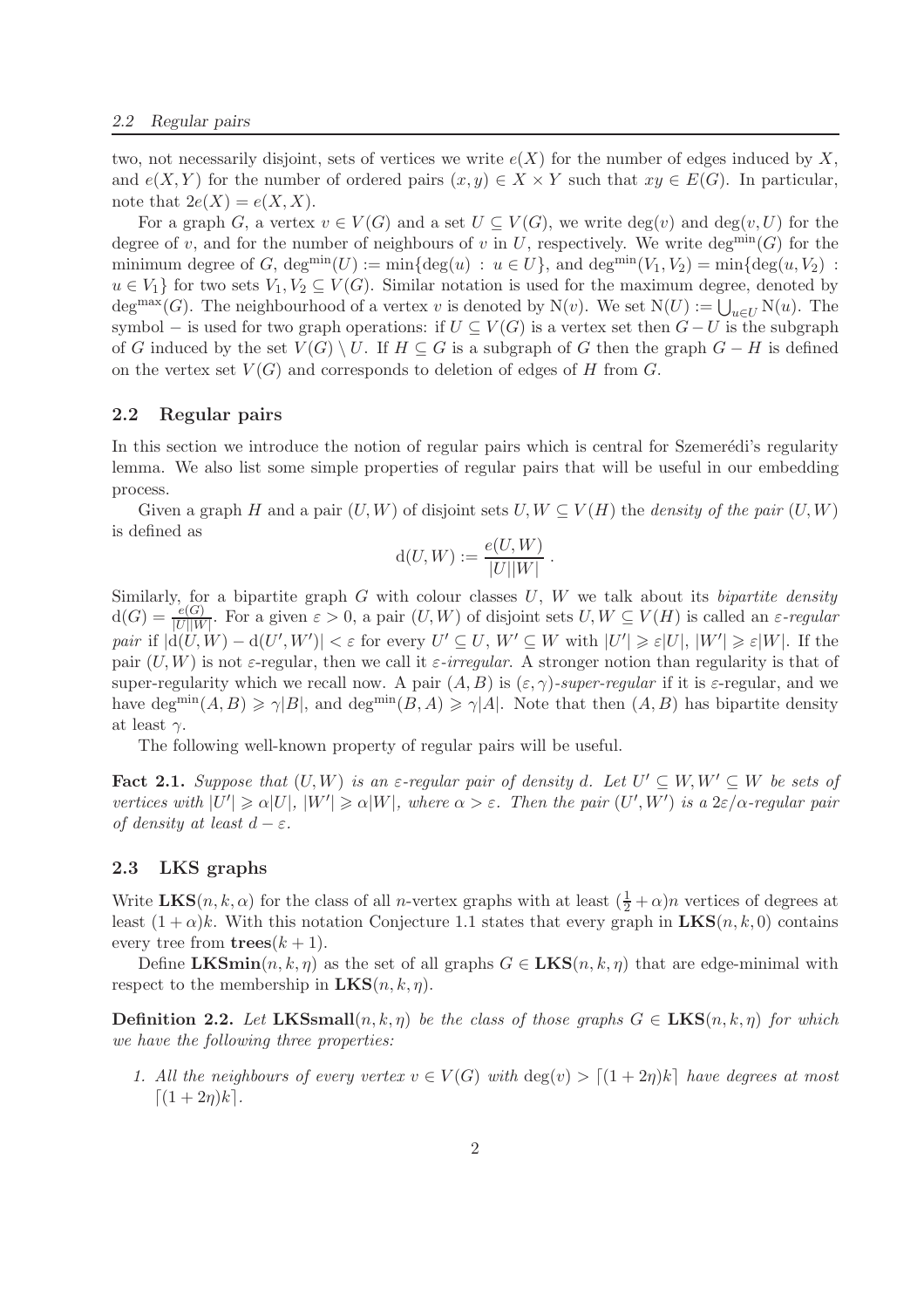two, not necessarily disjoint, sets of vertices we write  $e(X)$  for the number of edges induced by X, and  $e(X, Y)$  for the number of ordered pairs  $(x, y) \in X \times Y$  such that  $xy \in E(G)$ . In particular, note that  $2e(X) = e(X, X)$ .

For a graph G, a vertex  $v \in V(G)$  and a set  $U \subseteq V(G)$ , we write  $deg(v)$  and  $deg(v, U)$  for the degree of v, and for the number of neighbours of v in U, respectively. We write deg<sup>min</sup>(G) for the minimum degree of G,  $\deg^{min}(U) := min\{\deg(u) : u \in U\}$ , and  $\deg^{min}(V_1, V_2) = min\{\deg(u, V_2) :$  $u \in V_1$  for two sets  $V_1, V_2 \subseteq V(G)$ . Similar notation is used for the maximum degree, denoted by deg<sup>max</sup>(G). The neighbourhood of a vertex v is denoted by N(v). We set  $N(U) := \bigcup_{u \in U} N(u)$ . The symbol – is used for two graph operations: if  $U \subseteq V(G)$  is a vertex set then  $G-U$  is the subgraph of G induced by the set  $V(G) \setminus U$ . If  $H \subseteq G$  is a subgraph of G then the graph  $G - H$  is defined on the vertex set  $V(G)$  and corresponds to deletion of edges of H from G.

#### 2.2 Regular pairs

In this section we introduce the notion of regular pairs which is central for Szemerédi's regularity lemma. We also list some simple properties of regular pairs that will be useful in our embedding process.

Given a graph H and a pair  $(U, W)$  of disjoint sets  $U, W \subseteq V(H)$  the *density of the pair*  $(U, W)$ is defined as

$$
d(U, W) := \frac{e(U, W)}{|U||W|}.
$$

Similarly, for a bipartite graph G with colour classes U, W we talk about its *bipartite density*  $d(G) = \frac{e(G)}{|U||W|}$ . For a given  $\varepsilon > 0$ , a pair  $(U, W)$  of disjoint sets  $U, W \subseteq V(H)$  is called an  $\varepsilon$ -regular *pair* if  $|d(U, W) - d(U', W')| < \varepsilon$  for every  $U' \subseteq U, W' \subseteq W$  with  $|U'| \geq \varepsilon |U|, |W'| \geq \varepsilon |W|$ . If the pair  $(U, W)$  is not  $\varepsilon$ -regular, then we call it  $\varepsilon$ -irregular. A stronger notion than regularity is that of super-regularity which we recall now. A pair  $(A, B)$  is  $(\varepsilon, \gamma)$ -super-regular if it is  $\varepsilon$ -regular, and we have deg<sup>min</sup> $(A, B) \ge \gamma |B|$ , and deg<sup>min</sup> $(B, A) \ge \gamma |A|$ . Note that then  $(A, B)$  has bipartite density at least  $\gamma$ .

The following well-known property of regular pairs will be useful.

**Fact 2.1.** Suppose that  $(U, W)$  is an  $\varepsilon$ -regular pair of density d. Let  $U' \subseteq W, W' \subseteq W$  be sets of *vertices with*  $|U'| \ge \alpha |U|$ ,  $|W'| \ge \alpha |W|$ , where  $\alpha > \varepsilon$ . Then the pair  $(U', W')$  *is a*  $2\varepsilon/\alpha$ -regular pair *of density at least*  $d - \varepsilon$ *.* 

#### 2.3 LKS graphs

Write  $LKS(n, k, \alpha)$  for the class of all *n*-vertex graphs with at least  $(\frac{1}{2} + \alpha)n$  vertices of degrees at least  $(1 + \alpha)k$ . With this notation Conjecture 1.1 states that every graph in  $LKS(n, k, 0)$  contains every tree from  $\mathbf{trees}(k+1)$ .

Define LKSmin $(n, k, \eta)$  as the set of all graphs  $G \in LKS(n, k, \eta)$  that are edge-minimal with respect to the membership in  $LKS(n, k, \eta)$ .

**Definition 2.2.** Let  $LKSSmall(n, k, \eta)$  be the class of those graphs  $G \in LKS(n, k, \eta)$  for which *we have the following three properties:*

*1. All the neighbours of every vertex*  $v \in V(G)$  *with*  $\deg(v) > [(1+2\eta)k]$  *have degrees at most*  $[(1 + 2n)k]$ .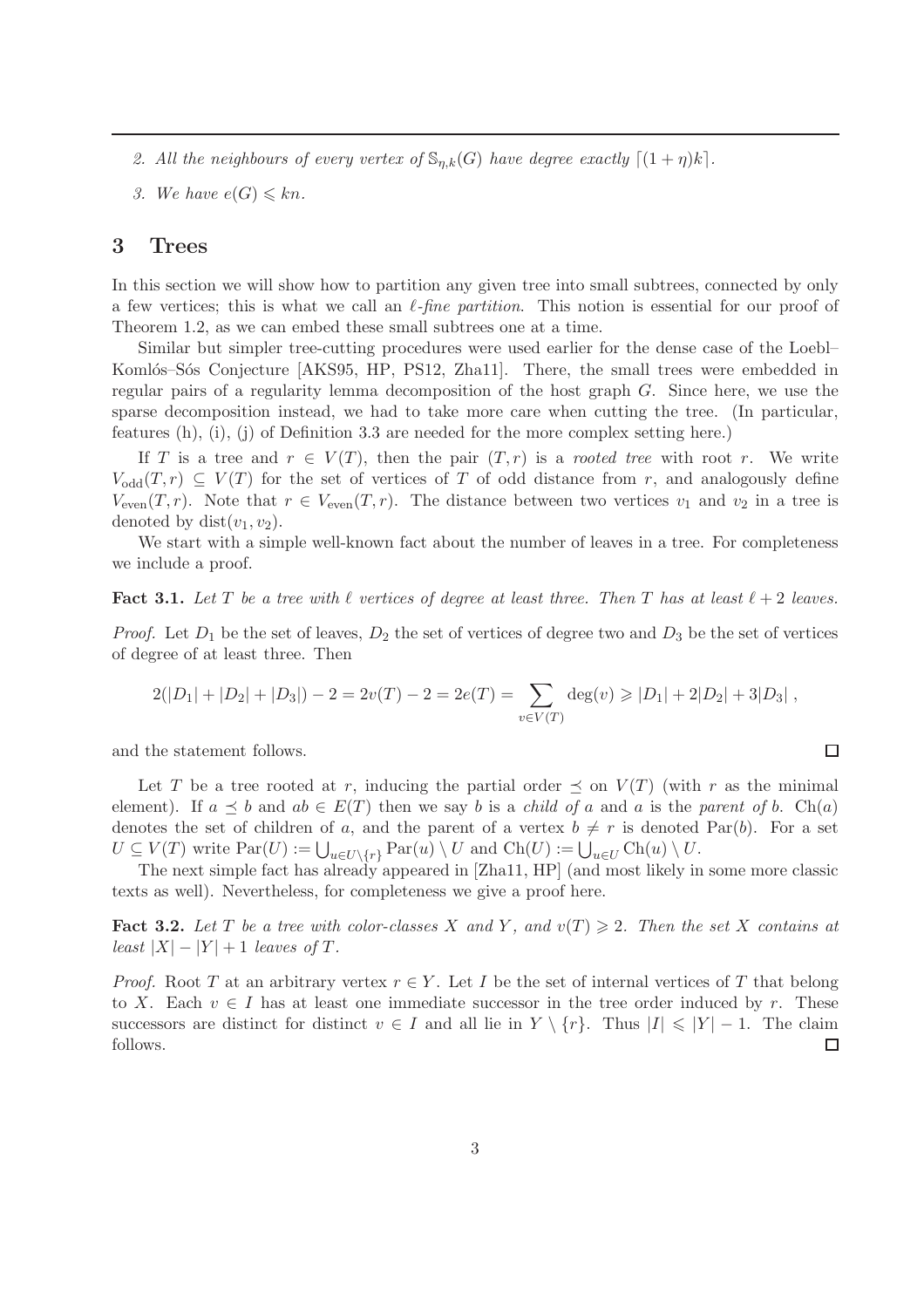- 2. All the neighbours of every vertex of  $\mathbb{S}_{\eta,k}(G)$  have degree exactly  $\lceil (1 + \eta)k \rceil$ .
- *3.* We have  $e(G) \leq k n$ .

## 3 Trees

In this section we will show how to partition any given tree into small subtrees, connected by only a few vertices; this is what we call an  $\ell$ -fine partition. This notion is essential for our proof of Theorem 1.2, as we can embed these small subtrees one at a time.

Similar but simpler tree-cutting procedures were used earlier for the dense case of the Loebl– Komlós–Sós Conjecture [AKS95, HP, PS12, Zha11]. There, the small trees were embedded in regular pairs of a regularity lemma decomposition of the host graph G. Since here, we use the sparse decomposition instead, we had to take more care when cutting the tree. (In particular, features (h), (i), (j) of Definition 3.3 are needed for the more complex setting here.)

If T is a tree and  $r \in V(T)$ , then the pair  $(T, r)$  is a *rooted tree* with root r. We write  $V_{odd}(T,r) \subseteq V(T)$  for the set of vertices of T of odd distance from r, and analogously define  $V_{\text{even}}(T,r)$ . Note that  $r \in V_{\text{even}}(T,r)$ . The distance between two vertices  $v_1$  and  $v_2$  in a tree is denoted by dist $(v_1, v_2)$ .

We start with a simple well-known fact about the number of leaves in a tree. For completeness we include a proof.

#### Fact 3.1. Let T be a tree with  $\ell$  vertices of degree at least three. Then T has at least  $\ell + 2$  leaves.

*Proof.* Let  $D_1$  be the set of leaves,  $D_2$  the set of vertices of degree two and  $D_3$  be the set of vertices of degree of at least three. Then

$$
2(|D_1|+|D_2|+|D_3|)-2=2v(T)-2=2e(T)=\sum_{v\in V(T)}\deg(v)\geq |D_1|+2|D_2|+3|D_3|,
$$

 $\Box$ 

and the statement follows.

Let T be a tree rooted at r, inducing the partial order  $\preceq$  on  $V(T)$  (with r as the minimal element). If  $a \preceq b$  and  $ab \in E(T)$  then we say b is a *child of* a and a is the *parent of* b. Ch(a) denotes the set of children of a, and the parent of a vertex  $b \neq r$  is denoted Par(b). For a set  $U \subseteq V(T)$  write  $\text{Par}(U) := \bigcup_{u \in U \setminus \{r\}} \text{Par}(u) \setminus U$  and  $\text{Ch}(U) := \bigcup_{u \in U} \text{Ch}(u) \setminus U$ .

The next simple fact has already appeared in [Zha11, HP] (and most likely in some more classic texts as well). Nevertheless, for completeness we give a proof here.

Fact 3.2. Let T be a tree with color-classes X and Y, and  $v(T) \geq 2$ . Then the set X contains at *least*  $|X| - |Y| + 1$  *leaves of*  $T$ *.* 

*Proof.* Root T at an arbitrary vertex  $r \in Y$ . Let I be the set of internal vertices of T that belong to X. Each  $v \in I$  has at least one immediate successor in the tree order induced by r. These successors are distinct for distinct  $v \in I$  and all lie in  $Y \setminus \{r\}$ . Thus  $|I| \leq |Y| - 1$ . The claim follows. follows.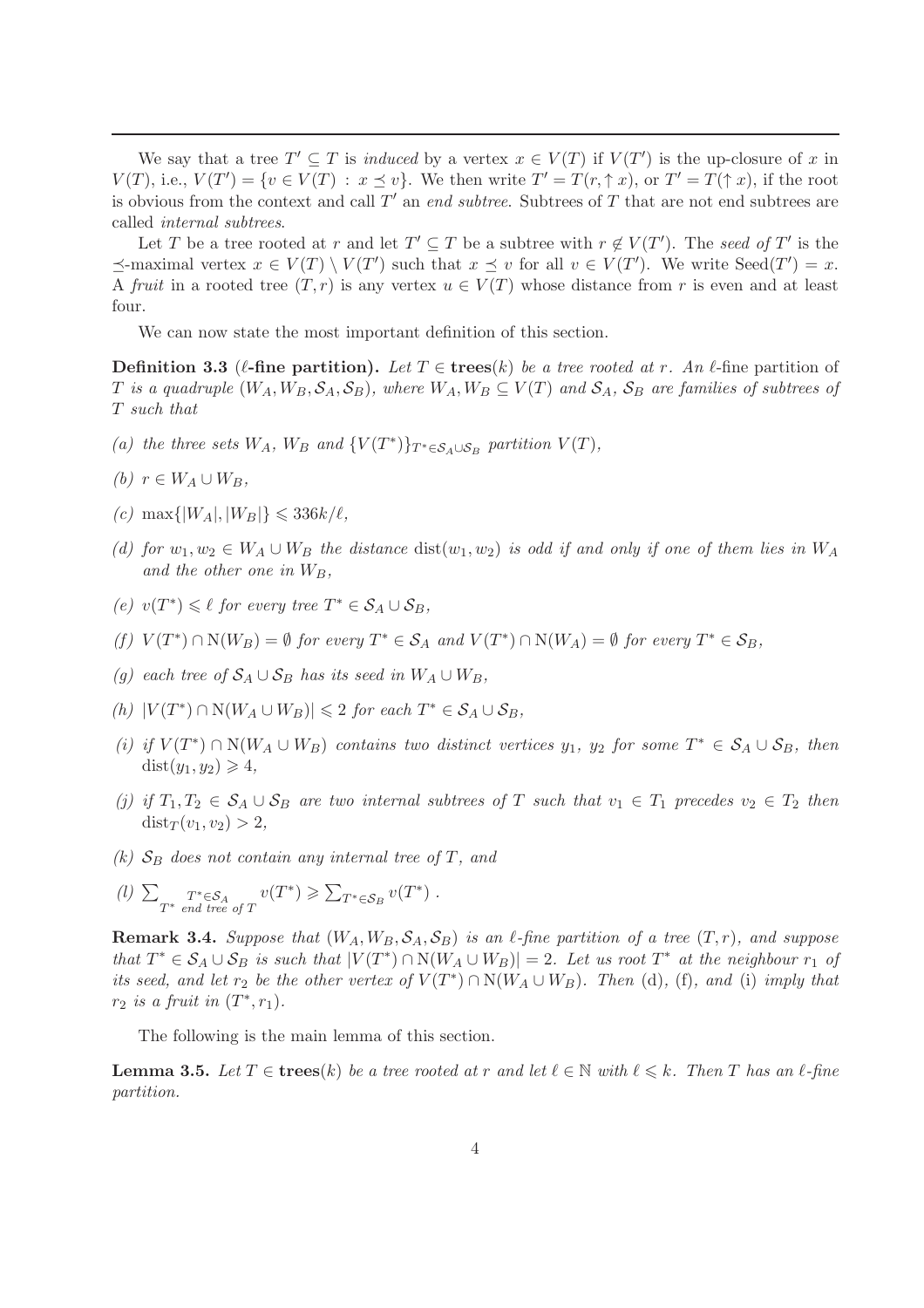We say that a tree  $T' \subseteq T$  is *induced* by a vertex  $x \in V(T)$  if  $V(T')$  is the up-closure of x in  $V(T)$ , i.e.,  $V(T') = \{v \in V(T) : x \leq v\}$ . We then write  $T' = T(r, \uparrow x)$ , or  $T' = T(\uparrow x)$ , if the root is obvious from the context and call T ′ an *end subtree*. Subtrees of T that are not end subtrees are called *internal subtrees*.

Let T be a tree rooted at r and let  $T' \subseteq T$  be a subtree with  $r \notin V(T')$ . The seed of T' is the  $\preceq$ -maximal vertex  $x \in V(T) \setminus V(T')$  such that  $x \preceq v$  for all  $v \in V(T')$ . We write  $\text{Seed}(T') = x$ . A *fruit* in a rooted tree  $(T, r)$  is any vertex  $u \in V(T)$  whose distance from r is even and at least four.

We can now state the most important definition of this section.

**Definition 3.3** ( $\ell$ -fine partition). Let  $T \in \text{trees}(k)$  be a tree rooted at r. An  $\ell$ -fine partition of T is a quadruple  $(W_A, W_B, \mathcal{S}_A, \mathcal{S}_B)$ , where  $W_A, W_B \subseteq V(T)$  and  $\mathcal{S}_A$ ,  $\mathcal{S}_B$  are families of subtrees of T *such that*

- *(a) the three sets*  $W_A$ *,*  $W_B$  *and*  $\{V(T^*)\}_{T^* \in S_A \cup S_B}$  *partition*  $V(T)$ *,*
- $(b)$   $r \in W_A \cup W_B$ ,
- $(c)$  max $\{|W_A|, |W_B|\} \leqslant 336k/\ell$ ,
- *(d)* for  $w_1, w_2 \in W_A \cup W_B$  the distance dist $(w_1, w_2)$  is odd if and only if one of them lies in  $W_A$ and the other one in  $W_B$ ,
- $(e)$  *v*( $T^*$ ) ≤ *ℓ for every tree*  $T^*$  ∈  $S_A \cup S_B$ *,*
- $(f)$   $V(T^*) \cap N(W_B) = \emptyset$  *for every*  $T^* \in S_A$  *and*  $V(T^*) \cap N(W_A) = \emptyset$  *for every*  $T^* \in S_B$ *,*
- *(g)* each tree of  $S_A \cup S_B$  has its seed in  $W_A \cup W_B$ ,
- $(h) |V(T^*) \cap N(W_A \cup W_B)| \leq 2$  *for each*  $T^* \in S_A \cup S_B$ *,*
- $(i)$  *if*  $V(T^*) \cap N(W_A \cup W_B)$  *contains two distinct vertices*  $y_1$ *,*  $y_2$  *for some*  $T^* \in S_A \cup S_B$ *, then*  $dist(y_1, y_2) \geq 4$
- *(j)* if  $T_1, T_2 \in S_A \cup S_B$  are two internal subtrees of T such that  $v_1 \in T_1$  precedes  $v_2 \in T_2$  then  $dist_T(v_1, v_2) > 2,$
- $(k)$   $S_B$  *does not contain any internal tree of*  $T$ *, and*
- (*l*)  $\sum_{T^*}$   $T^* \in S_A$ <br>*T*<sup>\*</sup> end tree of T  $v(T^*) \geqslant \sum_{T^* \in \mathcal{S}_B} v(T^*)$ .

**Remark 3.4.** Suppose that  $(W_A, W_B, \mathcal{S}_A, \mathcal{S}_B)$  is an  $\ell$ -fine partition of a tree  $(T, r)$ *, and suppose*  $that T^* \in S_A \cup S_B$  *is such that*  $|V(T^*) \cap N(W_A \cup W_B)| = 2$ . Let us root  $T^*$  at the neighbour r<sub>1</sub> of *its seed, and let*  $r_2$  *be the other vertex of*  $V(T^*) \cap N(W_A \cup W_B)$ *. Then* (d)*,* (f)*, and* (i) *imply that*  $r_2$  *is a fruit in*  $(T^*, r_1)$ *.* 

The following is the main lemma of this section.

**Lemma 3.5.** Let  $T \in \mathbf{trees}(k)$  be a tree rooted at r and let  $\ell \in \mathbb{N}$  with  $\ell \leq k$ . Then T has an  $\ell$ -fine *partition.*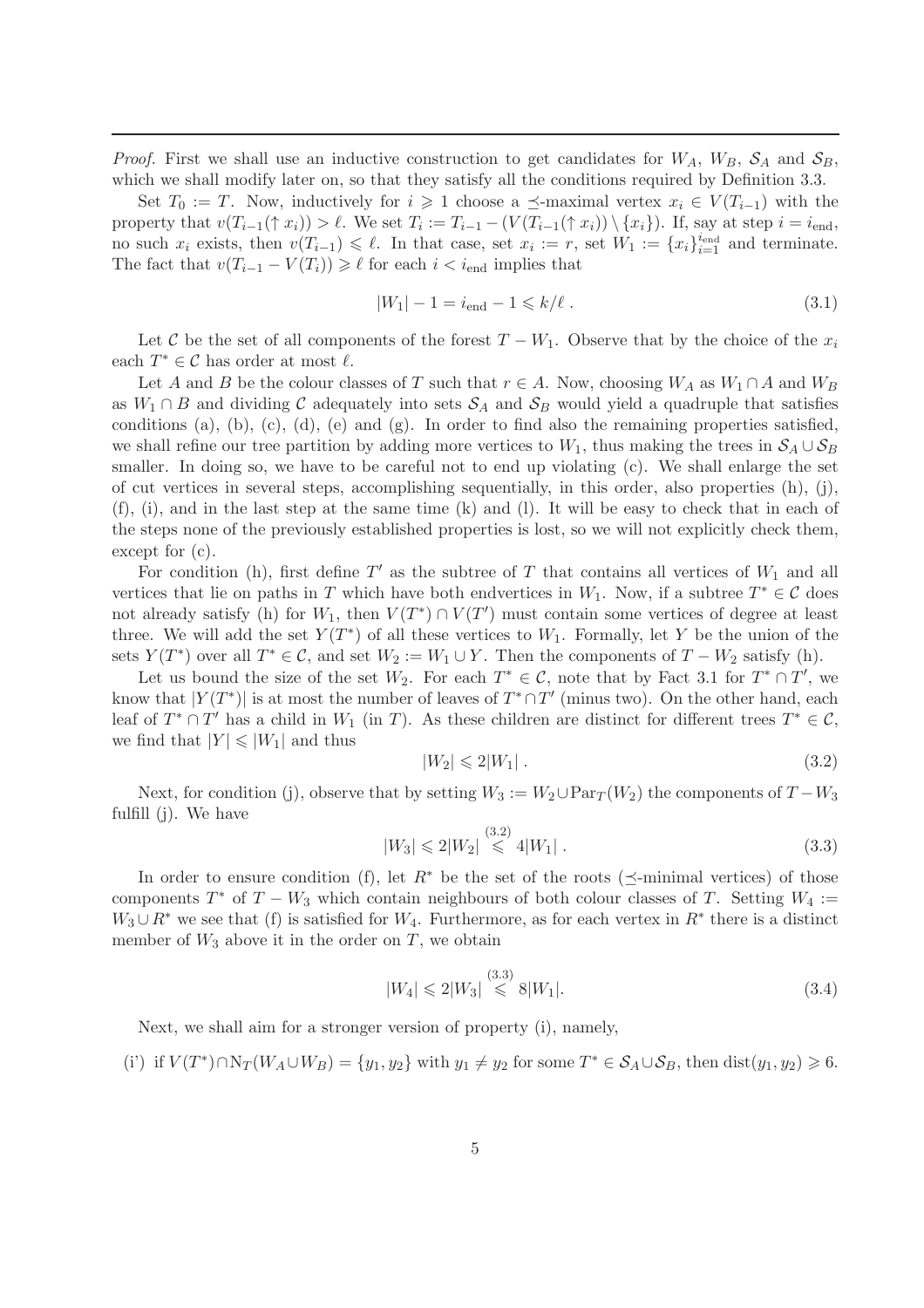*Proof.* First we shall use an inductive construction to get candidates for  $W_A$ ,  $W_B$ ,  $S_A$  and  $S_B$ , which we shall modify later on, so that they satisfy all the conditions required by Definition 3.3.

Set  $T_0 := T$ . Now, inductively for  $i \geq 1$  choose a  $\preceq$ -maximal vertex  $x_i \in V(T_{i-1})$  with the property that  $v(T_{i-1}(\uparrow x_i)) > \ell$ . We set  $T_i := T_{i-1} - (V(T_{i-1}(\uparrow x_i)) \setminus \{x_i\})$ . If, say at step  $i = i_{end}$ , no such  $x_i$  exists, then  $v(T_{i-1}) \leq \ell$ . In that case, set  $x_i := r$ , set  $W_1 := \{x_i\}_{i=1}^{i_{\text{end}}}$  and terminate. The fact that  $v(T_{i-1} - V(T_i)) \geq \ell$  for each  $i < i_{end}$  implies that

$$
|W_1| - 1 = i_{\text{end}} - 1 \le k/\ell.
$$
 (3.1)

Let C be the set of all components of the forest  $T - W_1$ . Observe that by the choice of the  $x_i$ each  $T^* \in \mathcal{C}$  has order at most  $\ell$ .

Let A and B be the colour classes of T such that  $r \in A$ . Now, choosing  $W_A$  as  $W_1 \cap A$  and  $W_B$ as  $W_1 \cap B$  and dividing C adequately into sets  $S_A$  and  $S_B$  would yield a quadruple that satisfies conditions (a), (b), (c), (d), (e) and (g). In order to find also the remaining properties satisfied, we shall refine our tree partition by adding more vertices to  $W_1$ , thus making the trees in  $S_A \cup S_B$ smaller. In doing so, we have to be careful not to end up violating (c). We shall enlarge the set of cut vertices in several steps, accomplishing sequentially, in this order, also properties  $(h)$ ,  $(i)$ , (f), (i), and in the last step at the same time (k) and (l). It will be easy to check that in each of the steps none of the previously established properties is lost, so we will not explicitly check them, except for (c).

For condition (h), first define  $T'$  as the subtree of T that contains all vertices of  $W_1$  and all vertices that lie on paths in T which have both endvertices in  $W_1$ . Now, if a subtree  $T^* \in \mathcal{C}$  does not already satisfy (h) for  $W_1$ , then  $V(T^*) \cap V(T')$  must contain some vertices of degree at least three. We will add the set  $Y(T^*)$  of all these vertices to  $W_1$ . Formally, let Y be the union of the sets  $Y(T^*)$  over all  $T^* \in \mathcal{C}$ , and set  $W_2 := W_1 \cup Y$ . Then the components of  $T - W_2$  satisfy (h).

Let us bound the size of the set  $W_2$ . For each  $T^* \in \mathcal{C}$ , note that by Fact 3.1 for  $T^* \cap T'$ , we know that  $|Y(T^*)|$  is at most the number of leaves of  $T^* \cap T'$  (minus two). On the other hand, each leaf of  $T^* \cap T'$  has a child in  $W_1$  (in T). As these children are distinct for different trees  $T^* \in \mathcal{C}$ , we find that  $|Y| \leq |W_1|$  and thus

$$
|W_2| \leqslant 2|W_1| \tag{3.2}
$$

Next, for condition (j), observe that by setting  $W_3 := W_2 \cup \text{Par}_{T}(W_2)$  the components of  $T - W_3$ fulfill (j). We have

$$
|W_3| \leq 2|W_2| \stackrel{(3.2)}{\leq} 4|W_1| \tag{3.3}
$$

In order to ensure condition (f), let  $R^*$  be the set of the roots ( $\prec$ -minimal vertices) of those components  $T^*$  of  $T - W_3$  which contain neighbours of both colour classes of T. Setting  $W_4 :=$  $W_3 \cup R^*$  we see that (f) is satisfied for  $W_4$ . Furthermore, as for each vertex in  $R^*$  there is a distinct member of  $W_3$  above it in the order on T, we obtain

$$
|W_4| \leqslant 2|W_3| \stackrel{(3.3)}{\leqslant} 8|W_1|.\tag{3.4}
$$

Next, we shall aim for a stronger version of property (i), namely,

(i') if 
$$
V(T^*) \cap N_T(W_A \cup W_B) = \{y_1, y_2\}
$$
 with  $y_1 \neq y_2$  for some  $T^* \in S_A \cup S_B$ , then  $dist(y_1, y_2) \ge 6$ .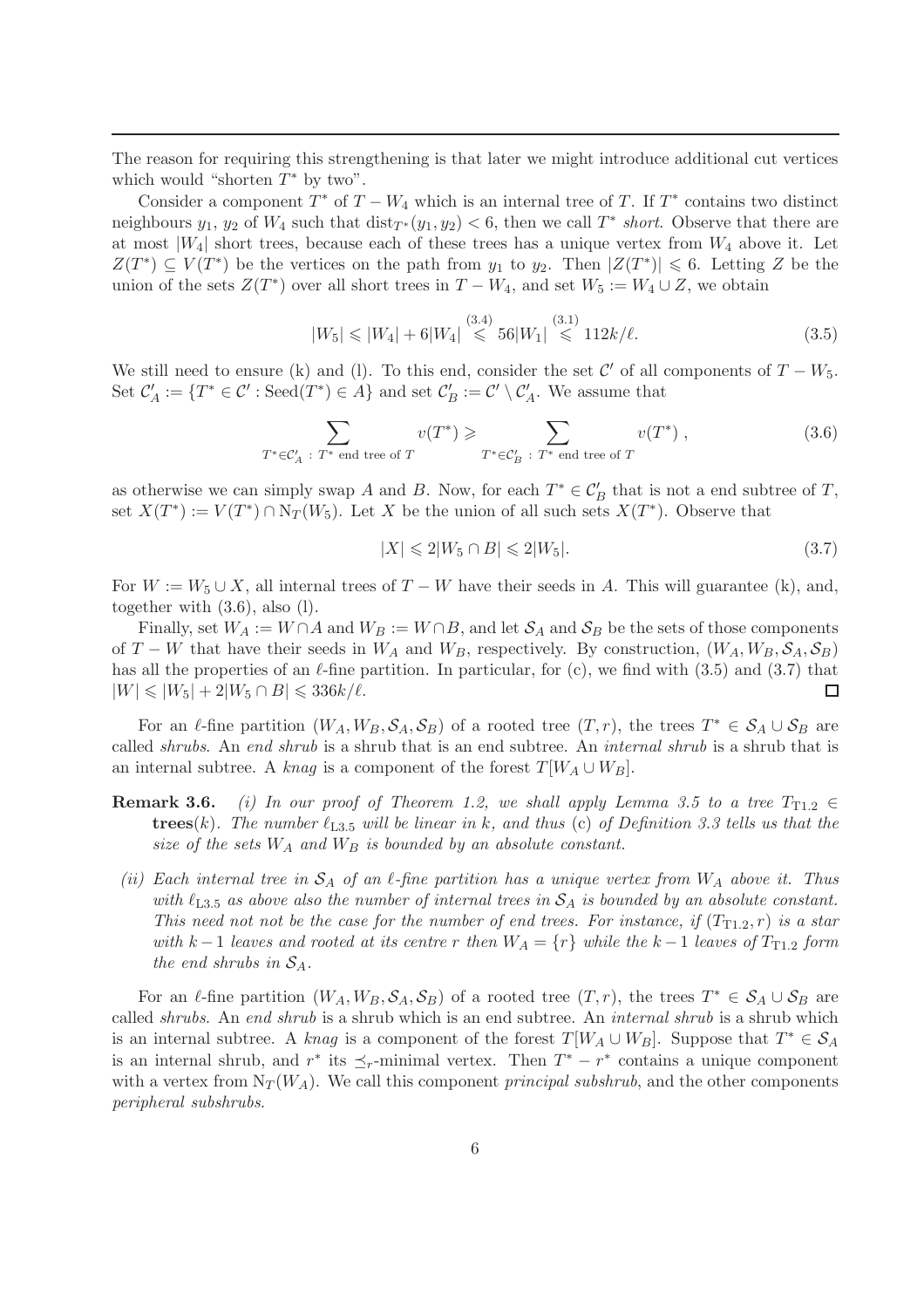The reason for requiring this strengthening is that later we might introduce additional cut vertices which would "shorten  $T^*$  by two".

Consider a component  $T^*$  of  $T - W_4$  which is an internal tree of T. If  $T^*$  contains two distinct neighbours  $y_1, y_2$  of  $W_4$  such that  $dist_{T^*}(y_1, y_2) < 6$ , then we call  $T^*$  *short*. Observe that there are at most  $|W_4|$  short trees, because each of these trees has a unique vertex from  $W_4$  above it. Let  $Z(T^*) \subseteq V(T^*)$  be the vertices on the path from  $y_1$  to  $y_2$ . Then  $|Z(T^*)| \leq 6$ . Letting Z be the union of the sets  $Z(T^*)$  over all short trees in  $T - W_4$ , and set  $W_5 := W_4 \cup Z$ , we obtain

$$
|W_5| \le |W_4| + 6|W_4| \stackrel{(3.4)}{\le} 56|W_1| \stackrel{(3.1)}{\le} 112k/\ell. \tag{3.5}
$$

We still need to ensure (k) and (l). To this end, consider the set  $\mathcal{C}'$  of all components of  $T - W_5$ . Set  $\mathcal{C}'_A := \{T^* \in \mathcal{C}' : \text{Seed}(T^*) \in A\}$  and set  $\mathcal{C}'_B := \mathcal{C}' \setminus \mathcal{C}'_A$ . We assume that

$$
\sum_{T^* \in \mathcal{C}_A' \; : \; T^* \text{ end tree of } T} v(T^*) \geqslant \sum_{T^* \in \mathcal{C}_B' \; : \; T^* \text{ end tree of } T} v(T^*) , \tag{3.6}
$$

as otherwise we can simply swap A and B. Now, for each  $T^* \in \mathcal{C}'_B$  that is not a end subtree of T, set  $X(T^*) := V(T^*) \cap N_T(W_5)$ . Let X be the union of all such sets  $X(T^*)$ . Observe that

$$
|X| \leq 2|W_5 \cap B| \leq 2|W_5|.\tag{3.7}
$$

For  $W := W_5 \cup X$ , all internal trees of  $T - W$  have their seeds in A. This will guarantee (k), and, together with (3.6), also (l).

Finally, set  $W_A := W \cap A$  and  $W_B := W \cap B$ , and let  $S_A$  and  $S_B$  be the sets of those components of  $T - W$  that have their seeds in  $W_A$  and  $W_B$ , respectively. By construction,  $(W_A, W_B, \mathcal{S}_A, \mathcal{S}_B)$ has all the properties of an  $\ell$ -fine partition. In particular, for (c), we find with (3.5) and (3.7) that  $|W| \le |W_5| + 2|W_5 \cap B| \le 336k/\ell.$  $\Box$ 

For an  $\ell$ -fine partition  $(W_A, W_B, \mathcal{S}_A, \mathcal{S}_B)$  of a rooted tree  $(T, r)$ , the trees  $T^* \in \mathcal{S}_A \cup \mathcal{S}_B$  are called *shrubs*. An *end shrub* is a shrub that is an end subtree. An *internal shrub* is a shrub that is an internal subtree. A *knag* is a component of the forest  $T[W_A \cup W_B]$ .

- **Remark 3.6.** *(i) In our proof of Theorem 1.2, we shall apply Lemma 3.5 to a tree*  $T_{T1.2} \in$  $trees(k)$ *. The number*  $\ell_{L3.5}$  *will be linear in* k, and thus (c) of Definition 3.3 tells us that the *size of the sets*  $W_A$  *and*  $W_B$  *is bounded by an absolute constant.*
- *(ii)* Each internal tree in  $S_A$  of an  $\ell$ -fine partition has a unique vertex from  $W_A$  above it. Thus with  $\ell_{L3.5}$  *as above also the number of internal trees in*  $S_A$  *is bounded by an absolute constant. This need not not be the case for the number of end trees. For instance, if*  $(T_{T1.2}, r)$  *is a star with*  $k-1$  *leaves and rooted at its centre* r *then*  $W_A = \{r\}$  *while the*  $k-1$  *leaves of*  $T_{T1,2}$  *form the end shrubs in*  $S_A$ *.*

For an  $\ell$ -fine partition  $(W_A, W_B, \mathcal{S}_A, \mathcal{S}_B)$  of a rooted tree  $(T, r)$ , the trees  $T^* \in \mathcal{S}_A \cup \mathcal{S}_B$  are called *shrubs*. An *end shrub* is a shrub which is an end subtree. An *internal shrub* is a shrub which is an internal subtree. A *knag* is a component of the forest  $T[W_A \cup W_B]$ . Suppose that  $T^* \in \mathcal{S}_A$ is an internal shrub, and  $r^*$  its  $\preceq_r$ -minimal vertex. Then  $T^* - r^*$  contains a unique component with a vertex from  $N_T(W_A)$ . We call this component *principal subshrub*, and the other components *peripheral subshrubs*.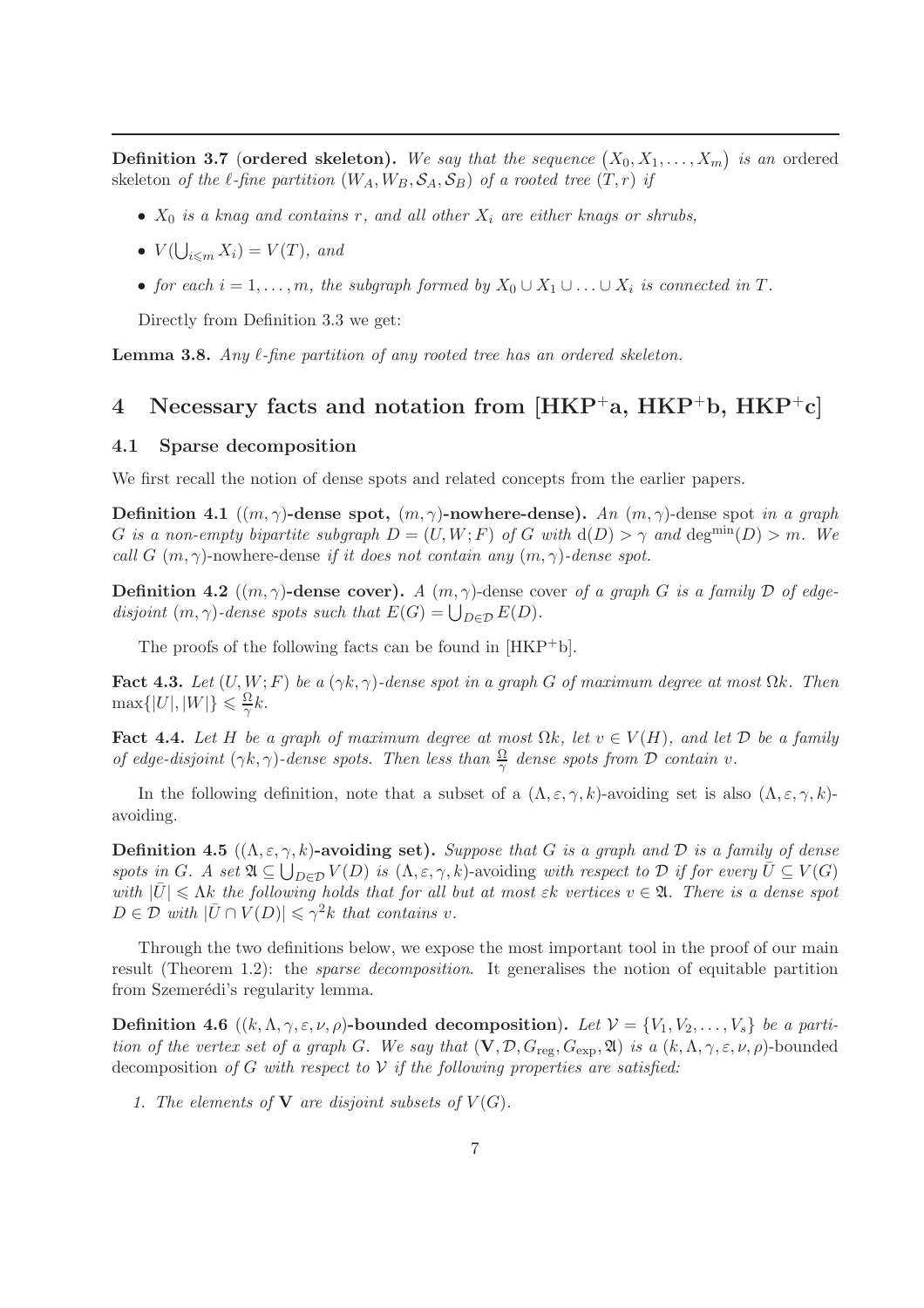**Definition 3.7 (ordered skeleton).** We say that the sequence  $(X_0, X_1, \ldots, X_m)$  is an ordered skeleton *of the*  $\ell$ -fine partition  $(W_A, W_B, \mathcal{S}_A, \mathcal{S}_B)$  *of a rooted tree*  $(T, r)$  *if* 

- X<sup>0</sup> *is a knag and contains* r*, and all other* X<sup>i</sup> *are either knags or shrubs,*
- $V(\bigcup_{i \leq m} X_i) = V(T)$ , and
- *for each*  $i = 1, \ldots, m$ , the subgraph formed by  $X_0 \cup X_1 \cup \ldots \cup X_i$  is connected in T.

Directly from Definition 3.3 we get:

**Lemma 3.8.** *Any*  $\ell$ *-fine partition of any rooted tree has an ordered skeleton.* 

# 4 Necessary facts and notation from  $[HKP^+a, HKP^+b, HKP^+c]$

#### 4.1 Sparse decomposition

We first recall the notion of dense spots and related concepts from the earlier papers.

Definition 4.1 ((m, γ)-dense spot, (m, γ)-nowhere-dense). *An* (m, γ)-dense spot *in a graph* G *is a non-empty bipartite subgraph*  $D = (U, W; F)$  *of* G *with*  $d(D) > \gamma$  *and*  $deg^{min}(D) > m$ *. We call* G  $(m, \gamma)$ -nowhere-dense *if it does not contain any*  $(m, \gamma)$ -dense spot.

**Definition 4.2**  $((m, \gamma)$ -dense cover). *A*  $(m, \gamma)$ -dense cover *of a graph G is a family D of edgedisjoint*  $(m, \gamma)$ *-dense spots such that*  $E(G) = \bigcup_{D \in \mathcal{D}} E(D)$ *.* 

The proofs of the following facts can be found in [HKP+b].

Fact 4.3. *Let*  $(U, W; F)$  *be a*  $(\gamma k, \gamma)$ *-dense spot in a graph* G *of maximum degree at most*  $\Omega k$ *. Then*  $\max\{|U|,|W|\} \leqslant \frac{\Omega}{\gamma}$  $\frac{\Omega}{\gamma}k$ .

Fact 4.4. Let H be a graph of maximum degree at most  $\Omega k$ , let  $v \in V(H)$ , and let D be a family *of edge-disjoint*  $(\gamma k, \gamma)$ -dense spots. Then less than  $\frac{\Omega}{\gamma}$  dense spots from D contain v.

In the following definition, note that a subset of a  $(\Lambda, \varepsilon, \gamma, k)$ -avoiding set is also  $(\Lambda, \varepsilon, \gamma, k)$ avoiding.

**Definition 4.5**  $((\Lambda, \varepsilon, \gamma, k)$ -avoiding set). Suppose that G is a graph and D is a family of dense  $sports$  *in*  $G$ *.*  $A$  set  $\mathfrak{A} \subseteq \bigcup_{D \in \mathcal{D}} V(D)$  *is*  $(\Lambda, \varepsilon, \gamma, k)$ -avoiding *with respect to*  $\mathcal{D}$  *if for every*  $\overline{U} \subseteq V(G)$ *with*  $|U| \leq \Lambda k$  *the following holds that for all but at most*  $\varepsilon k$  *vertices*  $v \in \mathfrak{A}$ *. There is a dense spot*  $D \in \mathcal{D}$  *with*  $|\bar{U} \cap V(D)| \leq \gamma^2 k$  *that contains v.* 

Through the two definitions below, we expose the most important tool in the proof of our main result (Theorem 1.2): the *sparse decomposition*. It generalises the notion of equitable partition from Szemerédi's regularity lemma.

**Definition 4.6**  $((k, \Lambda, \gamma, \varepsilon, \nu, \rho)$ -bounded decomposition). Let  $\mathcal{V} = \{V_1, V_2, \ldots, V_s\}$  be a parti*tion of the vertex set of a graph* G. We say that  $(V, \mathcal{D}, G_{reg}, G_{exp}, \mathfrak{A})$  *is a*  $(k, \Lambda, \gamma, \varepsilon, \nu, \rho)$ -bounded decomposition *of* G *with respect to* V *if the following properties are satisfied:*

*1. The elements of* **V** are disjoint subsets of  $V(G)$ *.*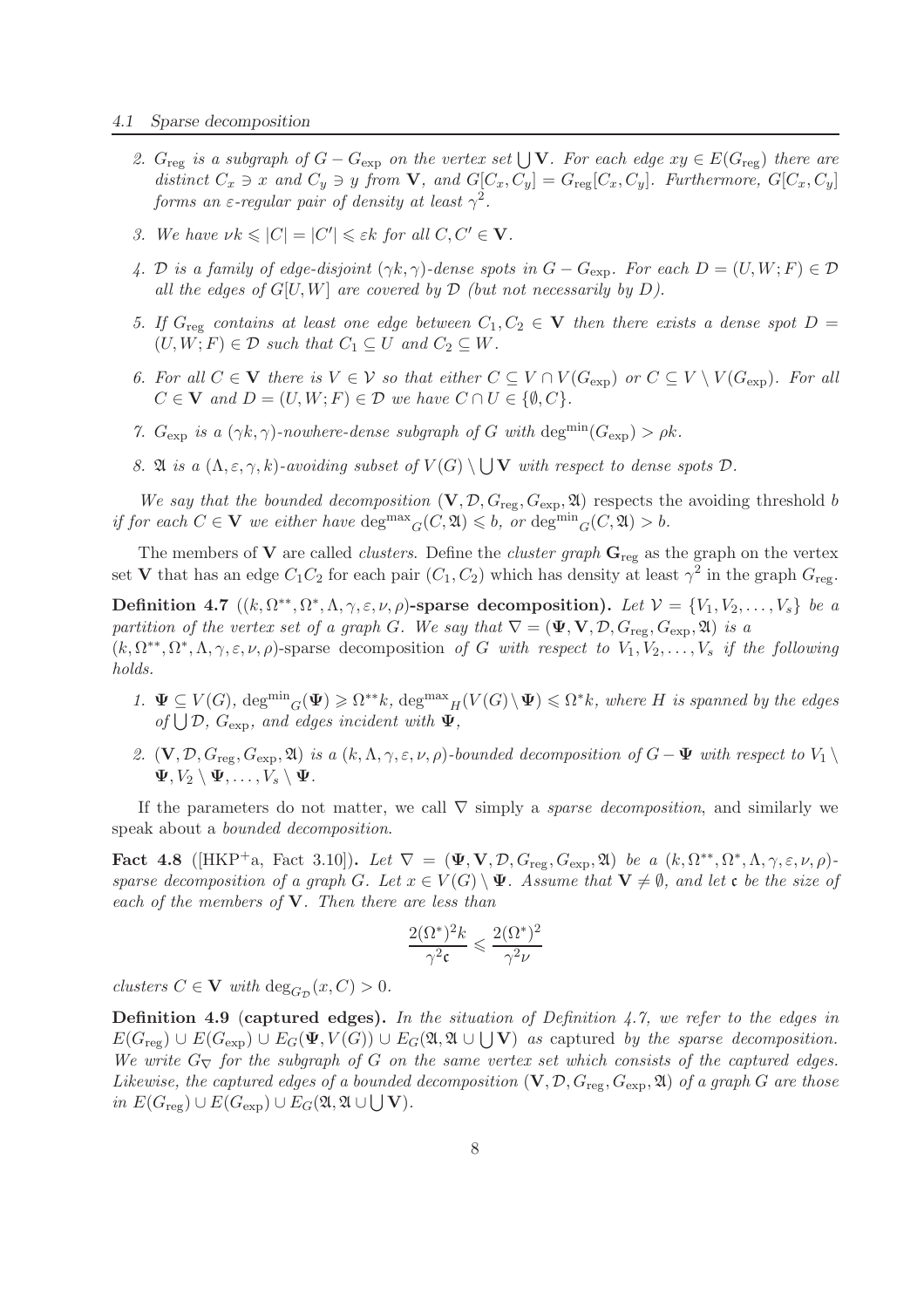- 2.  $G_{reg}$  *is a subgraph of*  $G G_{exp}$  *on the vertex set*  $\bigcup$ **V***. For each edge*  $xy \in E(G_{reg})$  *there are distinct*  $C_x \ni x$  *and*  $C_y \ni y$  *from* **V**, *and*  $G[C_x, C_y] = G_{reg}[C_x, C_y]$ *. Furthermore,*  $G[C_x, C_y]$ *forms an*  $\varepsilon$ -regular pair of density at least  $\gamma^2$ .
- *3. We have*  $\nu k \leqslant |C| = |C'| \leqslant \varepsilon k$  *for all*  $C, C' \in \mathbf{V}$ *.*
- *4.* D is a family of edge-disjoint  $(\gamma k, \gamma)$ -dense spots in  $G G_{\text{exp}}$ . For each  $D = (U, W; F) \in \mathcal{D}$ *all the edges of*  $G[U, W]$  *are covered by*  $D$  *(but not necessarily by*  $D$ *).*
- *5. If*  $G_{reg}$  *contains at least one edge between*  $C_1, C_2 \in V$  *then there exists a dense spot*  $D =$  $(U, W; F) \in \mathcal{D}$  such that  $C_1 \subseteq U$  and  $C_2 \subseteq W$ .
- *6. For all*  $C \in V$  *there is*  $V \in V$  *so that either*  $C \subseteq V \cap V(G_{exp})$  *or*  $C \subseteq V \setminus V(G_{exp})$ *. For all*  $C \in V$  *and*  $D = (U, W; F) \in \mathcal{D}$  *we have*  $C \cap U \in \{ \emptyset, C \}.$
- *7.*  $G_{\text{exp}}$  *is a*  $(\gamma k, \gamma)$ *-nowhere-dense subgraph of* G *with* deg<sup>min</sup> $(G_{\text{exp}}) > \rho k$ *.*
- *8.*  $\mathfrak{A}$  *is a*  $(\Lambda, \varepsilon, \gamma, k)$ *-avoiding subset of*  $V(G) \setminus \bigcup V$  *with respect to dense spots*  $\mathcal{D}$ *.*

We say that the bounded decomposition  $(V, \mathcal{D}, G_{\text{reg}}, G_{\text{exp}}, \mathfrak{A})$  respects the avoiding threshold b *if for each*  $C \in V$  *we either have*  $\deg^{max} G(C, \mathfrak{A}) \leq b$ *, or*  $\deg^{min} G(C, \mathfrak{A}) > b$ *.* 

The members of  $V$  are called *clusters*. Define the *cluster graph*  $G_{reg}$  as the graph on the vertex set **V** that has an edge  $C_1C_2$  for each pair  $(C_1, C_2)$  which has density at least  $\gamma^2$  in the graph  $G_{\text{reg}}$ .

**Definition 4.7**  $((k, \Omega^{**}, \Omega^*, \Lambda, \gamma, \varepsilon, \nu, \rho)$ -sparse decomposition). Let  $\mathcal{V} = \{V_1, V_2, \ldots, V_s\}$  be a *partition of the vertex set of a graph* G. We say that  $\nabla = (\Psi, \mathbf{V}, \mathcal{D}, G_{\text{reg}}, G_{\text{exp}}, \mathfrak{A})$  *is a*  $(k, \Omega^{**}, \Omega^*, \Lambda, \gamma, \varepsilon, \nu, \rho)$ -sparse decomposition of G with respect to  $V_1, V_2, \ldots, V_s$  if the following *holds.*

- 1.  $\Psi \subseteq V(G)$ ,  $\deg^{min} G(\Psi) \geq \Omega^{**}k$ ,  $\deg^{max} H(V(G) \setminus \Psi) \leq \Omega^{*}k$ , where *H* is spanned by the edges  $of \bigcup \mathcal{D}, G_{\text{exp}}$ *, and edges incident with*  $\Psi$ *,*
- *2.*  $(V, \mathcal{D}, G_{\text{reg}}, G_{\text{exp}}, \mathfrak{A})$  *is a*  $(k, \Lambda, \gamma, \varepsilon, \nu, \rho)$ *-bounded decomposition of*  $G \Psi$  *with respect to*  $V_1 \setminus$  $\Psi, V_2 \setminus \Psi, \ldots, V_s \setminus \Psi$ .

If the parameters do not matter, we call ∇ simply a *sparse decomposition*, and similarly we speak about a *bounded decomposition*.

Fact 4.8 ([HKP<sup>+</sup>a, Fact 3.10]). *Let*  $\nabla = (\Psi, \mathbf{V}, \mathcal{D}, G_{\text{reg}}, G_{\text{exp}}, \mathfrak{A})$  *be a*  $(k, \Omega^{**}, \Omega^*, \Lambda, \gamma, \varepsilon, \nu, \rho)$ *sparse decomposition of a graph* G. Let  $x \in V(G) \setminus \Psi$ . Assume that  $V \neq \emptyset$ , and let c be the size of *each of the members of* V*. Then there are less than*

$$
\frac{2(\Omega^*)^2 k}{\gamma^2\mathfrak{c}}\leqslant \frac{2(\Omega^*)^2}{\gamma^2\nu}
$$

*clusters*  $C \in V$  *with*  $\deg_{G_{\mathcal{D}}}(x, C) > 0$ *.* 

Definition 4.9 (captured edges). *In the situation of Definition 4.7, we refer to the edges in*  $E(G_{\text{reg}}) \cup E(G_{\text{exp}}) \cup E_G(\Psi, V(G)) \cup E_G(\mathfrak{A}, \mathfrak{A} \cup \bigcup \mathbf{V})$  *as* captured *by the sparse decomposition. We write*  $G_{\nabla}$  *for the subgraph of* G *on the same vertex set which consists of the captured edges. Likewise, the captured edges of a bounded decomposition*  $(V, \mathcal{D}, G_{\text{reg}}, G_{\text{exp}}, \mathfrak{A})$  *of a graph* G *are those*  $in E(G_{reg}) \cup E(G_{exp}) \cup E_G(\mathfrak{A}, \mathfrak{A} \cup \bigcup \mathbf{V}).$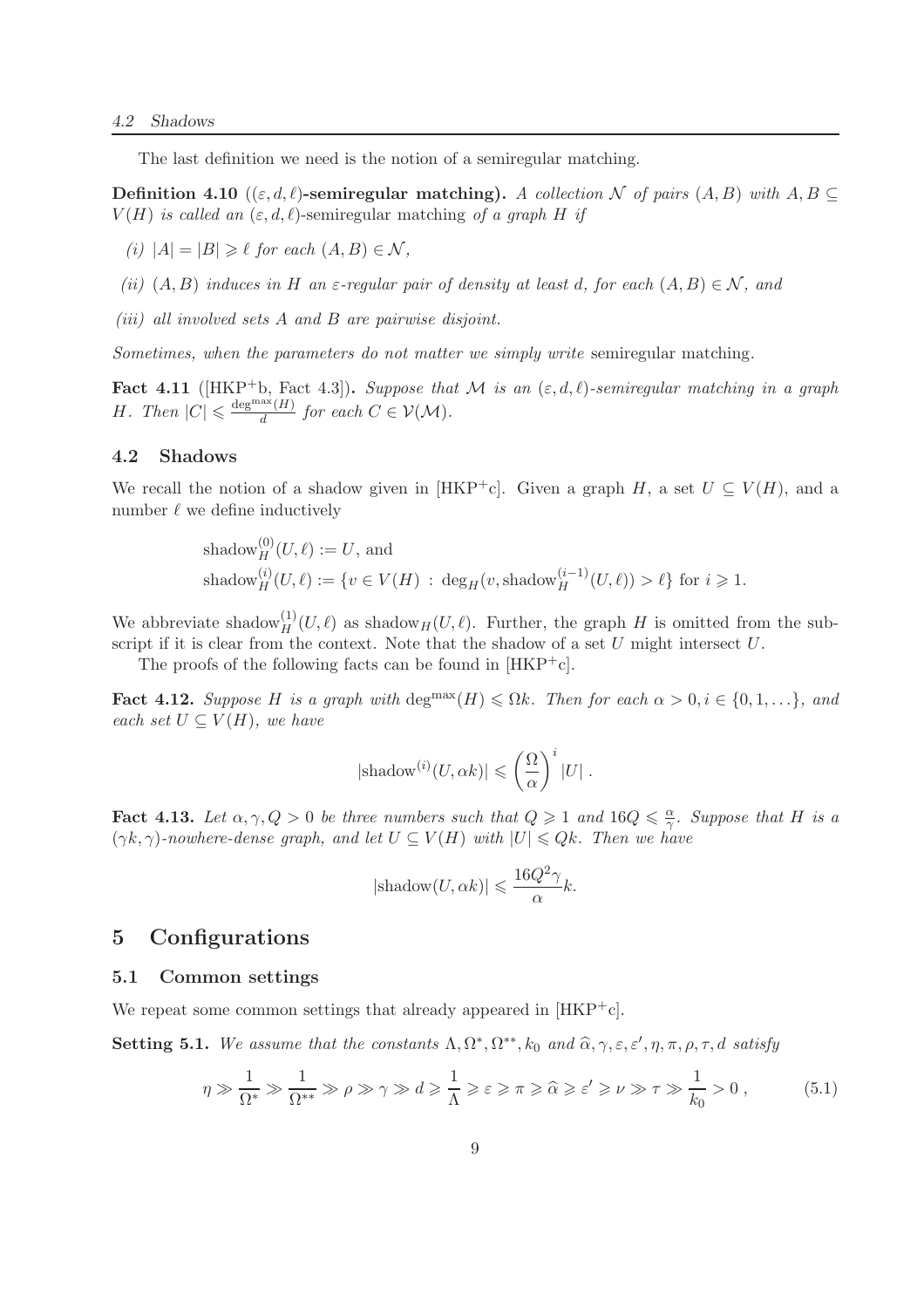The last definition we need is the notion of a semiregular matching.

**Definition 4.10** (( $\varepsilon, d, \ell$ )-semiregular matching). A collection N of pairs (A, B) with A, B  $\subseteq$  $V(H)$  *is called an*  $(\varepsilon, d, \ell)$ -semiregular matching of a graph H if

- *(i)*  $|A| = |B| \geq \ell$  *for each*  $(A, B) \in \mathcal{N}$ *,*
- *(ii)*  $(A, B)$  *induces in* H *an*  $\varepsilon$ -regular pair of density at least d, for each  $(A, B) \in \mathcal{N}$ *, and*
- *(iii) all involved sets* A *and* B *are pairwise disjoint.*

*Sometimes, when the parameters do not matter we simply write* semiregular matching.

Fact 4.11 ( $[HKP^+b,$  Fact 4.3)). *Suppose that* M *is an*  $(\varepsilon, d, \ell)$ -semiregular matching in a graph *H.* Then  $|C| \leq \frac{\deg^{\max}(H)}{d}$  $\frac{d^{(H)}}{d}$  for each  $C \in \mathcal{V}(\mathcal{M})$ .

#### 4.2 Shadows

We recall the notion of a shadow given in [HKP<sup>+</sup>c]. Given a graph H, a set  $U \subseteq V(H)$ , and a number  $\ell$  we define inductively

shadow
$$
^{(0)}_H(U,\ell) := U
$$
, and  
shadow $^{(i)}_H(U,\ell) := \{v \in V(H) : \deg_H(v, \text{shadow}_H^{(i-1)}(U,\ell)) > \ell\}$  for  $i \ge 1$ .

We abbreviate shadow $_{H}^{(1)}(U,\ell)$  as shadow $_{H}(U,\ell)$ . Further, the graph H is omitted from the subscript if it is clear from the context. Note that the shadow of a set  $U$  might intersect  $U$ .

The proofs of the following facts can be found in  $[HKP<sup>+</sup>c]$ .

Fact 4.12. *Suppose* H is a graph with deg<sup>max</sup>(H)  $\leq \Omega k$ *. Then for each*  $\alpha > 0, i \in \{0, 1, ...\}$ *, and each set*  $U \subseteq V(H)$ *, we have* 

$$
|\text{shadow}^{(i)}(U,\alpha k)| \leqslant \left(\frac{\Omega}{\alpha}\right)^i |U| \; .
$$

**Fact 4.13.** Let  $\alpha, \gamma, Q > 0$  be three numbers such that  $Q \geq 1$  and  $16Q \leq \frac{\alpha}{\gamma}$  $\frac{\alpha}{\gamma}$ *. Suppose that H is a*  $(\gamma k, \gamma)$ -nowhere-dense graph, and let  $U \subseteq V(H)$  with  $|U| \leq Qk$ . Then we have

$$
|\text{shadow}(U,\alpha k)| \leqslant \frac{16Q^2\gamma}{\alpha}k.
$$

### 5 Configurations

#### 5.1 Common settings

We repeat some common settings that already appeared in  $[HKP<sup>+</sup>c]$ .

**Setting 5.1.** We assume that the constants  $\Lambda$ ,  $\Omega^*, \Omega^{**}$ ,  $k_0$  and  $\widehat{\alpha}$ ,  $\gamma$ ,  $\varepsilon$ ,  $\varepsilon'$ ,  $\eta$ ,  $\pi$ ,  $\rho$ ,  $\tau$ ,  $d$  satisfy

$$
\eta \gg \frac{1}{\Omega^*} \gg \frac{1}{\Omega^{**}} \gg \rho \gg \gamma \gg d \ge \frac{1}{\Lambda} \ge \varepsilon \ge \pi \ge \widehat{\alpha} \ge \varepsilon' \ge \nu \gg \tau \gg \frac{1}{k_0} > 0 ,\qquad (5.1)
$$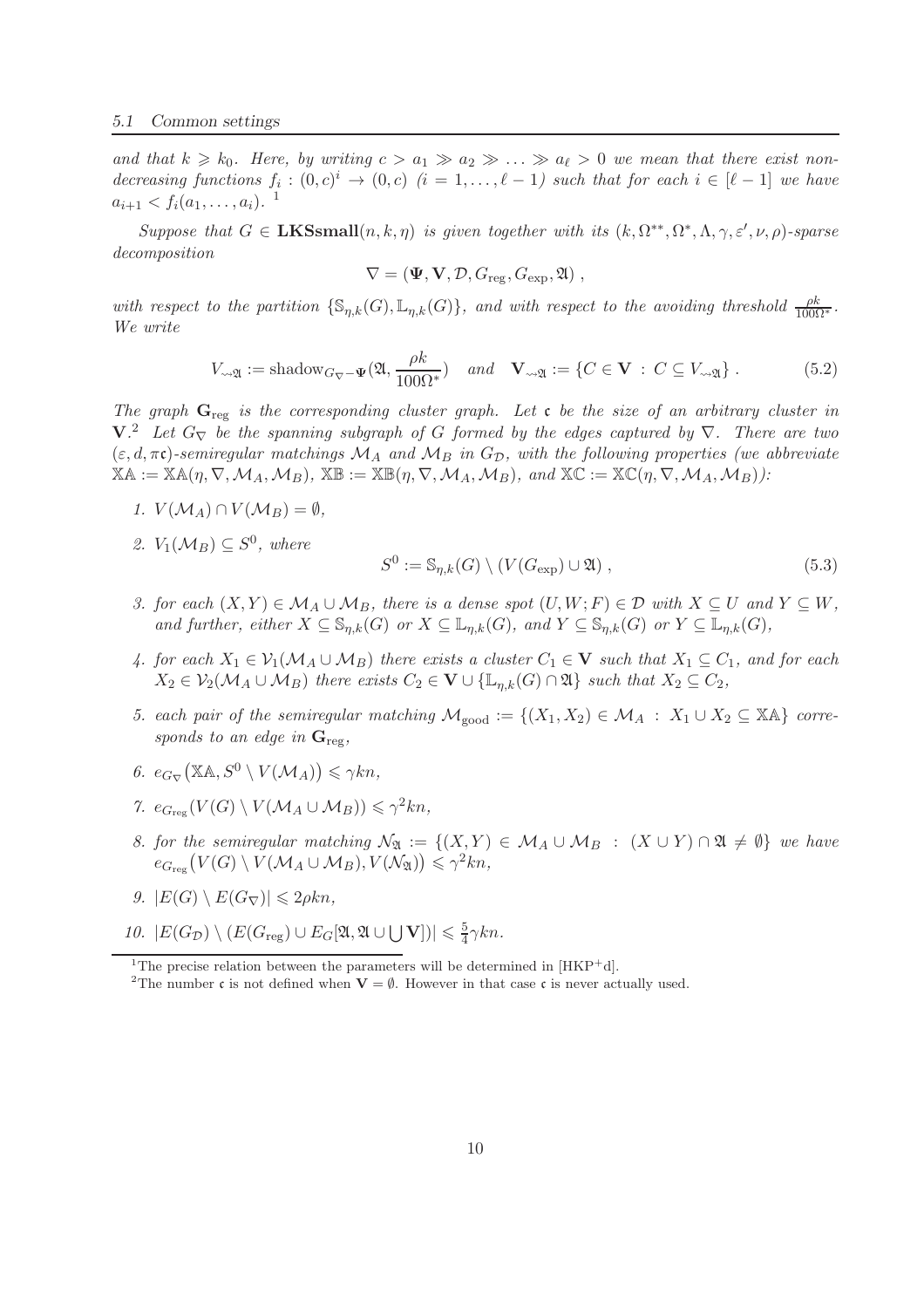and that  $k \geq k_0$ . Here, by writing  $c > a_1 \gg a_2 \gg \ldots \gg a_\ell > 0$  we mean that there exist nondecreasing functions  $f_i : (0, c)^i \to (0, c)$   $(i = 1, \ldots, \ell - 1)$  such that for each  $i \in [\ell - 1]$  we have  $a_{i+1} < f_i(a_1, \ldots, a_i)$ .<sup>1</sup>

*Suppose that*  $G \in \mathbf{LKSsmall}(n, k, \eta)$  *is given together with its*  $(k, \Omega^{**}, \Omega^*, \Lambda, \gamma, \varepsilon', \nu, \rho)$ -sparse *decomposition*

$$
\nabla = (\mathbf{\Psi}, \mathbf{V}, \mathcal{D}, G_{\text{reg}}, G_{\text{exp}}, \mathfrak{A}),
$$

*with respect to the partition*  $\{\mathbb{S}_{\eta,k}(G), \mathbb{L}_{\eta,k}(G)\}$ *, and with respect to the avoiding threshold*  $\frac{\rho k}{100\Omega^*}$ *. We write*

$$
V_{\leadsto \mathfrak{A}} := \text{shadow}_{G_{\nabla} - \Psi}(\mathfrak{A}, \frac{\rho k}{100\Omega^*}) \quad \text{and} \quad \mathbf{V}_{\leadsto \mathfrak{A}} := \{ C \in \mathbf{V} \, : \, C \subseteq V_{\leadsto \mathfrak{A}} \} \, . \tag{5.2}
$$

*The graph* Greg *is the corresponding cluster graph. Let* c *be the size of an arbitrary cluster in* V*.* <sup>2</sup> *Let* <sup>G</sup><sup>∇</sup> *be the spanning subgraph of* <sup>G</sup> *formed by the edges captured by* <sup>∇</sup>*. There are two*  $(\varepsilon, d, \pi\mathfrak{c})$ -semiregular matchings  $\mathcal{M}_A$  and  $\mathcal{M}_B$  in  $G_D$ , with the following properties (we abbreviate  $XA := XA(\eta, \nabla, \mathcal{M}_A, \mathcal{M}_B)$ ,  $XB := XB(\eta, \nabla, \mathcal{M}_A, \mathcal{M}_B)$ , and  $XC := XC(\eta, \nabla, \mathcal{M}_A, \mathcal{M}_B)$ *)*:

- *1.*  $V(M_A) \cap V(M_B) = \emptyset$ ,
- 2.  $V_1(\mathcal{M}_B) \subseteq S^0$ , where

$$
S^{0} := \mathbb{S}_{\eta,k}(G) \setminus (V(G_{\exp}) \cup \mathfrak{A}), \qquad (5.3)
$$

- *3. for each*  $(X, Y) \in \mathcal{M}_A \cup \mathcal{M}_B$ , there is a dense spot  $(U, W; F) \in \mathcal{D}$  with  $X \subseteq U$  and  $Y \subseteq W$ , *and further, either*  $X \subseteq \mathbb{S}_{n,k}(G)$  *or*  $X \subseteq \mathbb{L}_{n,k}(G)$ *, and*  $Y \subseteq \mathbb{S}_{n,k}(G)$  *or*  $Y \subseteq \mathbb{L}_{n,k}(G)$ *,*
- *4. for each*  $X_1$  ∈  $\mathcal{V}_1(\mathcal{M}_A \cup \mathcal{M}_B)$  *there exists a cluster*  $C_1$  ∈ **V** *such that*  $X_1 \subseteq C_1$ *, and for each*  $X_2 \in V_2(\mathcal{M}_A \cup \mathcal{M}_B)$  *there exists*  $C_2 \in V \cup \{\mathbb{L}_{n,k}(G) \cap \mathfrak{A}\}\$  *such that*  $X_2 \subseteq C_2$ *,*
- *5. each pair of the semiregular matching*  $\mathcal{M}_{good} := \{(X_1, X_2) \in \mathcal{M}_A : X_1 \cup X_2 \subseteq \mathbb{X} \mathbb{A} \}$  *corresponds to an edge in*  $G_{\text{reg}}$ *,*
- 6.  $e_{G_{\nabla}}(\mathbb{X}\mathbb{A}, S^0 \setminus V(\mathcal{M}_A)) \leq \gamma k n$ ,
- 7.  $e_{G_{\text{reg}}}(V(G) \setminus V(\mathcal{M}_A \cup \mathcal{M}_B)) \leq \gamma^2 kn$ ,
- *8. for the semiregular matching*  $\mathcal{N}_{\mathfrak{A}} := \{(X, Y) \in \mathcal{M}_A \cup \mathcal{M}_B : (X \cup Y) \cap \mathfrak{A} \neq \emptyset\}$  *we have*  $e_{G_{\text{reg}}}(V(G) \setminus V(\mathcal{M}_A \cup \mathcal{M}_B), V(\mathcal{N}_{\mathfrak{A}})) \leq \gamma^2 kn,$
- *9.*  $|E(G) \setminus E(G_{\nabla})| \leq 2\rho kn$ ,
- 10.  $|E(G_{\mathcal{D}}) \setminus (E(G_{\text{reg}}) \cup E_G[\mathfrak{A}, \mathfrak{A} \cup \bigcup \mathbf{V}])| \leq \frac{5}{4}$  $\frac{5}{4}\gamma kn$ .

<sup>&</sup>lt;sup>1</sup>The precise relation between the parameters will be determined in  $[HKP^+d]$ .

<sup>&</sup>lt;sup>2</sup>The number c is not defined when  $V = \emptyset$ . However in that case c is never actually used.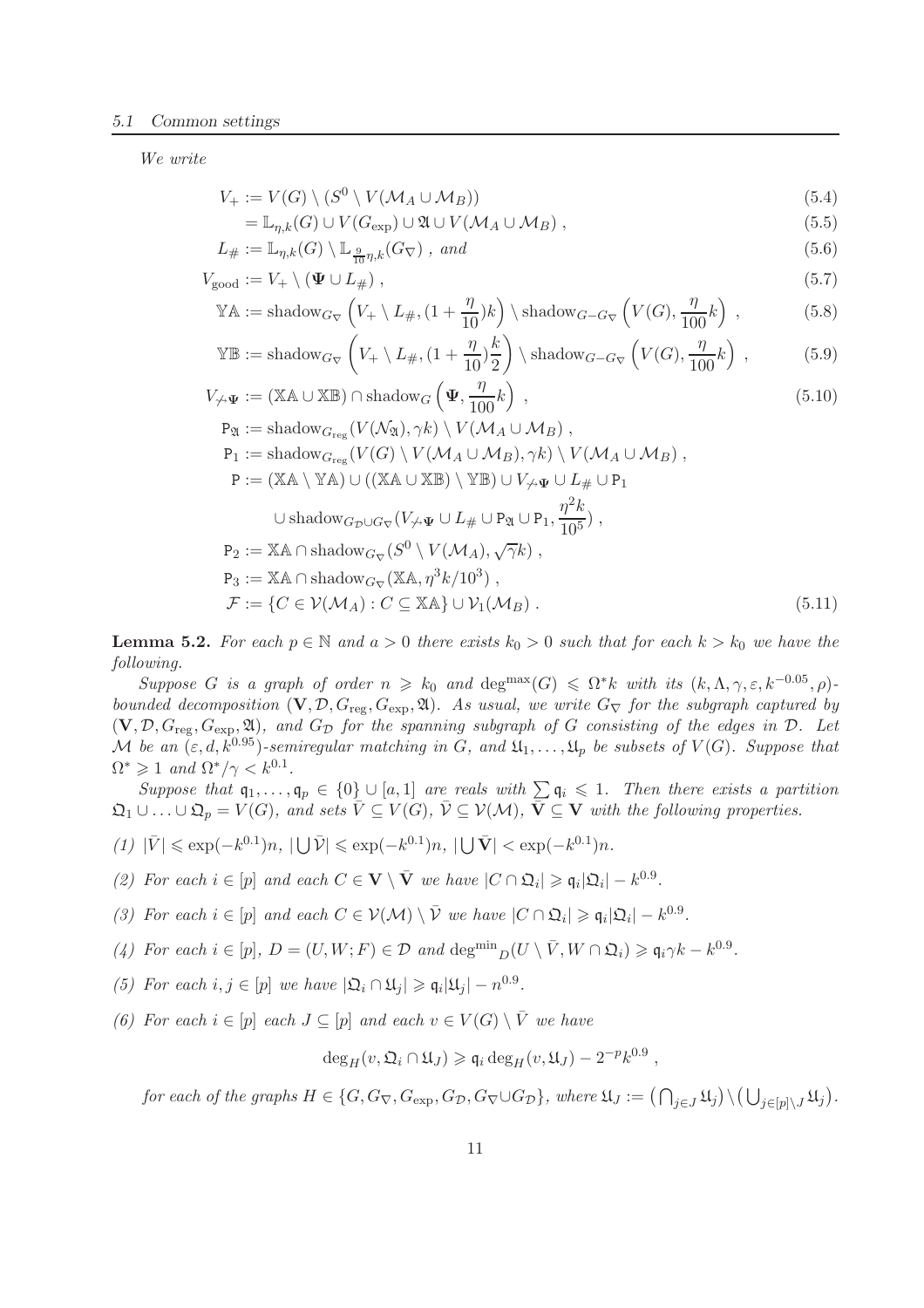*We write*

$$
V_{+} := V(G) \setminus (S^{0} \setminus V(\mathcal{M}_{A} \cup \mathcal{M}_{B})) \tag{5.4}
$$

$$
= \mathbb{L}_{\eta,k}(G) \cup V(G_{\exp}) \cup \mathfrak{A} \cup V(\mathcal{M}_A \cup \mathcal{M}_B), \qquad (5.5)
$$

$$
L_{\#} := \mathbb{L}_{\eta,k}(G) \setminus \mathbb{L}_{\frac{9}{10}\eta,k}(G_{\nabla}), \text{ and}
$$
\n
$$
(5.6)
$$

$$
V_{\text{good}} := V_+ \setminus (\Psi \cup L_\#), \qquad (5.7)
$$

$$
\mathbb{Y}\mathbb{A} := \text{shadow}_{G_{\nabla}}\left(V_+ \setminus L_{\#}, (1 + \frac{\eta}{10})k\right) \setminus \text{shadow}_{G - G_{\nabla}}\left(V(G), \frac{\eta}{100}k\right) ,\tag{5.8}
$$

$$
\mathbb{Y}\mathbb{B} := \text{shadow}_{G_{\nabla}}\left(V_+ \setminus L_{\#}, (1 + \frac{\eta}{10})\frac{k}{2}\right) \setminus \text{shadow}_{G - G_{\nabla}}\left(V(G), \frac{\eta}{100}k\right) ,\tag{5.9}
$$

$$
V_{\nleftrightarrow \Psi} := (\mathbb{X} \mathbb{A} \cup \mathbb{X} \mathbb{B}) \cap \text{shadow}_G \left( \Psi, \frac{\eta}{100} k \right) , \qquad (5.10)
$$

$$
P_{\mathfrak{A}} := \text{shadow}_{G_{\text{reg}}}(V(\mathcal{N}_{\mathfrak{A}}), \gamma k) \setminus V(\mathcal{M}_{A} \cup \mathcal{M}_{B}),
$$
  
\n
$$
P_{1} := \text{shadow}_{G_{\text{reg}}}(V(G) \setminus V(\mathcal{M}_{A} \cup \mathcal{M}_{B}), \gamma k) \setminus V(\mathcal{M}_{A} \cup \mathcal{M}_{B}),
$$
  
\n
$$
P := (\mathbb{XA} \setminus \mathbb{YA}) \cup ((\mathbb{XA} \cup \mathbb{XB}) \setminus \mathbb{Y}\mathbb{B}) \cup V_{\not{\rightarrow}\mathbf{\Psi}} \cup L_{\#} \cup P_{1}
$$
  
\n
$$
\cup \text{shadow}_{G_{\mathcal{D}} \cup G_{\nabla}}(V_{\not{\rightarrow}\mathbf{\Psi}} \cup L_{\#} \cup P_{\mathfrak{A}} \cup P_{1}, \frac{\eta^{2}k}{10^{5}}),
$$
  
\n
$$
P_{2} := \mathbb{XA} \cap \text{shadow}_{G_{\nabla}}(S^{0} \setminus V(\mathcal{M}_{A}), \sqrt{\gamma}k),
$$
  
\n
$$
P_{3} := \mathbb{XA} \cap \text{shadow}_{G_{\nabla}}(\mathbb{XA}, \eta^{3}k/10^{3}),
$$
  
\n
$$
\mathcal{F} := \{ C \in \mathcal{V}(\mathcal{M}_{A}) : C \subseteq \mathbb{XA} \} \cup \mathcal{V}_{1}(\mathcal{M}_{B}).
$$
  
\n(5.11)

**Lemma 5.2.** For each  $p \in \mathbb{N}$  and  $a > 0$  there exists  $k_0 > 0$  such that for each  $k > k_0$  we have the *following.*

*Suppose* G *is a graph of order*  $n \ge k_0$  *and* deg<sup>max</sup> $(G) \le \Omega^* k$  *with its*  $(k, \Lambda, \gamma, \varepsilon, k^{-0.05}, \rho)$ *bounded decomposition*  $(V, \mathcal{D}, G_{reg}, G_{exp}, \mathfrak{A})$ *. As usual, we write*  $G_{\nabla}$  *for the subgraph captured by*  $(V, \mathcal{D}, G_{\text{reg}}, G_{\text{exp}}, \mathfrak{A})$ *, and*  $G_{\mathcal{D}}$  *for the spanning subgraph of* G *consisting of the edges in*  $\mathcal{D}$ *. Let* M be an  $(\varepsilon, d, k^{0.95})$ -semiregular matching in G, and  $\mathfrak{U}_1, \ldots, \mathfrak{U}_p$  be subsets of  $V(G)$ *. Suppose that*  $\Omega^* \geq 1$  and  $\Omega^*/\gamma < k^{0.1}$ .

*Suppose that*  $\mathfrak{q}_1, \ldots, \mathfrak{q}_p \in \{0\} \cup [a, 1]$  *are reals with*  $\sum \mathfrak{q}_i \leq 1$ . Then there exists a partition  $\mathfrak{Q}_1 \cup \ldots \cup \mathfrak{Q}_p = V(G)$ *, and sets*  $\overline{V} \subseteq V(G)$ *,*  $\overline{V} \subseteq V(\mathcal{M})$ *,*  $\overline{V} \subseteq V$  *with the following properties.* 

- $(1)$  | $\bar{V}$ | ≤ exp(−k<sup>0.1</sup>)n, |**∪** $\bar{V}$ | ≤ exp(−k<sup>0.1</sup>)n, |**∪** $\bar{V}$ | < exp(−k<sup>0.1</sup>)n.
- *(2) For each*  $i \in [p]$  *and each*  $C \in \mathbf{V} \setminus \overline{\mathbf{V}}$  *we have*  $|C \cap \Omega_i| \geq \mathfrak{q}_i |\Omega_i| k^{0.9}$ *.*
- *(3) For each*  $i \in [p]$  *and each*  $C \in \mathcal{V}(\mathcal{M}) \setminus \overline{\mathcal{V}}$  *we have*  $|C \cap \Omega_i| \geq \mathfrak{q}_i |\Omega_i| k^{0.9}$ *.*
- (4) For each  $i \in [p], D = (U, W; F) \in \mathcal{D}$  and  $\deg^{min} D(U \setminus \overline{V}, W \cap \mathfrak{Q}_i) \geq \mathfrak{q}_i \gamma k k^{0.9}$ .
- (5) For each  $i, j \in [p]$  we have  $|\mathfrak{Q}_i \cap \mathfrak{U}_j| \geqslant \mathfrak{q}_i |\mathfrak{U}_j| n^{0.9}$ .
- *(6) For each*  $i \in [p]$  *each*  $J \subseteq [p]$  *and each*  $v \in V(G) \setminus \overline{V}$  *we have*

$$
\deg_H(v, \mathfrak{Q}_i \cap \mathfrak{U}_J) \geqslant \mathfrak{q}_i \deg_H(v, \mathfrak{U}_J) - 2^{-p} k^{0.9} ,
$$

 $for\ each\ of\ the\ graphs\ H\in\{G,G_{\nabla},G_{\exp},G_{\mathcal{D}},G_{\nabla}\cup G_{\mathcal{D}}\},\ where\ \mathfrak{U}_J:=\left(\bigcap_{j\in J}\mathfrak{U}_j\right)\setminus\left(\bigcup_{j\in[p]\setminus J}\mathfrak{U}_j\right).$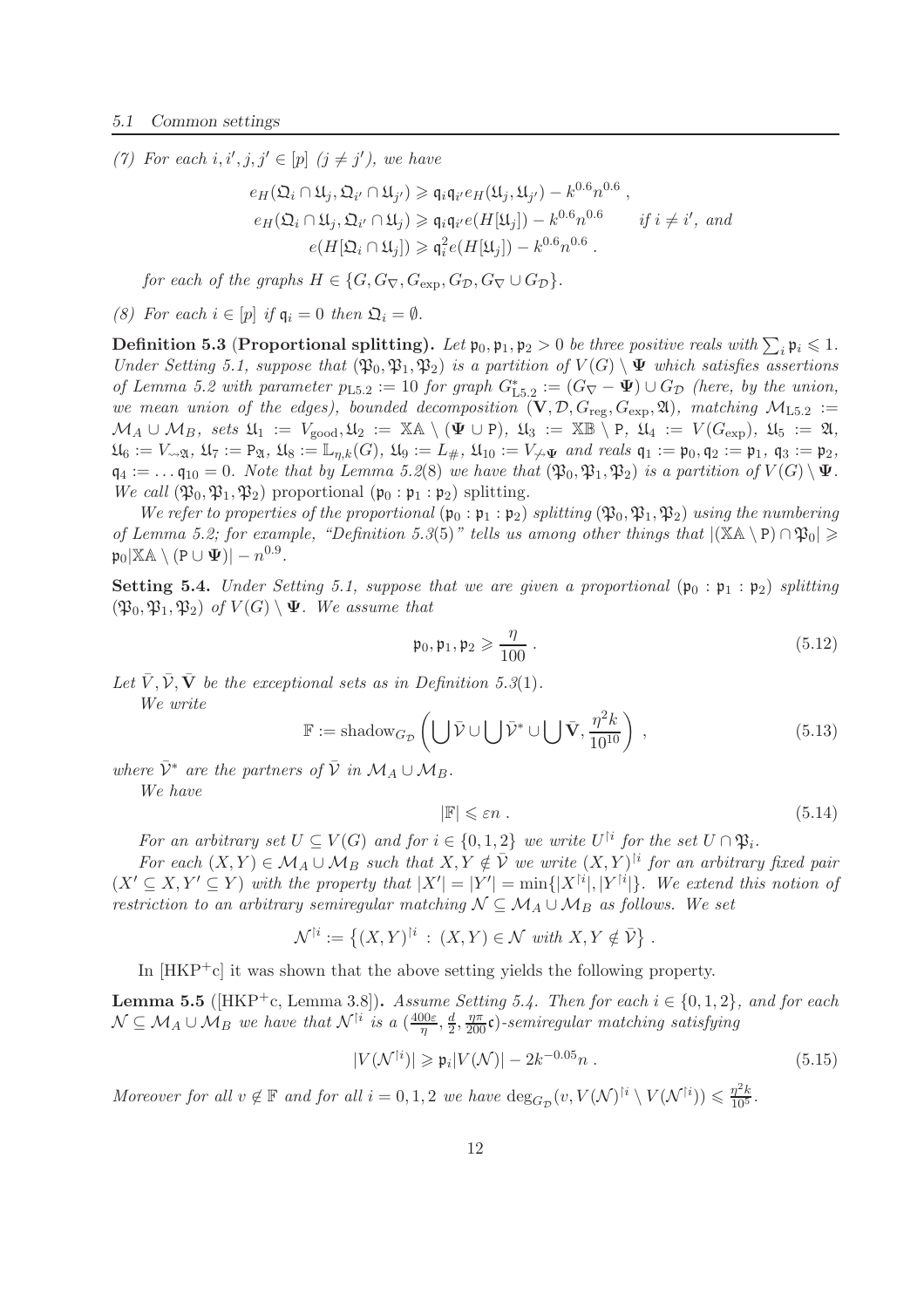(7) For each  $i, i', j, j' \in [p]$   $(j \neq j')$ , we have

$$
e_H(\Omega_i \cap \mathfrak{U}_j, \Omega_{i'} \cap \mathfrak{U}_{j'}) \geq \mathfrak{q}_i \mathfrak{q}_{i'} e_H(\mathfrak{U}_j, \mathfrak{U}_{j'}) - k^{0.6} n^{0.6},
$$
  
\n
$$
e_H(\Omega_i \cap \mathfrak{U}_j, \Omega_{i'} \cap \mathfrak{U}_j) \geq \mathfrak{q}_i \mathfrak{q}_{i'} e(H[\mathfrak{U}_j]) - k^{0.6} n^{0.6} \quad if \ i \neq i', \ and
$$
  
\n
$$
e(H[\Omega_i \cap \mathfrak{U}_j]) \geq \mathfrak{q}_i^2 e(H[\mathfrak{U}_j]) - k^{0.6} n^{0.6}.
$$

*for each of the graphs*  $H \in \{G, G_{\nabla}, G_{\exp}, G_{\mathcal{D}}, G_{\nabla} \cup G_{\mathcal{D}}\}.$ 

*(8)* For each  $i \in [p]$  *if*  $q_i = 0$  *then*  $\mathfrak{Q}_i = \emptyset$ *.* 

Definition 5.3 (Proportional splitting). Let  $\mathfrak{p}_0, \mathfrak{p}_1, \mathfrak{p}_2 > 0$  *be three positive reals with*  $\sum_i \mathfrak{p}_i \leq 1$ . *Under Setting 5.1, suppose that*  $(\mathfrak{P}_0, \mathfrak{P}_1, \mathfrak{P}_2)$  *is a partition of*  $V(G) \setminus \Psi$  *which satisfies assertions of Lemma 5.2 with parameter*  $p_{L5.2} := 10$  *for graph*  $G_{L5.2}^* := (G_{\nabla} - \Psi) \cup G_{\mathcal{D}}$  *(here, by the union, we mean union of the edges), bounded decomposition*  $(V, \mathcal{D}, G_{reg}, G_{exp}, \mathfrak{A})$ *, matching*  $M_{L5.2}$  :=  $\mathcal{M}_A \cup \mathcal{M}_B$ *, sets*  $\mathfrak{U}_1 := V_{\text{good}}$ ,  $\mathfrak{U}_2 := \mathbb{X} \mathbb{A} \setminus (\Psi \cup P)$ ,  $\mathfrak{U}_3 := \mathbb{X} \mathbb{B} \setminus P$ ,  $\mathfrak{U}_4 := V(G_{\text{exp}})$ ,  $\mathfrak{U}_5 := \mathfrak{A}$ ,  $\mathfrak{U}_6 := V_{\leadsto \mathfrak{A}}, \mathfrak{U}_7 := \mathsf{P}_{\mathfrak{A}}, \mathfrak{U}_8 := \mathbb{L}_{\eta,k}(G), \mathfrak{U}_9 := L_{\#}, \mathfrak{U}_{10} := V_{\leadsto \Psi}$  and reals  $\mathfrak{q}_1 := \mathfrak{p}_0, \mathfrak{q}_2 := \mathfrak{p}_1, \mathfrak{q}_3 := \mathfrak{p}_2,$  $\mathfrak{q}_4 := \ldots \mathfrak{q}_{10} = 0$ . Note that by Lemma 5.2(8) we have that  $(\mathfrak{P}_0, \mathfrak{P}_1, \mathfrak{P}_2)$  is a partition of  $V(G) \setminus \Psi$ . *We call*  $(\mathfrak{P}_0, \mathfrak{P}_1, \mathfrak{P}_2)$  proportional  $(\mathfrak{p}_0 : \mathfrak{p}_1 : \mathfrak{p}_2)$  splitting.

*We refer to properties of the proportional*  $(\mathfrak{p}_0 : \mathfrak{p}_1 : \mathfrak{p}_2)$  *splitting*  $(\mathfrak{P}_0, \mathfrak{P}_1, \mathfrak{P}_2)$  *using the numbering of Lemma 5.2; for example, "Definition 5.3*(5)" *tells us among other things that*  $|(\mathbb{X} \mathbb{A} \setminus P) \cap \mathfrak{P}_0| \ge$  $\mathfrak{p}_0|\mathbb{X}\mathbb{A}\setminus (\mathtt{P}\cup \boldsymbol{\Psi})|-n^{0.9}.$ 

**Setting 5.4.** *Under Setting 5.1, suppose that we are given a proportional*  $(\mathfrak{p}_0 : \mathfrak{p}_1 : \mathfrak{p}_2)$  *splitting*  $(\mathfrak{P}_0, \mathfrak{P}_1, \mathfrak{P}_2)$  *of*  $V(G) \setminus \Psi$ *. We assume that* 

$$
\mathfrak{p}_0, \mathfrak{p}_1, \mathfrak{p}_2 \geqslant \frac{\eta}{100} \ . \tag{5.12}
$$

Let  $\bar{V}$ ,  $\bar{V}$ ,  $\bar{V}$  *be the exceptional sets as in Definition 5.3(1)*. *We write*

$$
\mathbb{F} := \text{shadow}_{G_{\mathcal{D}}} \left( \bigcup \bar{\mathcal{V}} \cup \bigcup \bar{\mathcal{V}}^* \cup \bigcup \bar{\mathbf{V}}, \frac{\eta^2 k}{10^{10}} \right) ,\tag{5.13}
$$

*where*  $\bar{V}^*$  *are the partners of*  $\bar{V}$  *in*  $\mathcal{M}_A \cup \mathcal{M}_B$ *.* 

*We have*

$$
|\mathbb{F}| \leq \varepsilon n \tag{5.14}
$$

*For an arbitrary set*  $U \subseteq V(G)$  *and for*  $i \in \{0, 1, 2\}$  *we write*  $U^{\dagger i}$  *for the set*  $U \cap \mathfrak{P}_i$ *.* 

*For each*  $(X, Y) \in \mathcal{M}_A \cup \mathcal{M}_B$  *such that*  $X, Y \notin \overline{\mathcal{V}}$  *we write*  $(X, Y)^{\dagger i}$  *for an arbitrary fixed pair*  $(X' \subseteq X, Y' \subseteq Y)$  with the property that  $|X'| = |Y'| = \min\{|X^{[i]}|, |Y^{[i]}\}$ . We extend this notion of *restriction to an arbitrary semiregular matching*  $N \subseteq M_A \cup M_B$  *as follows. We set* 

$$
\mathcal{N}^{\dagger i} := \left\{ (X, Y)^{\dagger i} \, : \, (X, Y) \in \mathcal{N} \text{ with } X, Y \notin \overline{\mathcal{V}} \right\}.
$$

In  $[HKP<sup>+</sup>c]$  it was shown that the above setting yields the following property.

**Lemma 5.5** ( $[HKP^+c, \text{Lemma 3.8}]$ ). *Assume Setting 5.4. Then for each*  $i \in \{0, 1, 2\}$ *, and for each*  $\mathcal{N} \subseteq \mathcal{M}_A \cup \mathcal{M}_B$  we have that  $\mathcal{N}^{\dagger i}$  is a  $(\frac{400\varepsilon}{\eta})$  $\frac{10\varepsilon}{\eta}, \frac{d}{2}$  $\frac{d}{2}, \frac{\eta \pi}{200}$ **c**)-semiregular matching satisfying

$$
|V(\mathcal{N}^{\dagger i})| \geqslant \mathfrak{p}_i |V(\mathcal{N})| - 2k^{-0.05} n . \tag{5.15}
$$

*Moreover for all*  $v \notin \mathbb{F}$  *and for all*  $i = 0, 1, 2$  *we have*  $\deg_{G_{\mathcal{D}}}(v, V(\mathcal{N})^{\dagger i} \setminus V(\mathcal{N}^{\dagger i})) \leqslant \frac{\eta^2 k}{10^5}$ .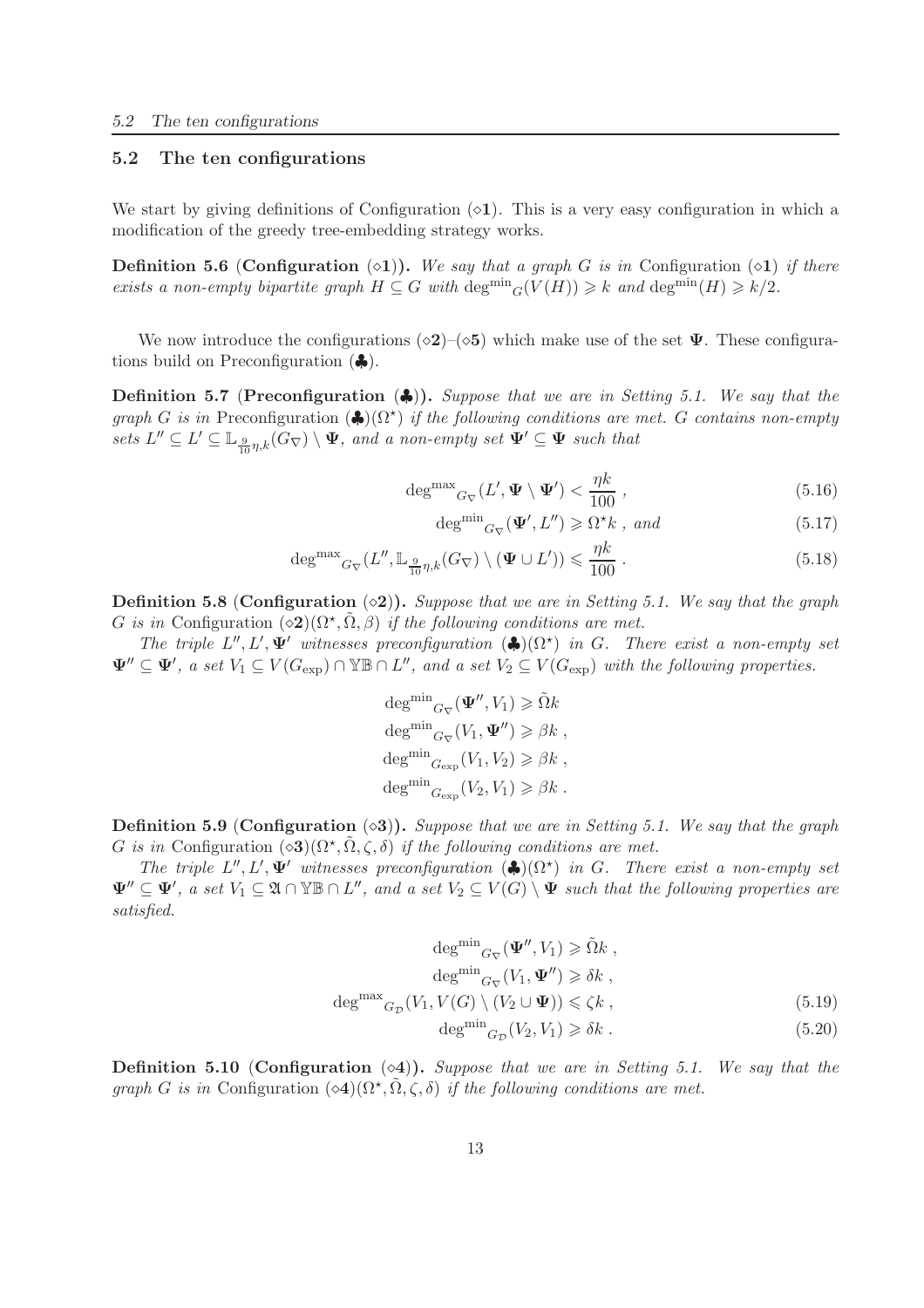### 5.2 The ten configurations

We start by giving definitions of Configuration  $(\diamond 1)$ . This is a very easy configuration in which a modification of the greedy tree-embedding strategy works.

**Definition 5.6 (Configuration**  $(\diamond 1)$ ). *We say that a graph G is in* Configuration  $(\diamond 1)$  *if there exists a non-empty bipartite graph*  $H \subseteq G$  *with*  $\deg^{min}{}_{G}(V(H)) \geq k$  *and*  $\deg^{min}(H) \geq k/2$ *.* 

We now introduce the configurations  $(\diamond 2)$ – $(\diamond 5)$  which make use of the set  $\Psi$ . These configurations build on Preconfiguration  $(\clubsuit)$ .

Definition 5.7 (Preconfiguration (♣)). *Suppose that we are in Setting 5.1. We say that the*  $graph\ G\ is\ in\ Preconfiguration\ (\clubsuit)(\Omega^*)\ if\ the\ following\ conditions\ are\ met.\ G\ contains\ non-empty$  $sets\ L'' \subseteq L' \subseteq \mathbb{L}_{\frac{9}{10}\eta,k}(G_{\nabla}) \setminus \Psi$ , and a non-empty set  $\Psi' \subseteq \Psi$  such that

$$
\deg^{\max}{}_{G_{\nabla}}(L', \Psi \setminus \Psi') < \frac{\eta k}{100} \,, \tag{5.16}
$$

$$
\deg^{\min}{}_{G_{\nabla}}(\Psi', L'') \geq \Omega^{\star} k \text{ , and} \tag{5.17}
$$

$$
\deg^{\max}{}_{G_{\nabla}}(L'', \mathbb{L}_{\frac{9}{10}\eta,k}(G_{\nabla}) \setminus (\Psi \cup L')) \leqslant \frac{\eta k}{100} \ . \tag{5.18}
$$

Definition 5.8 (Configuration (◇2)). *Suppose that we are in Setting 5.1.* We say that the graph G is in Configuration  $(\diamond 2)(\Omega^*, \tilde{\Omega}, \beta)$  *if the following conditions are met.* 

*The triple*  $L'', L', \Psi'$  *witnesses preconfiguration*  $(\clubsuit)(\Omega^*)$  *in G. There exist a non-empty set*  $\Psi'' \subseteq \Psi'$ , a set  $V_1 \subseteq V(G_{\exp}) \cap \mathbb{Y} \mathbb{B} \cap L''$ , and a set  $V_2 \subseteq V(G_{\exp})$  with the following properties.

$$
\deg^{\min}_{G_{\nabla}}(\Psi'', V_1) \geq \tilde{\Omega}k
$$
  

$$
\deg^{\min}_{G_{\nabla}}(V_1, \Psi'') \geq \beta k
$$
,  

$$
\deg^{\min}_{G_{\exp}}(V_1, V_2) \geq \beta k
$$
,  

$$
\deg^{\min}_{G_{\exp}}(V_2, V_1) \geq \beta k
$$
.

Definition 5.9 (Configuration ⊙3). *Suppose that we are in Setting 5.1.* We say that the graph G is in Configuration  $(\diamond 3)(\Omega^*, \tilde{\Omega}, \zeta, \delta)$  *if the following conditions are met.* 

*The triple*  $L'', L', \Psi'$  *witnesses preconfiguration*  $(\clubsuit)(\Omega^*)$  *in G. There exist a non-empty set*  $\Psi'' \subseteq \Psi'$ , a set  $V_1 \subseteq \mathfrak{A} \cap \mathbb{Y} \mathbb{B} \cap L''$ , and a set  $V_2 \subseteq V(G) \setminus \Psi$  such that the following properties are *satisfied.*

$$
\deg^{\min}{}_{G_{\nabla}}(\Psi'', V_1) \ge \tilde{\Omega}k ,
$$

$$
\deg^{\min}{}_{G_{\nabla}}(V_1, \Psi'') \ge \delta k ,
$$

$$
\deg^{\max}{}_{G_{\mathcal{D}}}(V_1, V(G) \setminus (V_2 \cup \Psi)) \le \zeta k ,
$$

$$
\deg^{\min}{}_{G_{\mathcal{D}}}(V_2, V_1) \ge \delta k .
$$
(5.19)

Definition 5.10 (Configuration (⋄4)). *Suppose that we are in Setting 5.1. We say that the graph* G *is in* Configuration  $(\diamond 4)(\Omega^*, \tilde{\Omega}, \zeta, \delta)$  *if the following conditions are met.*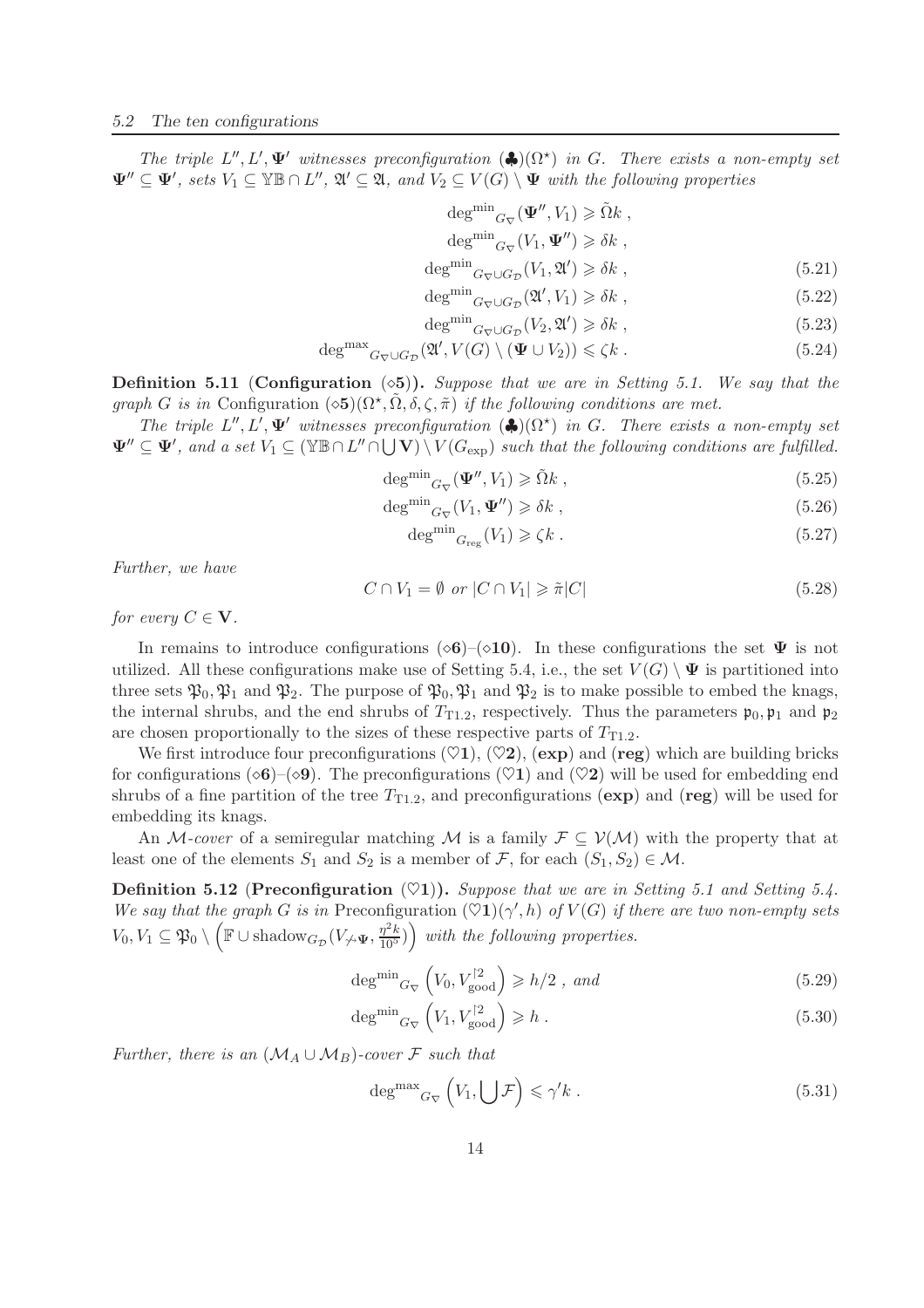*The triple*  $L'', L', \Psi'$  *witnesses preconfiguration*  $(\clubsuit)(\Omega^{\star})$  *in G*. *There exists a non-empty set*  $\Psi'' \subseteq \Psi'$ , sets  $V_1 \subseteq \mathbb{Y}\mathbb{B} \cap L''$ ,  $\mathfrak{A}' \subseteq \mathfrak{A}$ , and  $V_2 \subseteq V(G) \setminus \Psi$  with the following properties

$$
\deg^{\min} G_{\nabla}(\Psi'', V_1) \ge \tilde{\Omega} k ,
$$
  
\n
$$
\deg^{\min} G_{\nabla}(V_1, \Psi'') \ge \delta k ,
$$
  
\n
$$
\deg^{\min} G_{\nabla} \cup G_{\mathcal{D}}(V_1, \mathfrak{A}') \ge \delta k ,
$$
\n(5.21)

$$
\deg \min_{\alpha \to \alpha} (\mathfrak{A}' V_1) \ge \delta k \tag{5.22}
$$

$$
\deg^{\text{min}} G_{\nabla} \cup G_{\mathcal{D}} (\mathfrak{A}', V_1) \ge \delta k , \tag{5.22}
$$

$$
\deg^{\text{min}} G_{\nabla} \cup G_{\mathcal{D}}(V_2, \mathfrak{A}') \ge \delta k \tag{5.23}
$$

$$
\deg^{\max} G_{\nabla} \cup G_{\mathcal{D}} (\mathfrak{A}', V(G) \setminus (\Psi \cup V_2)) \leq \zeta k . \tag{5.24}
$$

Definition 5.11 (Configuration (⋄5)). *Suppose that we are in Setting 5.1. We say that the graph* G *is in* Configuration  $(\diamond 5)(\Omega^*, \tilde{\Omega}, \delta, \zeta, \tilde{\pi})$  *if the following conditions are met.* 

*The triple*  $L'', L', \Psi'$  *witnesses preconfiguration*  $(\clubsuit)(\Omega^*)$  *in G*. *There exists a non-empty set*  $\Psi'' \subseteq \Psi'$ , and a set  $V_1 \subseteq (\mathbb{YB} \cap L'' \cap \bigcup \mathbf{V}) \setminus V(G_{exp})$  such that the following conditions are fulfilled.

$$
\deg^{\min}{}_{G_{\nabla}}(\Psi'', V_1) \geq \tilde{\Omega}k \;, \tag{5.25}
$$

$$
\deg^{\min}{}_{G_{\nabla}}(V_1, \Psi'') \geq \delta k \tag{5.26}
$$

$$
\deg^{\min} G_{\text{reg}}(V_1) \geqslant \zeta k \tag{5.27}
$$

*Further, we have*

$$
C \cap V_1 = \emptyset \text{ or } |C \cap V_1| \geq \tilde{\pi}|C| \tag{5.28}
$$

*for every*  $C \in V$ *.* 

In remains to introduce configurations ( $\circ$ 6)–( $\circ$ 10). In these configurations the set  $\Psi$  is not utilized. All these configurations make use of Setting 5.4, i.e., the set  $V(G) \setminus \Psi$  is partitioned into three sets  $\mathfrak{P}_0$ ,  $\mathfrak{P}_1$  and  $\mathfrak{P}_2$ . The purpose of  $\mathfrak{P}_0$ ,  $\mathfrak{P}_1$  and  $\mathfrak{P}_2$  is to make possible to embed the knags, the internal shrubs, and the end shrubs of  $T_{T1.2}$ , respectively. Thus the parameters  $\mathfrak{p}_0, \mathfrak{p}_1$  and  $\mathfrak{p}_2$ are chosen proportionally to the sizes of these respective parts of  $T_{T1,2}$ .

We first introduce four preconfigurations  $(\heartsuit1)$ ,  $(\heartsuit2)$ ,  $(\exp)$  and  $(\text{reg})$  which are building bricks for configurations ( $\circ$ 6)–( $\circ$ 9). The preconfigurations ( $\heartsuit$ 1) and ( $\heartsuit$ 2) will be used for embedding end shrubs of a fine partition of the tree  $T_{T_1,2}$ , and preconfigurations (exp) and (reg) will be used for embedding its knags.

An M-cover of a semiregular matching M is a family  $\mathcal{F} \subseteq \mathcal{V}(\mathcal{M})$  with the property that at least one of the elements  $S_1$  and  $S_2$  is a member of  $\mathcal{F}$ , for each  $(S_1, S_2) \in \mathcal{M}$ .

**Definition 5.12 (Preconfiguration**  $(\heartsuit1)$ ). Suppose that we are in Setting 5.1 and Setting 5.4. *We say that the graph G is in* Preconfiguration  $(\heartsuit1)(\gamma', h)$  *of*  $V(G)$  *if there are two non-empty sets*  $V_0, V_1 \subseteq \mathfrak{P}_0 \setminus \left( \mathbb{F} \cup \text{shadow}_{G_{\mathcal{D}}}(V_{\not \to \Psi}, \frac{\eta^2 \overline{k}}{10^5}) \right)$  with the following properties.

$$
\deg^{\min}{}_{G_{\nabla}}\left(V_0, V_{\text{good}}^{\dagger 2}\right) \geqslant h/2 \ , \ and \tag{5.29}
$$

$$
\deg^{\min} G_{\nabla} \left( V_1, V_{\text{good}}^{\dagger 2} \right) \geqslant h \tag{5.30}
$$

*Further, there is an*  $(\mathcal{M}_A \cup \mathcal{M}_B)$ -cover F such that

$$
\deg^{\max}{}_{G_{\nabla}}\left(V_1,\bigcup\mathcal{F}\right)\leqslant\gamma'k\ .\tag{5.31}
$$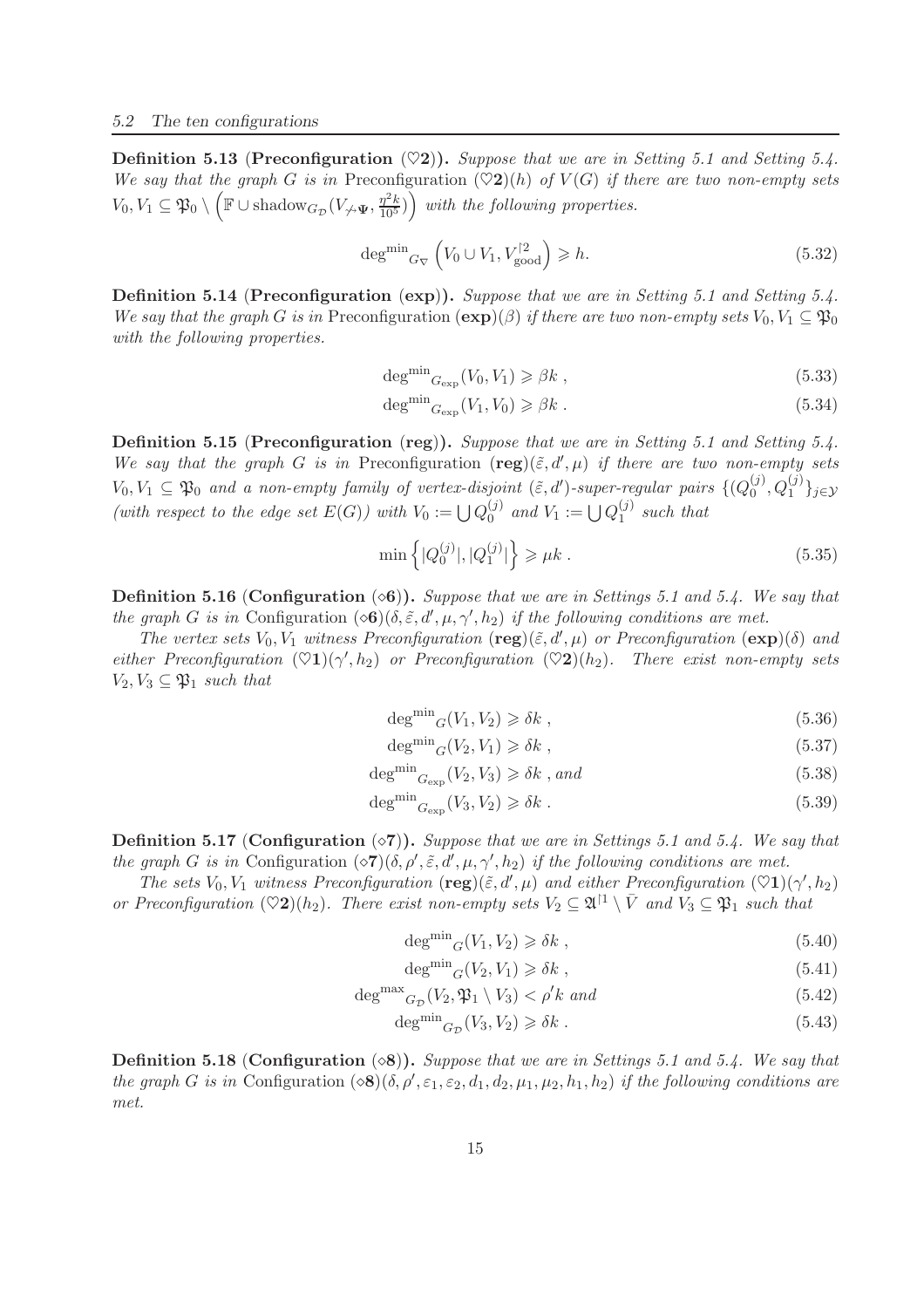**Definition 5.13 (Preconfiguration**  $(\heartsuit 2)$ **).** *Suppose that we are in Setting 5.1 and Setting 5.4. We say that the graph* G *is in* Preconfiguration  $(\heartsuit 2)(h)$  *of*  $V(G)$  *if there are two non-empty sets*  $V_0, V_1 \subseteq \mathfrak{P}_0 \setminus \left( \mathbb{F} \cup \text{shadow}_{G_{\mathcal{D}}}(V_{\not \to \Psi}, \frac{\eta^2 k}{105}) \right)$  with the following properties.

$$
\deg^{\min}{}_{G_{\nabla}}\left(V_0 \cup V_1, V_{\text{good}}^2\right) \geqslant h. \tag{5.32}
$$

Definition 5.14 (Preconfiguration (exp)). *Suppose that we are in Setting 5.1 and Setting 5.4. We say that the graph* G *is in* Preconfiguration  $(\exp)(\beta)$  *if there are two non-empty sets*  $V_0, V_1 \subseteq \mathfrak{P}_0$ *with the following properties.*

$$
\deg^{\min} G_{\exp}(V_0, V_1) \geq \beta k \tag{5.33}
$$

$$
\deg^{\min} G_{\exp}(V_1, V_0) \geq \beta k \tag{5.34}
$$

Definition 5.15 (Preconfiguration (reg)). *Suppose that we are in Setting 5.1 and Setting 5.4. We say that the graph* G *is in* Preconfiguration  $(\text{reg})(\tilde{\varepsilon}, d', \mu)$  *if there are two non-empty sets*  $V_0, V_1 \subseteq \mathfrak{P}_0$  and a non-empty family of vertex-disjoint  $(\tilde{\varepsilon}, d')$ -super-regular pairs  $\{ (Q_0^{(j)}) \}$  $_0^{(j)}, Q_1^{(j)}\}_{j\in\mathcal{Y}}$ (with respect to the edge set  $E(G)$ ) with  $V_0 := \bigcup Q_0^{(j)}$  $_0^{(j)}$  and  $V_1 := \bigcup Q_1^{(j)}$ 1 *such that*

$$
\min\left\{|Q_0^{(j)}|, |Q_1^{(j)}|\right\} \ge \mu k \ . \tag{5.35}
$$

Definition 5.16 (Configuration **⊙6**). *Suppose that we are in Settings 5.1 and 5.4.* We say that *the graph* G *is in* Configuration  $(\infty, \tilde{\epsilon}, d', \mu, \gamma', h_2)$  *if the following conditions are met.* 

*The vertex sets*  $V_0$ ,  $V_1$  *witness Preconfiguration*  $(\text{reg})(\tilde{\varepsilon}, d', \mu)$  *or Preconfiguration*  $(\text{exp})(\delta)$  *and*  $either \; Preconfiguration \; (\heartsuit 1)(\gamma', h_2) \; or \; Preconfiguration \; (\heartsuit 2)(h_2). \; There \; exist \; non-empty \; sets$  $V_2, V_3 \subseteq \mathfrak{P}_1$  *such that* 

$$
\deg^{\min}{}_{G}(V_1, V_2) \geq \delta k \tag{5.36}
$$

$$
\deg^{\min}{}_{G}(V_2, V_1) \geq \delta k \tag{5.37}
$$

$$
\deg^{\min} G_{\exp}(V_2, V_3) \geq \delta k \text{ , and} \tag{5.38}
$$

$$
\deg^{\min} G_{\exp}(V_3, V_2) \geq \delta k \tag{5.39}
$$

Definition 5.17 (Configuration ⊘7). *Suppose that we are in Settings 5.1 and 5.4.* We say that *the graph G is in* Configuration  $(\diamond 7)(\delta, \rho', \tilde{\epsilon}, d', \mu, \gamma', h_2)$  *if the following conditions are met.* 

*The sets*  $V_0$ ,  $V_1$  *witness Preconfiguration*  $(\text{reg})(\tilde{\varepsilon}, d', \mu)$  *and either Preconfiguration*  $(\heartsuit1)(\gamma', h_2)$ *or Preconfiguration*  $(\heartsuit 2)(h_2)$ *. There exist non-empty sets*  $V_2 \subseteq \mathfrak{A}^{\dagger 1} \setminus \overline{V}$  *and*  $V_3 \subseteq \mathfrak{P}_1$  *such that* 

$$
\deg^{\min}{}_{G}(V_1, V_2) \geq \delta k \tag{5.40}
$$

$$
\deg^{\min}{}_{G}(V_2, V_1) \geq \delta k \tag{5.41}
$$

$$
\deg^{\max} G_{\mathcal{D}}(V_2, \mathfrak{P}_1 \setminus V_3) < \rho' k \text{ and} \tag{5.42}
$$

$$
\deg^{\min} G_{\mathcal{D}}(V_3, V_2) \geq \delta k \tag{5.43}
$$

Definition 5.18 (Configuration (◇8)). *Suppose that we are in Settings 5.1 and 5.4.* We say that *the graph* G *is in* Configuration  $(\infty 8)(\delta, \rho', \varepsilon_1, \varepsilon_2, d_1, d_2, \mu_1, \mu_2, h_1, h_2)$  *if the following conditions are met.*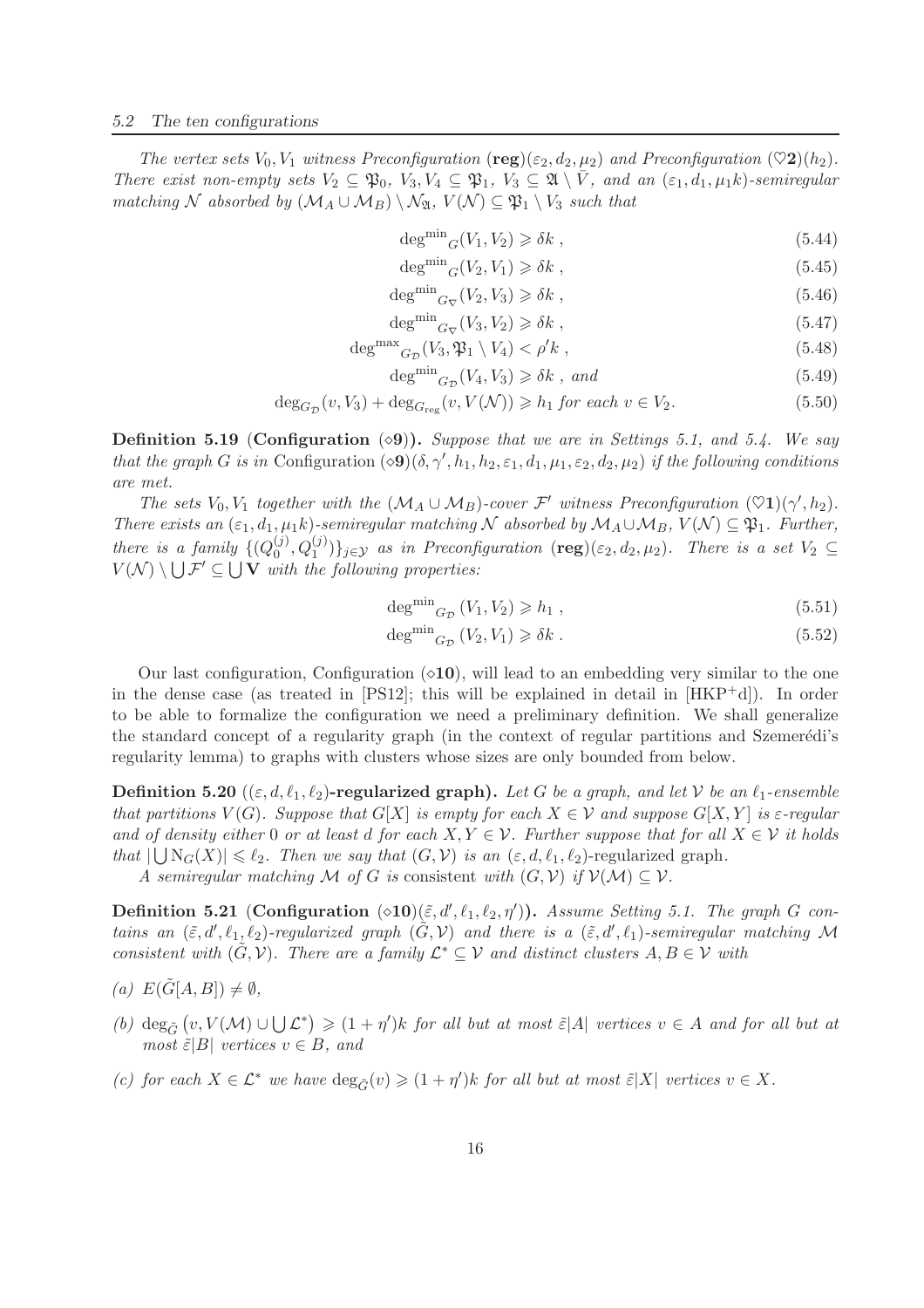*The vertex sets*  $V_0$ ,  $V_1$  *witness Preconfiguration* (reg)( $\varepsilon_2$ ,  $d_2$ ,  $\mu_2$ ) *and Preconfiguration* ( $\heartsuit$ 2)( $h_2$ ). *There exist non-empty sets*  $V_2 \subseteq \mathfrak{P}_0$ ,  $V_3, V_4 \subseteq \mathfrak{P}_1$ ,  $V_3 \subseteq \mathfrak{A} \setminus \overline{V}$ , and an  $(\varepsilon_1, d_1, \mu_1 k)$ -semiregular *matching*  $N$  *absorbed by*  $(M_A \cup M_B) \setminus N_A$ ,  $V(N) \subseteq \mathfrak{P}_1 \setminus V_3$  *such that* 

- $\deg^{\min}{}_{G}(V_1, V_2) \geq \delta k$ , (5.44)
- $\deg^{\min}{}_{G}(V_2, V_1) \geq \delta k$ , (5.45)
- $\deg^{\min}{}_{G_{\nabla}}(V_2, V_3) \geq \delta k$ , (5.46)  $n$  min

$$
\deg^{\text{min}} G_{\nabla}(V_3, V_2) \geq \delta k \tag{5.47}
$$

$$
\deg^{\max} G_{\mathcal{D}}(V_3, \mathfrak{P}_1 \setminus V_4) < \rho' k \tag{5.48}
$$
\n
$$
\lim_{\epsilon \to 0} \left( V_3 \setminus V_1 \right) > S_1 \tag{5.49}
$$

$$
\deg^{\text{min}} G_{\mathcal{D}}(V_4, V_3) \ge \delta k \text{ , and} \tag{5.49}
$$

$$
\deg_{G_{\mathcal{D}}}(v, V_3) + \deg_{G_{\text{reg}}}(v, V(\mathcal{N})) \ge h_1 \text{ for each } v \in V_2.
$$
\n
$$
(5.50)
$$

Definition 5.19 (Configuration (⋄9)). *Suppose that we are in Settings 5.1, and 5.4. We say that the graph G is in* Configuration  $(\infty 9)(\delta, \gamma', h_1, h_2, \varepsilon_1, d_1, \mu_1, \varepsilon_2, d_2, \mu_2)$  *if the following conditions are met.*

*The sets*  $V_0$ ,  $V_1$  *together with the*  $(M_A \cup M_B)$ *-cover*  $\mathcal{F}'$  *witness Preconfiguration*  $(\heartsuit1)(\gamma', h_2)$ *. There exists an*  $(\varepsilon_1, d_1, \mu_1 k)$ *-semiregular matching* N *absorbed by*  $M_A \cup M_B$ ,  $V(N) \subseteq \mathfrak{P}_1$ *. Further, there is a family*  $\{Q_0^{(j)}\}$  $\{(\phi_0, Q_1^{(j)})\}_{j \in \mathcal{Y}}$  *as in Preconfiguration* (**reg**)( $\varepsilon_2, d_2, \mu_2$ )*. There is a set*  $V_2 \subseteq$  $V(\mathcal{N}) \setminus \bigcup \mathcal{F}' \subseteq \bigcup \mathbf{V}$  with the following properties:

$$
\deg^{\min} G_{\mathcal{D}}(V_1, V_2) \geqslant h_1 , \qquad (5.51)
$$

$$
\deg^{\min} G_D(V_2, V_1) \ge \delta k \tag{5.52}
$$

Our last configuration, Configuration  $(○10)$ , will lead to an embedding very similar to the one in the dense case (as treated in  $[PS12]$ ; this will be explained in detail in  $[HKP^+d]$ ). In order to be able to formalize the configuration we need a preliminary definition. We shall generalize the standard concept of a regularity graph (in the context of regular partitions and Szemerédi's regularity lemma) to graphs with clusters whose sizes are only bounded from below.

**Definition 5.20** (( $\varepsilon, d, \ell_1, \ell_2$ )-regularized graph). Let G be a graph, and let V be an  $\ell_1$ -ensemble *that partitions*  $V(G)$ *. Suppose that*  $G[X]$  *is empty for each*  $X \in V$  *and suppose*  $G[X, Y]$  *is*  $\varepsilon$ *-regular and of density either* 0 *or at least d for each*  $X, Y \in \mathcal{V}$ . Further suppose that for all  $X \in \mathcal{V}$  it holds *that*  $|\bigcup N_G(X)| \leq \ell_2$ . Then we say that  $(G, V)$  is an  $(\varepsilon, d, \ell_1, \ell_2)$ -regularized graph.

*A semiregular matching*  $M$  *of*  $G$  *is* consistent *with*  $(G, V)$  *if*  $V(M) \subseteq V$ *.* 

**Definition 5.21** (Configuration  $(\triangle 10)(\tilde{\varepsilon}, d', \ell_1, \ell_2, \eta')$ ). Assume Setting 5.1. The graph G con*tains an*  $(\tilde{\varepsilon}, d', \ell_1, \ell_2)$ *-regularized graph*  $(\tilde{G}, V)$  *and there is a*  $(\tilde{\varepsilon}, d', \ell_1)$ *-semiregular matching* M *consistent with*  $(\tilde{G}, V)$ *. There are a family*  $\mathcal{L}^* \subseteq V$  *and distinct clusters*  $A, B \in V$  *with* 

- $(a) E(\tilde{G}[A, B]) \neq \emptyset,$
- (b)  $\deg_{\tilde{G}}(v, V(\mathcal{M}) \cup \bigcup \mathcal{L}^*) \geq (1 + \eta')k$  *for all but at most*  $\tilde{\varepsilon} |A|$  *vertices*  $v \in A$  *and for all but at most*  $\tilde{\varepsilon}$ |B| *vertices*  $v \in B$ *, and*
- *(c)* for each  $X \in \mathcal{L}^*$  we have  $\deg_{\tilde{G}}(v) \geq (1 + \eta')k$  for all but at most  $\tilde{\varepsilon}|X|$  vertices  $v \in X$ .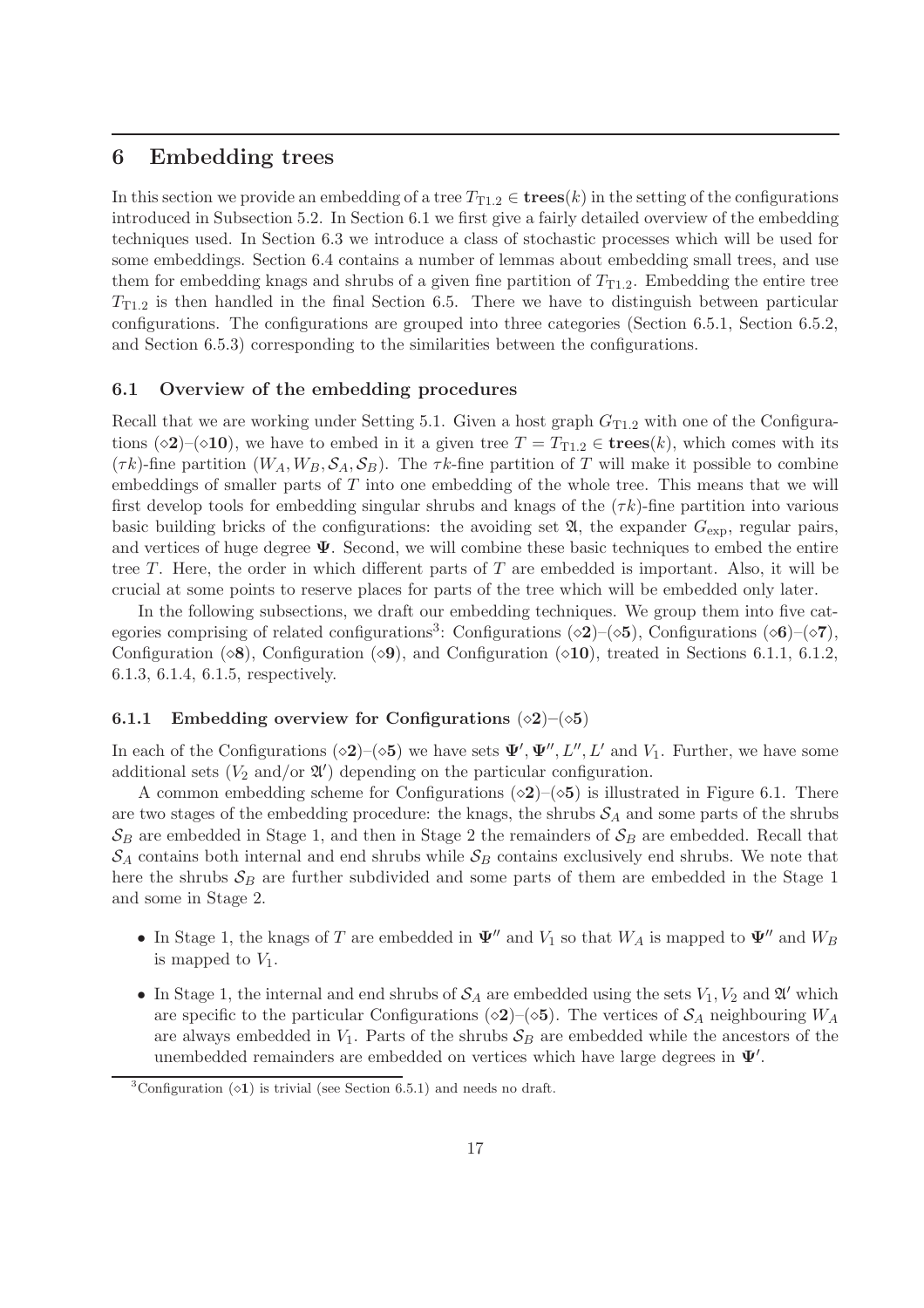## 6 Embedding trees

In this section we provide an embedding of a tree  $T_{T1,2} \in \mathbf{trees}(k)$  in the setting of the configurations introduced in Subsection 5.2. In Section 6.1 we first give a fairly detailed overview of the embedding techniques used. In Section 6.3 we introduce a class of stochastic processes which will be used for some embeddings. Section 6.4 contains a number of lemmas about embedding small trees, and use them for embedding knags and shrubs of a given fine partition of  $T_{T1,2}$ . Embedding the entire tree  $T_{T1,2}$  is then handled in the final Section 6.5. There we have to distinguish between particular configurations. The configurations are grouped into three categories (Section 6.5.1, Section 6.5.2, and Section 6.5.3) corresponding to the similarities between the configurations.

#### 6.1 Overview of the embedding procedures

Recall that we are working under Setting 5.1. Given a host graph  $G_{T1,2}$  with one of the Configurations (◇2)–(◇10), we have to embed in it a given tree  $T = T_{T1.2} \in \mathbf{trees}(k)$ , which comes with its  $(\tau k)$ -fine partition  $(W_A, W_B, \mathcal{S}_A, \mathcal{S}_B)$ . The  $\tau k$ -fine partition of T will make it possible to combine embeddings of smaller parts of  $T$  into one embedding of the whole tree. This means that we will first develop tools for embedding singular shrubs and knags of the  $(\tau k)$ -fine partition into various basic building bricks of the configurations: the avoiding set  $\mathfrak{A}$ , the expander  $G_{\text{exp}}$ , regular pairs, and vertices of huge degree  $\Psi$ . Second, we will combine these basic techniques to embed the entire tree  $T$ . Here, the order in which different parts of  $T$  are embedded is important. Also, it will be crucial at some points to reserve places for parts of the tree which will be embedded only later.

In the following subsections, we draft our embedding techniques. We group them into five categories comprising of related configurations<sup>3</sup>: Configurations (◇2)–(◇5), Configurations (◇6)–(◇7), Configuration ( $\diamond$ 8), Configuration ( $\diamond$ 9), and Configuration ( $\diamond$ 10), treated in Sections 6.1.1, 6.1.2, 6.1.3, 6.1.4, 6.1.5, respectively.

#### 6.1.1 Embedding overview for Configurations  $(\diamond 2)$ – $(\diamond 5)$

In each of the Configurations ( $\diamond$ 2)–( $\diamond$ 5) we have sets  $\Psi', \Psi'', L'', L'$  and  $V_1$ . Further, we have some additional sets ( $V_2$  and/or  $\mathfrak{A}'$ ) depending on the particular configuration.

A common embedding scheme for Configurations  $(\diamond 2)$ – $(\diamond 5)$  is illustrated in Figure 6.1. There are two stages of the embedding procedure: the knags, the shrubs  $S_A$  and some parts of the shrubs  $\mathcal{S}_B$  are embedded in Stage 1, and then in Stage 2 the remainders of  $\mathcal{S}_B$  are embedded. Recall that  $S_A$  contains both internal and end shrubs while  $S_B$  contains exclusively end shrubs. We note that here the shrubs  $S_B$  are further subdivided and some parts of them are embedded in the Stage 1 and some in Stage 2.

- In Stage 1, the knags of T are embedded in  $\Psi''$  and  $V_1$  so that  $W_A$  is mapped to  $\Psi''$  and  $W_B$ is mapped to  $V_1$ .
- In Stage 1, the internal and end shrubs of  $S_A$  are embedded using the sets  $V_1, V_2$  and  $\mathfrak{A}'$  which are specific to the particular Configurations ( $\diamond 2$ )–( $\diamond 5$ ). The vertices of  $S_A$  neighbouring  $W_A$ are always embedded in  $V_1$ . Parts of the shrubs  $S_B$  are embedded while the ancestors of the unembedded remainders are embedded on vertices which have large degrees in  $\Psi'$ .

 ${}^{3}$ Configuration ( $\lozenge$ 1) is trivial (see Section 6.5.1) and needs no draft.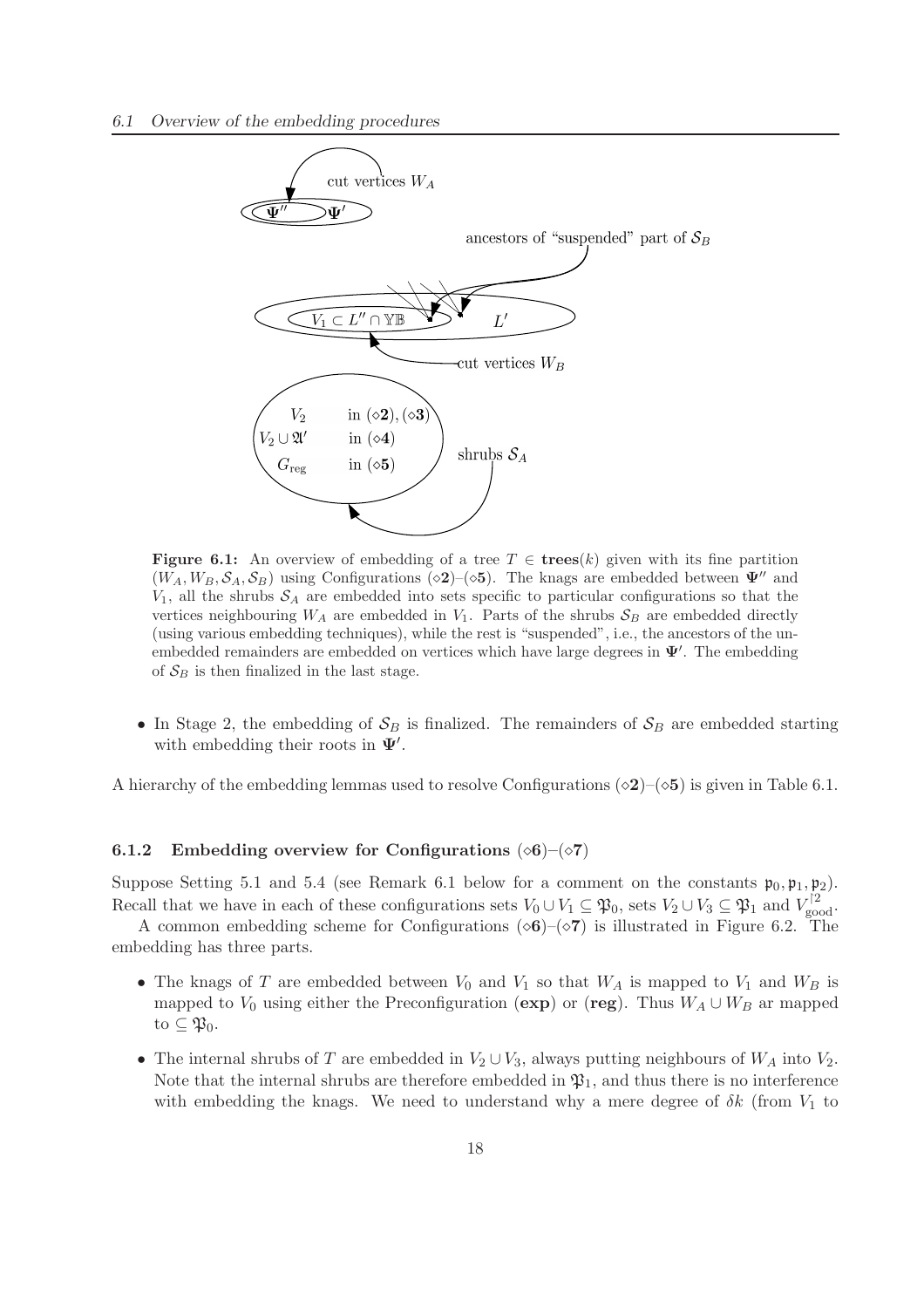

Figure 6.1: An overview of embedding of a tree  $T \in \text{trees}(k)$  given with its fine partition  $(W_A, W_B, \mathcal{S}_A, \mathcal{S}_B)$  using Configurations ( $\infty$ 2)–( $\infty$ 5). The knags are embedded between  $\Psi''$  and  $V_1$ , all the shrubs  $S_A$  are embedded into sets specific to particular configurations so that the vertices neighbouring  $W_A$  are embedded in  $V_1$ . Parts of the shrubs  $S_B$  are embedded directly (using various embedding techniques), while the rest is "suspended", i.e., the ancestors of the unembedded remainders are embedded on vertices which have large degrees in  $\Psi'$ . The embedding of  $S_B$  is then finalized in the last stage.

• In Stage 2, the embedding of  $S_B$  is finalized. The remainders of  $S_B$  are embedded starting with embedding their roots in  $\Psi'$ .

A hierarchy of the embedding lemmas used to resolve Configurations ( $\diamond 2$ )–( $\diamond 5$ ) is given in Table 6.1.

#### 6.1.2 Embedding overview for Configurations  $(\diamond 6)$ – $(\diamond 7)$

Suppose Setting 5.1 and 5.4 (see Remark 6.1 below for a comment on the constants  $\mathfrak{p}_0, \mathfrak{p}_1, \mathfrak{p}_2$ ). Recall that we have in each of these configurations sets  $V_0 \cup V_1 \subseteq \mathfrak{P}_0$ , sets  $V_2 \cup V_3 \subseteq \mathfrak{P}_1$  and  $V_{\text{good}}^{[2]}$ .

A common embedding scheme for Configurations ( $\diamond 6$ )–( $\diamond 7$ ) is illustrated in Figure 6.2. The embedding has three parts.

- The knags of T are embedded between  $V_0$  and  $V_1$  so that  $W_A$  is mapped to  $V_1$  and  $W_B$  is mapped to  $V_0$  using either the Preconfiguration (exp) or (reg). Thus  $W_A \cup W_B$  ar mapped to  $\subseteq \mathfrak{P}_0$ .
- The internal shrubs of T are embedded in  $V_2 \cup V_3$ , always putting neighbours of  $W_A$  into  $V_2$ . Note that the internal shrubs are therefore embedded in  $\mathfrak{P}_1$ , and thus there is no interference with embedding the knags. We need to understand why a mere degree of  $\delta k$  (from  $V_1$  to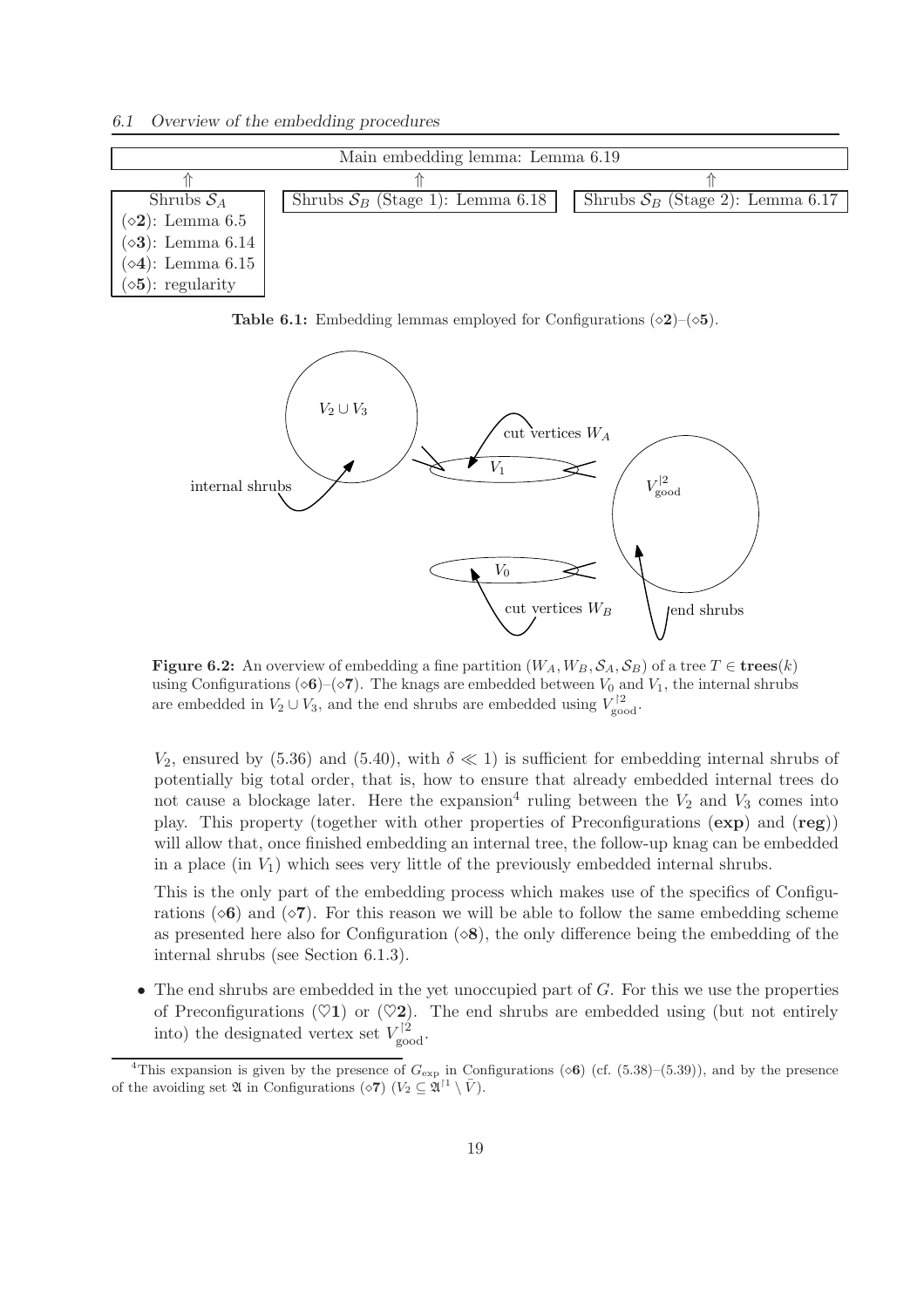*6.1 Overview of the embedding procedures*

| Main embedding lemma: Lemma 6.19 |                                    |                                    |  |  |  |
|----------------------------------|------------------------------------|------------------------------------|--|--|--|
|                                  |                                    |                                    |  |  |  |
| Shrubs $S_A$                     | Shrubs $S_B$ (Stage 1): Lemma 6.18 | Shrubs $S_B$ (Stage 2): Lemma 6.17 |  |  |  |
| $(\diamond 2)$ : Lemma 6.5       |                                    |                                    |  |  |  |
| $(\diamond 3)$ : Lemma 6.14      |                                    |                                    |  |  |  |
| $(\diamond 4)$ : Lemma 6.15      |                                    |                                    |  |  |  |
| $(\diamond 5)$ : regularity      |                                    |                                    |  |  |  |

Table 6.1: Embedding lemmas employed for Configurations  $(\diamond 2)$ – $(\diamond 5)$ .



**Figure 6.2:** An overview of embedding a fine partition  $(W_A, W_B, \mathcal{S}_A, \mathcal{S}_B)$  of a tree  $T \in \mathbf{trees}(k)$ using Configurations (◇6)–(◇7). The knags are embedded between  $V_0$  and  $V_1$ , the internal shrubs are embedded in  $V_2 \cup V_3$ , and the end shrubs are embedded using  $V_{\text{good}}^{\dagger 2}$ .

 $V_2$ , ensured by (5.36) and (5.40), with  $\delta \ll 1$ ) is sufficient for embedding internal shrubs of potentially big total order, that is, how to ensure that already embedded internal trees do not cause a blockage later. Here the expansion<sup>4</sup> ruling between the  $V_2$  and  $V_3$  comes into play. This property (together with other properties of Preconfigurations (exp) and (reg)) will allow that, once finished embedding an internal tree, the follow-up knag can be embedded in a place (in  $V_1$ ) which sees very little of the previously embedded internal shrubs.

This is the only part of the embedding process which makes use of the specifics of Configurations ( $\circ$ 6) and ( $\circ$ 7). For this reason we will be able to follow the same embedding scheme as presented here also for Configuration  $(\infty, 8)$ , the only difference being the embedding of the internal shrubs (see Section 6.1.3).

• The end shrubs are embedded in the yet unoccupied part of  $G$ . For this we use the properties of Preconfigurations ( $\heartsuit$ 1) or ( $\heartsuit$ 2). The end shrubs are embedded using (but not entirely into) the designated vertex set  $V_{\text{good}}^{2}$ .

<sup>&</sup>lt;sup>4</sup>This expansion is given by the presence of  $G_{\text{exp}}$  in Configurations ( $\infty$ 6) (cf. (5.38)–(5.39)), and by the presence of the avoiding set  $\mathfrak A$  in Configurations ( $\diamond$ 7) ( $V_2 \subseteq \mathfrak A^{\dagger 1} \setminus \bar V$ ).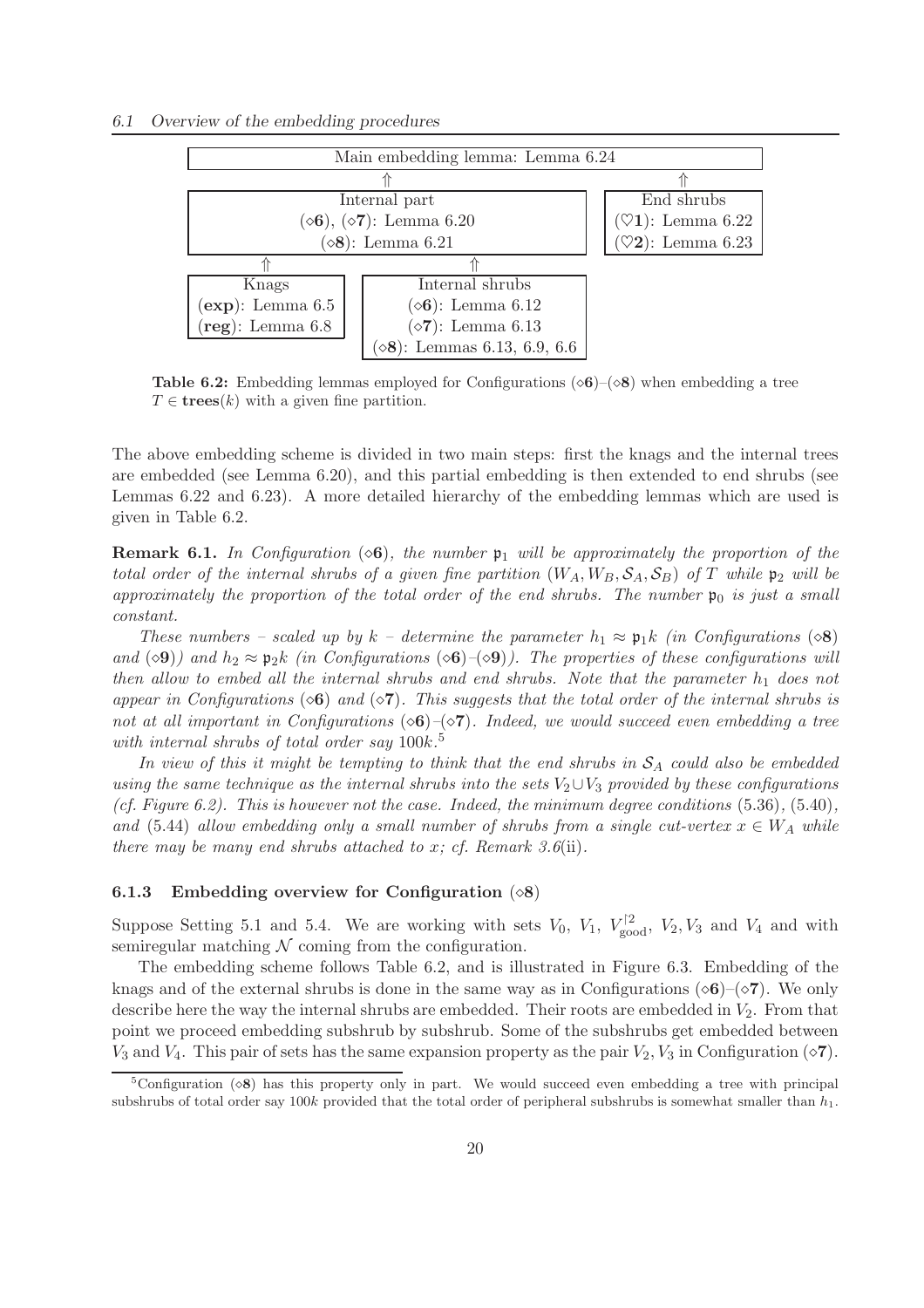#### *6.1 Overview of the embedding procedures*



**Table 6.2:** Embedding lemmas employed for Configurations ( $\diamond$ 6)–( $\diamond$ 8) when embedding a tree  $T \in \mathbf{trees}(k)$  with a given fine partition.

The above embedding scheme is divided in two main steps: first the knags and the internal trees are embedded (see Lemma 6.20), and this partial embedding is then extended to end shrubs (see Lemmas 6.22 and 6.23). A more detailed hierarchy of the embedding lemmas which are used is given in Table 6.2.

**Remark 6.1.** In Configuration  $(\infty 6)$ , the number  $p_1$  will be approximately the proportion of the *total order of the internal shrubs of a given fine partition*  $(W_A, W_B, S_A, S_B)$  *of* T *while*  $\mathfrak{p}_2$  *will be approximately the proportion of the total order of the end shrubs. The number*  $\mathfrak{p}_0$  *is just a small constant.*

*These numbers – scaled up by*  $k$  – determine the parameter  $h_1 \approx \mathfrak{p}_1 k$  *(in Configurations* ( $\diamond$ 8) *and* ( $\diamond$ 9)*)* and  $h_2 \approx \mathfrak{p}_2 k$  *(in Configurations* ( $\diamond$ 6)*–*( $\diamond$ 9)*)*. The properties of these configurations will *then allow to embed all the internal shrubs and end shrubs. Note that the parameter*  $h_1$  *does not appear in Configurations* ( $\circ$ 6) *and* ( $\circ$ 7)*. This suggests that the total order of the internal shrubs is not at all important in Configurations* (◇6)–(◇7)*. Indeed, we would succeed even embedding a tree with internal shrubs of total order say* 100k*.* 5

In view of this it might be tempting to think that the end shrubs in  $S_A$  could also be embedded *using the same technique as the internal shrubs into the sets* V2∪V<sup>3</sup> *provided by these configurations (cf. Figure 6.2). This is however not the case. Indeed, the minimum degree conditions* (5.36)*,* (5.40)*, and* (5.44) *allow embedding only a small number of shrubs from a single cut-vertex*  $x \in W_A$  *while there may be many end shrubs attached to* x*; cf. Remark 3.6*(ii)*.*

#### 6.1.3 Embedding overview for Configuration  $(\diamond 8)$

Suppose Setting 5.1 and 5.4. We are working with sets  $V_0$ ,  $V_1$ ,  $V_{\text{good}}^{2}$ ,  $V_2$ ,  $V_3$  and  $V_4$  and with semiregular matching  $N$  coming from the configuration.

The embedding scheme follows Table 6.2, and is illustrated in Figure 6.3. Embedding of the knags and of the external shrubs is done in the same way as in Configurations ( $\diamond$ 6)–( $\diamond$ 7). We only describe here the way the internal shrubs are embedded. Their roots are embedded in  $V_2$ . From that point we proceed embedding subshrub by subshrub. Some of the subshrubs get embedded between  $V_3$  and  $V_4$ . This pair of sets has the same expansion property as the pair  $V_2$ ,  $V_3$  in Configuration ( $\diamond$ 7).

 $5$ Configuration ( $\Diamond$ 8) has this property only in part. We would succeed even embedding a tree with principal subshrubs of total order say 100k provided that the total order of peripheral subshrubs is somewhat smaller than  $h_1$ .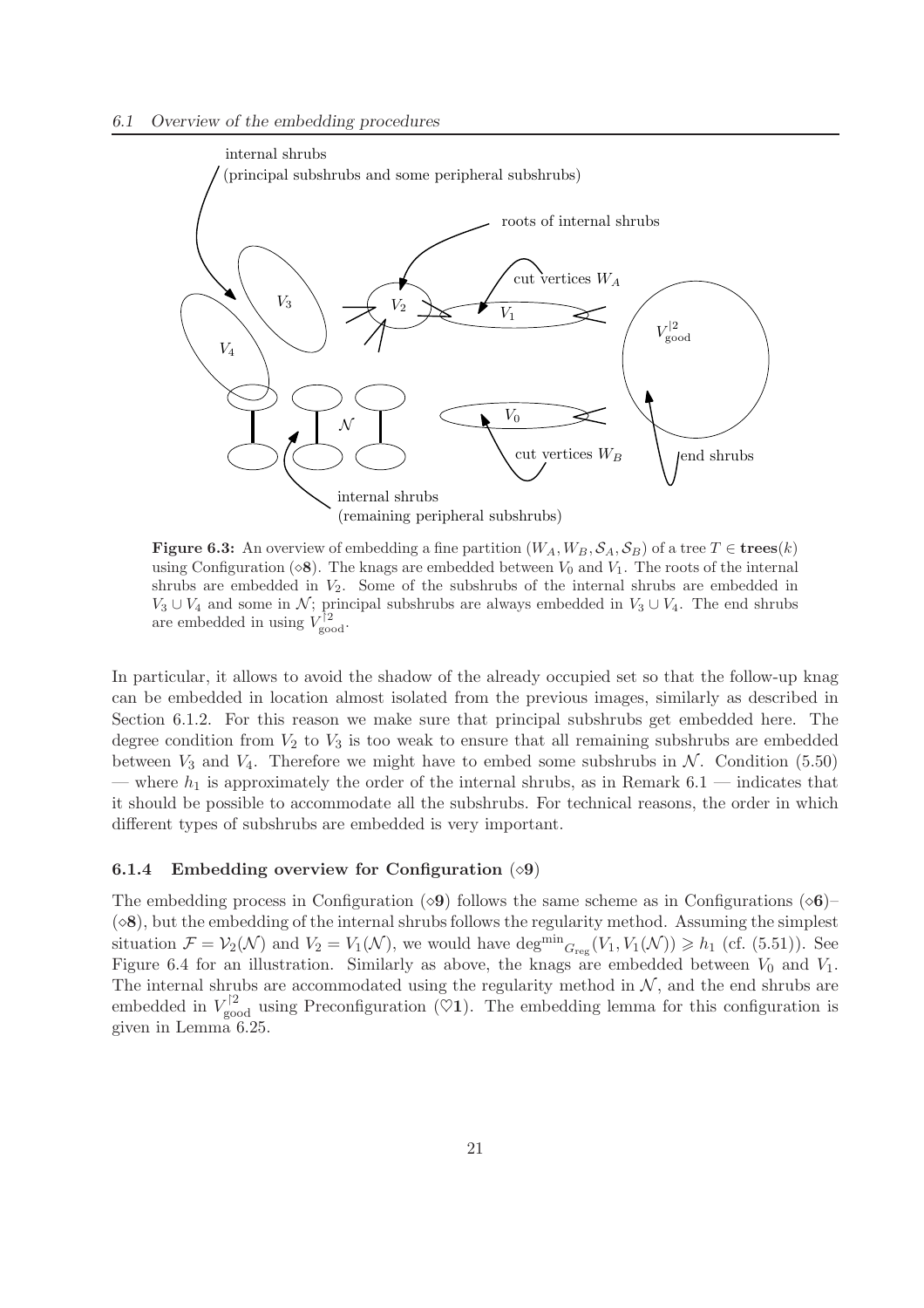

**Figure 6.3:** An overview of embedding a fine partition  $(W_A, W_B, \mathcal{S}_A, \mathcal{S}_B)$  of a tree  $T \in \mathbf{trees}(k)$ using Configuration ( $\diamond$ 8). The knags are embedded between  $V_0$  and  $V_1$ . The roots of the internal shrubs are embedded in  $V_2$ . Some of the subshrubs of the internal shrubs are embedded in  $V_3 \cup V_4$  and some in N; principal subshrubs are always embedded in  $V_3 \cup V_4$ . The end shrubs are embedded in using  $V_{\text{good}}^{\dagger 2}$ .

In particular, it allows to avoid the shadow of the already occupied set so that the follow-up knag can be embedded in location almost isolated from the previous images, similarly as described in Section 6.1.2. For this reason we make sure that principal subshrubs get embedded here. The degree condition from  $V_2$  to  $V_3$  is too weak to ensure that all remaining subshrubs are embedded between  $V_3$  and  $V_4$ . Therefore we might have to embed some subshrubs in  $\mathcal N$ . Condition (5.50) — where  $h_1$  is approximately the order of the internal shrubs, as in Remark 6.1 — indicates that it should be possible to accommodate all the subshrubs. For technical reasons, the order in which different types of subshrubs are embedded is very important.

#### 6.1.4 Embedding overview for Configuration  $(\diamond 9)$

The embedding process in Configuration ( $\diamond$ 9) follows the same scheme as in Configurations ( $\diamond$ 6)–  $(\diamond 8)$ , but the embedding of the internal shrubs follows the regularity method. Assuming the simplest situation  $\mathcal{F} = \mathcal{V}_2(\mathcal{N})$  and  $V_2 = V_1(\mathcal{N})$ , we would have  $\deg^{min} G_{reg}(V_1, V_1(\mathcal{N})) \ge h_1$  (cf. (5.51)). See Figure 6.4 for an illustration. Similarly as above, the knags are embedded between  $V_0$  and  $V_1$ . The internal shrubs are accommodated using the regularity method in  $N$ , and the end shrubs are embedded in  $V_{\text{good}}^{\dagger 2}$  using Preconfiguration ( $\heartsuit 1$ ). The embedding lemma for this configuration is given in Lemma 6.25.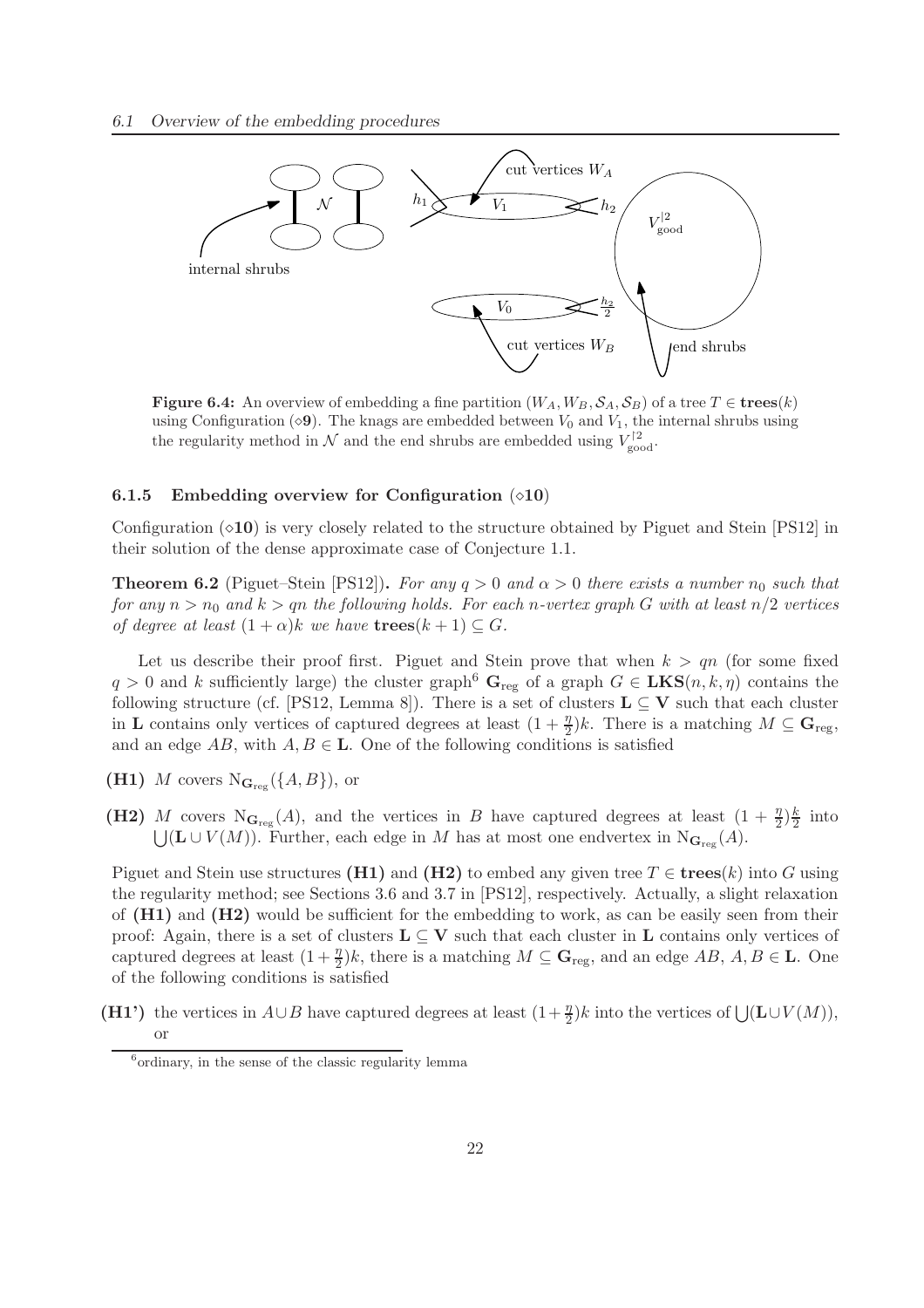

**Figure 6.4:** An overview of embedding a fine partition  $(W_A, W_B, \mathcal{S}_A, \mathcal{S}_B)$  of a tree  $T \in \mathbf{trees}(k)$ using Configuration ( $\diamond$ 9). The knags are embedded between  $V_0$  and  $V_1$ , the internal shrubs using the regularity method in  $\mathcal N$  and the end shrubs are embedded using  $V_{\rm good}^{12}$ .

#### 6.1.5 Embedding overview for Configuration  $(0.10)$

Configuration  $(\diamond 10)$  is very closely related to the structure obtained by Piguet and Stein [PS12] in their solution of the dense approximate case of Conjecture 1.1.

**Theorem 6.2** (Piguet–Stein [PS12]). *For any*  $q > 0$  *and*  $\alpha > 0$  *there exists a number*  $n_0$  *such that for any*  $n > n_0$  *and*  $k > q$ *n the following holds. For each n-vertex graph* G *with at least*  $n/2$  *vertices of degree at least*  $(1 + \alpha)k$  *we have*  $\mathbf{trees}(k + 1) \subseteq G$ *.* 

Let us describe their proof first. Piguet and Stein prove that when  $k > qn$  (for some fixed  $q > 0$  and k sufficiently large) the cluster graph<sup>6</sup> G<sub>reg</sub> of a graph  $G \in \mathbf{LKS}(n, k, \eta)$  contains the following structure (cf. [PS12, Lemma 8]). There is a set of clusters  $L \subseteq V$  such that each cluster in **L** contains only vertices of captured degrees at least  $(1 + \frac{\eta}{2})k$ . There is a matching  $M \subseteq G_{reg}$ , and an edge  $AB$ , with  $A, B \in \mathbf{L}$ . One of the following conditions is satisfied

(H1) M covers  $N_{\mathbf{G}_{\text{reg}}}(\{A, B\})$ , or

(H2) M covers N<sub>Greg</sub> (A), and the vertices in B have captured degrees at least  $(1 + \frac{\eta}{2})\frac{k}{2}$  $\frac{\kappa}{2}$  into  $\bigcup (\mathbf{L} \cup V(M))$ . Further, each edge in M has at most one endvertex in  $\mathrm{N}_{\mathbf{G}_\mathrm{reg}}(A)$ .

Piguet and Stein use structures (**H1)** and (**H2)** to embed any given tree  $T \in \mathbf{trees}(k)$  into G using the regularity method; see Sections 3.6 and 3.7 in [PS12], respectively. Actually, a slight relaxation of  $(H1)$  and  $(H2)$  would be sufficient for the embedding to work, as can be easily seen from their proof: Again, there is a set of clusters  $L \subseteq V$  such that each cluster in L contains only vertices of captured degrees at least  $(1+\frac{\eta}{2})k$ , there is a matching  $M \subseteq \mathbf{G}_{reg}$ , and an edge  $AB$ ,  $A, B \in \mathbf{L}$ . One of the following conditions is satisfied

(H1') the vertices in  $A\cup B$  have captured degrees at least  $(1+\frac{\eta}{2})k$  into the vertices of  $\bigcup (\mathbf{L}\cup V(M))$ , or

<sup>6</sup> ordinary, in the sense of the classic regularity lemma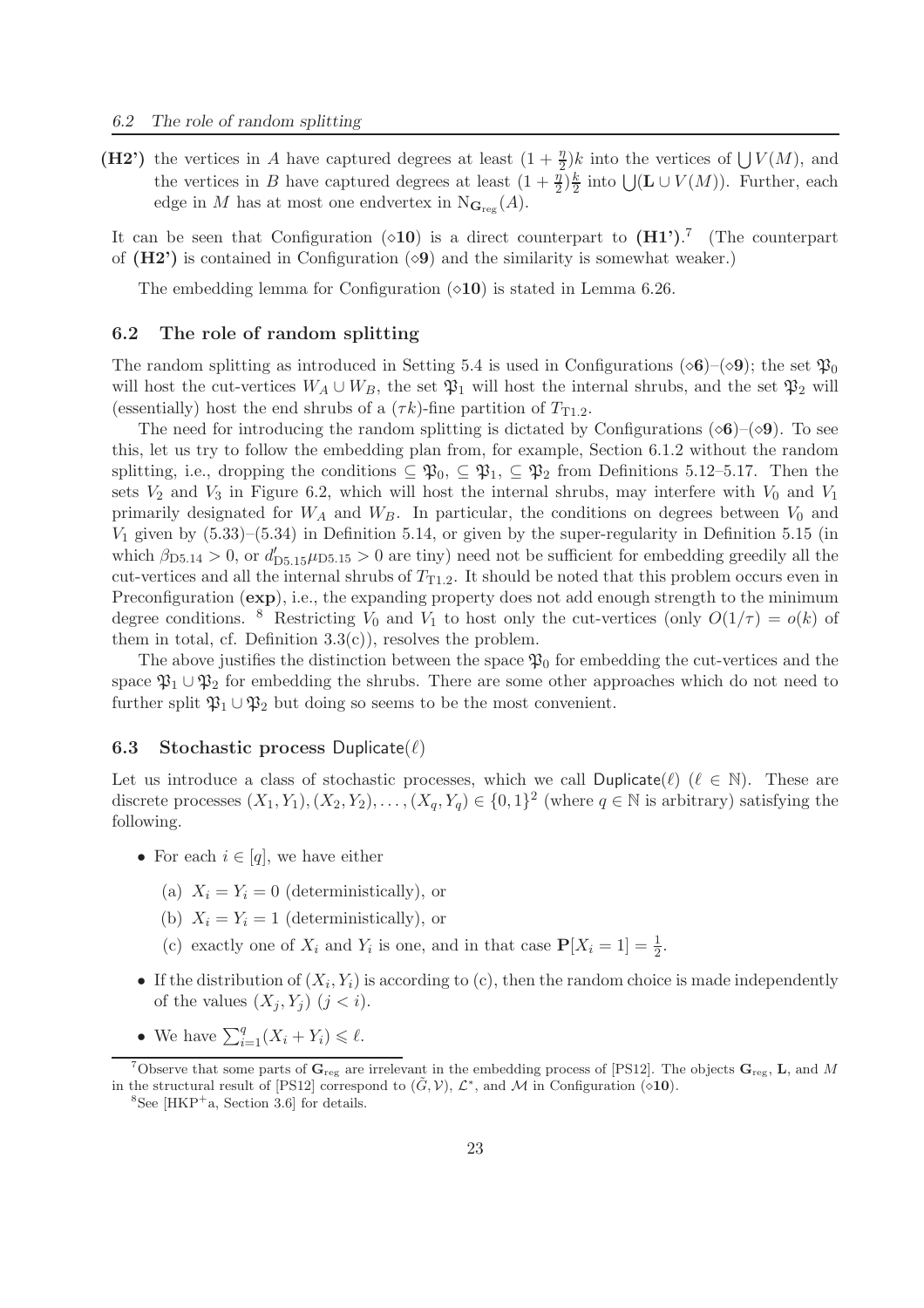(H2') the vertices in A have captured degrees at least  $(1 + \frac{\eta}{2})^k$  into the vertices of  $\bigcup V(M)$ , and the vertices in B have captured degrees at least  $(1+\frac{\eta}{2})\frac{k}{2}$  $\frac{k}{2}$  into  $\bigcup(\mathbf{L}\cup V(M))$ . Further, each edge in M has at most one endvertex in  $N_{\mathbf{G}_{\text{reg}}}(A)$ .

It can be seen that Configuration  $(\diamond 10)$  is a direct counterpart to  $(H1')$ .<sup>7</sup> (The counterpart of  $(H2')$  is contained in Configuration ( $\diamond 9$ ) and the similarity is somewhat weaker.)

The embedding lemma for Configuration  $(○10)$  is stated in Lemma 6.26.

#### 6.2 The role of random splitting

The random splitting as introduced in Setting 5.4 is used in Configurations ( $\diamond$ 6)–( $\diamond$ 9); the set  $\mathfrak{P}_0$ will host the cut-vertices  $W_A \cup W_B$ , the set  $\mathfrak{P}_1$  will host the internal shrubs, and the set  $\mathfrak{P}_2$  will (essentially) host the end shrubs of a  $(\tau k)$ -fine partition of  $T_{T1,2}$ .

The need for introducing the random splitting is dictated by Configurations ( $\diamond$ 6)–( $\diamond$ 9). To see this, let us try to follow the embedding plan from, for example, Section 6.1.2 without the random splitting, i.e., dropping the conditions  $\subseteq \mathfrak{P}_0$ ,  $\subseteq \mathfrak{P}_1$ ,  $\subseteq \mathfrak{P}_2$  from Definitions 5.12–5.17. Then the sets  $V_2$  and  $V_3$  in Figure 6.2, which will host the internal shrubs, may interfere with  $V_0$  and  $V_1$ primarily designated for  $W_A$  and  $W_B$ . In particular, the conditions on degrees between  $V_0$  and  $V_1$  given by  $(5.33)$ – $(5.34)$  in Definition 5.14, or given by the super-regularity in Definition 5.15 (in which  $\beta_{D5.14} > 0$ , or  $d'_{D5.15} \mu_{D5.15} > 0$  are tiny) need not be sufficient for embedding greedily all the cut-vertices and all the internal shrubs of  $T_{T1.2}$ . It should be noted that this problem occurs even in Preconfiguration (exp), i.e., the expanding property does not add enough strength to the minimum degree conditions. <sup>8</sup> Restricting  $V_0$  and  $V_1$  to host only the cut-vertices (only  $O(1/\tau) = o(k)$  of them in total, cf. Definition  $3.3(c)$ , resolves the problem.

The above justifies the distinction between the space  $\mathfrak{P}_0$  for embedding the cut-vertices and the space  $\mathfrak{P}_1 \cup \mathfrak{P}_2$  for embedding the shrubs. There are some other approaches which do not need to further split  $\mathfrak{P}_1 \cup \mathfrak{P}_2$  but doing so seems to be the most convenient.

#### **6.3** Stochastic process Duplicate $(\ell)$

Let us introduce a class of stochastic processes, which we call Duplicate( $\ell$ ) ( $\ell \in \mathbb{N}$ ). These are discrete processes  $(X_1, Y_1), (X_2, Y_2), \ldots, (X_q, Y_q) \in \{0, 1\}^2$  (where  $q \in \mathbb{N}$  is arbitrary) satisfying the following.

- For each  $i \in [q]$ , we have either
	- (a)  $X_i = Y_i = 0$  (deterministically), or
	- (b)  $X_i = Y_i = 1$  (deterministically), or
	- (c) exactly one of  $X_i$  and  $Y_i$  is one, and in that case  $P[X_i = 1] = \frac{1}{2}$ .
- If the distribution of  $(X_i, Y_i)$  is according to (c), then the random choice is made independently of the values  $(X_i, Y_i)$   $(j < i)$ .
- We have  $\sum_{i=1}^{q} (X_i + Y_i) \leq \ell$ .

<sup>&</sup>lt;sup>7</sup>Observe that some parts of  $\mathbf{G}_{\text{reg}}$  are irrelevant in the embedding process of [PS12]. The objects  $\mathbf{G}_{\text{reg}}$ , **L**, and M in the structural result of [PS12] correspond to  $(\tilde{G}, V)$ ,  $\mathcal{L}^*$ , and M in Configuration ( $\circ$ 10).

 ${}^{8}$ See [HKP<sup>+</sup>a, Section 3.6] for details.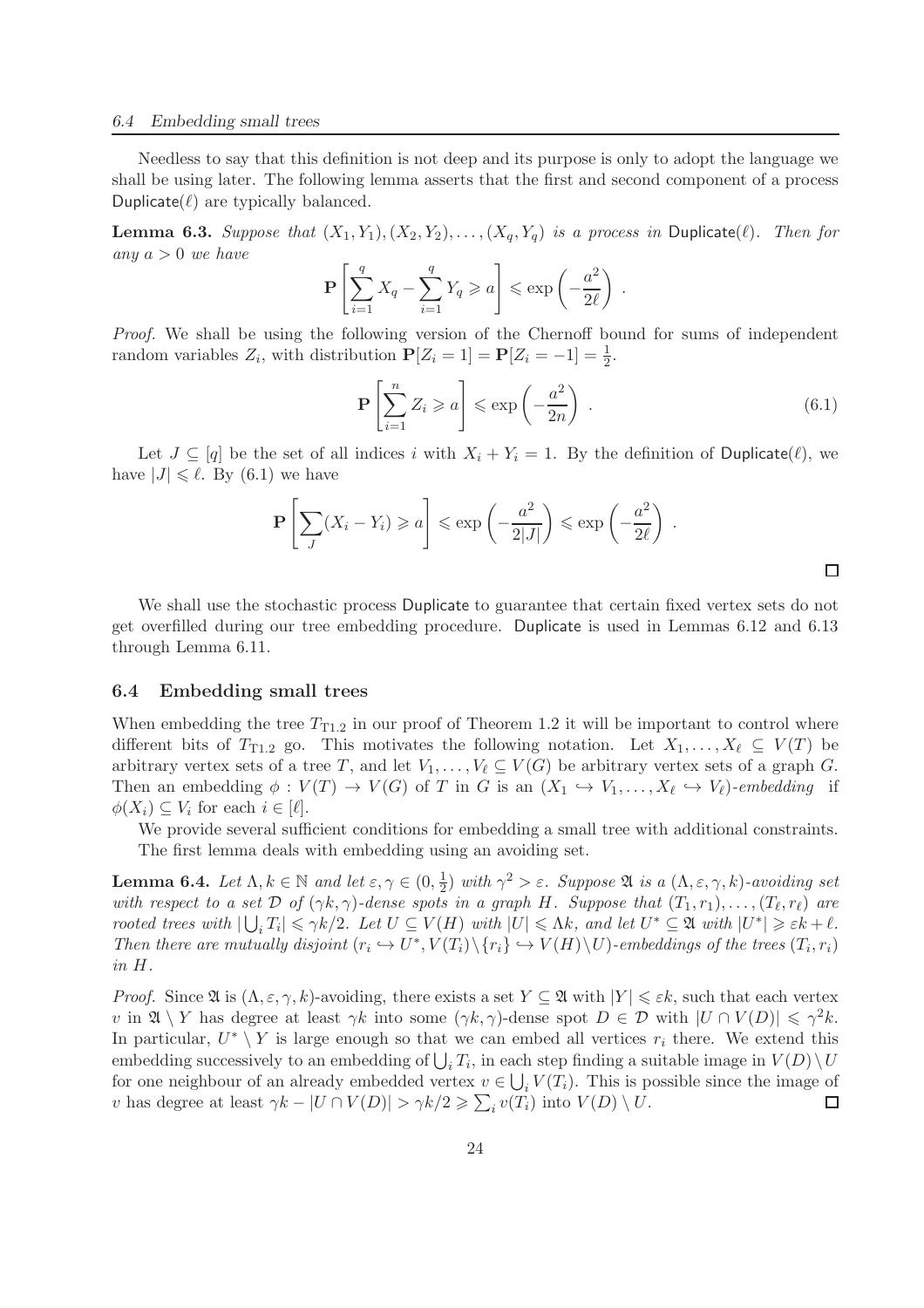#### *6.4 Embedding small trees*

Needless to say that this definition is not deep and its purpose is only to adopt the language we shall be using later. The following lemma asserts that the first and second component of a process Duplicate $(\ell)$  are typically balanced.

**Lemma 6.3.** *Suppose that*  $(X_1, Y_1), (X_2, Y_2), \ldots, (X_q, Y_q)$  *is a process in* Duplicate( $\ell$ )*. Then for any* a > 0 *we have*

$$
\mathbf{P}\left[\sum_{i=1}^q X_q - \sum_{i=1}^q Y_q \geqslant a\right] \leqslant \exp\left(-\frac{a^2}{2\ell}\right) \; .
$$

*Proof.* We shall be using the following version of the Chernoff bound for sums of independent random variables  $Z_i$ , with distribution  $P[Z_i = 1] = P[Z_i = -1] = \frac{1}{2}$ .

$$
\mathbf{P}\left[\sum_{i=1}^{n} Z_i \geqslant a\right] \leqslant \exp\left(-\frac{a^2}{2n}\right) \,. \tag{6.1}
$$

Let  $J \subseteq [q]$  be the set of all indices i with  $X_i + Y_i = 1$ . By the definition of Duplicate( $\ell$ ), we have  $|J| \leq \ell$ . By (6.1) we have

$$
\mathbf{P}\left[\sum_{J}(X_i - Y_i) \geq a\right] \leq \exp\left(-\frac{a^2}{2|J|}\right) \leq \exp\left(-\frac{a^2}{2\ell}\right) .
$$

We shall use the stochastic process Duplicate to guarantee that certain fixed vertex sets do not get overfilled during our tree embedding procedure. Duplicate is used in Lemmas 6.12 and 6.13 through Lemma 6.11.

#### 6.4 Embedding small trees

When embedding the tree  $T_{T1,2}$  in our proof of Theorem 1.2 it will be important to control where different bits of  $T_{T1.2}$  go. This motivates the following notation. Let  $X_1, \ldots, X_\ell \subseteq V(T)$  be arbitrary vertex sets of a tree T, and let  $V_1, \ldots, V_\ell \subseteq V(G)$  be arbitrary vertex sets of a graph G. Then an embedding  $\phi: V(T) \to V(G)$  of T in G is an  $(X_1 \hookrightarrow V_1, \ldots, X_\ell \hookrightarrow V_\ell)$ *-embedding* if  $\phi(X_i) \subseteq V_i$  for each  $i \in [\ell]$ .

We provide several sufficient conditions for embedding a small tree with additional constraints. The first lemma deals with embedding using an avoiding set.

**Lemma 6.4.** *Let*  $\Lambda, k \in \mathbb{N}$  *and let*  $\varepsilon, \gamma \in (0, \frac{1}{2})$  $\frac{1}{2}$ ) with  $\gamma^2 > \varepsilon$ . Suppose  $\mathfrak A$  *is a*  $(\Lambda, \varepsilon, \gamma, k)$ -avoiding set *with respect to a set*  $D$  *of*  $(\gamma k, \gamma)$ -dense spots in a graph H. Suppose that  $(T_1, r_1), \ldots, (T_\ell, r_\ell)$  are *rooted trees with*  $|\bigcup_i T_i| \leq \gamma k/2$ . Let  $U \subseteq V(H)$  *with*  $|U| \leq \Lambda k$ , and let  $U^* \subseteq \mathfrak{A}$  *with*  $|U^*| \geq \varepsilon k + \ell$ . Then there are mutually disjoint  $(r_i \hookrightarrow U^*, V(T_i) \setminus \{r_i\} \hookrightarrow V(H) \setminus U)$ -embeddings of the trees  $(T_i, r_i)$ *in* H*.*

*Proof.* Since  $\mathfrak{A}$  is  $(\Lambda, \varepsilon, \gamma, k)$ -avoiding, there exists a set  $Y \subseteq \mathfrak{A}$  with  $|Y| \leqslant \varepsilon k$ , such that each vertex v in  $\mathfrak{A} \setminus Y$  has degree at least  $\gamma k$  into some  $(\gamma k, \gamma)$ -dense spot  $D \in \mathcal{D}$  with  $|U \cap V(D)| \leq \gamma^2 k$ . In particular,  $U^* \setminus Y$  is large enough so that we can embed all vertices  $r_i$  there. We extend this embedding successively to an embedding of  $\bigcup_i T_i$ , in each step finding a suitable image in  $V(D) \setminus U$ for one neighbour of an already embedded vertex  $v \in \bigcup_i V(T_i)$ . This is possible since the image of v has degree at least  $\gamma k - |U \cap V(D)| > \gamma k/2 \geq \sum_i v(T_i)$  into  $V(D) \setminus U$ .  $\Box$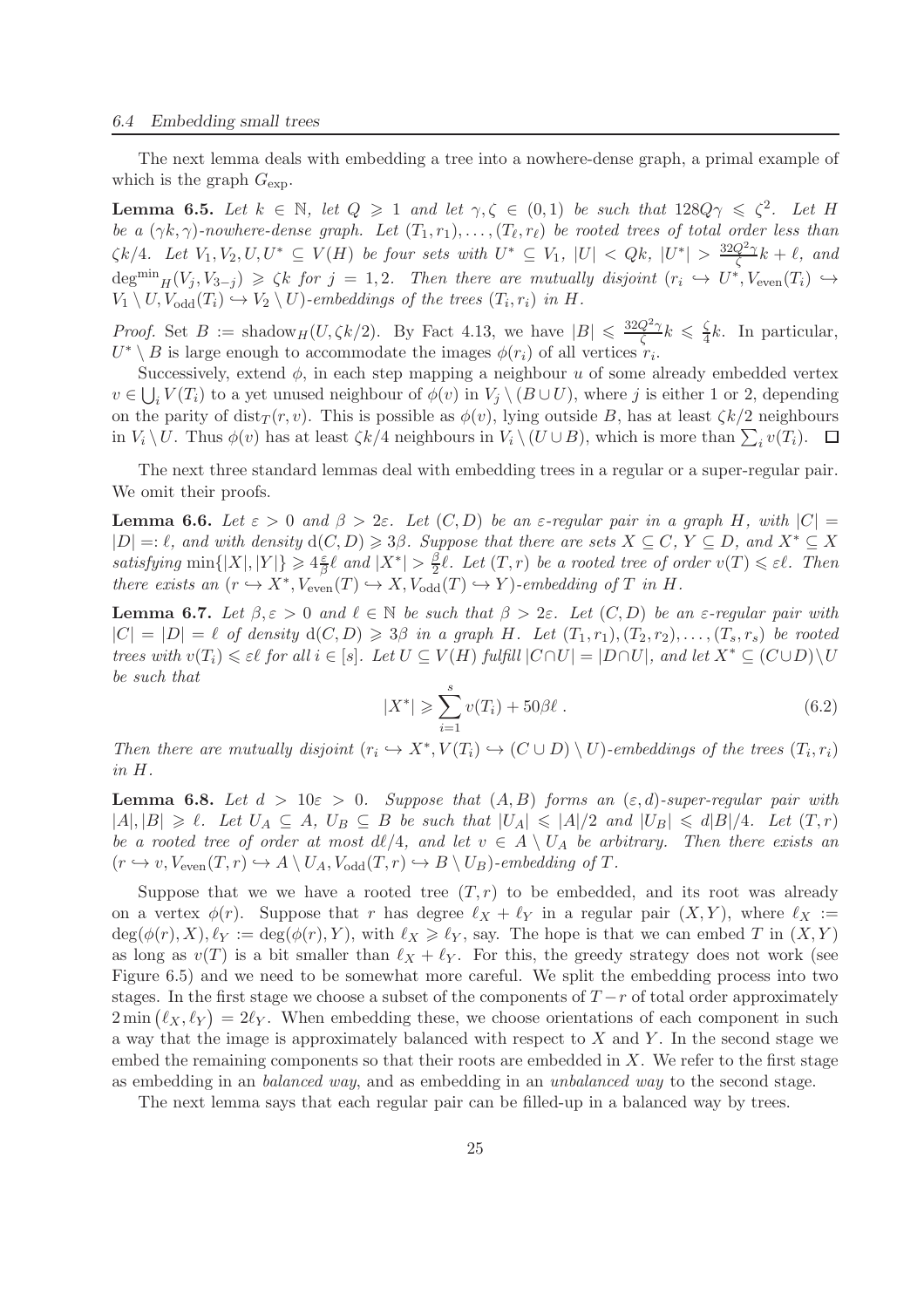#### *6.4 Embedding small trees*

The next lemma deals with embedding a tree into a nowhere-dense graph, a primal example of which is the graph  $G_{\text{exp}}$ .

**Lemma 6.5.** Let  $k \in \mathbb{N}$ , let  $Q \ge 1$  and let  $\gamma, \zeta \in (0,1)$  be such that  $128Q\gamma \le \zeta^2$ . Let H *be a*  $(\gamma k, \gamma)$ -nowhere-dense graph. Let  $(T_1, r_1), \ldots, (T_\ell, r_\ell)$  be rooted trees of total order less than  $\zeta k/4$ *. Let*  $V_1, V_2, U, U^* \subseteq V(H)$  *be four sets with*  $U^* \subseteq V_1$ ,  $|U| < Qk$ ,  $|U^*| > \frac{32Q^2\gamma}{\zeta}$  $\frac{d^{2\gamma}}{\zeta}k + \ell$ , and  $\deg^{min} _{H}(V_j, V_{3-j}) \geq \zeta k$  for  $j = 1, 2$ . Then there are mutually disjoint  $(r_i \hookrightarrow U^*, V_{even}(T_i) \hookrightarrow$  $V_1 \setminus U$ ,  $V_{odd}(T_i) \hookrightarrow V_2 \setminus U$ *)*-embeddings of the trees  $(T_i, r_i)$  in H.

*Proof.* Set  $B := \text{shadow}_{H}(U, \zeta k/2)$ . By Fact 4.13, we have  $|B| \leq \frac{32Q^2\gamma}{\zeta}$  $\frac{Q^2\gamma}{\zeta}k \,\leqslant\,\frac{\zeta}{4}$  $\frac{5}{4}k$ . In particular,  $U^* \setminus B$  is large enough to accommodate the images  $\phi(r_i)$  of all vertices  $r_i$ .

Successively, extend  $\phi$ , in each step mapping a neighbour u of some already embedded vertex  $v \in \bigcup_i V(T_i)$  to a yet unused neighbour of  $\phi(v)$  in  $V_j \setminus (B \cup U)$ , where j is either 1 or 2, depending on the parity of dist $_T(r, v)$ . This is possible as  $\phi(v)$ , lying outside B, has at least  $\zeta k/2$  neighbours in  $V_i \setminus U$ . Thus  $\phi(v)$  has at least  $\zeta k/4$  neighbours in  $V_i \setminus (U \cup B)$ , which is more than  $\sum_i v(T_i)$ .

The next three standard lemmas deal with embedding trees in a regular or a super-regular pair. We omit their proofs.

**Lemma 6.6.** Let  $\varepsilon > 0$  and  $\beta > 2\varepsilon$ . Let  $(C, D)$  be an  $\varepsilon$ -regular pair in a graph H, with  $|C| =$  $|D| =: \ell$ , and with density  $d(C, D) \geq \delta \beta$ . Suppose that there are sets  $X \subseteq C$ ,  $Y \subseteq D$ , and  $X^* \subseteq X$ *satisfying*  $\min\{|X|, |Y|\} \geqslant 4\frac{\varepsilon}{\beta}$  $\frac{\varepsilon}{\beta}$ l and  $|X^*| > \frac{\beta}{2}$  $\frac{\beta}{2}\ell$ *. Let*  $(T,r)$  *be a rooted tree of order*  $v(T) \leq \varepsilon \ell$ *. Then there exists an*  $(r \hookrightarrow X^*$ ,  $V_{even}(T) \hookrightarrow X$ ,  $V_{odd}(T) \hookrightarrow Y$ *)*-embedding of T in H.

**Lemma 6.7.** Let  $\beta, \varepsilon > 0$  and  $\ell \in \mathbb{N}$  be such that  $\beta > 2\varepsilon$ . Let  $(C, D)$  be an  $\varepsilon$ -regular pair with  $|C| = |D| = \ell$  *of density*  $d(C, D) \geq \ell 3\beta$  *in a graph* H. Let  $(T_1, r_1), (T_2, r_2), \ldots, (T_s, r_s)$  *be rooted trees with*  $v(T_i) \leq \varepsilon \ell$  *for all*  $i \in [s]$ *. Let*  $U \subseteq V(H)$  *fulfill*  $|C \cap U| = |D \cap U|$ *, and let*  $X^* \subseteq (C \cup D) \setminus U$ *be such that*

$$
|X^*| \geqslant \sum_{i=1}^s v(T_i) + 50\beta \ell \,.
$$
 (6.2)

Then there are mutually disjoint  $(r_i \hookrightarrow X^*, V(T_i) \hookrightarrow (C \cup D) \setminus U)$ -embeddings of the trees  $(T_i, r_i)$ *in* H*.*

**Lemma 6.8.** Let  $d > 10\varepsilon > 0$ . Suppose that  $(A, B)$  forms an  $(\varepsilon, d)$ -super-regular pair with  $|A|, |B| \geq \ell$ . Let  $U_A \subseteq A$ ,  $U_B \subseteq B$  be such that  $|U_A| \leq |A|/2$  and  $|U_B| \leq d|B|/4$ . Let  $(T, r)$ *be a rooted tree of order at most dl*/4*, and let*  $v \in A \setminus U_A$  *be arbitrary. Then there exists an*  $(r \hookrightarrow v, V_{\text{even}}(T, r) \hookrightarrow A \setminus U_A, V_{\text{odd}}(T, r) \hookrightarrow B \setminus U_B)$ *-embedding of* T.

Suppose that we we have a rooted tree  $(T, r)$  to be embedded, and its root was already on a vertex  $\phi(r)$ . Suppose that r has degree  $\ell_X + \ell_Y$  in a regular pair  $(X, Y)$ , where  $\ell_X :=$  $\deg(\phi(r), X), \ell_Y := \deg(\phi(r), Y)$ , with  $\ell_X \geq \ell_Y$ , say. The hope is that we can embed T in  $(X, Y)$ as long as  $v(T)$  is a bit smaller than  $\ell_X + \ell_Y$ . For this, the greedy strategy does not work (see Figure 6.5) and we need to be somewhat more careful. We split the embedding process into two stages. In the first stage we choose a subset of the components of  $T - r$  of total order approximately  $2 \min (\ell_X, \ell_Y) = 2\ell_Y$ . When embedding these, we choose orientations of each component in such a way that the image is approximately balanced with respect to  $X$  and  $Y$ . In the second stage we embed the remaining components so that their roots are embedded in  $X$ . We refer to the first stage as embedding in an *balanced way*, and as embedding in an *unbalanced way* to the second stage.

The next lemma says that each regular pair can be filled-up in a balanced way by trees.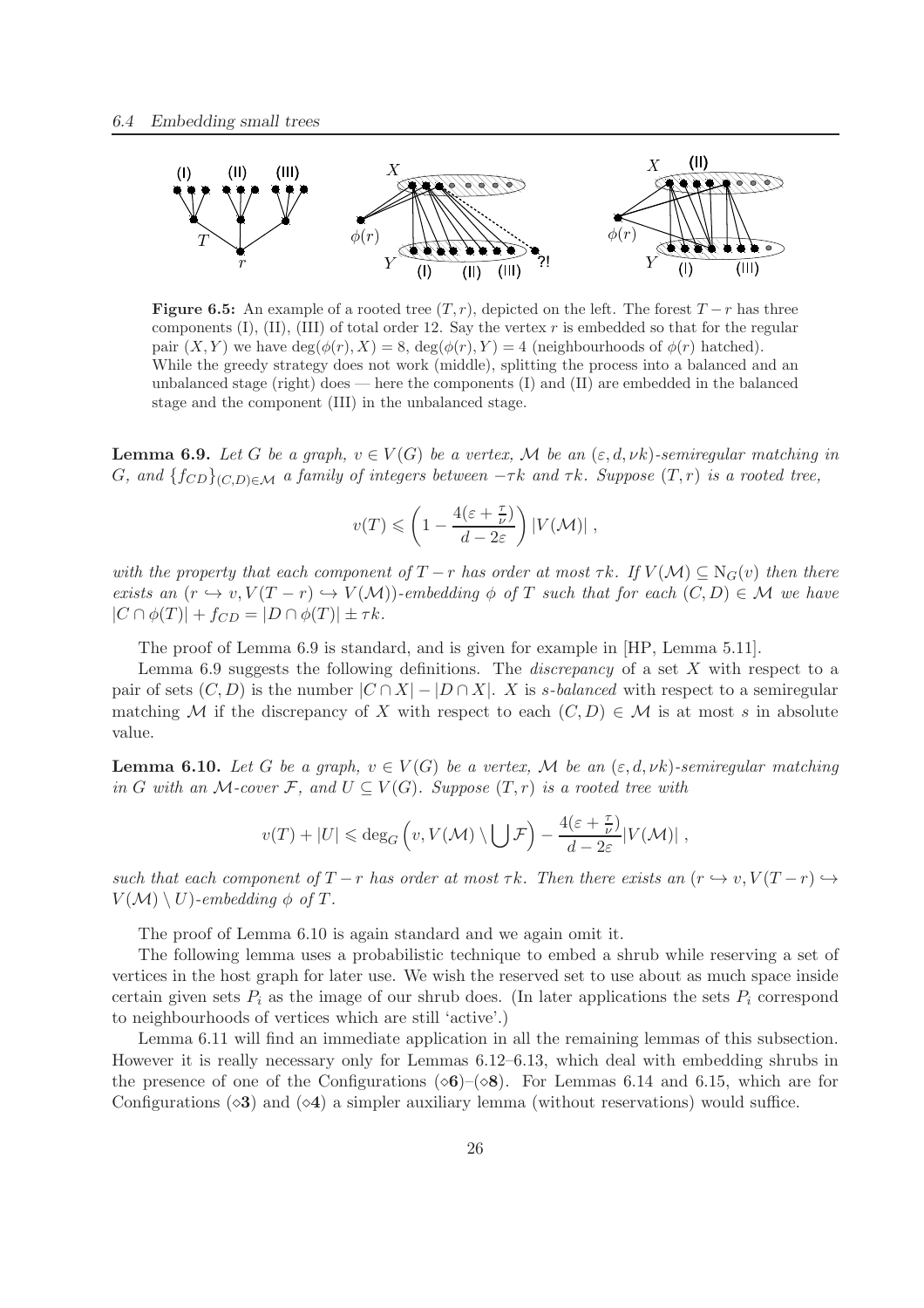

Figure 6.5: An example of a rooted tree  $(T, r)$ , depicted on the left. The forest  $T - r$  has three components  $(I)$ ,  $(II)$ ,  $(III)$  of total order 12. Say the vertex r is embedded so that for the regular pair  $(X, Y)$  we have  $deg(\phi(r), X) = 8$ ,  $deg(\phi(r), Y) = 4$  (neighbourhoods of  $\phi(r)$  hatched). While the greedy strategy does not work (middle), splitting the process into a balanced and an unbalanced stage (right) does — here the components (I) and (II) are embedded in the balanced stage and the component (III) in the unbalanced stage.

**Lemma 6.9.** Let G be a graph,  $v \in V(G)$  be a vertex, M be an  $(\varepsilon, d, \nu k)$ -semiregular matching in G, and  $\{f_{CD}\}_{(C,D)\in\mathcal{M}}$  *a family of integers between*  $-\tau k$  *and*  $\tau k$ *. Suppose*  $(T,r)$  *is a rooted tree,* 

$$
v(T) \leqslant \left(1 - \frac{4(\varepsilon + \frac{\tau}{\nu})}{d - 2\varepsilon}\right) |V(\mathcal{M})|,
$$

*with the property that each component of*  $T - r$  *has order at most*  $\tau k$ *. If*  $V(\mathcal{M}) \subseteq N_G(v)$  *then there exists an*  $(r \hookrightarrow v, V(T - r) \hookrightarrow V(M))$ *-embedding*  $\phi$  *of* T *such that for each*  $(C, D) \in M$  *we have*  $|C \cap \phi(T)| + f_{CD} = |D \cap \phi(T)| \pm \tau k.$ 

The proof of Lemma 6.9 is standard, and is given for example in [HP, Lemma 5.11].

Lemma 6.9 suggests the following definitions. The *discrepancy* of a set X with respect to a pair of sets  $(C, D)$  is the number  $|C \cap X| - |D \cap X|$ . X is *s*-balanced with respect to a semiregular matching M if the discrepancy of X with respect to each  $(C, D) \in \mathcal{M}$  is at most s in absolute value.

**Lemma 6.10.** Let G be a graph,  $v \in V(G)$  be a vertex, M be an  $(\varepsilon, d, \nu k)$ -semiregular matching *in* G with an M-cover F, and  $U \subseteq V(G)$ . Suppose  $(T, r)$  *is a rooted tree with* 

$$
v(T) + |U| \leqslant \deg_G \left( v, V(\mathcal{M}) \setminus \bigcup \mathcal{F} \right) - \frac{4(\varepsilon + \frac{\tau}{\nu})}{d - 2\varepsilon} |V(\mathcal{M})|,
$$

*such that each component of*  $T - r$  *has order at most*  $\tau k$ *. Then there exists an*  $(r \leftrightarrow v, V(T - r) \leftrightarrow$  $V(\mathcal{M}) \setminus U$ *)*-embedding  $\phi$  of T.

The proof of Lemma 6.10 is again standard and we again omit it.

The following lemma uses a probabilistic technique to embed a shrub while reserving a set of vertices in the host graph for later use. We wish the reserved set to use about as much space inside certain given sets  $P_i$  as the image of our shrub does. (In later applications the sets  $P_i$  correspond to neighbourhoods of vertices which are still 'active'.)

Lemma 6.11 will find an immediate application in all the remaining lemmas of this subsection. However it is really necessary only for Lemmas 6.12–6.13, which deal with embedding shrubs in the presence of one of the Configurations ( $\circ$ 6)–( $\circ$ 8). For Lemmas 6.14 and 6.15, which are for Configurations  $\left(\diamond 3\right)$  and  $\left(\diamond 4\right)$  a simpler auxiliary lemma (without reservations) would suffice.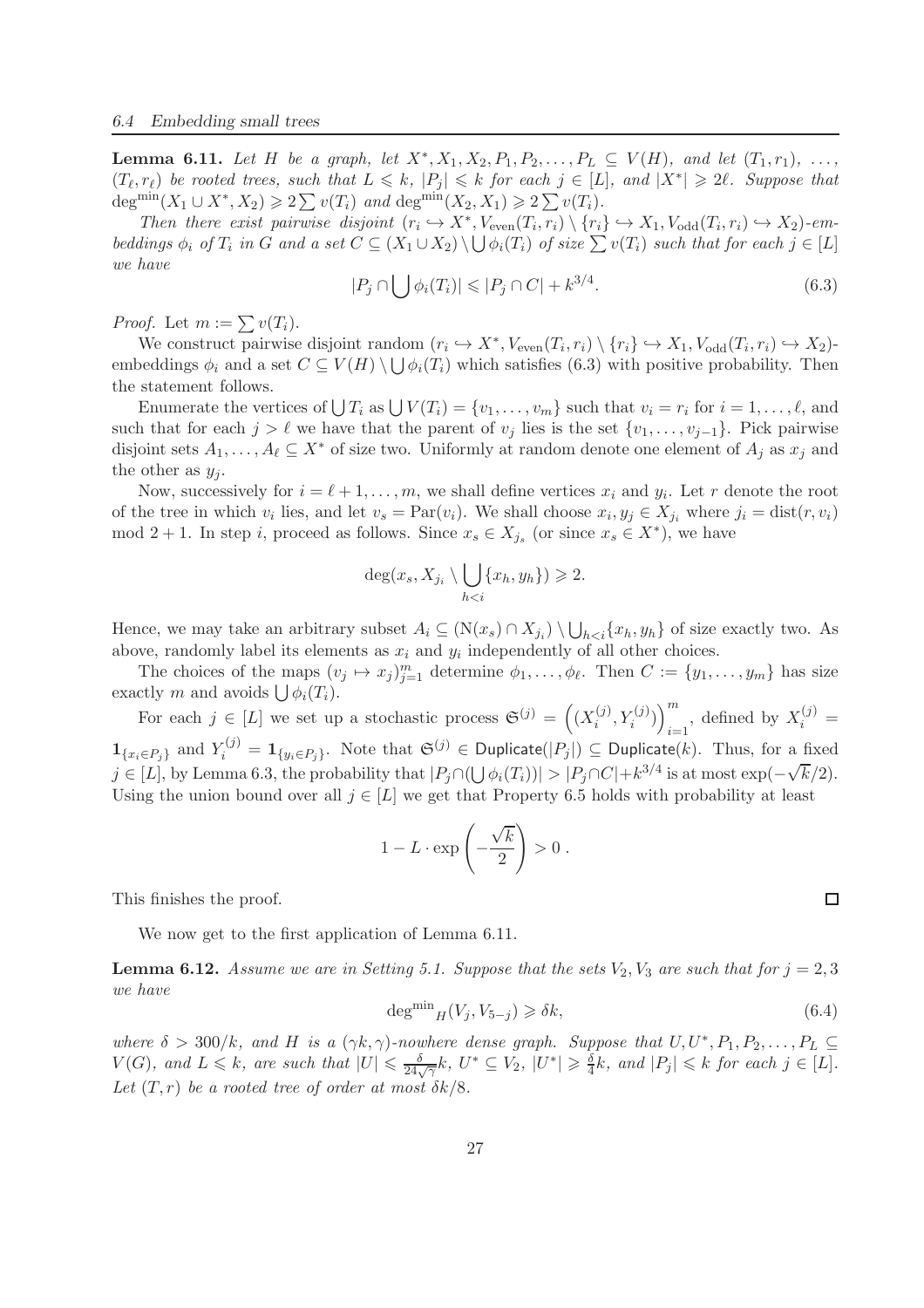**Lemma 6.11.** Let H be a graph, let  $X^*, X_1, X_2, P_1, P_2, \ldots, P_L \subseteq V(H)$ , and let  $(T_1, r_1), \ldots,$  $(T_{\ell}, r_{\ell})$  be rooted trees, such that  $L \leq k$ ,  $|P_j| \leq k$  for each  $j \in [L]$ , and  $|X^*| \geq 2\ell$ . Suppose that deg<sup>min</sup> $(X_1 \cup X^*, X_2) \geqslant 2 \sum v(T_i)$  *and* deg<sup>min</sup> $(X_2, X_1) \geqslant 2 \sum v(T_i)$ *.* 

*Then there exist pairwise disjoint*  $(r_i \hookrightarrow X^*, V_{even}(T_i, r_i) \setminus \{r_i\} \hookrightarrow X_1, V_{odd}(T_i, r_i) \hookrightarrow X_2)$ *-embeddings*  $\phi_i$  *of*  $T_i$  *in G and a set*  $C \subseteq (X_1 \cup X_2) \setminus \bigcup \phi_i(T_i)$  *of size*  $\sum v(T_i)$  *such that for each*  $j \in [L]$ *we have*

$$
|P_j \cap \bigcup \phi_i(T_i)| \leqslant |P_j \cap C| + k^{3/4}.\tag{6.3}
$$

*Proof.* Let  $m := \sum v(T_i)$ .

We construct pairwise disjoint random  $(r_i \hookrightarrow X^*, V_{\text{even}}(T_i, r_i) \setminus \{r_i\} \hookrightarrow X_1, V_{\text{odd}}(T_i, r_i) \hookrightarrow X_2)$ embeddings  $\phi_i$  and a set  $C \subseteq V(H) \setminus \bigcup \phi_i(T_i)$  which satisfies (6.3) with positive probability. Then the statement follows.

Enumerate the vertices of  $\bigcup T_i$  as  $\bigcup V(T_i) = \{v_1, \ldots, v_m\}$  such that  $v_i = r_i$  for  $i = 1, \ldots, \ell$ , and such that for each  $j > \ell$  we have that the parent of  $v_j$  lies is the set  $\{v_1, \ldots, v_{j-1}\}$ . Pick pairwise disjoint sets  $A_1, \ldots, A_\ell \subseteq X^*$  of size two. Uniformly at random denote one element of  $A_j$  as  $x_j$  and the other as  $y_j$ .

Now, successively for  $i = \ell + 1, \ldots, m$ , we shall define vertices  $x_i$  and  $y_i$ . Let r denote the root of the tree in which  $v_i$  lies, and let  $v_s = \text{Par}(v_i)$ . We shall choose  $x_i, y_j \in X_{j_i}$  where  $j_i = \text{dist}(r, v_i)$ mod 2 + 1. In step *i*, proceed as follows. Since  $x_s \in X_{j_s}$  (or since  $x_s \in X^*$ ), we have

$$
\deg(x_s, X_{j_i} \setminus \bigcup_{h
$$

Hence, we may take an arbitrary subset  $A_i \subseteq (N(x_s) \cap X_{j_i}) \setminus \bigcup_{h \leq i} \{x_h, y_h\}$  of size exactly two. As above, randomly label its elements as  $x_i$  and  $y_i$  independently of all other choices.

The choices of the maps  $(v_j \mapsto x_j)_{j=1}^m$  determine  $\phi_1, \dots, \phi_\ell$ . Then  $C := \{y_1, \dots, y_m\}$  has size exactly m and avoids  $\bigcup \phi_i(T_i)$ .

For each  $j \in [L]$  we set up a stochastic process  $\mathfrak{S}^{(j)} = ((X_i^{(j)})$  $\binom{(j)}{i}, Y_i^{(j)})\Big]_{i=1}^m$  $\sum_{i=1}^{m}$ , defined by  $X_i^{(j)} =$  $\mathbf{1}_{\{x_i \in P_j\}}$  and  $Y_i^{(j)} = \mathbf{1}_{\{y_i \in P_j\}}$ . Note that  $\mathfrak{S}^{(j)} \in \textsf{Dupiter}(|P_j|) \subseteq \textsf{Dupiter}(k)$ . Thus, for a fixed  $j \in [L]$ , by Lemma 6.3, the probability that  $|P_j \cap (\bigcup \phi_i(T_i))| > |P_j \cap C| + k^{3/4}$  is at most  $\exp(-\sqrt{k}/2)$ . Using the union bound over all  $j \in [L]$  we get that Property 6.5 holds with probability at least

$$
1 - L \cdot \exp\left(-\frac{\sqrt{k}}{2}\right) > 0.
$$

This finishes the proof.

We now get to the first application of Lemma 6.11.

**Lemma 6.12.** Assume we are in Setting 5.1. Suppose that the sets  $V_2$ ,  $V_3$  are such that for  $j = 2, 3$ *we have*

$$
\deg^{\min}{}_{H}(V_j, V_{5-j}) \geq \delta k,\tag{6.4}
$$

where  $\delta > 300/k$ , and H is a  $(\gamma k, \gamma)$ -nowhere dense graph. Suppose that  $U, U^*, P_1, P_2, \ldots, P_L \subseteq$  $V(G)$ , and  $L \leq k$ , are such that  $|U| \leq \frac{\delta}{24\sqrt{\gamma}}k$ ,  $U^* \subseteq V_2$ ,  $|U^*| \geqslant \frac{\delta}{4}$  $\frac{\delta}{4}k$ , and  $|P_j| \leq k$  for each  $j \in [L]$ . Let  $(T, r)$  *be a rooted tree of order at most*  $\delta k/8$ *.* 

 $\Box$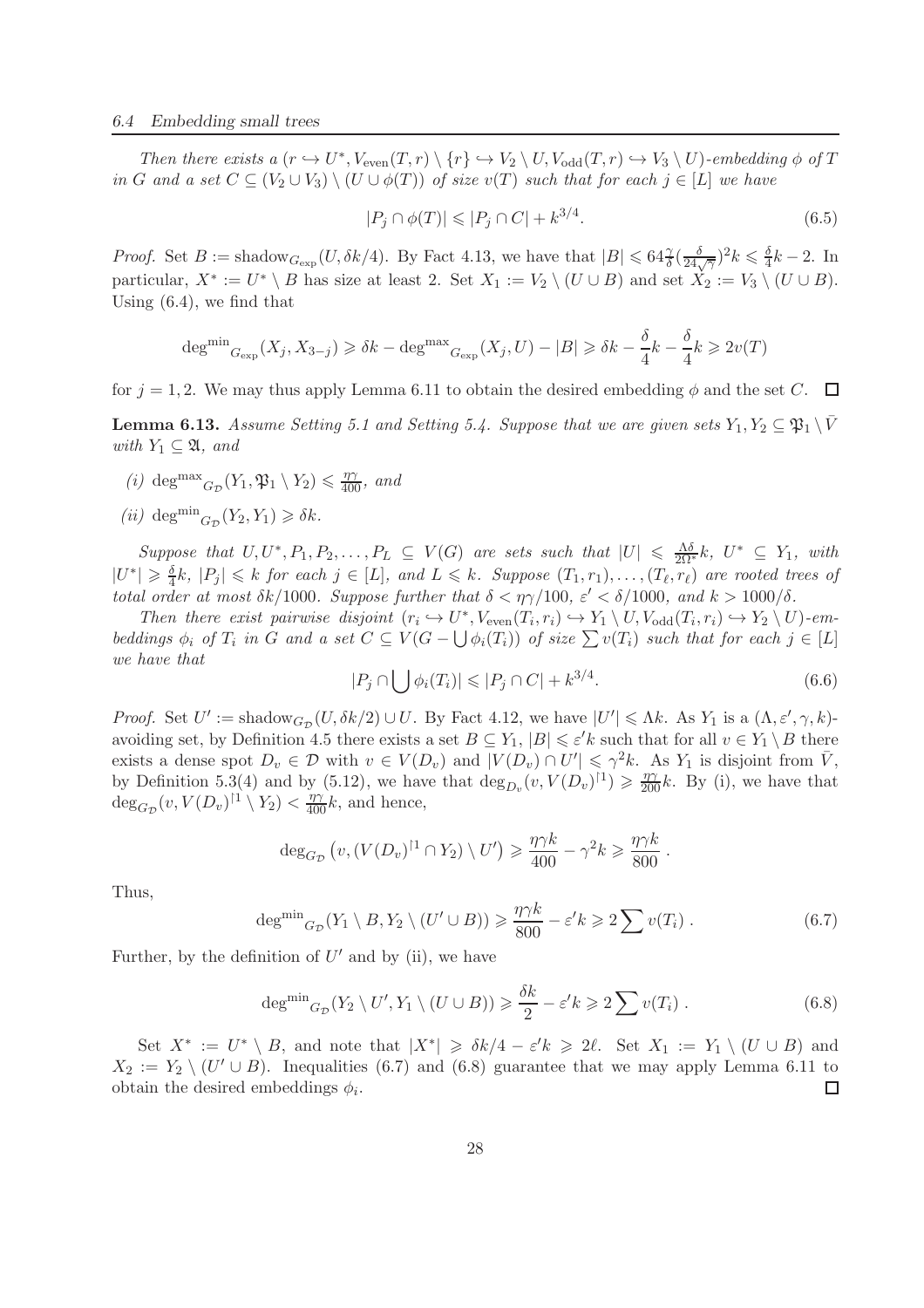*Then there exists a*  $(r \hookrightarrow U^*$ ,  $V_{even}(T, r) \setminus \{r\} \hookrightarrow V_2 \setminus U$ ,  $V_{odd}(T, r) \hookrightarrow V_3 \setminus U$ *)-embedding*  $\phi$  *of*  $T$ *in* G and a set  $C \subseteq (V_2 \cup V_3) \setminus (U \cup \phi(T))$  *of size*  $v(T)$  *such that for each*  $j \in [L]$  *we have* 

$$
|P_j \cap \phi(T)| \leqslant |P_j \cap C| + k^{3/4}.\tag{6.5}
$$

*Proof.* Set  $B := \text{shadow}_{G_{\text{exp}}}(U, \delta k/4)$ . By Fact 4.13, we have that  $|B| \leqslant 64 \frac{\gamma}{\delta} \left(\frac{\delta}{24\sqrt{\gamma}}\right)^2 k \leqslant \frac{\delta}{4}$  $\frac{0}{4}k-2$ . In particular,  $X^* := U^* \setminus B$  has size at least 2. Set  $X_1 := V_2 \setminus (U \cup B)$  and set  $X_2 := V_3 \setminus (U \cup B)$ . Using (6.4), we find that

$$
\deg^{\min} G_{\exp}(X_j, X_{3-j}) \geq \delta k - \deg^{\max} G_{\exp}(X_j, U) - |B| \geq \delta k - \frac{\delta}{4}k - \frac{\delta}{4}k \geq 2v(T)
$$

for  $j = 1, 2$ . We may thus apply Lemma 6.11 to obtain the desired embedding  $\phi$  and the set C.  $\Box$ 

**Lemma 6.13.** *Assume Setting 5.1 and Setting 5.4. Suppose that we are given sets*  $Y_1, Y_2 \subseteq \mathfrak{P}_1 \setminus \overline{V}$ *with*  $Y_1 \subseteq \mathfrak{A}$ *, and* 

- (*i*) deg<sup>max</sup><sub> $G_{\mathcal{D}}(Y_1, \mathfrak{P}_1 \setminus Y_2) \leq \frac{\eta \gamma}{400}$ , and</sub>
- $(ii)$  deg<sup>min</sup><sub> $G_{\mathcal{D}}(Y_2, Y_1) \geq \delta k$ .</sub>

 $Suppose that U, U^*, P_1, P_2, \ldots, P_L \subseteq V(G)$  *are sets such that*  $|U| \leq \frac{\Lambda \delta}{2\Omega^*} k$ ,  $U^* \subseteq Y_1$ , with  $|U^*| \geqslant \frac{\delta}{4}$  $\frac{\delta}{4}k$ ,  $|P_j| \leq k$  *for each*  $j \in [L]$ , and  $L \leq k$ . Suppose  $(T_1, r_1), \ldots, (T_\ell, r_\ell)$  are rooted trees of *total order at most*  $\delta k/1000$ *. Suppose further that*  $\delta < \eta \gamma/100$ *,*  $\varepsilon' < \delta/1000$ *, and*  $k > 1000/\delta$ *.* 

Then there exist pairwise disjoint  $(r_i \hookrightarrow U^*, V_{\text{even}}(T_i, r_i) \hookrightarrow Y_1 \setminus U, V_{\text{odd}}(T_i, r_i) \hookrightarrow Y_2 \setminus U$ *)-embeddings*  $\phi_i$  *of*  $T_i$  *in* G *and a set*  $C \subseteq V(G - \bigcup \phi_i(T_i))$  *of size*  $\sum v(T_i)$  *such that for each*  $j \in [L]$ *we have that*

$$
|P_j \cap \bigcup \phi_i(T_i)| \leqslant |P_j \cap C| + k^{3/4}.\tag{6.6}
$$

*Proof.* Set  $U' := \text{shadow}_{G_{\mathcal{D}}}(U, \delta k/2) \cup U$ . By Fact 4.12, we have  $|U'| \leq \Lambda k$ . As  $Y_1$  is a  $(\Lambda, \varepsilon', \gamma, k)$ avoiding set, by Definition 4.5 there exists a set  $B \subseteq Y_1$ ,  $|B| \leq \varepsilon' k$  such that for all  $v \in Y_1 \setminus B$  there exists a dense spot  $D_v \in \mathcal{D}$  with  $v \in V(D_v)$  and  $|V(D_v) \cap U'| \leq \gamma^2 k$ . As  $Y_1$  is disjoint from  $\overline{V}$ , by Definition 5.3(4) and by (5.12), we have that  $\deg_{D_v}(v, V(D_v)^{\dagger}) \geq \frac{\eta \gamma}{200}k$ . By (i), we have that  $\deg_{G_{\mathcal{D}}}(v, V(D_v)^{\dagger 1} \setminus Y_2) < \frac{\eta \gamma}{400}k$ , and hence,

$$
\deg_{G_{\mathcal{D}}}\left(v, (V(D_v)^{\dagger 1} \cap Y_2) \setminus U'\right) \geq \frac{\eta \gamma k}{400} - \gamma^2 k \geq \frac{\eta \gamma k}{800}.
$$

Thus,

$$
\deg^{\min} G_{\mathcal{D}}(Y_1 \setminus B, Y_2 \setminus (U' \cup B)) \geq \frac{\eta \gamma k}{800} - \varepsilon' k \geq 2 \sum v(T_i).
$$
 (6.7)

Further, by the definition of  $U'$  and by (ii), we have

$$
\deg^{\min} G_{\mathcal{D}}(Y_2 \setminus U', Y_1 \setminus (U \cup B)) \geq \frac{\delta k}{2} - \varepsilon' k \geqslant 2 \sum v(T_i). \tag{6.8}
$$

Set  $X^* := U^* \setminus B$ , and note that  $|X^*| \geq \delta k/4 - \varepsilon' k \geq 2\ell$ . Set  $X_1 := Y_1 \setminus (U \cup B)$  and  $X_2 := Y_2 \setminus (U' \cup B)$ . Inequalities (6.7) and (6.8) guarantee that we may apply Lemma 6.11 to obtain the desired embeddings  $\phi_i$ .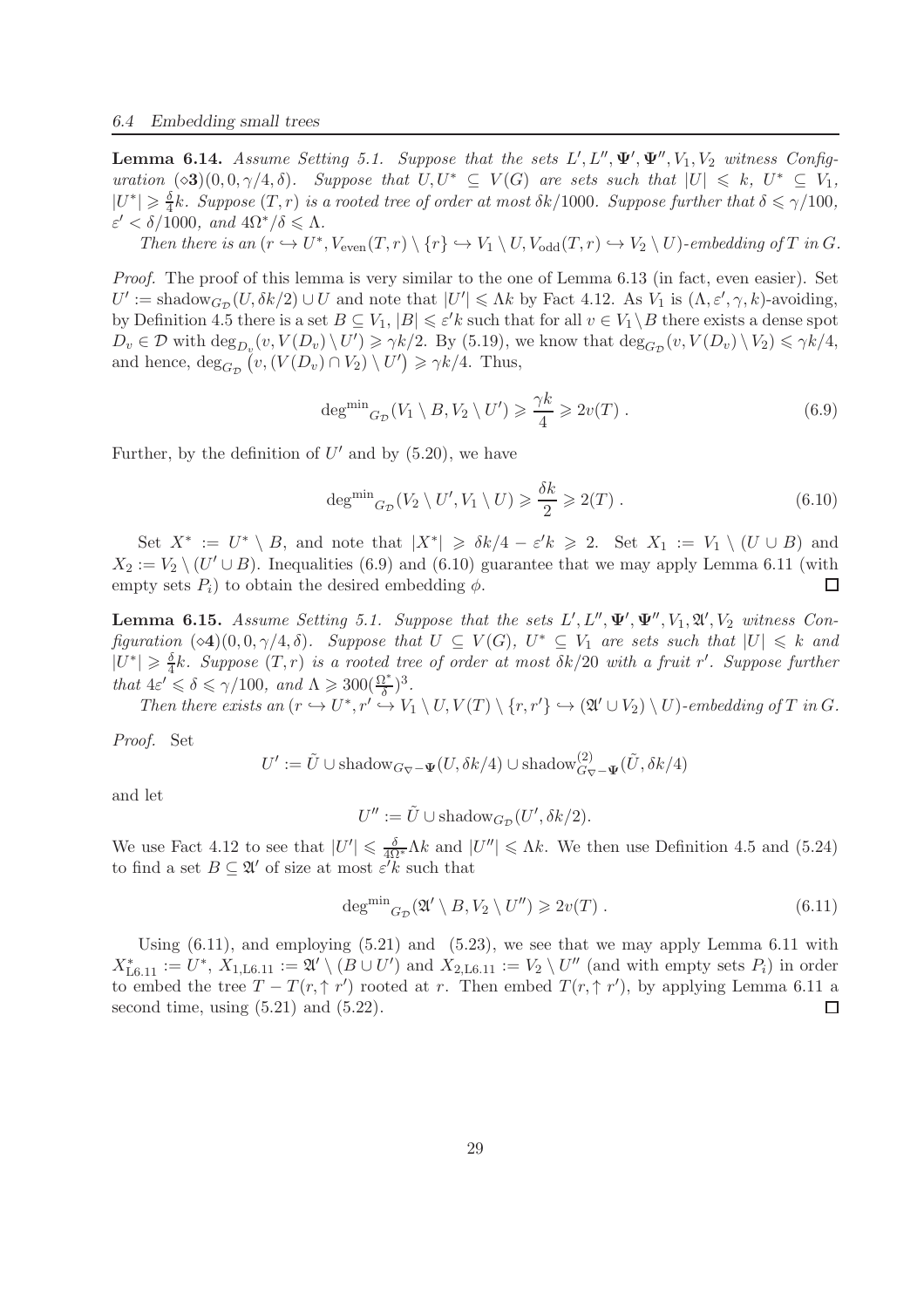**Lemma 6.14.** Assume Setting 5.1. Suppose that the sets  $L', L'', \Psi', \Psi'', V_1, V_2$  witness Config*uration*  $(\diamond 3)(0, 0, \gamma/4, \delta)$ *. Suppose that*  $U, U^* \subseteq V(G)$  *are sets such that*  $|U| \leq k$ ,  $U^* \subseteq V_1$ ,  $|U^*| \geqslant \frac{\delta}{4}$  $\frac{\delta}{4}k$ *. Suppose*  $(T, r)$  *is a rooted tree of order at most*  $\delta k/1000$ *. Suppose further that*  $\delta \leq \gamma/100$ *,*  $\varepsilon' < \delta/1000$ , and  $4\Omega^*/\delta \leq \Lambda$ .

*Then there is an*  $(r \hookrightarrow U^*$ ,  $V_{even}(T,r) \setminus \{r\} \hookrightarrow V_1 \setminus U$ ,  $V_{odd}(T,r) \hookrightarrow V_2 \setminus U$ *)-embedding of*  $T$  *in*  $G$ *.* 

*Proof.* The proof of this lemma is very similar to the one of Lemma 6.13 (in fact, even easier). Set  $U' := \text{shadow}_{G_{\mathcal{D}}}(U, \delta k/2) \cup U$  and note that  $|U'| \leq \Lambda k$  by Fact 4.12. As  $V_1$  is  $(\Lambda, \varepsilon', \gamma, k)$ -avoiding, by Definition 4.5 there is a set  $B \subseteq V_1$ ,  $|B| \leq \varepsilon' k$  such that for all  $v \in V_1 \setminus B$  there exists a dense spot  $D_v \in \mathcal{D}$  with  $\deg_{D_v}(v, V(D_v) \setminus U') \geq \gamma k/2$ . By (5.19), we know that  $\deg_{G_{\mathcal{D}}}(v, V(D_v) \setminus V_2) \leq \gamma k/4$ , and hence,  $\deg_{G_{\mathcal{D}}}(v, (V(D_v) \cap V_2) \setminus U') \geq \gamma k/4$ . Thus,

$$
\deg^{\min} G_{\mathcal{D}}(V_1 \setminus B, V_2 \setminus U') \geq \frac{\gamma k}{4} \geq 2v(T) . \tag{6.9}
$$

Further, by the definition of  $U'$  and by  $(5.20)$ , we have

$$
\deg^{\min} G_{\mathcal{D}}(V_2 \setminus U', V_1 \setminus U) \geq \frac{\delta k}{2} \geqslant 2(T) . \tag{6.10}
$$

Set  $X^* := U^* \setminus B$ , and note that  $|X^*| \geq \delta k/4 - \varepsilon' k \geq 2$ . Set  $X_1 := V_1 \setminus (U \cup B)$  and  $X_2 := V_2 \setminus (U' \cup B)$ . Inequalities (6.9) and (6.10) guarantee that we may apply Lemma 6.11 (with empty sets  $P_i$ ) to obtain the desired embedding  $\phi$ .

**Lemma 6.15.** Assume Setting 5.1. Suppose that the sets  $L', L'', \Psi', \Psi'', V_1, \mathfrak{A}', V_2$  witness Con*figuration*  $(\infty 4)(0, 0, \gamma/4, \delta)$ *. Suppose that*  $U \subseteq V(G)$ *,*  $U^* \subseteq V_1$  *are sets such that*  $|U| \leq k$  *and*  $|U^*| \geq \frac{\delta}{4}k$ . Suppose  $(T, r)$  is a rooted tree of order at most  $\delta k/20$  with a fruit r'. Suppose further *that*  $4\varepsilon' \le \delta \le \gamma/100$ , and  $\Lambda \ge 300 \left(\frac{\Omega^*}{\delta}\right)^3$ .

Then there exists an  $(r \hookrightarrow U^*, r' \hookrightarrow V_1 \setminus U, V(T) \setminus \{r, r'\} \hookrightarrow (\mathfrak{A}' \cup V_2) \setminus U)$ -embedding of T in G.

*Proof.* Set

$$
U' := \tilde{U} \cup \text{shadow}_{G_{\nabla} - \Psi}(U, \delta k/4) \cup \text{shadow}_{G_{\nabla} - \Psi}^{(2)}(\tilde{U}, \delta k/4)
$$

and let

$$
U'' := \tilde{U} \cup \text{shadow}_{G_{\mathcal{D}}}(U', \delta k/2).
$$

We use Fact 4.12 to see that  $|U'| \leq \frac{\delta}{4\Omega^*} \Lambda k$  and  $|U''| \leq \Lambda k$ . We then use Definition 4.5 and (5.24) to find a set  $B \subseteq \mathfrak{A}'$  of size at most  $\varepsilon' k$  such that

$$
\deg^{\min}{}_{G_{\mathcal{D}}}(\mathfrak{A}' \setminus B, V_2 \setminus U'') \geqslant 2v(T) \ . \tag{6.11}
$$

Using  $(6.11)$ , and employing  $(5.21)$  and  $(5.23)$ , we see that we may apply Lemma 6.11 with  $X_{\text{L}6.11}^* := U^*, X_{1,\text{L}6.11} := \mathfrak{A}' \setminus (B \cup U')$  and  $X_{2,\text{L}6.11} := V_2 \setminus U''$  (and with empty sets  $P_i$ ) in order to embed the tree  $T - T(r, \uparrow r')$  rooted at r. Then embed  $T(r, \uparrow r')$ , by applying Lemma 6.11 a second time, using  $(5.21)$  and  $(5.22)$ .  $\Box$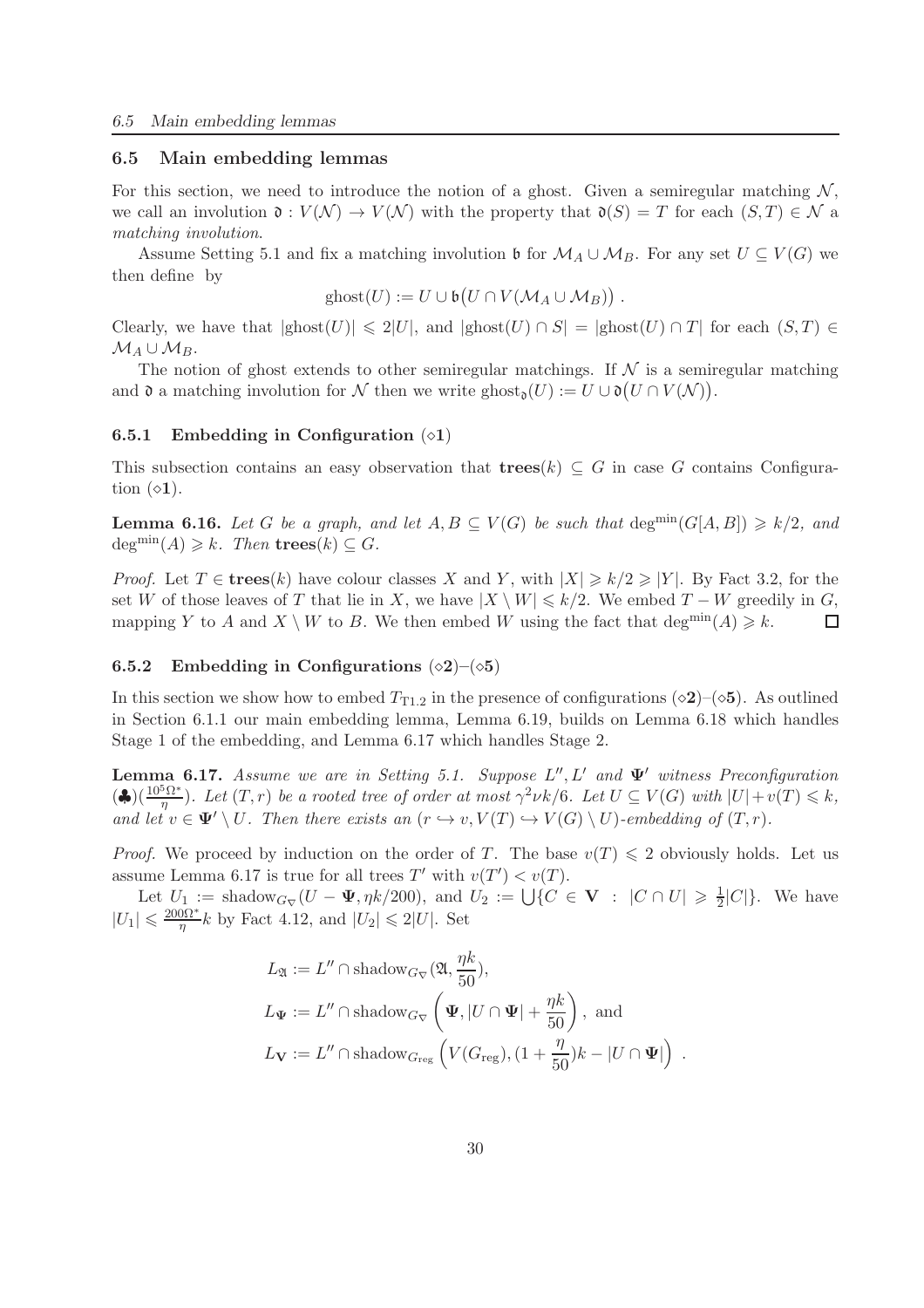#### 6.5 Main embedding lemmas

For this section, we need to introduce the notion of a ghost. Given a semiregular matching  $\mathcal{N}$ , we call an involution  $\mathfrak{d}: V(\mathcal{N}) \to V(\mathcal{N})$  with the property that  $\mathfrak{d}(S) = T$  for each  $(S,T) \in \mathcal{N}$  a *matching involution*.

Assume Setting 5.1 and fix a matching involution b for  $\mathcal{M}_A \cup \mathcal{M}_B$ . For any set  $U \subseteq V(G)$  we then define by

$$
\mathrm{ghost}(U) := U \cup \mathfrak{b}\big(U \cap V(\mathcal{M}_A \cup \mathcal{M}_B)\big) .
$$

Clearly, we have that  $|ghost(U)| \leq 2|U|$ , and  $|ghost(U) \cap S| = |ghost(U) \cap T|$  for each  $(S,T) \in$  $M_A\cup M_B$ .

The notion of ghost extends to other semiregular matchings. If  $\mathcal N$  is a semiregular matching and  $\mathfrak d$  a matching involution for N then we write  $\text{ghost}_{\mathfrak d}(U) := U \cup \mathfrak d(U \cap V(\mathcal N)).$ 

#### 6.5.1 Embedding in Configuration  $( \diamond 1)$

This subsection contains an easy observation that  ${\bf trees}(k) \subseteq G$  in case G contains Configuration  $(\diamond 1)$ .

**Lemma 6.16.** Let G be a graph, and let  $A, B \subseteq V(G)$  be such that  $\deg^{min}(G[A, B]) \geq k/2$ , and  $deg^{min}(A) \geq k$ *. Then .* 

*Proof.* Let  $T \in \mathbf{trees}(k)$  have colour classes X and Y, with  $|X| \geq k/2 \geq |Y|$ . By Fact 3.2, for the set W of those leaves of T that lie in X, we have  $|X \setminus W| \le k/2$ . We embed  $T - W$  greedily in G, mapping Y to A and  $X \setminus W$  to B. We then embed W using the fact that deg<sup>min</sup> $(A) \ge k$ . mapping Y to A and  $X \setminus W$  to B. We then embed W using the fact that  $\deg^{\min}(A) \geq k$ .

#### 6.5.2 Embedding in Configurations  $(\diamond 2)$ – $(\diamond 5)$

In this section we show how to embed  $T_{T1.2}$  in the presence of configurations ( $\diamond$ 2)–( $\diamond$ 5). As outlined in Section 6.1.1 our main embedding lemma, Lemma 6.19, builds on Lemma 6.18 which handles Stage 1 of the embedding, and Lemma 6.17 which handles Stage 2.

Lemma 6.17. *Assume we are in Setting 5.1. Suppose* L ′′, L′ *and* Ψ′ *witness Preconfiguration*  $(\clubsuit)(\frac{10^5\Omega^*}{\eta})$ . Let  $(T, r)$  be a rooted tree of order at most  $\gamma^2\nu k/6$ . Let  $U \subseteq V(G)$  with  $|U| + v(T) \leq k$ , *and let*  $v \in \Psi' \setminus U$ *. Then there exists an*  $(r \hookrightarrow v, V(T) \hookrightarrow V(G) \setminus U)$ *-embedding of*  $(T, r)$ *.* 

*Proof.* We proceed by induction on the order of T. The base  $v(T) \leq 2$  obviously holds. Let us assume Lemma 6.17 is true for all trees T' with  $v(T') < v(T)$ .

Let  $U_1 := \text{shadow}_{G_{\nabla}}(U - \Psi, \eta k/200), \text{ and } U_2 := \bigcup \{C \in \mathbf{V} : |C \cap U| \geq \frac{1}{2}\}$  $\frac{1}{2}|C|\}$ . We have  $|U_1| \leqslant \frac{200\Omega^*}{\eta}$  $\frac{0.01^*}{\eta}$ k by Fact 4.12, and  $|U_2| \leq 2|U|$ . Set

$$
L_{\mathfrak{A}} := L'' \cap \text{shadow}_{G_{\nabla}}(\mathfrak{A}, \frac{\eta k}{50}),
$$
  
\n
$$
L_{\Psi} := L'' \cap \text{shadow}_{G_{\nabla}}\left(\Psi, |U \cap \Psi| + \frac{\eta k}{50}\right), \text{ and}
$$
  
\n
$$
L_{\mathbf{V}} := L'' \cap \text{shadow}_{G_{\text{reg}}}\left(V(G_{\text{reg}}), (1 + \frac{\eta}{50})k - |U \cap \Psi|\right).
$$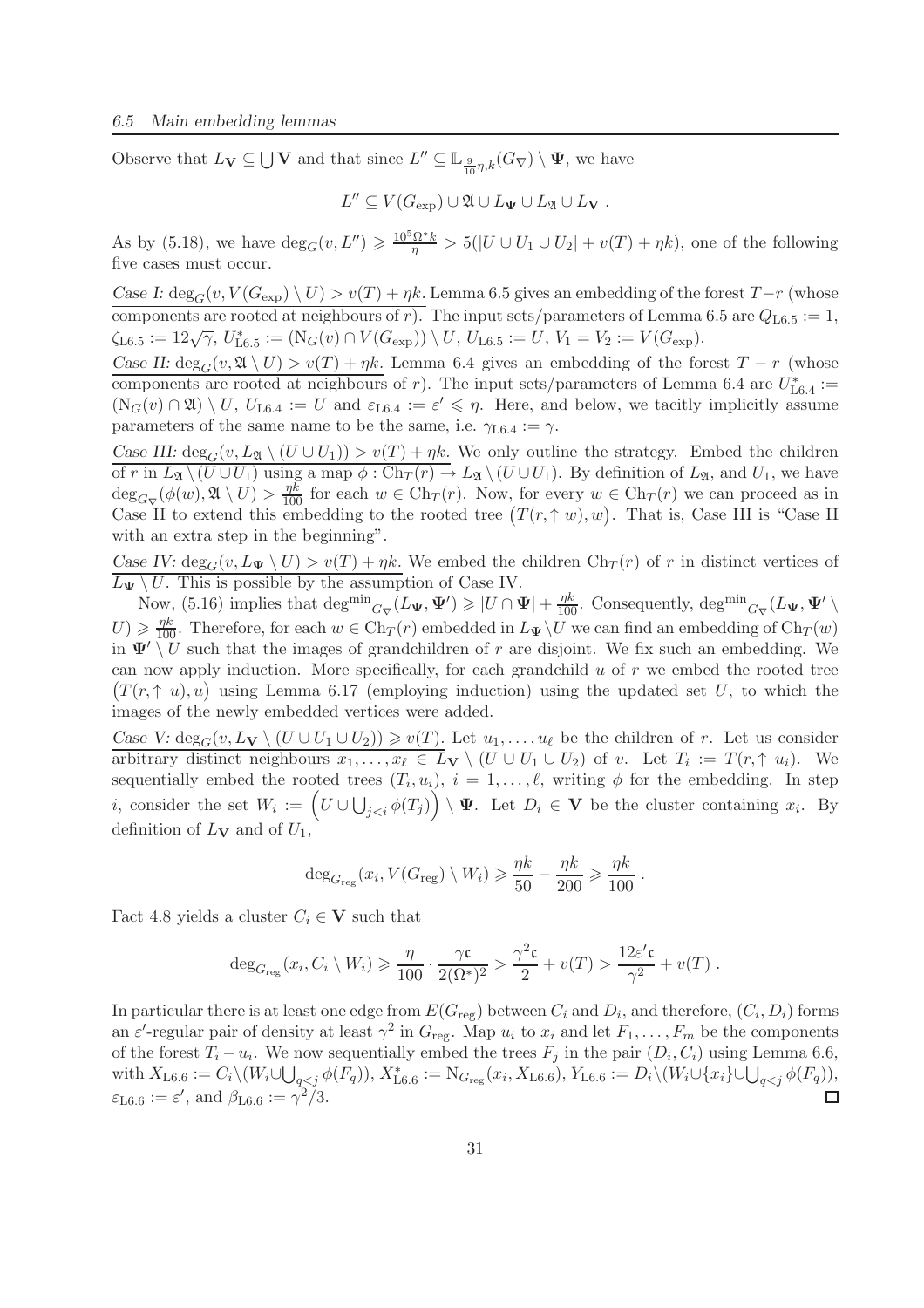Observe that  $L_V \subseteq \bigcup V$  and that since  $L'' \subseteq \mathbb{L}_{\frac{9}{10}\eta,k}(G_{\nabla}) \setminus \Psi$ , we have

$$
L'' \subseteq V(G_{\exp}) \cup \mathfrak{A} \cup L_{\Psi} \cup L_{\mathfrak{A}} \cup L_{\mathbf{V}}.
$$

As by (5.18), we have  $deg_G(v, L'') \geqslant \frac{10^5 \Omega^* k}{\eta} > 5(|U \cup U_1 \cup U_2| + v(T) + \eta k)$ , one of the following five cases must occur.

*Case I:*  $\deg_G(v, V(G_{exp}) \setminus U) > v(T) + \eta k$ . Lemma 6.5 gives an embedding of the forest  $T-r$  (whose components are rooted at neighbours of r). The input sets/parameters of Lemma 6.5 are  $Q_{\text{L6.5}} := 1$ ,  $\zeta_{\text{L6.5}} := 12 \sqrt{\gamma}, \ U_{\text{L6.5}}^* := (\mathcal{N}_G(v) \cap V(G_{\text{exp}})) \setminus U, \ U_{\text{L6.5}} := U, \ V_1 = V_2 := V(G_{\text{exp}}).$ 

*Case II:*  $\deg_G(v, \mathfrak{A} \setminus U) > v(T) + \eta k$ . Lemma 6.4 gives an embedding of the forest  $T - r$  (whose components are rooted at neighbours of r). The input sets/parameters of Lemma 6.4 are  $U_{\text{L}6.4}^* :=$  $(N_G(v) \cap \mathfrak{A}) \setminus U$ ,  $U_{L6.4} := U$  and  $\varepsilon_{L6.4} := \varepsilon' \leq \eta$ . Here, and below, we tacitly implicitly assume parameters of the same name to be the same, i.e.  $\gamma_{\text{L6.4}} := \gamma$ .

*Case III:*  $\deg_G(v, L_{\mathfrak{A}} \setminus (U \cup U_1)) > v(T) + \eta k$ . We only outline the strategy. Embed the children of r in  $L_2 \setminus (U \cup U_1)$  using a map  $\phi : Ch_T(r) \to L_2 \setminus (U \cup U_1)$ . By definition of  $L_2$ , and  $U_1$ , we have  $\deg_{G_{\nabla}}(\phi(w), \mathfrak{A}\setminus U) > \frac{\eta k}{100}$  for each  $w \in \mathrm{Ch}_T(r)$ . Now, for every  $w \in \mathrm{Ch}_T(r)$  we can proceed as in Case II to extend this embedding to the rooted tree  $(T(r, \uparrow w), w)$ . That is, Case III is "Case II with an extra step in the beginning".

*Case IV:*  $\deg_G(v, L_{\Psi} \setminus U) > v(T) + \eta k$ . We embed the children  $Ch_T(r)$  of r in distinct vertices of  $\overline{L_{\Psi} \setminus U}$ . This is possible by the assumption of Case IV.

Now, (5.16) implies that  $\deg^{min}_{G_{\nabla}}(L_{\Psi}, \Psi') \geqslant |U \cap \Psi| + \frac{\eta k}{100}$ . Consequently,  $\deg^{min}_{G_{\nabla}}(L_{\Psi}, \Psi')$  $U) \geq \frac{\eta k}{100}$ . Therefore, for each  $w \in \text{Ch}_T(r)$  embedded in  $L_{\Psi} \setminus U$  we can find an embedding of  $\text{Ch}_T(w)$ in  $\Psi' \setminus U$  such that the images of grandchildren of r are disjoint. We fix such an embedding. We can now apply induction. More specifically, for each grandchild  $u$  of  $r$  we embed the rooted tree  $(T(r, \uparrow u), u)$  using Lemma 6.17 (employing induction) using the updated set U, to which the images of the newly embedded vertices were added.

*Case V:*  $\deg_G(v, L_V \setminus (U \cup U_1 \cup U_2)) \geq v(T)$ . Let  $u_1, \ldots, u_\ell$  be the children of r. Let us consider arbitrary distinct neighbours  $x_1, \ldots, x_\ell \in L_{\mathbf{V}} \setminus (U \cup U_1 \cup U_2)$  of v. Let  $T_i := T(r, \uparrow u_i)$ . We sequentially embed the rooted trees  $(T_i, u_i)$ ,  $i = 1, \ldots, \ell$ , writing  $\phi$  for the embedding. In step *i*, consider the set  $W_i := (U \cup \bigcup_{j. Let  $D_i \in V$  be the cluster containing  $x_i$ . By$ definition of  $L_V$  and of  $U_1$ ,

$$
\deg_{G_{\text{reg}}}(x_i, V(G_{\text{reg}}) \setminus W_i) \geq \frac{\eta k}{50} - \frac{\eta k}{200} \geq \frac{\eta k}{100} .
$$

Fact 4.8 yields a cluster  $C_i \in V$  such that

$$
\deg_{G_{\text{reg}}}(x_i, C_i \setminus W_i) \geq \frac{\eta}{100} \cdot \frac{\gamma \mathfrak{c}}{2(\Omega^*)^2} > \frac{\gamma^2 \mathfrak{c}}{2} + v(T) > \frac{12\varepsilon' \mathfrak{c}}{\gamma^2} + v(T) .
$$

In particular there is at least one edge from  $E(G_{\text{reg}})$  between  $C_i$  and  $D_i$ , and therefore,  $(C_i, D_i)$  forms an  $\varepsilon'$ -regular pair of density at least  $\gamma^2$  in  $G_{\text{reg}}$ . Map  $u_i$  to  $x_i$  and let  $F_1, \ldots, F_m$  be the components of the forest  $T_i - u_i$ . We now sequentially embed the trees  $F_j$  in the pair  $(D_i, C_i)$  using Lemma 6.6, with  $X_{L6.6} := C_i \setminus (W_i \cup \bigcup_{q < j} \phi(F_q)), X^*_{L6.6} := N_{G_{reg}}(x_i, X_{L6.6}), Y_{L6.6} := D_i \setminus (W_i \cup \{x_i\} \cup \bigcup_{q < j} \phi(F_q)),$  $\varepsilon_{\text{L6.6}} := \varepsilon', \text{ and } \beta_{\text{L6.6}} := \gamma^2/3.$  $\Box$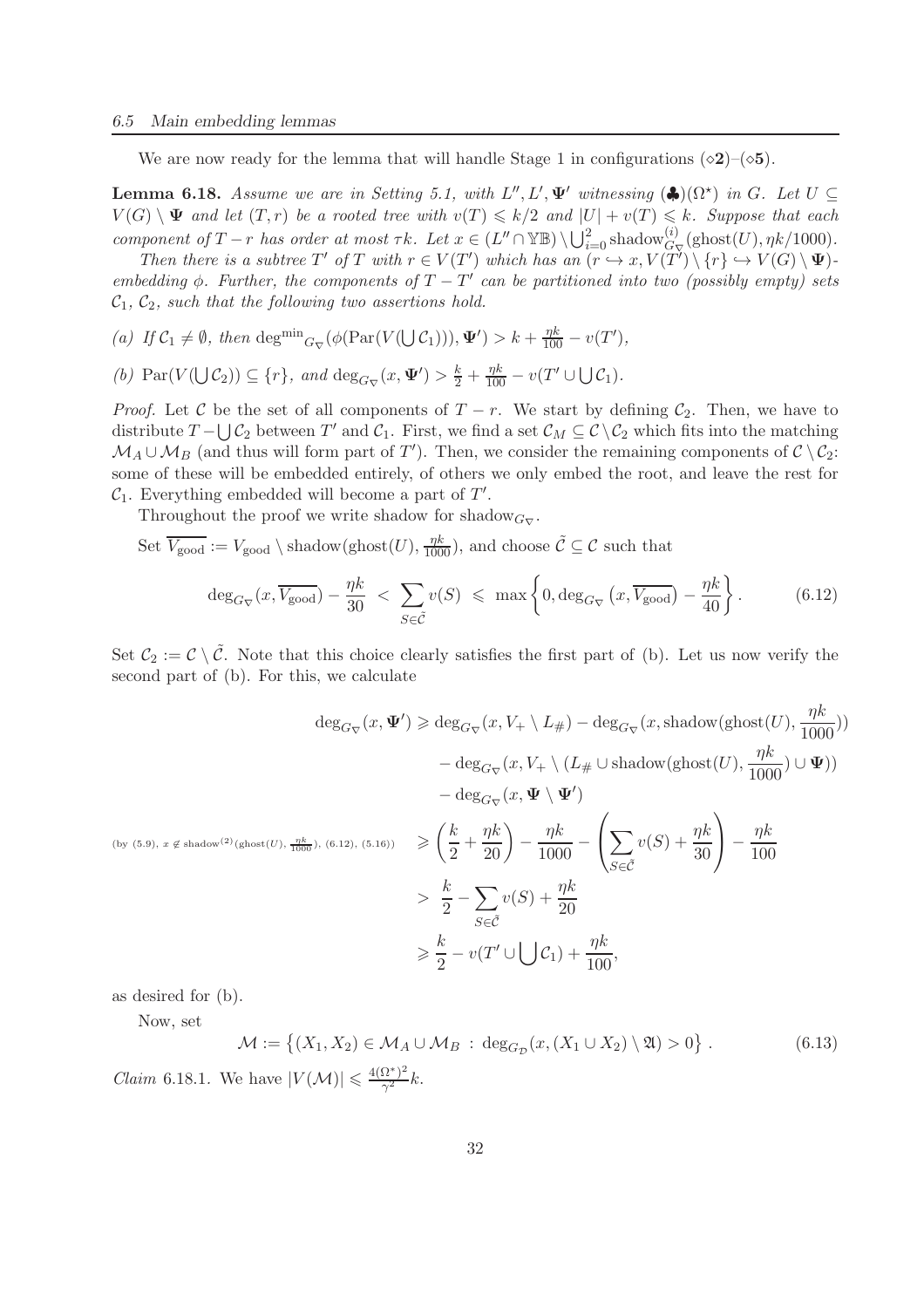We are now ready for the lemma that will handle Stage 1 in configurations ( $\diamond 2$ )–( $\diamond 5$ ).

**Lemma 6.18.** *Assume we are in Setting 5.1, with*  $L'', L', \Psi'$  *witnessing* ( $\clubsuit$ )( $\Omega^*$ ) *in G. Let*  $U \subseteq$  $V(G) \setminus \Psi$  *and let*  $(T, r)$  *be a rooted tree with*  $v(T) \le k/2$  *and*  $|U| + v(T) \le k$ *. Suppose that each component of*  $T - r$  *has order at most*  $\tau k$ *. Let*  $x \in (L'' \cap \mathbb{YB}) \setminus \bigcup_{i=0}^{2}$  shadow ${}_{G_{\nabla}}^{(i)}(\text{ghost}(U), \eta k/1000)$ *.* 

*Then there is a subtree*  $T'$  *of*  $T$  *with*  $r \in V(T')$  *which has an*  $(r \hookrightarrow x, V(T') \setminus \{r\} \hookrightarrow V(G) \setminus \Psi)$ *embedding*  $\phi$ . Further, the components of  $T - T'$  can be partitioned into two (possibly empty) sets  $C_1, C_2$ , such that the following two assertions hold.

(a) If  $C_1 \neq \emptyset$ , then deg<sup>min</sup><sub>G<sub>V</sub></sub> ( $\phi(\text{Par}(V(\bigcup C_1))), \Psi') > k + \frac{\eta k}{100} - v(T')$ ,

*(b)*  $\text{Par}(V(\bigcup \mathcal{C}_2)) \subseteq \{r\}, \text{ and } \deg_{G_{\nabla}}(x, \Psi') > \frac{k}{2} + \frac{\eta k}{100} - v(T' \cup \bigcup \mathcal{C}_1).$ 

*Proof.* Let C be the set of all components of  $T - r$ . We start by defining  $C_2$ . Then, we have to distribute  $T - \bigcup \mathcal{C}_2$  between  $T'$  and  $\mathcal{C}_1$ . First, we find a set  $\mathcal{C}_M \subseteq \mathcal{C} \setminus \mathcal{C}_2$  which fits into the matching  $M_A \cup M_B$  (and thus will form part of T'). Then, we consider the remaining components of  $C \setminus C_2$ : some of these will be embedded entirely, of others we only embed the root, and leave the rest for  $C_1$ . Everything embedded will become a part of  $T'$ .

Throughout the proof we write shadow for shadow $_{G_{\nabla}}$ .

Set  $\overline{V_{\text{good}}} := V_{\text{good}} \setminus \text{shadow}(\text{ghost}(U), \frac{\eta k}{1000})$ , and choose  $\tilde{\mathcal{C}} \subseteq \mathcal{C}$  such that

$$
\deg_{G_{\nabla}}(x, \overline{V_{\text{good}}}) - \frac{\eta k}{30} < \sum_{S \in \tilde{\mathcal{C}}} v(S) \le \max \left\{ 0, \deg_{G_{\nabla}}(x, \overline{V_{\text{good}}}) - \frac{\eta k}{40} \right\}.
$$
 (6.12)

Set  $C_2 := \mathcal{C} \setminus \tilde{\mathcal{C}}$ . Note that this choice clearly satisfies the first part of (b). Let us now verify the second part of (b). For this, we calculate

$$
\deg_{G_{\nabla}}(x, \Psi') \geq \deg_{G_{\nabla}}(x, V_{+} \setminus L_{\#}) - \deg_{G_{\nabla}}(x, \text{shadow}(\text{ghost}(U), \frac{\eta k}{1000}))
$$
  
\n
$$
- \deg_{G_{\nabla}}(x, V_{+} \setminus (L_{\#} \cup \text{shadow}(\text{ghost}(U), \frac{\eta k}{1000}) \cup \Psi))
$$
  
\n
$$
- \deg_{G_{\nabla}}(x, \Psi \setminus \Psi')
$$
  
\n
$$
(\text{by (5.9), } x \notin \text{shadow}^{2}) (\text{ghost}(U), \frac{\eta k}{1000}), (\text{6.12}), (\text{5.16})) \geq \left(\frac{k}{2} + \frac{\eta k}{20}\right) - \frac{\eta k}{1000} - \left(\sum_{S \in \tilde{C}} v(S) + \frac{\eta k}{30}\right) - \frac{\eta k}{100}
$$
  
\n
$$
> \frac{k}{2} - \sum_{S \in \tilde{C}} v(S) + \frac{\eta k}{20}
$$
  
\n
$$
\geq \frac{k}{2} - v(T' \cup \bigcup C_1) + \frac{\eta k}{100},
$$

as desired for (b).

Now, set

$$
\mathcal{M} := \left\{ (X_1, X_2) \in \mathcal{M}_A \cup \mathcal{M}_B : \deg_{G_{\mathcal{D}}}(x, (X_1 \cup X_2) \setminus \mathfrak{A}) > 0 \right\}.
$$
 (6.13)

*Claim* 6.18.1. We have  $|V(\mathcal{M})| \leq \frac{4(\Omega^*)^2}{\gamma^2}$  $\frac{\Delta^2}{\gamma^2}k.$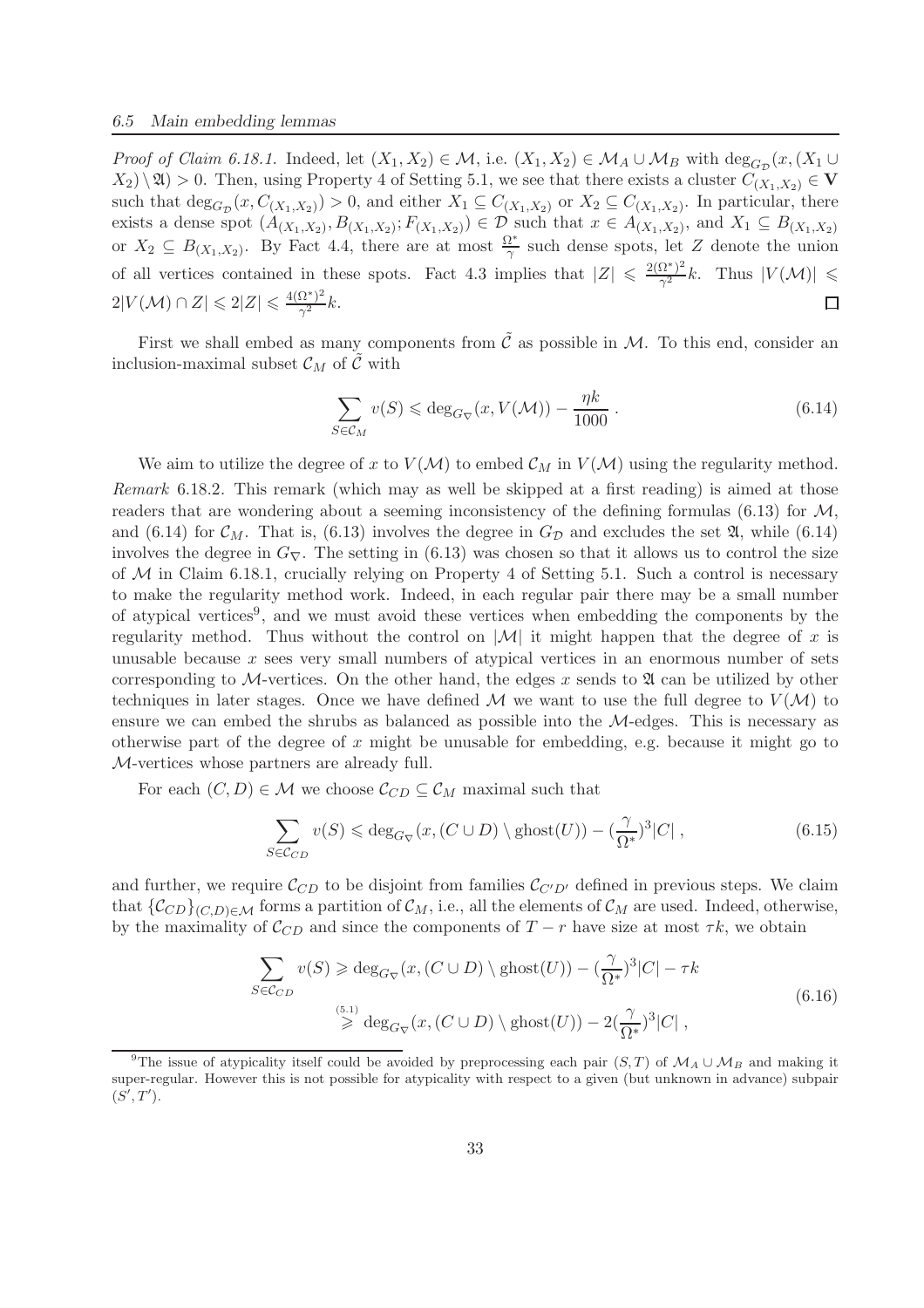*Proof of Claim 6.18.1.* Indeed, let  $(X_1, X_2) \in \mathcal{M}$ , i.e.  $(X_1, X_2) \in \mathcal{M}_A \cup \mathcal{M}_B$  with  $\deg_{G_{\mathcal{D}}}(x, (X_1 \cup$  $(X_2) \setminus \mathfrak{A}$  > 0. Then, using Property 4 of Setting 5.1, we see that there exists a cluster  $C_{(X_1,X_2)} \in V$ such that  $\deg_{G_{\mathcal{D}}}(x, C_{(X_1, X_2)}) > 0$ , and either  $X_1 \subseteq C_{(X_1, X_2)}$  or  $X_2 \subseteq C_{(X_1, X_2)}$ . In particular, there exists a dense spot  $(A_{(X_1,X_2)},B_{(X_1,X_2)};F_{(X_1,X_2)}) \in \mathcal{D}$  such that  $x \in A_{(X_1,X_2)}$ , and  $X_1 \subseteq B_{(X_1,X_2)}$ or  $X_2 \subseteq B_{(X_1,X_2)}$ . By Fact 4.4, there are at most  $\frac{\Omega^*}{\gamma}$  such dense spots, let Z denote the union of all vertices contained in these spots. Fact 4.3 implies that  $|Z| \leq \frac{2(\Omega^*)^2}{\gamma^2} k$ . Thus  $|V(\mathcal{M})| \leq$  $2|V(\mathcal{M}) \cap Z| \leqslant 2|Z| \leqslant \frac{4(\Omega^*)^2}{\gamma^2}$  $\frac{\Delta^2}{\gamma^2}k$ .  $\Box$ 

First we shall embed as many components from  $\tilde{C}$  as possible in M. To this end, consider an inclusion-maximal subset  $\mathcal{C}_M$  of  $\tilde{\mathcal{C}}$  with

$$
\sum_{S \in \mathcal{C}_M} v(S) \leqslant \deg_{G_{\nabla}} (x, V(\mathcal{M})) - \frac{\eta k}{1000} \,. \tag{6.14}
$$

We aim to utilize the degree of x to  $V(M)$  to embed  $\mathcal{C}_M$  in  $V(M)$  using the regularity method. *Remark* 6.18.2*.* This remark (which may as well be skipped at a first reading) is aimed at those readers that are wondering about a seeming inconsistency of the defining formulas (6.13) for  $\mathcal{M}$ , and (6.14) for  $\mathcal{C}_M$ . That is, (6.13) involves the degree in  $G_{\mathcal{D}}$  and excludes the set  $\mathfrak{A}$ , while (6.14) involves the degree in  $G_{\nabla}$ . The setting in (6.13) was chosen so that it allows us to control the size of  $M$  in Claim 6.18.1, crucially relying on Property 4 of Setting 5.1. Such a control is necessary to make the regularity method work. Indeed, in each regular pair there may be a small number of atypical vertices<sup>9</sup>, and we must avoid these vertices when embedding the components by the regularity method. Thus without the control on  $|\mathcal{M}|$  it might happen that the degree of x is unusable because x sees very small numbers of atypical vertices in an enormous number of sets corresponding to M-vertices. On the other hand, the edges x sends to  $\mathfrak A$  can be utilized by other techniques in later stages. Once we have defined M we want to use the full degree to  $V(M)$  to ensure we can embed the shrubs as balanced as possible into the M-edges. This is necessary as otherwise part of the degree of x might be unusable for embedding, e.g. because it might go to M-vertices whose partners are already full.

For each  $(C, D) \in \mathcal{M}$  we choose  $\mathcal{C}_{CD} \subseteq \mathcal{C}_M$  maximal such that

$$
\sum_{S \in \mathcal{C}_{CD}} v(S) \leqslant \deg_{G_{\nabla}} (x, (C \cup D) \setminus \text{ghost}(U)) - \left(\frac{\gamma}{\Omega^*}\right)^3 |C| \,, \tag{6.15}
$$

and further, we require  $\mathcal{C}_{CD}$  to be disjoint from families  $\mathcal{C}_{C'D'}$  defined in previous steps. We claim that  $\{\mathcal{C}_{CD}\}_{(C,D)\in\mathcal{M}}$  forms a partition of  $\mathcal{C}_M$ , i.e., all the elements of  $\mathcal{C}_M$  are used. Indeed, otherwise, by the maximality of  $\mathcal{C}_{CD}$  and since the components of  $T - r$  have size at most  $\tau k$ , we obtain

$$
\sum_{S \in \mathcal{C}_{CD}} v(S) \ge \deg_{G_{\nabla}} (x, (C \cup D) \setminus \text{ghost}(U)) - (\frac{\gamma}{\Omega^*})^3 |C| - \tau k
$$
\n
$$
\ge \deg_{G_{\nabla}} (x, (C \cup D) \setminus \text{ghost}(U)) - 2(\frac{\gamma}{\Omega^*})^3 |C| ,
$$
\n(6.16)

<sup>&</sup>lt;sup>9</sup>The issue of atypicality itself could be avoided by preprocessing each pair (S, T) of  $\mathcal{M}_A \cup \mathcal{M}_B$  and making it super-regular. However this is not possible for atypicality with respect to a given (but unknown in advance) subpair  $(S',T').$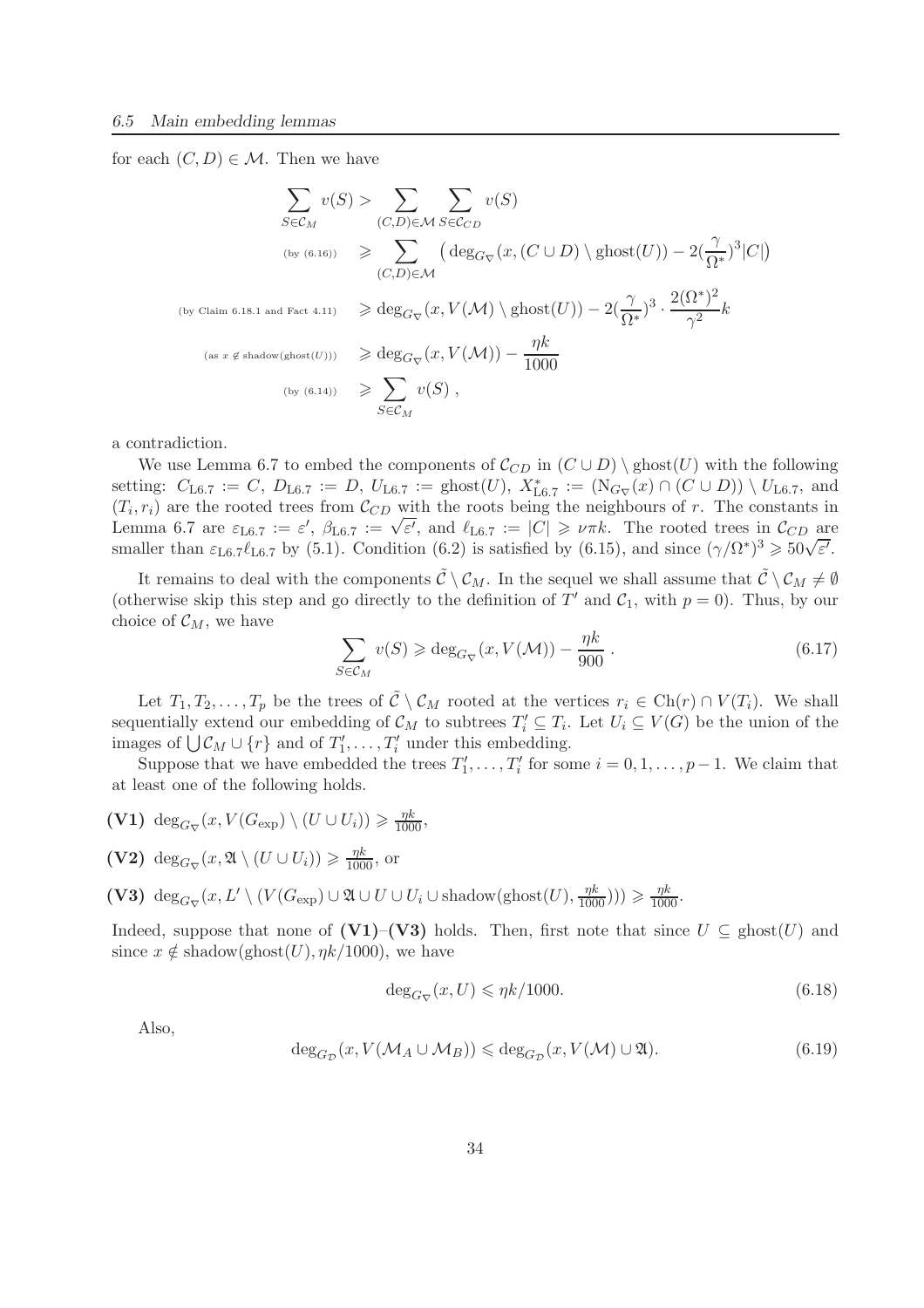for each  $(C, D) \in \mathcal{M}$ . Then we have

$$
\sum_{S \in \mathcal{C}_M} v(S) > \sum_{(C,D) \in \mathcal{M}} \sum_{S \in \mathcal{C}_{CD}} v(S)
$$
\n(by (6.16))

\n
$$
\geqslant \sum_{(C,D) \in \mathcal{M}} \left( \deg_{G_{\nabla}}(x, (C \cup D) \setminus \text{ghost}(U)) - 2\left(\frac{\gamma}{\Omega^*}\right)^3 | C| \right)
$$
\n(by Claim 6.18.1 and Fact 4.11)

\n
$$
\geqslant \deg_{G_{\nabla}}(x, V(\mathcal{M}) \setminus \text{ghost}(U)) - 2\left(\frac{\gamma}{\Omega^*}\right)^3 \cdot \frac{2(\Omega^*)^2}{\gamma^2} k
$$
\n(as  $x \notin \text{shadow}(\text{ghost}(U))$ )

\n
$$
\geqslant \deg_{G_{\nabla}}(x, V(\mathcal{M})) - \frac{\eta k}{1000}
$$
\n(by (6.14))

\n
$$
\geqslant \sum_{S \in \mathcal{C}_M} v(S),
$$

a contradiction.

We use Lemma 6.7 to embed the components of  $\mathcal{C}_{CD}$  in  $(C \cup D) \setminus \text{ghost}(U)$  with the following setting:  $C_{\text{L6.7}} := C, D_{\text{L6.7}} := D, U_{\text{L6.7}} := \text{ghost}(U), X^*_{\text{L6.7}} := (N_{G_{\nabla}}(x) \cap (C \cup D)) \setminus U_{\text{L6.7}}$ , and  $(T_i, r_i)$  are the rooted trees from  $\mathcal{C}_{CD}$  with the roots being the neighbours of r. The constants in Lemma 6.7 are  $\varepsilon_{\text{L}6.7} := \varepsilon'$ ,  $\beta_{\text{L}6.7} := \sqrt{\varepsilon'}$ , and  $\ell_{\text{L}6.7} := |C| \ge \nu \pi k$ . The rooted trees in  $\mathcal{C}_{CD}$  are smaller than  $\varepsilon_{\text{L}6.7}\ell_{\text{L}6.7}$  by (5.1). Condition (6.2) is satisfied by (6.15), and since  $(\gamma/\Omega^*)^3 \ge 50\sqrt{\varepsilon'}$ .

It remains to deal with the components  $\tilde{C} \setminus C_M$ . In the sequel we shall assume that  $\tilde{C} \setminus C_M \neq \emptyset$ (otherwise skip this step and go directly to the definition of T' and  $C_1$ , with  $p = 0$ ). Thus, by our choice of  $\mathcal{C}_M$ , we have

$$
\sum_{S \in \mathcal{C}_M} v(S) \geqslant \deg_{G_{\nabla}} (x, V(\mathcal{M})) - \frac{\eta k}{900} \,. \tag{6.17}
$$

Let  $T_1, T_2, \ldots, T_p$  be the trees of  $\tilde{C} \setminus C_M$  rooted at the vertices  $r_i \in \text{Ch}(r) \cap V(T_i)$ . We shall sequentially extend our embedding of  $\mathcal{C}_M$  to subtrees  $T'_i \subseteq T_i$ . Let  $U_i \subseteq V(G)$  be the union of the images of  $\bigcup \mathcal{C}_M \cup \{r\}$  and of  $T'_1, \ldots, T'_i$  under this embedding.

Suppose that we have embedded the trees  $T'_1, \ldots, T'_i$  for some  $i = 0, 1, \ldots, p-1$ . We claim that at least one of the following holds.

- (V1) deg<sub>G<sub>V</sub></sub> $(x, V(G_{exp}) \setminus (U \cup U_i)) \ge \frac{\eta k}{1000}$ ,
- (V2)  $\deg_{G_{\nabla}}(x, \mathfrak{A} \setminus (U \cup U_i)) \geq \frac{\eta k}{1000}$ , or
- (V3)  $\deg_{G_{\nabla}}(x, L' \setminus (V(G_{\exp}) \cup \mathfrak{A} \cup U \cup U_i \cup \text{shadow}(\text{ghost}(U), \frac{\eta k}{1000})) \ge \frac{\eta k}{1000}.$

Indeed, suppose that none of (V1)–(V3) holds. Then, first note that since  $U \subseteq \text{ghost}(U)$  and since  $x \notin \text{shadow}(\text{ghost}(U), \eta k/1000)$ , we have

$$
\deg_{G_{\nabla}}(x, U) \leqslant \eta k/1000. \tag{6.18}
$$

Also,

$$
\deg_{G_{\mathcal{D}}}(x, V(\mathcal{M}_A \cup \mathcal{M}_B)) \leq \deg_{G_{\mathcal{D}}}(x, V(\mathcal{M}) \cup \mathfrak{A}).\tag{6.19}
$$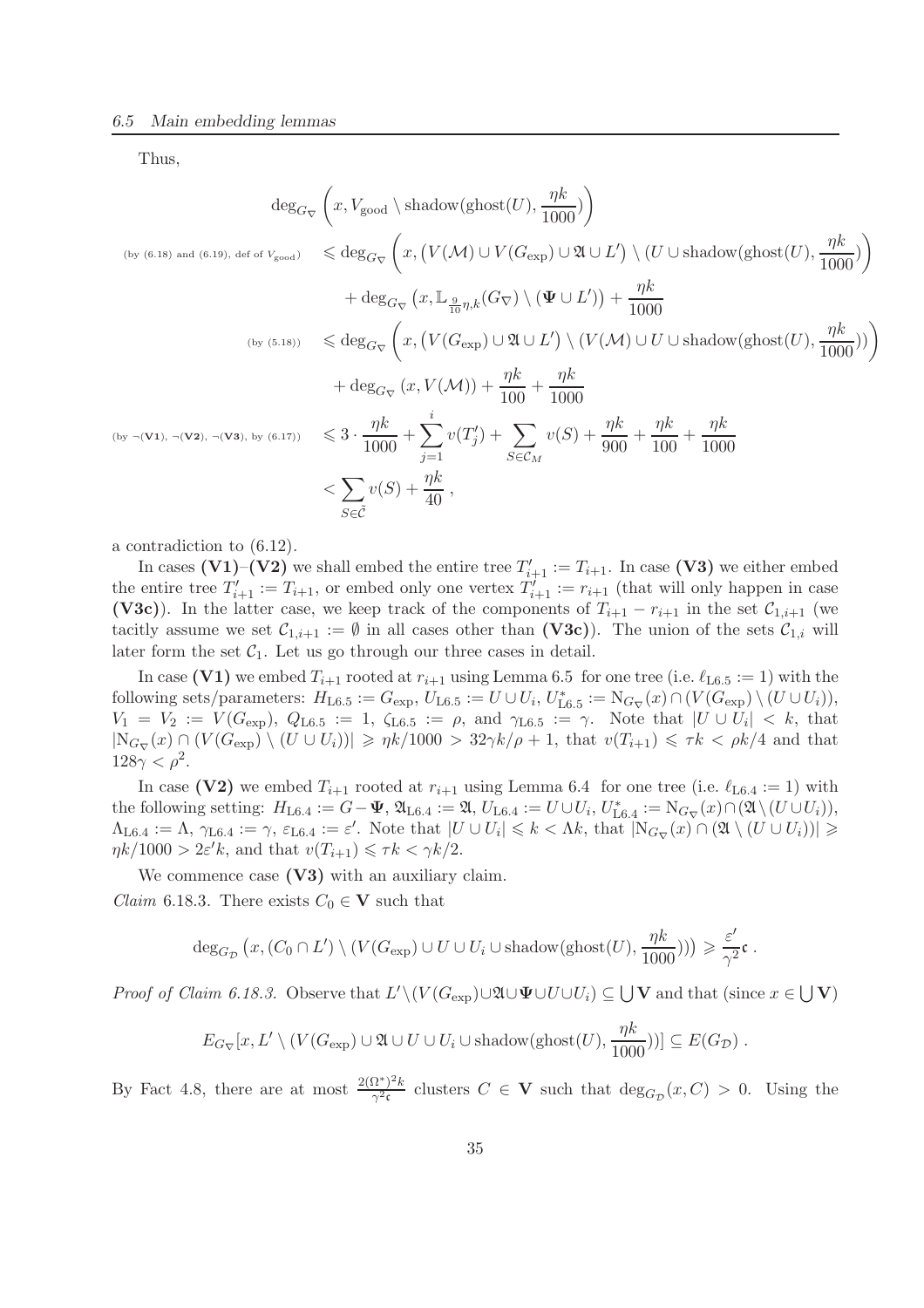Thus,

$$
\deg_{G_{\nabla}}\left(x, V_{\text{good}} \setminus \text{shadow}(\text{ghost}(U), \frac{\eta k}{1000})\right)
$$
\n
$$
\deg_{G_{\nabla}}\left(x, \left(V(\mathcal{M}) \cup V(G_{\text{exp}}) \cup \mathfrak{A} \cup L'\right) \setminus \left(U \cup \text{shadow}(\text{ghost}(U), \frac{\eta k}{1000})\right)\right)
$$
\n
$$
+ \deg_{G_{\nabla}}\left(x, \mathbb{L}_{\frac{9}{10}\eta, k}(G_{\nabla}) \setminus (\Psi \cup L')\right) + \frac{\eta k}{1000}
$$
\n
$$
\left(\log_{\left(\frac{5.18}{10}\right)}\right) \leq \deg_{G_{\nabla}}\left(x, \left(V(G_{\text{exp}}) \cup \mathfrak{A} \cup L'\right) \setminus \left(V(\mathcal{M}) \cup U \cup \text{shadow}(\text{ghost}(U), \frac{\eta k}{1000})\right)\right)
$$
\n
$$
+ \deg_{G_{\nabla}}\left(x, \left(V(G_{\text{exp}}) \cup \mathfrak{A} \cup L'\right) \setminus \left(V(\mathcal{M}) \cup U \cup \text{shadow}(\text{ghost}(U), \frac{\eta k}{1000})\right)\right)
$$
\n
$$
\left(\log_{\left(\frac{5.18}{1000}\right)}\right) \leq \frac{5.18}{1000} + \frac{5.18}{1000} + \frac{5.18}{1000} + \frac{5.18}{1000} + \frac{5.18}{1000} + \frac{5.18}{1000} + \frac{5.18}{1000} + \frac{5.18}{1000} + \frac{5.18}{1000} + \frac{5.18}{1000} + \frac{5.18}{1000} + \frac{5.18}{1000} + \frac{5.18}{1000} + \frac{5.18}{1000} + \frac{5.18}{1000} + \frac{5.18}{1000} + \frac{5.18}{1000} + \frac{5.18}{1000} + \frac{5.18}{1000} + \frac{5.18}{1000} + \frac{5.18}{1000} +
$$

a contradiction to (6.12).

In cases (V1)–(V2) we shall embed the entire tree  $T'_{i+1} := T_{i+1}$ . In case (V3) we either embed the entire tree  $T'_{i+1} := T_{i+1}$ , or embed only one vertex  $T'_{i+1} := r_{i+1}$  (that will only happen in case (V3c)). In the latter case, we keep track of the components of  $T_{i+1} - r_{i+1}$  in the set  $C_{1,i+1}$  (we tacitly assume we set  $\mathcal{C}_{1,i+1} := \emptyset$  in all cases other than  $(V3c)$ ). The union of the sets  $\mathcal{C}_{1,i}$  will later form the set  $C_1$ . Let us go through our three cases in detail.

In case (V1) we embed  $T_{i+1}$  rooted at  $r_{i+1}$  using Lemma 6.5 for one tree (i.e.  $\ell_{16.5} := 1$ ) with the following sets/parameters:  $H_{\text{L6.5}} := G_{\text{exp}}$ ,  $U_{\text{L6.5}} := U \cup U_i$ ,  $U_{\text{L6.5}}^* := \mathrm{N}_{G_{\nabla}}(x) \cap (V(G_{\text{exp}}) \setminus (U \cup U_i))$ ,  $V_1 = V_2 := V(G_{\exp}), Q_{L6.5} := 1, \zeta_{L6.5} := \rho, \text{ and } \gamma_{L6.5} := \gamma.$  Note that  $|U \cup U_i| < k$ , that  $|N_{G_{\nabla}}(x) \cap (V(G_{\text{exp}}) \setminus (U \cup U_i))| \geq \eta k/1000 > 32\gamma k/\rho + 1$ , that  $v(T_{i+1}) \leq \tau k < \rho k/4$  and that  $128\gamma < \rho^2$ .

In case (V2) we embed  $T_{i+1}$  rooted at  $r_{i+1}$  using Lemma 6.4 for one tree (i.e.  $\ell_{\text{L6.4}} := 1$ ) with the following setting:  $H_{\text{L6.4}} := G - \Psi$ ,  $\mathfrak{A}_{\text{L6.4}} := \mathfrak{A}$ ,  $U_{\text{L6.4}} := U \cup U_i$ ,  $U_{\text{L6.4}}^* := \mathrm{N}_{G_{\nabla}}(x) \cap (\mathfrak{A} \setminus (U \cup U_i))$ ,  $\Lambda_{\text{L6.4}} := \Lambda$ ,  $\gamma_{\text{L6.4}} := \gamma$ ,  $\varepsilon_{\text{L6.4}} := \varepsilon'$ . Note that  $|U \cup U_i| \leq k < \Lambda k$ , that  $|\mathrm{N}_{G_{\nabla}}(x) \cap (\mathfrak{A} \setminus (U \cup U_i))| \geq$  $\eta k/1000 > 2\varepsilon' k$ , and that  $v(T_{i+1}) \leq \tau k < \gamma k/2$ .

We commence case  $(V3)$  with an auxiliary claim. *Claim* 6.18.3. There exists  $C_0 \in V$  such that

$$
\deg_{G_{\mathcal{D}}}(x, (C_0 \cap L') \setminus (V(G_{\exp}) \cup U \cup U_i \cup \text{shadow}(\text{ghost}(U), \frac{\eta k}{1000}))) \geqslant \frac{\varepsilon'}{\gamma^2} \mathfrak{c}.
$$

*Proof of Claim 6.18.3.* Observe that  $L' \setminus (V(G_{exp}) \cup \mathfrak{A} \cup \mathbf{\Psi} \cup U \cup U_i) \subseteq \bigcup \mathbf{V}$  and that (since  $x \in \bigcup \mathbf{V}$ )

$$
E_{G_{\nabla}}[x, L' \setminus (V(G_{\exp}) \cup \mathfrak{A} \cup U \cup U_i \cup \text{shadow}(\text{ghost}(U), \frac{\eta k}{1000}))] \subseteq E(G_{\mathcal{D}}).
$$

By Fact 4.8, there are at most  $\frac{2(\Omega^*)^2 k}{\gamma^2 s}$  $\frac{\partial^2 C}{\partial x^2}$  clusters  $C \in \mathbf{V}$  such that  $\deg_{G_{\mathcal{D}}}(x, C) > 0$ . Using the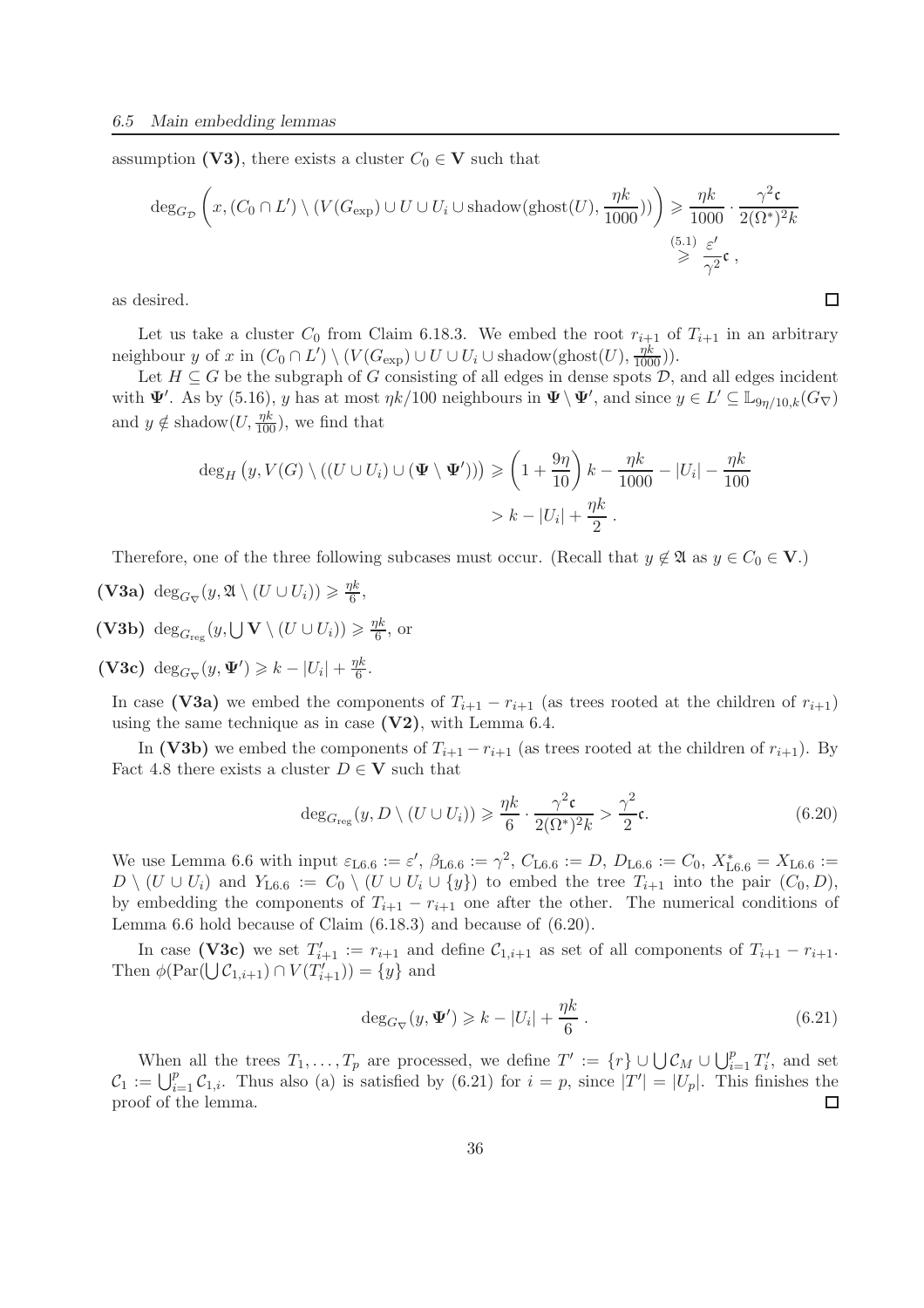assumption (V3), there exists a cluster  $C_0 \in V$  such that

$$
\deg_{G_{\mathcal{D}}}\left(x,(C_0 \cap L') \setminus (V(G_{\exp}) \cup U \cup U_i \cup \text{shadow}(\text{ghost}(U),\frac{\eta k}{1000}))\right) \geq \frac{\eta k}{1000} \cdot \frac{\gamma^2 \mathfrak{c}}{2(\Omega^*)^2 k}
$$
  

$$
\geq \frac{(5.1) \varepsilon'}{\gamma^2} \mathfrak{c},
$$

as desired.

Let us take a cluster  $C_0$  from Claim 6.18.3. We embed the root  $r_{i+1}$  of  $T_{i+1}$  in an arbitrary neighbour y of x in  $(C_0 \cap L') \setminus (V(G_{\exp}) \cup U \cup U_i \cup \text{shadow}(\text{ghost}(U), \frac{\eta k}{1000}))$ .

Let  $H \subseteq G$  be the subgraph of G consisting of all edges in dense spots  $D$ , and all edges incident with  $\Psi'$ . As by (5.16), y has at most  $\eta k/100$  neighbours in  $\Psi \setminus \Psi'$ , and since  $y \in L' \subseteq \mathbb{L}_{9\eta/10,k}(G_{\nabla})$ and  $y \notin \text{shadow}(U, \frac{\eta k}{100})$ , we find that

$$
\deg_H(y, V(G) \setminus ((U \cup U_i) \cup (\Psi \setminus \Psi'))) \ge \left(1 + \frac{9\eta}{10}\right)k - \frac{\eta k}{1000} - |U_i| - \frac{\eta k}{100}
$$
  
>  $k - |U_i| + \frac{\eta k}{2}$ .

Therefore, one of the three following subcases must occur. (Recall that  $y \notin \mathfrak{A}$  as  $y \in C_0 \in \mathbf{V}$ .)

(V3a)  $\deg_{G_{\nabla}}(y, \mathfrak{A} \setminus (U \cup U_i)) \geq \frac{\eta k}{6}$  $\frac{\hbar}{6}$ , (V3b)  $\deg_{G_{\text{reg}}}(y, \bigcup V \setminus (U \cup U_i)) \geq \frac{\eta k}{6}$  $\frac{\gamma \kappa}{6}$ , or

(V3c)  $\deg_{G_{\nabla}}(y, \Psi') \geq k - |U_i| + \frac{\eta k}{6}$  $\frac{1}{6}$ .

In case (V3a) we embed the components of  $T_{i+1} - r_{i+1}$  (as trees rooted at the children of  $r_{i+1}$ ) using the same technique as in case  $(V2)$ , with Lemma 6.4.

In (V3b) we embed the components of  $T_{i+1} - r_{i+1}$  (as trees rooted at the children of  $r_{i+1}$ ). By Fact 4.8 there exists a cluster  $D \in V$  such that

$$
\deg_{G_{\text{reg}}}(y, D \setminus (U \cup U_i)) \geq \frac{\eta k}{6} \cdot \frac{\gamma^2 \mathfrak{c}}{2(\Omega^*)^2 k} > \frac{\gamma^2}{2} \mathfrak{c}.\tag{6.20}
$$

 $\Box$ 

We use Lemma 6.6 with input  $\varepsilon_{\text{L6.6}} := \varepsilon'$ ,  $\beta_{\text{L6.6}} := \gamma^2$ ,  $C_{\text{L6.6}} := D$ ,  $D_{\text{L6.6}} := C_0$ ,  $X_{\text{L6.6}}^* = X_{\text{L6.6}} :=$  $D \setminus (U \cup U_i)$  and  $Y_{\text{L6.6}} := C_0 \setminus (U \cup U_i \cup \{y\})$  to embed the tree  $T_{i+1}$  into the pair  $(C_0, D)$ , by embedding the components of  $T_{i+1} - r_{i+1}$  one after the other. The numerical conditions of Lemma 6.6 hold because of Claim (6.18.3) and because of (6.20).

In case (V3c) we set  $T'_{i+1} := r_{i+1}$  and define  $\mathcal{C}_{1,i+1}$  as set of all components of  $T_{i+1} - r_{i+1}$ . Then  $\phi(\text{Par}(\bigcup \mathcal{C}_{1,i+1}) \cap V(T'_{i+1})) = \{y\}$  and

$$
\deg_{G_{\nabla}}(y, \Psi') \geq k - |U_i| + \frac{\eta k}{6}.
$$
\n(6.21)

When all the trees  $T_1, \ldots, T_p$  are processed, we define  $T' := \{r\} \cup \bigcup \mathcal{C}_M \cup \bigcup_{i=1}^p T'_i$ , and set  $\mathcal{C}_1 := \bigcup_{i=1}^p \mathcal{C}_{1,i}$ . Thus also (a) is satisfied by (6.21) for  $i = p$ , since  $|T'| = |U_p|$ . This finishes the proof of the lemma.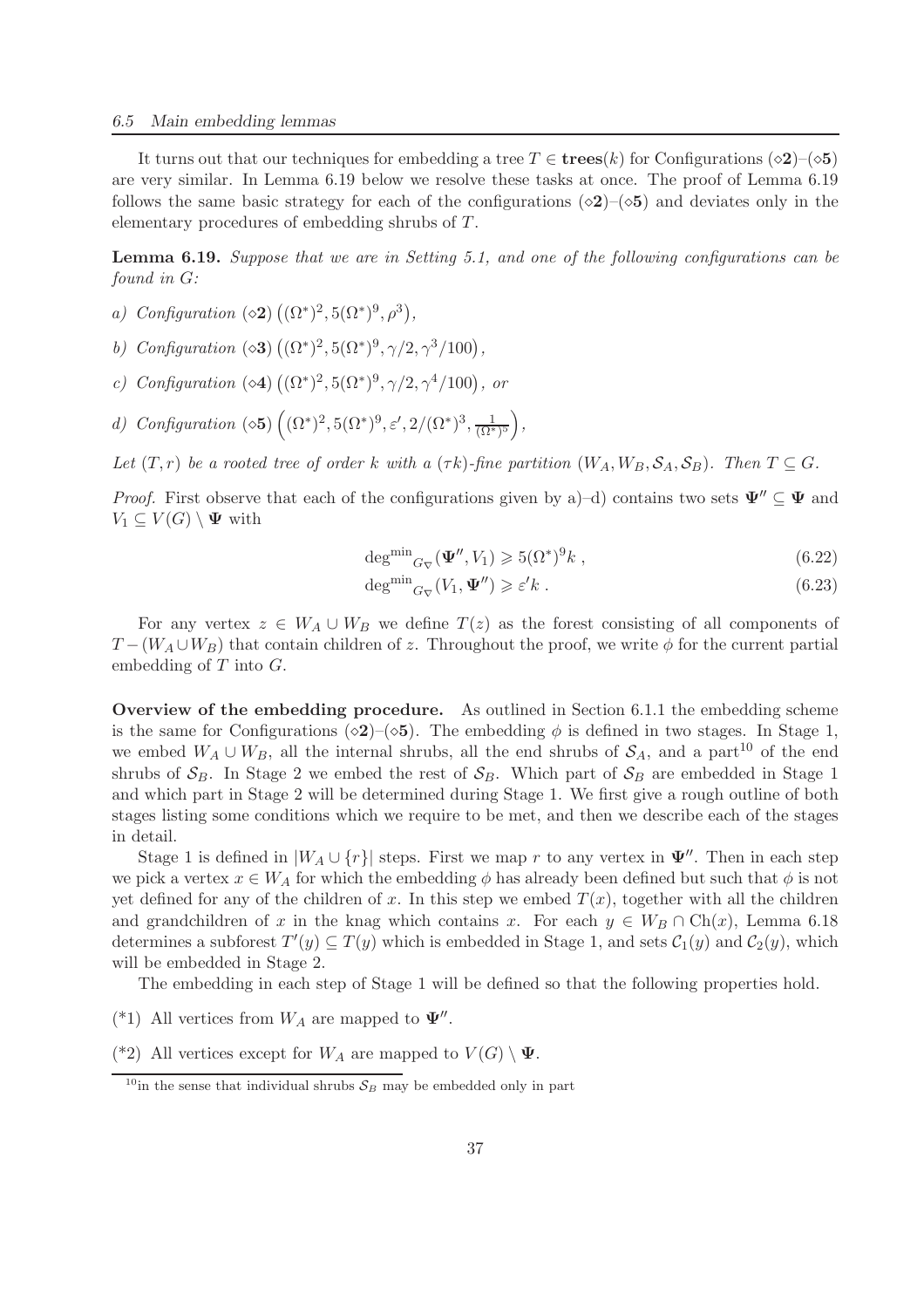It turns out that our techniques for embedding a tree  $T \in \mathbf{trees}(k)$  for Configurations ( $\diamond 2$ )–( $\diamond 5$ ) are very similar. In Lemma 6.19 below we resolve these tasks at once. The proof of Lemma 6.19 follows the same basic strategy for each of the configurations ( $\diamond 2$ )–( $\diamond 5$ ) and deviates only in the elementary procedures of embedding shrubs of T.

Lemma 6.19. *Suppose that we are in Setting 5.1, and one of the following configurations can be found in* G*:*

- *a*) *Configuration*  $(\diamond 2) ((\Omega^*)^2, 5(\Omega^*)^9, \rho^3)$ ,
- *b*) *Configuration* ( $\infty$ 3)  $((\Omega^*)^2, 5(\Omega^*)^9, \gamma/2, \gamma^3/100),$
- *c*) *Configuration* ( $\infty$ 4)  $((\Omega^*)^2, 5(\Omega^*)^9, \gamma/2, \gamma^4/100)$ , *or*
- *d)* Configuration ( $\infty$ **5**)  $((\Omega^*)^2, 5(\Omega^*)^9, \varepsilon', 2/(\Omega^*)^3, \frac{1}{(\Omega^*)^5}),$

*Let*  $(T, r)$  *be a rooted tree of order* k *with a*  $(\tau k)$ *-fine partition*  $(W_A, W_B, \mathcal{S}_A, \mathcal{S}_B)$ *. Then*  $T \subseteq G$ *.* 

*Proof.* First observe that each of the configurations given by a)–d) contains two sets  $\Psi'' \subseteq \Psi$  and  $V_1 \subseteq V(G) \setminus \mathbf{\Psi}$  with

$$
\deg^{\min}{}_{G_{\nabla}}(\Psi'', V_1) \geqslant 5(\Omega^*)^9 k \;, \tag{6.22}
$$

$$
\deg^{\min}{}_{G_{\nabla}}(V_1, \Psi'') \geqslant \varepsilon' k . \tag{6.23}
$$

For any vertex  $z \in W_A \cup W_B$  we define  $T(z)$  as the forest consisting of all components of  $T-(W_A\cup W_B)$  that contain children of z. Throughout the proof, we write  $\phi$  for the current partial embedding of  $T$  into  $G$ .

Overview of the embedding procedure. As outlined in Section 6.1.1 the embedding scheme is the same for Configurations ( $\diamond 2$ )–( $\diamond 5$ ). The embedding  $\phi$  is defined in two stages. In Stage 1, we embed  $W_A \cup W_B$ , all the internal shrubs, all the end shrubs of  $S_A$ , and a part<sup>10</sup> of the end shrubs of  $S_B$ . In Stage 2 we embed the rest of  $S_B$ . Which part of  $S_B$  are embedded in Stage 1 and which part in Stage 2 will be determined during Stage 1. We first give a rough outline of both stages listing some conditions which we require to be met, and then we describe each of the stages in detail.

Stage 1 is defined in  $|W_A \cup \{r\}|$  steps. First we map r to any vertex in  $\Psi''$ . Then in each step we pick a vertex  $x \in W_A$  for which the embedding  $\phi$  has already been defined but such that  $\phi$  is not yet defined for any of the children of x. In this step we embed  $T(x)$ , together with all the children and grandchildren of x in the knag which contains x. For each  $y \in W_B \cap Ch(x)$ , Lemma 6.18 determines a subforest  $T'(y) \subseteq T(y)$  which is embedded in Stage 1, and sets  $C_1(y)$  and  $C_2(y)$ , which will be embedded in Stage 2.

The embedding in each step of Stage 1 will be defined so that the following properties hold.

- (\*1) All vertices from  $W_A$  are mapped to  $\Psi''$ .
- (\*2) All vertices except for  $W_A$  are mapped to  $V(G) \setminus \Psi$ .

<sup>&</sup>lt;sup>10</sup>in the sense that individual shrubs  $S_B$  may be embedded only in part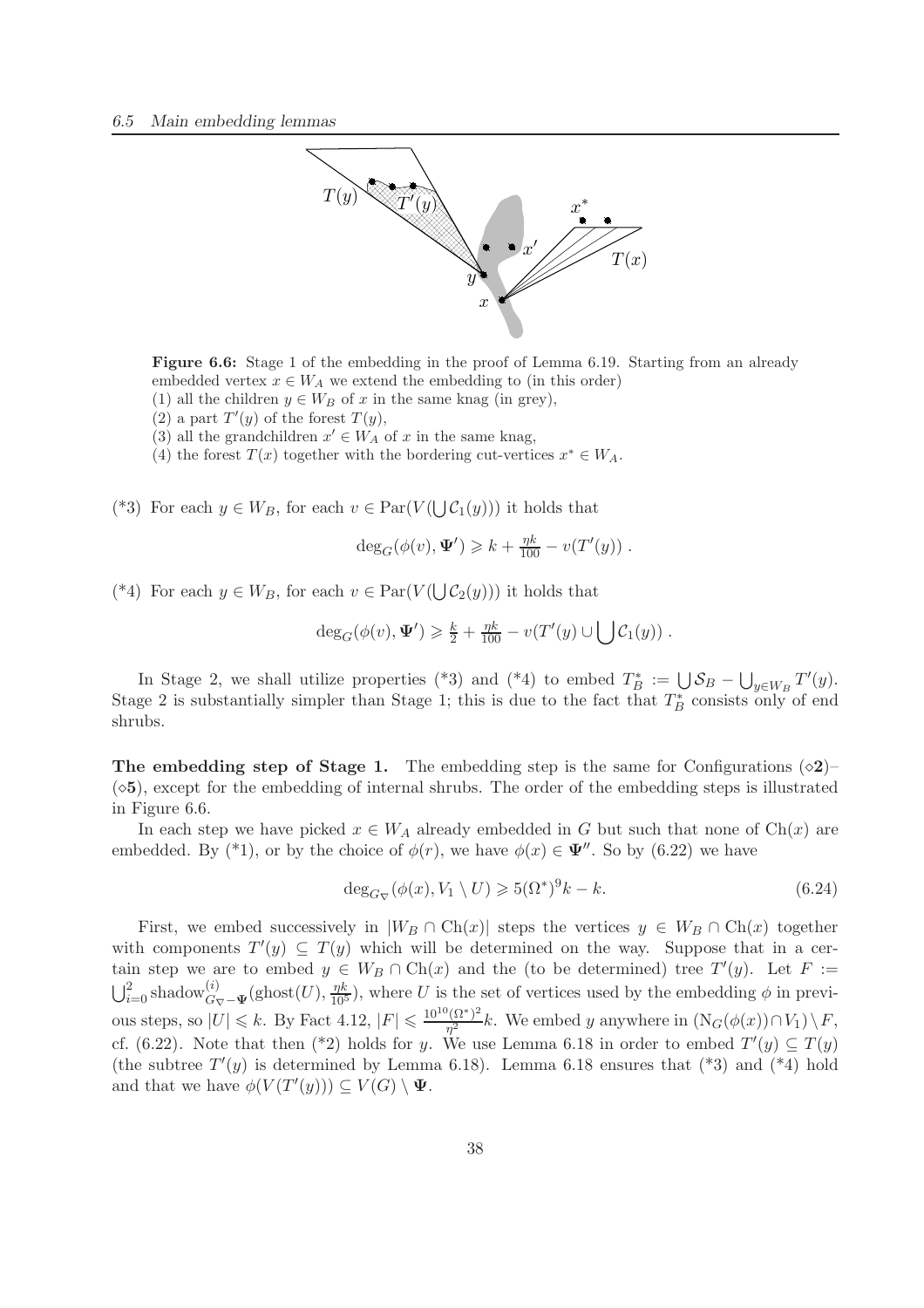

Figure 6.6: Stage 1 of the embedding in the proof of Lemma 6.19. Starting from an already embedded vertex  $x \in W_A$  we extend the embedding to (in this order)

- (1) all the children  $y \in W_B$  of x in the same knag (in grey),
- $(2)$  a part  $T'(y)$  of the forest  $T(y)$ ,
- (3) all the grandchildren  $x' \in W_A$  of x in the same knag,
- (4) the forest  $T(x)$  together with the bordering cut-vertices  $x^* \in W_A$ .

(\*3) For each  $y \in W_B$ , for each  $v \in \text{Par}(V(\bigcup \mathcal{C}_1(y)))$  it holds that

$$
\deg_G(\phi(v), \Psi') \geq k + \frac{\eta k}{100} - v(T'(y)) .
$$

(\*4) For each  $y \in W_B$ , for each  $v \in \text{Par}(V(\bigcup \mathcal{C}_2(y)))$  it holds that

$$
\deg_G(\phi(v), \Psi') \geq \frac{k}{2} + \frac{\eta k}{100} - v(T'(y) \cup \bigcup \mathcal{C}_1(y)).
$$

In Stage 2, we shall utilize properties (\*3) and (\*4) to embed  $T_B^* := \bigcup \mathcal{S}_B - \bigcup_{y \in W_B} T'(y)$ . Stage 2 is substantially simpler than Stage 1; this is due to the fact that  $T_B^*$  consists only of end shrubs.

The embedding step of Stage 1. The embedding step is the same for Configurations  $(\diamond 2)$ –  $(\diamond 5)$ , except for the embedding of internal shrubs. The order of the embedding steps is illustrated in Figure 6.6.

In each step we have picked  $x \in W_A$  already embedded in G but such that none of Ch(x) are embedded. By (\*1), or by the choice of  $\phi(r)$ , we have  $\phi(x) \in \Psi''$ . So by (6.22) we have

$$
\deg_{G_{\nabla}}(\phi(x), V_1 \setminus U) \geqslant 5(\Omega^*)^9 k - k. \tag{6.24}
$$

First, we embed successively in  $|W_B \cap Ch(x)|$  steps the vertices  $y \in W_B \cap Ch(x)$  together with components  $T'(y) \subseteq T(y)$  which will be determined on the way. Suppose that in a certain step we are to embed  $y \in W_B \cap \text{Ch}(x)$  and the (to be determined) tree  $T'(y)$ . Let  $F :=$  $\bigcup_{i=0}^{2}$  shadow $\bigodot_{G_{\nabla}}^{(i)}$  (ghost $(U)$ ,  $\frac{\eta k}{10^5}$ ), where U is the set of vertices used by the embedding  $\phi$  in previous steps, so  $|U| \le k$ . By Fact 4.12,  $|F| \le \frac{10^{10} (\Omega^*)^2}{\eta^2}$  $\frac{(3i)}{\eta^2}$  k. We embed y anywhere in  $(N_G(\phi(x)) \cap V_1) \setminus F$ , cf. (6.22). Note that then (\*2) holds for y. We use Lemma 6.18 in order to embed  $T'(y) \subseteq T(y)$ (the subtree  $T'(y)$  is determined by Lemma 6.18). Lemma 6.18 ensures that  $(*3)$  and  $(*4)$  hold and that we have  $\phi(V(T'(y))) \subseteq V(G) \setminus \Psi$ .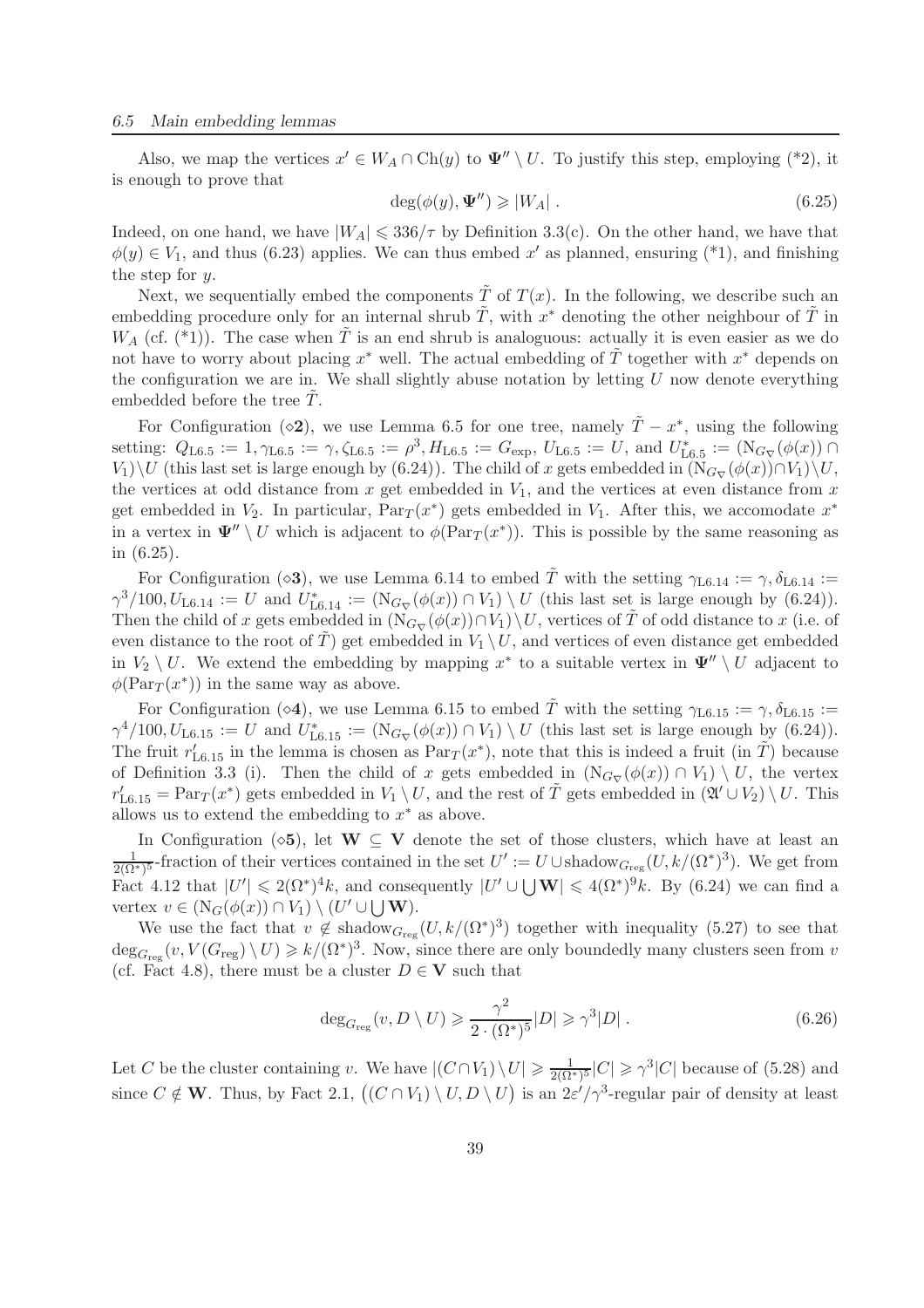Also, we map the vertices  $x' \in W_A \cap Ch(y)$  to  $\Psi'' \setminus U$ . To justify this step, employing (\*2), it is enough to prove that

$$
\deg(\phi(y), \Psi'') \geqslant |W_A| \tag{6.25}
$$

Indeed, on one hand, we have  $|W_A| \leq 336/\tau$  by Definition 3.3(c). On the other hand, we have that  $\phi(y) \in V_1$ , and thus (6.23) applies. We can thus embed x' as planned, ensuring (\*1), and finishing the step for  $y$ .

Next, we sequentially embed the components  $\tilde{T}$  of  $T(x)$ . In the following, we describe such an embedding procedure only for an internal shrub  $\tilde{T}$ , with  $x^*$  denoting the other neighbour of  $\tilde{T}$  in  $W_A$  (cf. (\*1)). The case when  $\tilde{T}$  is an end shrub is analoguous: actually it is even easier as we do not have to worry about placing  $x^*$  well. The actual embedding of  $\tilde{T}$  together with  $x^*$  depends on the configuration we are in. We shall slightly abuse notation by letting  $U$  now denote everything embedded before the tree  $T$ .

For Configuration ( $\diamond$ 2), we use Lemma 6.5 for one tree, namely  $\tilde{T} - x^*$ , using the following setting:  $Q_{\text{L6.5}} := 1, \gamma_{\text{L6.5}} := \gamma, \zeta_{\text{L6.5}} := \rho^3, H_{\text{L6.5}} := G_{\text{exp}}, U_{\text{L6.5}} := U$ , and  $U_{\text{L6.5}}^* := (\text{N}_{G_{\nabla}}(\phi(x))) \cap$  $V_1\setminus U$  (this last set is large enough by (6.24)). The child of x gets embedded in  $(N_{G_{\nabla}}(\phi(x))\cap V_1)\setminus U$ , the vertices at odd distance from x get embedded in  $V_1$ , and the vertices at even distance from x get embedded in  $V_2$ . In particular,  $Par_T(x^*)$  gets embedded in  $V_1$ . After this, we accomodate  $x^*$ in a vertex in  $\Psi'' \setminus U$  which is adjacent to  $\phi(\text{Par}_{T}(x^*))$ . This is possible by the same reasoning as in (6.25).

For Configuration ( $\infty$ 3), we use Lemma 6.14 to embed  $\tilde{T}$  with the setting  $\gamma_{L6.14} := \gamma$ ,  $\delta_{L6.14} :=$  $\gamma^3/100, U_{\text{L}6.14} := U$  and  $U_{\text{L}6.14}^* := (\text{N}_{G_{\nabla}}(\phi(x)) \cap V_1) \setminus U$  (this last set is large enough by (6.24)). Then the child of x gets embedded in  $(N_{G_{\nabla}}(\phi(x)) \cap V_1) \setminus U$ , vertices of  $\tilde{T}$  of odd distance to x (i.e. of even distance to the root of  $\hat{T}$ ) get embedded in  $V_1 \setminus U$ , and vertices of even distance get embedded in  $V_2 \setminus U$ . We extend the embedding by mapping  $x^*$  to a suitable vertex in  $\Psi'' \setminus U$  adjacent to  $\phi(\text{Par}_{T}(x^*))$  in the same way as above.

For Configuration ( $\circ$ 4), we use Lemma 6.15 to embed  $\tilde{T}$  with the setting  $\gamma_{L6.15} := \gamma$ ,  $\delta_{L6.15} :=$  $\gamma^4/100, U_{\text{L}6.15} := U$  and  $U_{\text{L}6.15}^* := (\text{N}_{G_{\nabla}}(\phi(x)) \cap V_1) \setminus U$  (this last set is large enough by (6.24)). The fruit  $r'_{16,15}$  in the lemma is chosen as  $Par_T(x^*)$ , note that this is indeed a fruit (in  $\tilde{T}$ ) because of Definition 3.3 (i). Then the child of x gets embedded in  $(N_{G_{\nabla}}(\phi(x)) \cap V_1) \setminus U$ , the vertex  $r'_{16.15} = \text{Par}_{T}(x^*)$  gets embedded in  $V_1 \setminus U$ , and the rest of  $\tilde{T}$  gets embedded in  $(\mathfrak{A}' \cup V_2) \setminus U$ . This allows us to extend the embedding to  $x^*$  as above.

In Configuration ( $\diamond$ 5), let W  $\subseteq$  V denote the set of those clusters, which have at least an  $\frac{1}{2(\Omega^*)^5}$ -fraction of their vertices contained in the set  $U' := U \cup \text{shadow}_{G_{reg}}(U, k/(\Omega^*)^3)$ . We get from Fact 4.12 that  $|U'| \leqslant 2(\Omega^*)^4 k$ , and consequently  $|U' \cup \bigcup W| \leqslant 4(\Omega^*)^9 k$ . By (6.24) we can find a vertex  $v \in (\mathcal{N}_G(\phi(x)) \cap V_1) \setminus (U' \cup \bigcup \mathbf{W}).$ 

We use the fact that  $v \notin \text{shadow}_{G_{\text{reg}}}(U, k/(\Omega^*)^3)$  together with inequality (5.27) to see that  $\deg_{G_{\text{reg}}}(v, V(G_{\text{reg}}) \setminus U) \geq k/(\Omega^*)^3$ . Now, since there are only boundedly many clusters seen from v (cf. Fact 4.8), there must be a cluster  $D \in V$  such that

$$
\deg_{G_{\text{reg}}}(v, D \setminus U) \geqslant \frac{\gamma^2}{2 \cdot (\Omega^*)^5} |D| \geqslant \gamma^3 |D| \ . \tag{6.26}
$$

Let C be the cluster containing v. We have  $|(C \cap V_1) \setminus U| \geq \frac{1}{2(\Omega^*)^5}|C| \geq \gamma^3|C|$  because of (5.28) and since  $C \notin \mathbf{W}$ . Thus, by Fact 2.1,  $((C \cap V_1) \setminus U, D \setminus U)$  is an  $2\varepsilon'/\gamma^3$ -regular pair of density at least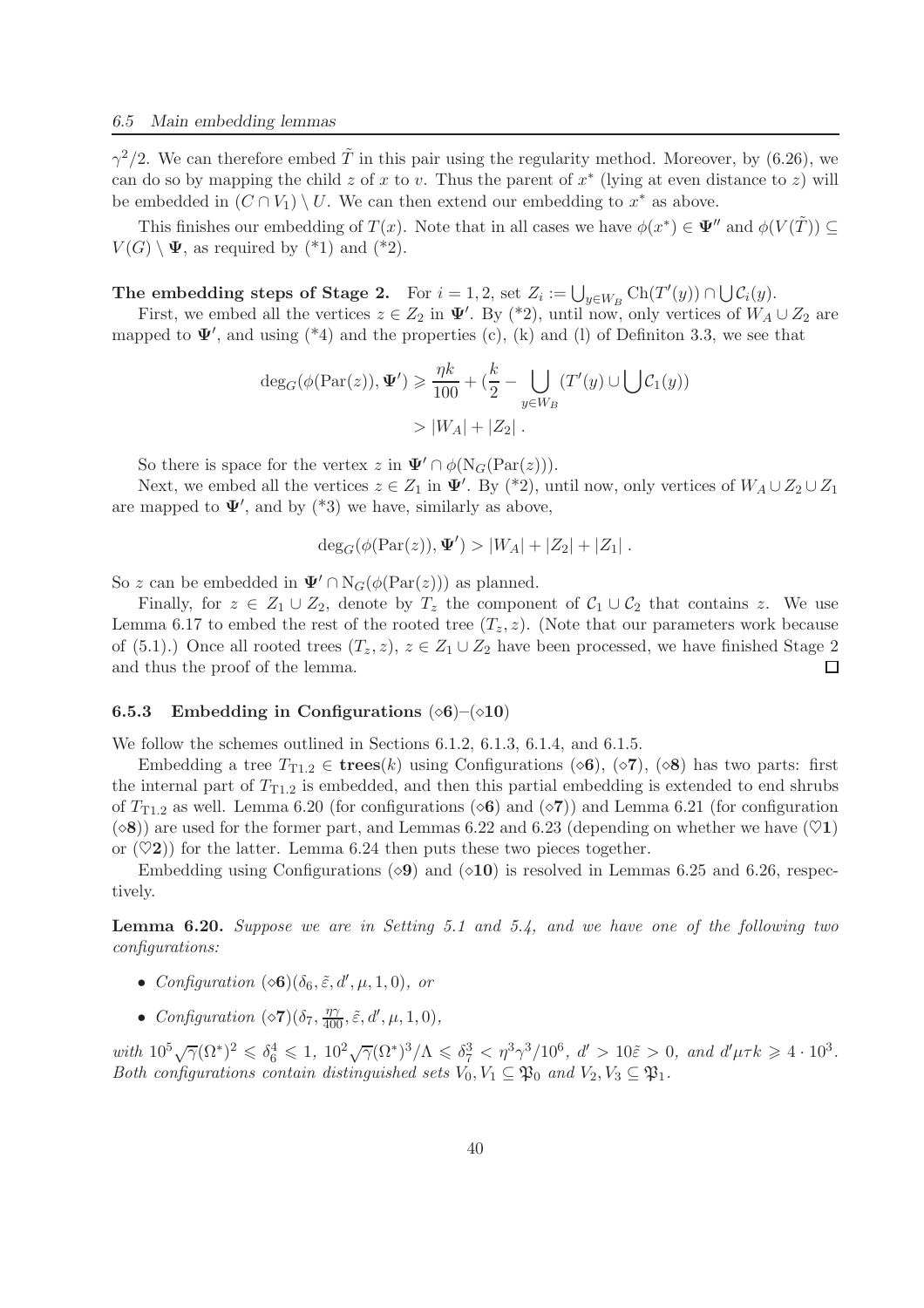$\gamma^2/2$ . We can therefore embed  $\tilde{T}$  in this pair using the regularity method. Moreover, by (6.26), we can do so by mapping the child z of x to v. Thus the parent of  $x^*$  (lying at even distance to z) will be embedded in  $(C \cap V_1) \setminus U$ . We can then extend our embedding to  $x^*$  as above.

This finishes our embedding of  $T(x)$ . Note that in all cases we have  $\phi(x^*) \in \Psi''$  and  $\phi(V(\tilde{T})) \subseteq$  $V(G) \setminus \Psi$ , as required by  $(*1)$  and  $(*2)$ .

# The embedding steps of Stage 2. For  $i = 1, 2$ , set  $Z_i := \bigcup_{y \in W_B} \text{Ch}(T'(y)) \cap \bigcup \mathcal{C}_i(y)$ .

First, we embed all the vertices  $z \in Z_2$  in  $\Psi'$ . By (\*2), until now, only vertices of  $W_A \cup Z_2$  are mapped to  $\Psi'$ , and using (\*4) and the properties (c), (k) and (l) of Definiton 3.3, we see that

$$
\deg_G(\phi(\text{Par}(z)), \Psi') \ge \frac{\eta k}{100} + \left(\frac{k}{2} - \bigcup_{y \in W_B} (T'(y) \cup \bigcup \mathcal{C}_1(y))\right)
$$

$$
> |W_A| + |Z_2|.
$$

So there is space for the vertex z in  $\Psi' \cap \phi(N_G(\text{Par}(z))).$ 

Next, we embed all the vertices  $z \in Z_1$  in  $\Psi'$ . By (\*2), until now, only vertices of  $W_A \cup Z_2 \cup Z_1$ are mapped to  $\Psi'$ , and by  $(*3)$  we have, similarly as above,

$$
\deg_G(\phi(\text{Par}(z)), \Psi') > |W_A| + |Z_2| + |Z_1|.
$$

So z can be embedded in  $\Psi' \cap N_G(\phi(\text{Par}(z)))$  as planned.

Finally, for  $z \in Z_1 \cup Z_2$ , denote by  $T_z$  the component of  $C_1 \cup C_2$  that contains z. We use Lemma 6.17 to embed the rest of the rooted tree  $(T_z, z)$ . (Note that our parameters work because of (5.1).) Once all rooted trees  $(T_z, z)$ ,  $z \in Z_1 \cup Z_2$  have been processed, we have finished Stage 2 and thus the proof of the lemma. and thus the proof of the lemma.

#### 6.5.3 Embedding in Configurations  $(\diamond 6)$ – $(\diamond 10)$

We follow the schemes outlined in Sections 6.1.2, 6.1.3, 6.1.4, and 6.1.5.

Embedding a tree  $T_{T1.2} \in \mathbf{trees}(k)$  using Configurations ( $\diamond$ 6), ( $\diamond$ 7), ( $\diamond$ 8) has two parts: first the internal part of  $T_{T1,2}$  is embedded, and then this partial embedding is extended to end shrubs of  $T_{T1,2}$  as well. Lemma 6.20 (for configurations ( $\diamond$ 6) and ( $\diamond$ 7)) and Lemma 6.21 (for configuration  $(\diamond 8)$  are used for the former part, and Lemmas 6.22 and 6.23 (depending on whether we have  $(\heartsuit 1)$ ) or  $(\heartsuit 2)$  for the latter. Lemma 6.24 then puts these two pieces together.

Embedding using Configurations ( $\Diamond$ 9) and ( $\Diamond$ 10) is resolved in Lemmas 6.25 and 6.26, respectively.

Lemma 6.20. *Suppose we are in Setting 5.1 and 5.4, and we have one of the following two configurations:*

- *Configuration*  $(\diamond \mathbf{6}) (\delta_6, \tilde{\varepsilon}, d', \mu, 1, 0)$ *, or*
- *Configuration*  $(\diamond 7)(\delta_7, \frac{\eta \gamma}{400}, \tilde{\varepsilon}, d', \mu, 1, 0),$

 $with 10^5 \sqrt{\gamma} (\Omega^*)^2 \leq \delta_6^4 \leq 1, 10^2 \sqrt{\gamma} (\Omega^*)^3/\Lambda \leq \delta_7^3 < \eta^3 \gamma^3/10^6, d' > 10 \tilde{\varepsilon} > 0, and d' \mu \tau k \geq 4 \cdot 10^3.$ *Both configurations contain distinguished sets*  $V_0, V_1 \subseteq \mathfrak{P}_0$  *and*  $V_2, V_3 \subseteq \mathfrak{P}_1$ .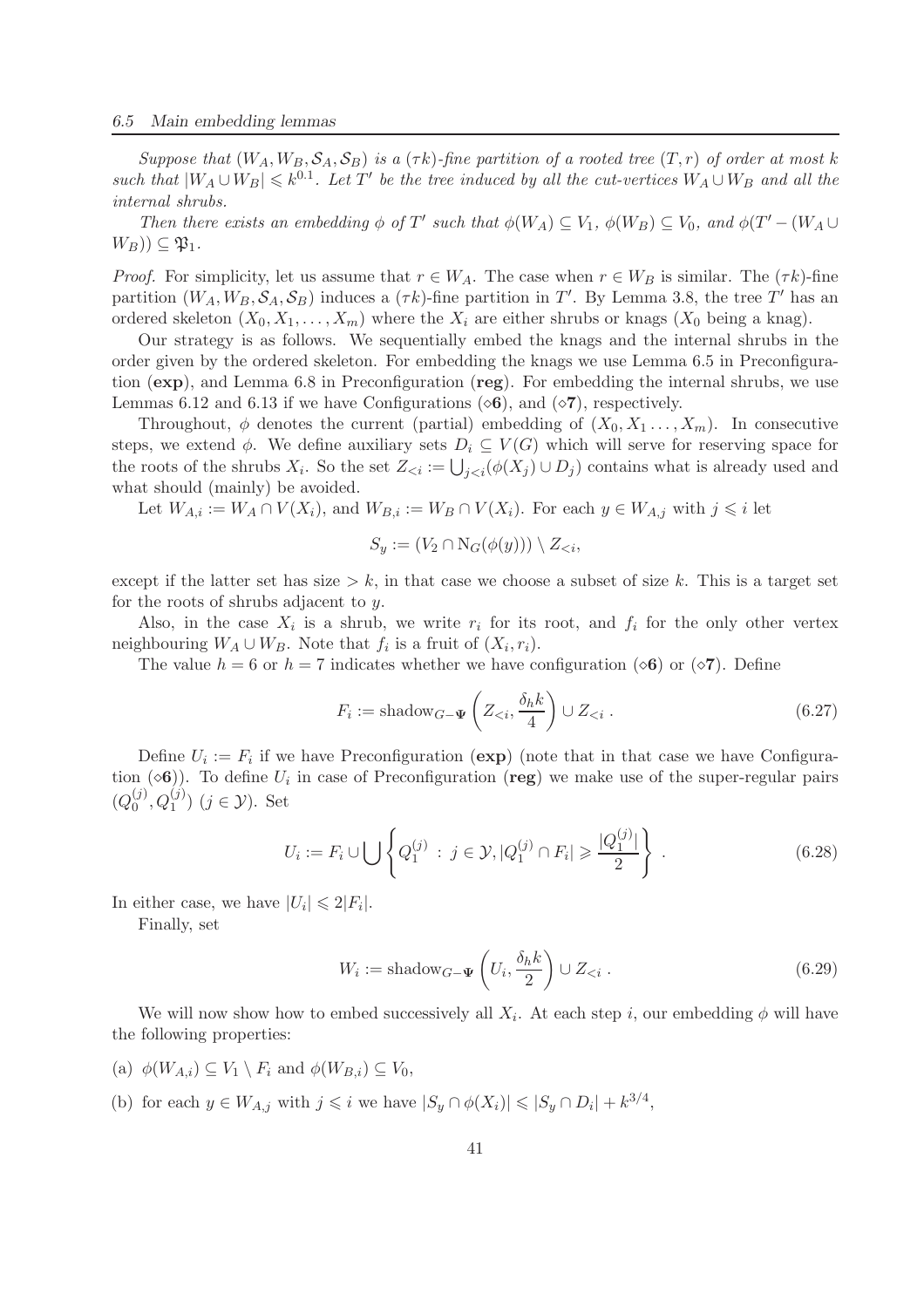*Suppose that*  $(W_A, W_B, \mathcal{S}_A, \mathcal{S}_B)$  *is a*  $(\tau k)$ *-fine partition of a rooted tree*  $(T, r)$  *of order at most* k *such that*  $|W_A \cup W_B| \leq k^{0.1}$ *. Let*  $T'$  *be the tree induced by all the cut-vertices*  $W_A \cup W_B$  *and all the internal shrubs.*

*Then there exists an embedding*  $\phi$  *of*  $T'$  *such that*  $\phi(W_A) \subseteq V_1$ ,  $\phi(W_B) \subseteq V_0$ *, and*  $\phi(T' - (W_A \cup V_A))$  $W_B$ ))  $\subseteq$   $\mathfrak{P}_1$ .

*Proof.* For simplicity, let us assume that  $r \in W_A$ . The case when  $r \in W_B$  is similar. The  $(\tau k)$ -fine partition  $(W_A, W_B, \mathcal{S}_A, \mathcal{S}_B)$  induces a  $(\tau k)$ -fine partition in T'. By Lemma 3.8, the tree T' has an ordered skeleton  $(X_0, X_1, \ldots, X_m)$  where the  $X_i$  are either shrubs or knags  $(X_0$  being a knag).

Our strategy is as follows. We sequentially embed the knags and the internal shrubs in the order given by the ordered skeleton. For embedding the knags we use Lemma 6.5 in Preconfiguration (exp), and Lemma 6.8 in Preconfiguration (reg). For embedding the internal shrubs, we use Lemmas 6.12 and 6.13 if we have Configurations ( $\circ$ 6), and ( $\circ$ 7), respectively.

Throughout,  $\phi$  denotes the current (partial) embedding of  $(X_0, X_1, \ldots, X_m)$ . In consecutive steps, we extend  $\phi$ . We define auxiliary sets  $D_i \subseteq V(G)$  which will serve for reserving space for the roots of the shrubs  $X_i$ . So the set  $Z_{\leq i} := \bigcup_{j \leq i} (\phi(X_j) \cup D_j)$  contains what is already used and what should (mainly) be avoided.

Let  $W_{A,i} := W_A \cap V(X_i)$ , and  $W_{B,i} := W_B \cap V(X_i)$ . For each  $y \in W_{A,i}$  with  $j \leq i$  let

$$
S_y := (V_2 \cap \mathrm{N}_G(\phi(y))) \setminus Z_{< i},
$$

except if the latter set has size  $> k$ , in that case we choose a subset of size k. This is a target set for the roots of shrubs adjacent to y.

Also, in the case  $X_i$  is a shrub, we write  $r_i$  for its root, and  $f_i$  for the only other vertex neighbouring  $W_A \cup W_B$ . Note that  $f_i$  is a fruit of  $(X_i, r_i)$ .

The value  $h = 6$  or  $h = 7$  indicates whether we have configuration ( $\infty$ 6) or ( $\infty$ 7). Define

$$
F_i := \text{shadow}_{G-\Psi}\left(Z_{< i}, \frac{\delta_h k}{4}\right) \cup Z_{< i} \,. \tag{6.27}
$$

Define  $U_i := F_i$  if we have Preconfiguration  $(\exp)$  (note that in that case we have Configuration ( $\langle \bullet \bullet \rangle$ ). To define  $U_i$  in case of Preconfiguration (**reg**) we make use of the super-regular pairs  $(Q_0^{(j)}$  $_0^{(j)}, Q_1^{(j)})$   $(j \in \mathcal{Y})$ . Set

$$
U_i := F_i \cup \bigcup \left\{ Q_1^{(j)} : j \in \mathcal{Y}, |Q_1^{(j)} \cap F_i| \geqslant \frac{|Q_1^{(j)}|}{2} \right\} . \tag{6.28}
$$

In either case, we have  $|U_i| \leq 2|F_i|$ .

Finally, set

$$
W_i := \text{shadow}_{G-\Psi}\left(U_i, \frac{\delta_h k}{2}\right) \cup Z_{\leq i} . \tag{6.29}
$$

We will now show how to embed successively all  $X_i$ . At each step i, our embedding  $\phi$  will have the following properties:

- (a)  $\phi(W_{A,i}) \subseteq V_1 \setminus F_i$  and  $\phi(W_{B,i}) \subseteq V_0$ ,
- (b) for each  $y \in W_{A,j}$  with  $j \leq i$  we have  $|S_y \cap \phi(X_i)| \leq |S_y \cap D_i| + k^{3/4}$ ,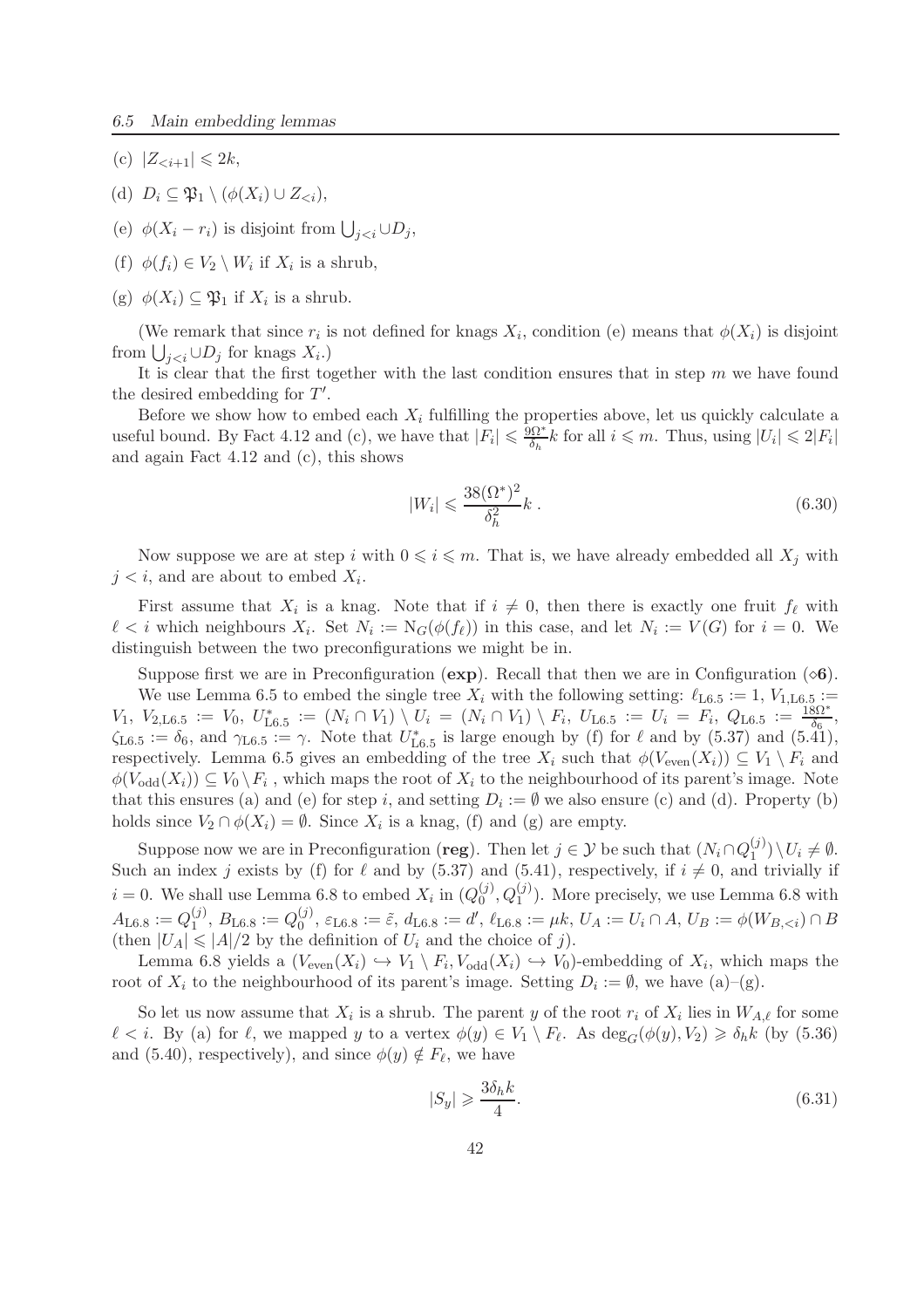- (c)  $|Z_{\leq i+1}| \leq 2k$ ,
- (d)  $D_i \subseteq \mathfrak{P}_1 \setminus (\phi(X_i) \cup Z_{\leq i}),$
- (e)  $\phi(X_i r_i)$  is disjoint from  $\bigcup_{j < i} \cup D_j$ ,
- (f)  $\phi(f_i) \in V_2 \setminus W_i$  if  $X_i$  is a shrub,
- (g)  $\phi(X_i) \subseteq \mathfrak{P}_1$  if  $X_i$  is a shrub.

(We remark that since  $r_i$  is not defined for knags  $X_i$ , condition (e) means that  $\phi(X_i)$  is disjoint from  $\bigcup_{j for knags  $X_i$ .)$ 

It is clear that the first together with the last condition ensures that in step  $m$  we have found the desired embedding for  $T'$ .

Before we show how to embed each  $X_i$  fulfilling the properties above, let us quickly calculate a useful bound. By Fact 4.12 and (c), we have that  $|\overline{F}_i| \leq \frac{\overline{9}\Omega^*}{\delta_h}$  $\frac{\delta h l^*}{\delta_h} k$  for all  $i \leq m$ . Thus, using  $|U_i| \leq 2|F_i|$ and again Fact 4.12 and (c), this shows

$$
|W_i| \leqslant \frac{38(\Omega^*)^2}{\delta_h^2} k \,. \tag{6.30}
$$

Now suppose we are at step i with  $0 \leq i \leq m$ . That is, we have already embedded all  $X_i$  with  $j < i$ , and are about to embed  $X_i$ .

First assume that  $X_i$  is a knag. Note that if  $i \neq 0$ , then there is exactly one fruit  $f_{\ell}$  with  $\ell < i$  which neighbours  $X_i$ . Set  $N_i := N_G(\phi(f_\ell))$  in this case, and let  $N_i := V(G)$  for  $i = 0$ . We distinguish between the two preconfigurations we might be in.

Suppose first we are in Preconfiguration ( $exp$ ). Recall that then we are in Configuration ( $\diamond$ 6).

We use Lemma 6.5 to embed the single tree  $X_i$  with the following setting:  $\ell_{\text{L6.5}} := 1, V_{1,\text{L6.5}} :=$  $V_1, V_{2,\text{L6.5}} := V_0, U_{\text{L6.5}}^* := (N_i \cap V_1) \setminus U_i = (N_i \cap V_1) \setminus F_i, U_{\text{L6.5}} := U_i = F_i, Q_{\text{L6.5}} := \frac{18\Omega^*}{\delta_6},$  $\zeta_{\text{L6.5}} := \delta_6$ , and  $\gamma_{\text{L6.5}} := \gamma$ . Note that  $U_{\text{L6.5}}^*$  is large enough by (f) for  $\ell$  and by (5.37) and (5.41), respectively. Lemma 6.5 gives an embedding of the tree  $X_i$  such that  $\phi(V_{\text{even}}(X_i)) \subseteq V_1 \setminus F_i$  and  $\phi(V_{odd}(X_i)) \subseteq V_0 \setminus F_i$ , which maps the root of  $X_i$  to the neighbourhood of its parent's image. Note that this ensures (a) and (e) for step i, and setting  $D_i := \emptyset$  we also ensure (c) and (d). Property (b) holds since  $V_2 \cap \phi(X_i) = \emptyset$ . Since  $X_i$  is a knag, (f) and (g) are empty.

Suppose now we are in Preconfiguration (**reg**). Then let  $j \in \mathcal{Y}$  be such that  $(N_i \cap Q_1^{(j)})$  $\binom{U}{1} \setminus U_i \neq \emptyset.$ Such an index j exists by (f) for  $\ell$  and by (5.37) and (5.41), respectively, if  $i \neq 0$ , and trivially if  $i = 0$ . We shall use Lemma 6.8 to embed  $X_i$  in  $(Q_0^{(j)})$  $(0, 0, Q_1^{(j)})$ . More precisely, we use Lemma 6.8 with  $A_\mathrm{L6.8}:=Q_{1}^{(j)}$  $_{1}^{(j)}, B_{\text{L6.8}} := Q_{0}^{(j)}$  $\mathcal{O}'$ ,  $\varepsilon_{\text{L}6.8} := \tilde{\varepsilon}, d_{\text{L}6.8} := d', \ell_{\text{L}6.8} := \mu k, U_A := U_i \cap A, U_B := \phi(W_{B, < i}) \cap B$ (then  $|U_A| \leq |A|/2$  by the definition of  $U_i$  and the choice of j).

Lemma 6.8 yields a  $(V_{even}(X_i) \hookrightarrow V_1 \setminus F_i, V_{odd}(X_i) \hookrightarrow V_0)$ -embedding of  $X_i$ , which maps the root of  $X_i$  to the neighbourhood of its parent's image. Setting  $D_i := \emptyset$ , we have  $(a)$ - $(g)$ .

So let us now assume that  $X_i$  is a shrub. The parent y of the root  $r_i$  of  $X_i$  lies in  $W_{A,\ell}$  for some  $\ell < i$ . By (a) for  $\ell$ , we mapped y to a vertex  $\phi(y) \in V_1 \setminus F_{\ell}$ . As  $\deg_G(\phi(y), V_2) \geq \delta_h k$  (by (5.36) and (5.40), respectively), and since  $\phi(y) \notin F_{\ell}$ , we have

$$
|S_y| \geqslant \frac{3\delta_h k}{4}.\tag{6.31}
$$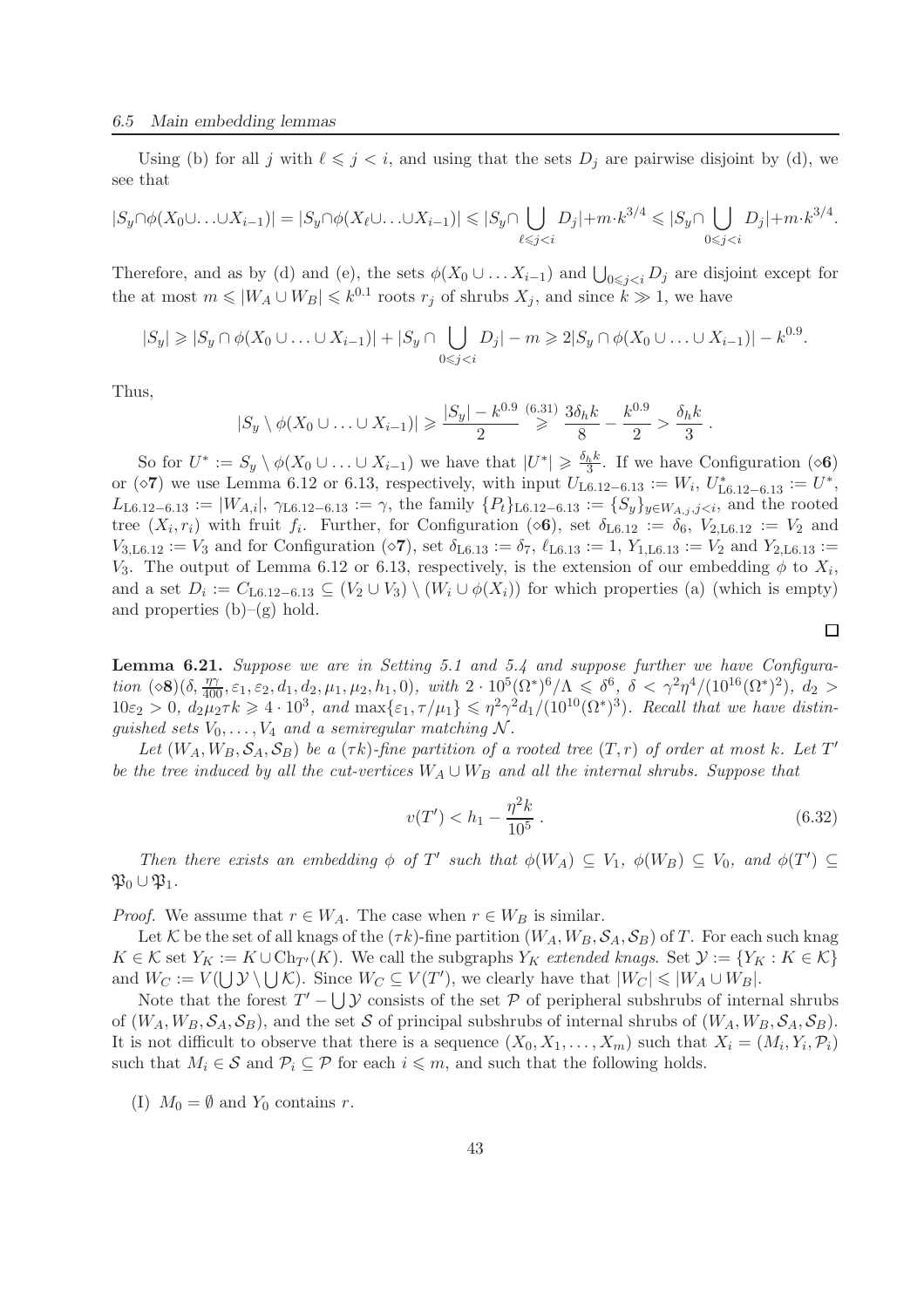Using (b) for all j with  $\ell \leq j \leq i$ , and using that the sets  $D_j$  are pairwise disjoint by (d), we see that

$$
|S_y\cap \phi(X_0\cup\ldots\cup X_{i-1})|=|S_y\cap \phi(X_\ell\cup\ldots\cup X_{i-1})|\leqslant |S_y\cap \bigcup_{\ell\leqslant j
$$

Therefore, and as by (d) and (e), the sets  $\phi(X_0 \cup \ldots X_{i-1})$  and  $\bigcup_{0 \leq j < i} D_j$  are disjoint except for the at most  $m \leq |W_A \cup W_B| \leq k^{0.1}$  roots  $r_j$  of shrubs  $X_j$ , and since  $k \gg 1$ , we have

$$
|S_y| \geq |S_y \cap \phi(X_0 \cup \ldots \cup X_{i-1})| + |S_y \cap \bigcup_{0 \leq j < i} D_j| - m \geq 2|S_y \cap \phi(X_0 \cup \ldots \cup X_{i-1})| - k^{0.9}.
$$

Thus,

$$
|S_y \setminus \phi(X_0 \cup \ldots \cup X_{i-1})| \ge \frac{|S_y| - k^{0.9}}{2} \ge \frac{(6.31)}{8} \frac{3\delta_h k}{8} - \frac{k^{0.9}}{2} > \frac{\delta_h k}{3}
$$

So for  $U^* := S_y \setminus \phi(X_0 \cup \ldots \cup X_{i-1})$  we have that  $|U^*| \geq \frac{\delta_h k}{3}$ . If we have Configuration ( $\infty$ 6) or ( $\diamond$ **7**) we use Lemma 6.12 or 6.13, respectively, with input  $U_{L6.12-6.13} := W_i, U_{L6.12-6.13}^* := U^*,$  $L_{\text{L6.12}-6.13} := |W_{A,i}|$ ,  $\gamma_{\text{L6.12}-6.13} := \gamma$ , the family  $\{P_t\}_{\text{L6.12}-6.13} := \{S_y\}_{y \in W_{A,j}, j \leq i}$ , and the rooted tree  $(X_i, r_i)$  with fruit  $f_i$ . Further, for Configuration ( $\otimes$ 6), set  $\delta$ <sub>L6.12</sub> :=  $\delta$ <sub>6</sub>,  $V_{2, \text{L}6.12}$  :=  $V_2$  and  $V_{3,L6.12} := V_3$  and for Configuration ( $\circ 7$ ), set  $\delta_{L6.13} := \delta_7$ ,  $\ell_{L6.13} := 1$ ,  $Y_{1,L6.13} := V_2$  and  $Y_{2,L6.13} :=$ V<sub>3</sub>. The output of Lemma 6.12 or 6.13, respectively, is the extension of our embedding  $\phi$  to  $X_i$ , and a set  $D_i := C_{L6.12-6.13} \subseteq (V_2 \cup V_3) \setminus (W_i \cup \phi(X_i))$  for which properties (a) (which is empty) and properties  $(b)$ – $(g)$  hold.

Lemma 6.21. *Suppose we are in Setting 5.1 and 5.4 and suppose further we have Configura-* $\lim_{\delta \to 0} (\delta, \frac{\eta \gamma}{400}, \varepsilon_1, \varepsilon_2, d_1, d_2, \mu_1, \mu_2, h_1, 0), \quad with \quad 2 \cdot 10^5 (\Omega^*)^6/\Lambda \leq \delta^6, \quad \delta < \gamma^2 \eta^4/(10^{16} (\Omega^*)^2), \quad d_2 >$  $10\varepsilon_2 > 0$ ,  $d_2\mu_2 \tau k \geq 4 \cdot 10^3$ , and  $\max\{\varepsilon_1, \tau/\mu_1\} \leq \eta^2 \gamma^2 d_1/(10^{10} (\Omega^*))^3$ . Recall that we have distin*guished sets*  $V_0, \ldots, V_4$  *and a semiregular matching* N.

Let  $(W_A, W_B, \mathcal{S}_A, \mathcal{S}_B)$  be a  $(\tau k)$ -fine partition of a rooted tree  $(T, r)$  of order at most k. Let  $T'$ *be the tree induced by all the cut-vertices*  $W_A ∪ W_B$  *and all the internal shrubs. Suppose that* 

$$
v(T') < h_1 - \frac{\eta^2 k}{10^5} \,. \tag{6.32}
$$

.

 $\Box$ 

*Then there exists an embedding*  $\phi$  *of*  $T'$  *such that*  $\phi(W_A) \subseteq V_1$ ,  $\phi(W_B) \subseteq V_0$ , and  $\phi(T') \subseteq$  $\mathfrak{P}_0 \cup \mathfrak{P}_1$ .

*Proof.* We assume that  $r \in W_A$ . The case when  $r \in W_B$  is similar.

Let K be the set of all knags of the  $(\tau k)$ -fine partition  $(W_A, W_B, \mathcal{S}_A, \mathcal{S}_B)$  of T. For each such knag  $K \in \mathcal{K}$  set  $Y_K := K \cup Ch_{T'}(K)$ . We call the subgraphs  $Y_K$  *extended knags*. Set  $\mathcal{Y} := \{Y_K : K \in \mathcal{K}\}\$ and  $W_C := V(\bigcup \mathcal{Y} \setminus \bigcup \mathcal{K})$ . Since  $W_C \subseteq V(T')$ , we clearly have that  $|W_C| \leq |W_A \cup W_B|$ .

Note that the forest  $T' - \bigcup \mathcal{Y}$  consists of the set  $P$  of peripheral subshrubs of internal shrubs of  $(W_A, W_B, \mathcal{S}_A, \mathcal{S}_B)$ , and the set S of principal subshrubs of internal shrubs of  $(W_A, W_B, \mathcal{S}_A, \mathcal{S}_B)$ . It is not difficult to observe that there is a sequence  $(X_0, X_1, \ldots, X_m)$  such that  $X_i = (M_i, Y_i, \mathcal{P}_i)$ such that  $M_i \in \mathcal{S}$  and  $\mathcal{P}_i \subseteq \mathcal{P}$  for each  $i \leq m$ , and such that the following holds.

(I)  $M_0 = \emptyset$  and  $Y_0$  contains r.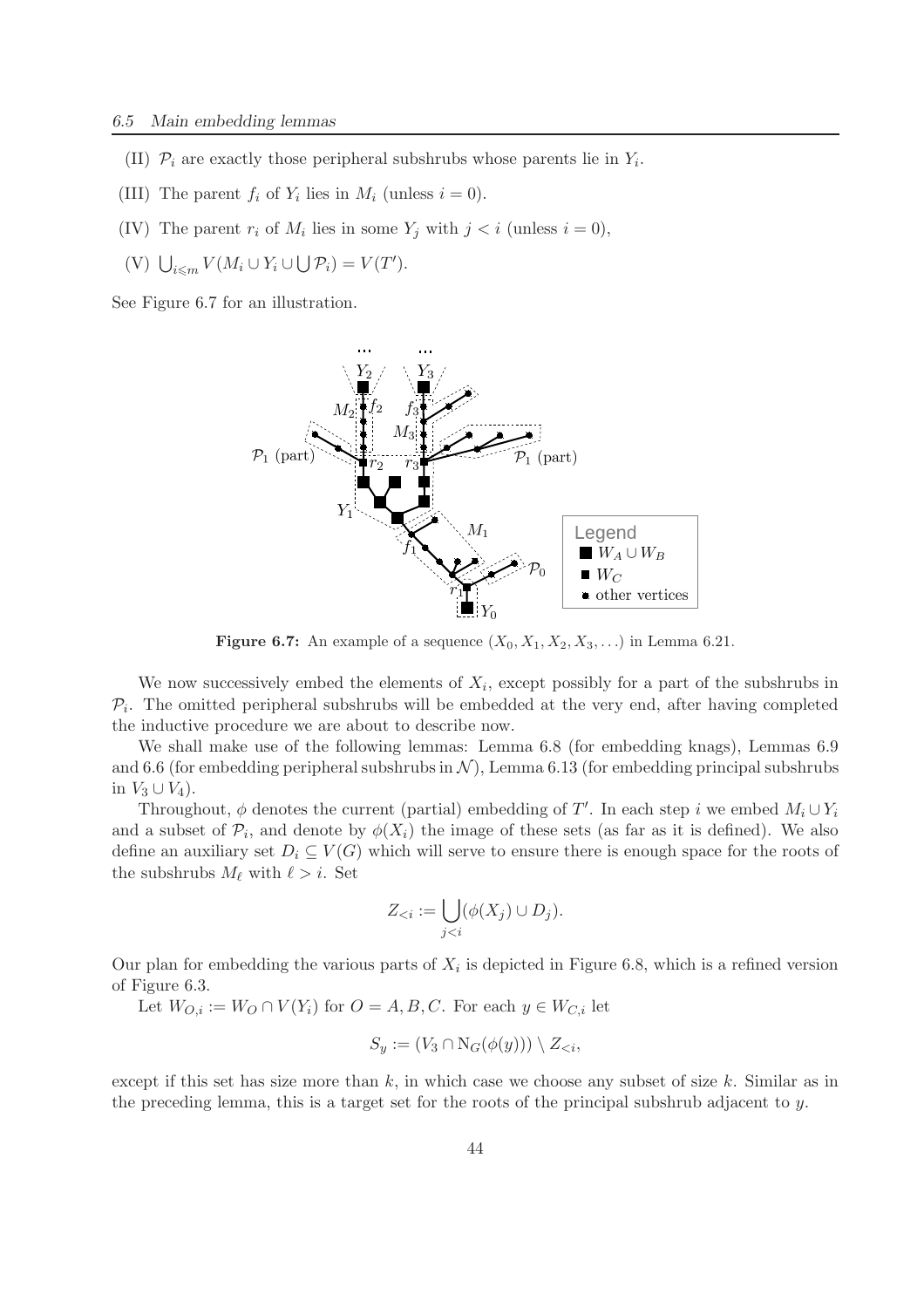- (II)  $\mathcal{P}_i$  are exactly those peripheral subshrubs whose parents lie in  $Y_i$ .
- (III) The parent  $f_i$  of  $Y_i$  lies in  $M_i$  (unless  $i = 0$ ).
- (IV) The parent  $r_i$  of  $M_i$  lies in some  $Y_j$  with  $j < i$  (unless  $i = 0$ ),
- (V)  $\bigcup_{i \leq m} V(M_i \cup Y_i \cup \bigcup \mathcal{P}_i) = V(T')$ .

See Figure 6.7 for an illustration.



Figure 6.7: An example of a sequence  $(X_0, X_1, X_2, X_3, \ldots)$  in Lemma 6.21.

We now successively embed the elements of  $X_i$ , except possibly for a part of the subshrubs in  $\mathcal{P}_i$ . The omitted peripheral subshrubs will be embedded at the very end, after having completed the inductive procedure we are about to describe now.

We shall make use of the following lemmas: Lemma 6.8 (for embedding knags), Lemmas 6.9 and 6.6 (for embedding peripheral subshrubs in  $\mathcal{N}$ ), Lemma 6.13 (for embedding principal subshrubs in  $V_3 \cup V_4$ ).

Throughout,  $\phi$  denotes the current (partial) embedding of T'. In each step i we embed  $M_i \cup Y_i$ and a subset of  $\mathcal{P}_i$ , and denote by  $\phi(X_i)$  the image of these sets (as far as it is defined). We also define an auxiliary set  $D_i \subseteq V(G)$  which will serve to ensure there is enough space for the roots of the subshrubs  $M_{\ell}$  with  $\ell > i$ . Set

$$
Z_{< i} := \bigcup_{j < i} (\phi(X_j) \cup D_j).
$$

Our plan for embedding the various parts of  $X_i$  is depicted in Figure 6.8, which is a refined version of Figure 6.3.

Let  $W_{O,i} := W_O \cap V(Y_i)$  for  $O = A, B, C$ . For each  $y \in W_{C,i}$  let

$$
S_y := (V_3 \cap \mathrm{N}_G(\phi(y))) \setminus Z_{< i},
$$

except if this set has size more than  $k$ , in which case we choose any subset of size  $k$ . Similar as in the preceding lemma, this is a target set for the roots of the principal subshrub adjacent to  $y$ .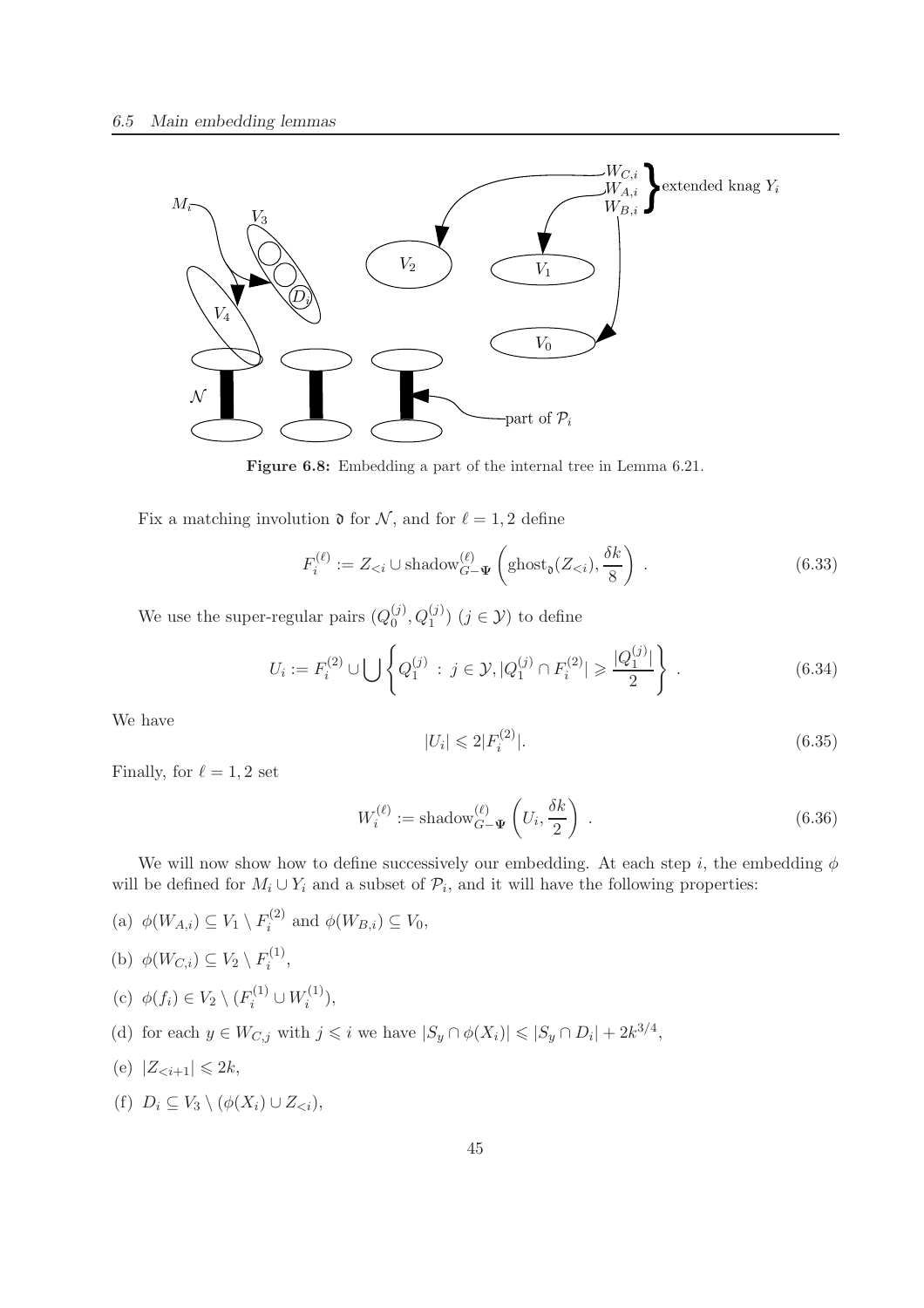

Figure 6.8: Embedding a part of the internal tree in Lemma 6.21.

Fix a matching involution  $\mathfrak d$  for  $\mathcal N$ , and for  $\ell = 1, 2$  define

$$
F_i^{(\ell)} := Z_{\leq i} \cup \text{shadow}_{G-\Psi}^{(\ell)}\left(\text{ghost}_\mathfrak{d}(Z_{\leq i}), \frac{\delta k}{8}\right) \,. \tag{6.33}
$$

We use the super-regular pairs  $(Q_0^{(j)})$  $_{0}^{(j)}, Q_{1}^{(j)}$   $(j \in \mathcal{Y})$  to define

$$
U_i := F_i^{(2)} \cup \bigcup \left\{ Q_1^{(j)} : j \in \mathcal{Y}, |Q_1^{(j)} \cap F_i^{(2)}| \geqslant \frac{|Q_1^{(j)}|}{2} \right\}.
$$
 (6.34)

We have

$$
|U_i| \leqslant 2|F_i^{(2)}|.\tag{6.35}
$$

Finally, for  $\ell = 1, 2$  set

$$
W_i^{(\ell)} := \text{shadow}_{G-\Psi}^{(\ell)}\left(U_i, \frac{\delta k}{2}\right) \tag{6.36}
$$

We will now show how to define successively our embedding. At each step i, the embedding  $\phi$ will be defined for  $M_i \cup Y_i$  and a subset of  $\mathcal{P}_i$ , and it will have the following properties:

- (a)  $\phi(W_{A,i}) \subseteq V_1 \setminus F_i^{(2)}$  $i_i^{(2)}$  and  $\phi(W_{B,i}) \subseteq V_0$ ,
- (b)  $\phi(W_{C,i}) \subseteq V_2 \setminus F_i^{(1)}$  $\frac{i^{(1)}}{i}$
- (c)  $\phi(f_i) \in V_2 \setminus (F_i^{(1)} \cup W_i^{(1)}$  $i^{(1)}),$
- (d) for each  $y \in W_{C,j}$  with  $j \leq i$  we have  $|S_y \cap \phi(X_i)| \leq |S_y \cap D_i| + 2k^{3/4}$ ,
- (e)  $|Z_{\leq i+1}| \leq 2k$ ,
- (f)  $D_i \subseteq V_3 \setminus (\phi(X_i) \cup Z_{\leq i}),$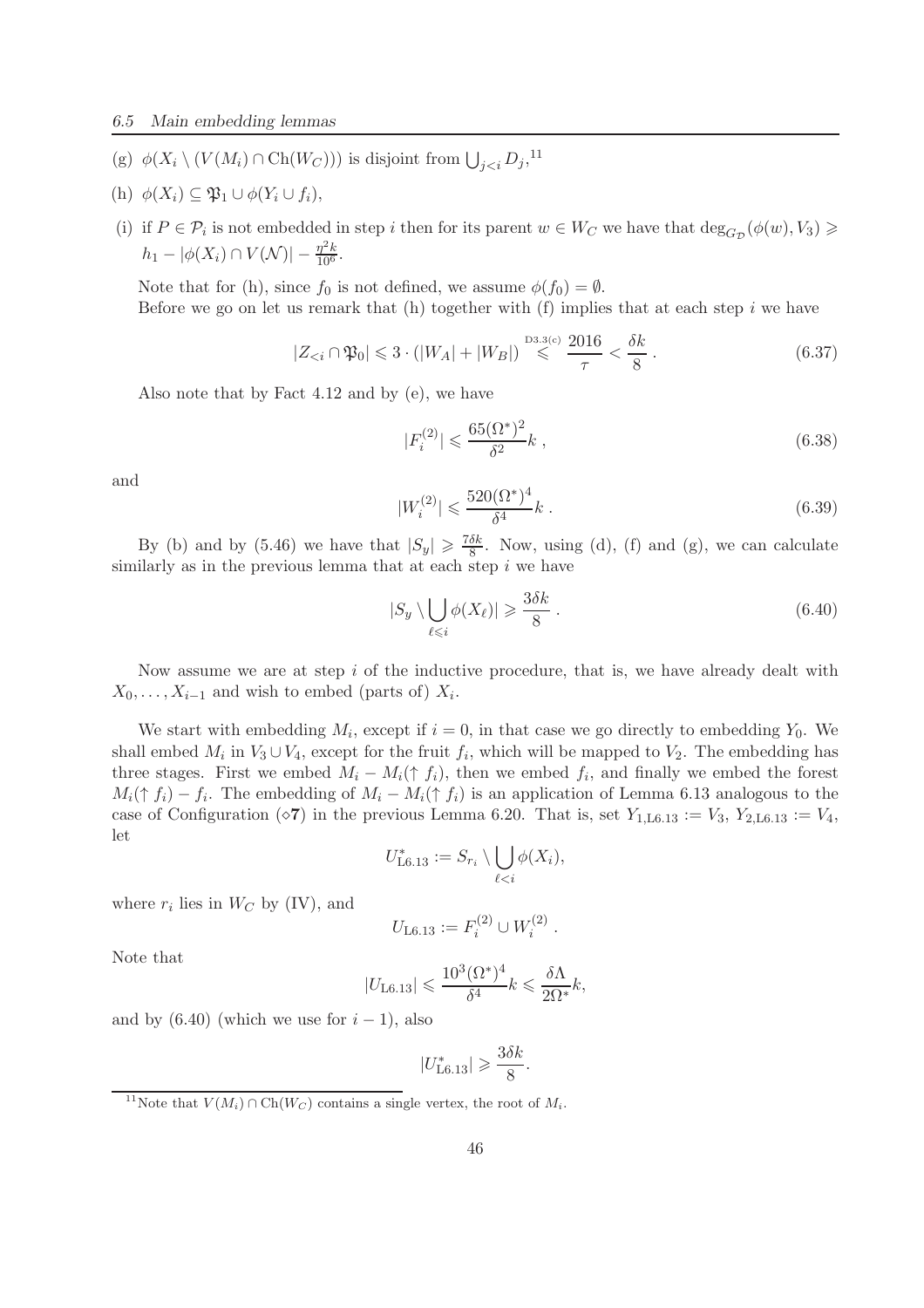- (g)  $\phi(X_i \setminus (V(M_i) \cap \text{Ch}(W_C)))$  is disjoint from  $\bigcup_{j \leq i} D_j$ ,<sup>11</sup>
- (h)  $\phi(X_i) \subseteq \mathfrak{P}_1 \cup \phi(Y_i \cup f_i),$
- (i) if  $P \in \mathcal{P}_i$  is not embedded in step i then for its parent  $w \in W_C$  we have that  $\deg_{G_{\mathcal{D}}}(\phi(w), V_3) \geq$  $h_1 - |\phi(X_i) \cap V(\mathcal{N})| - \frac{\eta^2 k}{10^6}.$

Note that for (h), since  $f_0$  is not defined, we assume  $\phi(f_0) = \emptyset$ . Before we go on let us remark that  $(h)$  together with  $(f)$  implies that at each step i we have

$$
|Z_{< i} \cap \mathfrak{P}_0| \leq 3 \cdot (|W_A| + |W_B|) \stackrel{\text{D3.3(c)}}{\leq} \frac{2016}{\tau} < \frac{\delta k}{8} \,. \tag{6.37}
$$

Also note that by Fact 4.12 and by (e), we have

$$
|F_i^{(2)}| \leqslant \frac{65(\Omega^*)^2}{\delta^2} k \,,\tag{6.38}
$$

and

$$
|W_i^{(2)}| \leqslant \frac{520(\Omega^*)^4}{\delta^4} k \,. \tag{6.39}
$$

By (b) and by (5.46) we have that  $|S_y| \geq \frac{7\delta k}{8}$  $\frac{\partial k}{\partial \mathcal{S}}$ . Now, using (d), (f) and (g), we can calculate similarly as in the previous lemma that at each step  $i$  we have

$$
|S_y \setminus \bigcup_{\ell \leq i} \phi(X_\ell)| \geq \frac{3\delta k}{8} \,. \tag{6.40}
$$

Now assume we are at step  $i$  of the inductive procedure, that is, we have already dealt with  $X_0, \ldots, X_{i-1}$  and wish to embed (parts of)  $X_i$ .

We start with embedding  $M_i$ , except if  $i = 0$ , in that case we go directly to embedding  $Y_0$ . We shall embed  $M_i$  in  $V_3 \cup V_4$ , except for the fruit  $f_i$ , which will be mapped to  $V_2$ . The embedding has three stages. First we embed  $M_i - M_i(\uparrow f_i)$ , then we embed f<sub>i</sub>, and finally we embed the forest  $M_i(\uparrow f_i) - f_i$ . The embedding of  $M_i - M_i(\uparrow f_i)$  is an application of Lemma 6.13 analogous to the case of Configuration ( $\Diamond$ 7) in the previous Lemma 6.20. That is, set  $Y_{1,L6.13} := V_3$ ,  $Y_{2,L6.13} := V_4$ , let

$$
U_{\text{L6.13}}^* := S_{r_i} \setminus \bigcup_{\ell < i} \phi(X_i),
$$

where  $r_i$  lies in  $W_C$  by (IV), and

$$
U_{\text{L6.13}} := F_i^{(2)} \cup W_i^{(2)}.
$$

Note that

$$
|U_{\text{L6.13}}| \leqslant \frac{10^3 (\Omega^*)^4}{\delta^4} k \leqslant \frac{\delta \Lambda}{2 \Omega^*} k,
$$

and by  $(6.40)$  (which we use for  $i - 1$ ), also

$$
|U_{\text{L6.13}}^*| \geqslant \frac{3\delta k}{8}.
$$

<sup>&</sup>lt;sup>11</sup>Note that  $V(M_i) \cap Ch(W_C)$  contains a single vertex, the root of  $M_i$ .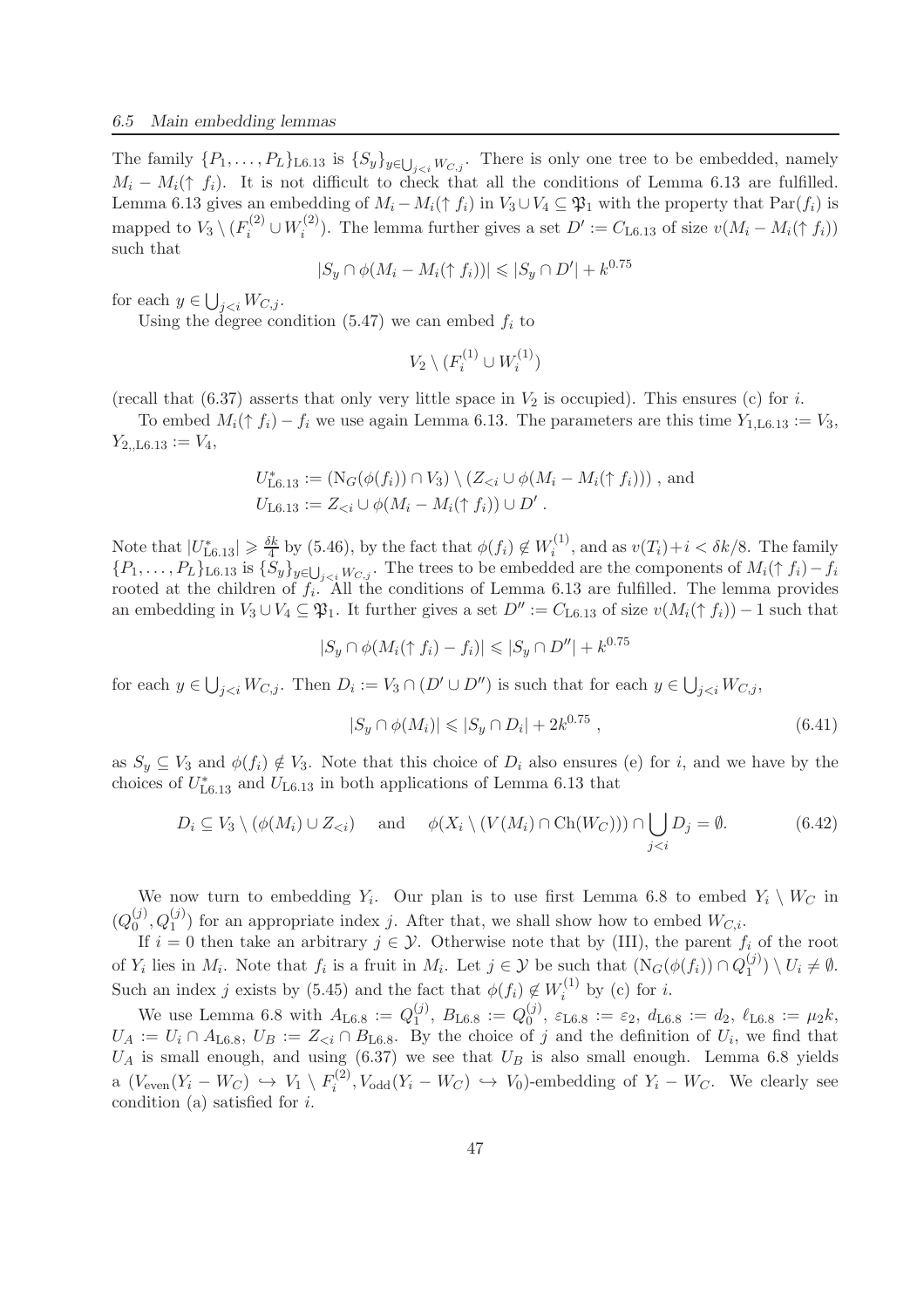The family  $\{P_1,\ldots,P_L\}_{L6.13}$  is  $\{S_y\}_{y\in\bigcup_{j. There is only one tree to be embedded, namely$  $M_i - M_i(\uparrow f_i)$ . It is not difficult to check that all the conditions of Lemma 6.13 are fulfilled. Lemma 6.13 gives an embedding of  $M_i - M_i(\uparrow f_i)$  in  $V_3 \cup V_4 \subseteq \mathfrak{P}_1$  with the property that  $\text{Par}(f_i)$  is mapped to  $V_3 \setminus (F_i^{(2)} \cup W_i^{(2)}$ <sup>(2)</sup>). The lemma further gives a set  $D' := C_{L6.13}$  of size  $v(M_i - M_i(\uparrow f_i))$ such that

$$
|S_y \cap \phi(M_i - M_i(\uparrow f_i))| \leq |S_y \cap D'| + k^{0.75}
$$

for each  $y \in \bigcup_{j.$ 

Using the degree condition  $(5.47)$  we can embed  $f_i$  to

$$
V_2 \setminus (F_i^{(1)} \cup W_i^{(1)})
$$

(recall that  $(6.37)$  asserts that only very little space in  $V_2$  is occupied). This ensures (c) for i.

To embed  $M_i(\uparrow f_i) - f_i$  we use again Lemma 6.13. The parameters are this time  $Y_{1,L6.13} := V_3$ ,  $Y_{2,\text{L}6.13} := V_4,$ 

$$
U_{\text{L6.13}}^* := (\text{N}_G(\phi(f_i)) \cap V_3) \setminus (Z_{< i} \cup \phi(M_i - M_i(\uparrow f_i))) \text{, and}
$$
  

$$
U_{\text{L6.13}} := Z_{< i} \cup \phi(M_i - M_i(\uparrow f_i)) \cup D'.
$$

Note that  $|U^*_{\text{L}6.13}| \geq \frac{\delta k}{4}$  $\frac{5k}{4}$  by (5.46), by the fact that  $\phi(f_i) \notin W_i^{(1)}$  $i^{(1)}$ , and as  $v(T_i)+i < \delta k/8$ . The family  ${P_1,\ldots,P_L}$ L6.13 is  ${S_y}_{y \in \bigcup_{j. The trees to be embedded are the components of  $M_i(\uparrow f_i) - f_i$$ rooted at the children of  $f_i$ . All the conditions of Lemma 6.13 are fulfilled. The lemma provides an embedding in  $V_3 \cup V_4 \subseteq \mathfrak{P}_1$ . It further gives a set  $D'' := C_{\text{L6.13}}$  of size  $v(M_i(\uparrow f_i)) - 1$  such that

$$
|S_y \cap \phi(M_i(\uparrow f_i) - f_i)| \leq |S_y \cap D''| + k^{0.75}
$$

for each  $y \in \bigcup_{j < i} W_{C,j}$ . Then  $D_i := V_3 \cap (D' \cup D'')$  is such that for each  $y \in \bigcup_{j < i} W_{C,j}$ ,

$$
|S_y \cap \phi(M_i)| \leq |S_y \cap D_i| + 2k^{0.75}, \qquad (6.41)
$$

as  $S_y \subseteq V_3$  and  $\phi(f_i) \notin V_3$ . Note that this choice of  $D_i$  also ensures (e) for i, and we have by the choices of  $U_{\text{L}6.13}^*$  and  $U_{\text{L}6.13}$  in both applications of Lemma 6.13 that

$$
D_i \subseteq V_3 \setminus (\phi(M_i) \cup Z_{< i}) \quad \text{and} \quad \phi(X_i \setminus (V(M_i) \cap \text{Ch}(W_C))) \cap \bigcup_{j < i} D_j = \emptyset. \tag{6.42}
$$

We now turn to embedding  $Y_i$ . Our plan is to use first Lemma 6.8 to embed  $Y_i \setminus W_C$  in  $(Q_0^{(j)}$  $(0, Q_1^{(j)}, Q_1^{(j)})$  for an appropriate index j. After that, we shall show how to embed  $W_{C,i}$ .

If  $i = 0$  then take an arbitrary  $j \in \mathcal{Y}$ . Otherwise note that by (III), the parent  $f_i$  of the root of  $Y_i$  lies in  $M_i$ . Note that  $f_i$  is a fruit in  $M_i$ . Let  $j \in \mathcal{Y}$  be such that  $(N_G(\phi(f_i)) \cap Q_1^{(j)})$  $\binom{U}{1} \setminus U_i \neq \emptyset.$ Such an index j exists by (5.45) and the fact that  $\phi(f_i) \notin W_i^{(1)}$  $i^{(1)}$  by (c) for *i*.

We use Lemma 6.8 with  $A_{\text{L6.8}} := Q_1^{(j)}$  $_1^{(j)}$ ,  $B_{\text{L6.8}} := Q_0^{(j)}$  $\zeta_0^{(j)}$ ,  $\varepsilon_{\text{L}6.8} := \varepsilon_2$ ,  $d_{\text{L}6.8} := d_2$ ,  $\ell_{\text{L}6.8} := \mu_2 k$ ,  $U_A := U_i \cap A_{\text{L6.8}}$ ,  $U_B := Z_{\leq i} \cap B_{\text{L6.8}}$ . By the choice of j and the definition of  $U_i$ , we find that  $U_A$  is small enough, and using (6.37) we see that  $U_B$  is also small enough. Lemma 6.8 yields a  $(V_{\text{even}}(Y_i - W_C) \hookrightarrow V_1 \setminus F_i^{(2)}$  $V_i^{(2)}$ ,  $V_{odd}(Y_i - W_C) \hookrightarrow V_0$ -embedding of  $Y_i - W_C$ . We clearly see condition (a) satisfied for i.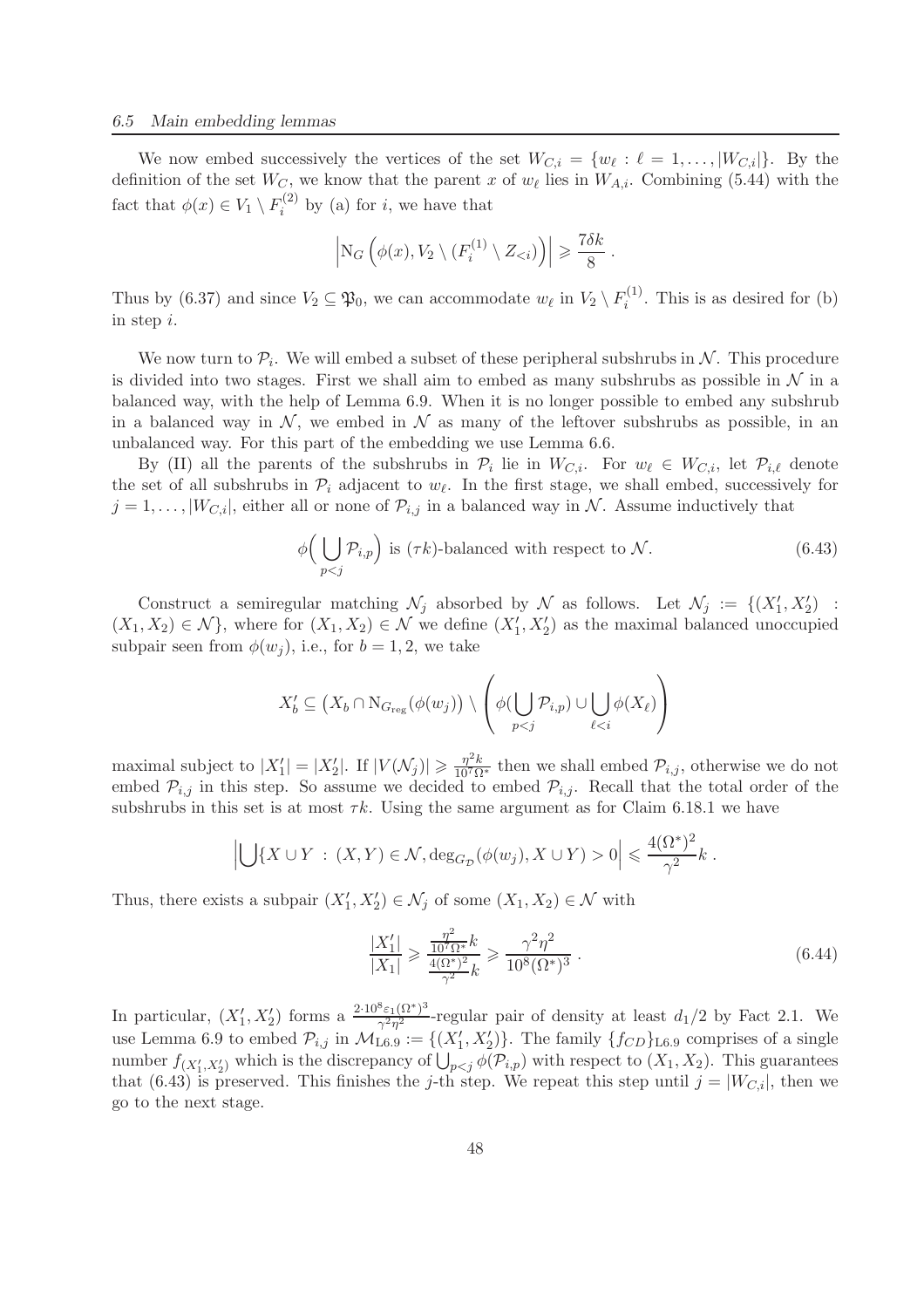We now embed successively the vertices of the set  $W_{C,i} = \{w_\ell : \ell = 1, \ldots, |W_{C,i}|\}$ . By the definition of the set  $W_C$ , we know that the parent x of  $w_{\ell}$  lies in  $W_{A,i}$ . Combining (5.44) with the fact that  $\phi(x) \in V_1 \setminus F_i^{(2)}$  $i^{(2)}$  by (a) for *i*, we have that

$$
\left| \mathrm{N}_G \left( \phi(x), V_2 \setminus (F_i^{(1)} \setminus Z_{< i}) \right) \right| \geqslant \frac{7 \delta k}{8} .
$$

Thus by (6.37) and since  $V_2 \subseteq \mathfrak{P}_0$ , we can accommodate  $w_\ell$  in  $V_2 \setminus F_i^{(1)}$  $i^{(1)}$ . This is as desired for (b) in step i.

We now turn to  $P_i$ . We will embed a subset of these peripheral subshrubs in  $N$ . This procedure is divided into two stages. First we shall aim to embed as many subshrubs as possible in  $\mathcal N$  in a balanced way, with the help of Lemma 6.9. When it is no longer possible to embed any subshrub in a balanced way in  $\mathcal{N}$ , we embed in  $\mathcal N$  as many of the leftover subshrubs as possible, in an unbalanced way. For this part of the embedding we use Lemma 6.6.

By (II) all the parents of the subshrubs in  $\mathcal{P}_i$  lie in  $W_{C,i}$ . For  $w_{\ell} \in W_{C,i}$ , let  $\mathcal{P}_{i,\ell}$  denote the set of all subshrubs in  $\mathcal{P}_i$  adjacent to  $w_{\ell}$ . In the first stage, we shall embed, successively for  $j = 1, \ldots, |W_{C,i}|$ , either all or none of  $\mathcal{P}_{i,j}$  in a balanced way in N. Assume inductively that

$$
\phi\Big(\bigcup_{p
$$

Construct a semiregular matching  $\mathcal{N}_j$  absorbed by  $\mathcal{N}$  as follows. Let  $\mathcal{N}_j := \{(X'_1, X'_2) :$  $(X_1, X_2) \in \mathcal{N}$ , where for  $(X_1, X_2) \in \mathcal{N}$  we define  $(X'_1, X'_2)$  as the maximal balanced unoccupied subpair seen from  $\phi(w_i)$ , i.e., for  $b = 1, 2$ , we take

$$
X'_{b} \subseteq (X_{b} \cap \mathrm{N}_{G_{\mathrm{reg}}}(\phi(w_{j})) \setminus \left(\phi(\bigcup_{p
$$

maximal subject to  $|X'_1| = |X'_2|$ . If  $|V(\mathcal{N}_j)| \ge \frac{\eta^2 k}{10^7 \Omega^*}$  then we shall embed  $\mathcal{P}_{i,j}$ , otherwise we do not embed  $\mathcal{P}_{i,j}$  in this step. So assume we decided to embed  $\mathcal{P}_{i,j}$ . Recall that the total order of the subshrubs in this set is at most  $\tau k$ . Using the same argument as for Claim 6.18.1 we have

$$
\left| \bigcup \{ X \cup Y : (X, Y) \in \mathcal{N}, \deg_{G_{\mathcal{D}}}(\phi(w_j), X \cup Y) > 0 \right| \leq \frac{4(\Omega^*)^2}{\gamma^2} k.
$$

Thus, there exists a subpair  $(X'_1, X'_2) \in \mathcal{N}_j$  of some  $(X_1, X_2) \in \mathcal{N}$  with

$$
\frac{|X_1'|}{|X_1|} \ge \frac{\frac{\eta^2}{10^7 \Omega^*} k}{\frac{4(\Omega^*)^2}{\gamma^2} k} \ge \frac{\gamma^2 \eta^2}{10^8 (\Omega^*)^3} \,. \tag{6.44}
$$

In particular,  $(X'_1, X'_2)$  forms a  $\frac{2 \cdot 10^8 \varepsilon_1 (\Omega^*)^3}{\gamma^2 \eta^2}$  $\frac{\varepsilon_1(\Omega)}{\gamma^2\eta^2}$ -regular pair of density at least  $d_1/2$  by Fact 2.1. We use Lemma 6.9 to embed  $\mathcal{P}_{i,j}$  in  $\mathcal{M}_{\text{L6.9}} := \{(X'_1, X'_2)\}\.$  The family  $\{f_{CD}\}_{\text{L6.9}}$  comprises of a single number  $f_{(X'_1, X'_2)}$  which is the discrepancy of  $\bigcup_{p < j} \phi(\mathcal{P}_{i,p})$  with respect to  $(X_1, X_2)$ . This guarantees that (6.43) is preserved. This finishes the j-th step. We repeat this step until  $j = |W_{C,i}|$ , then we go to the next stage.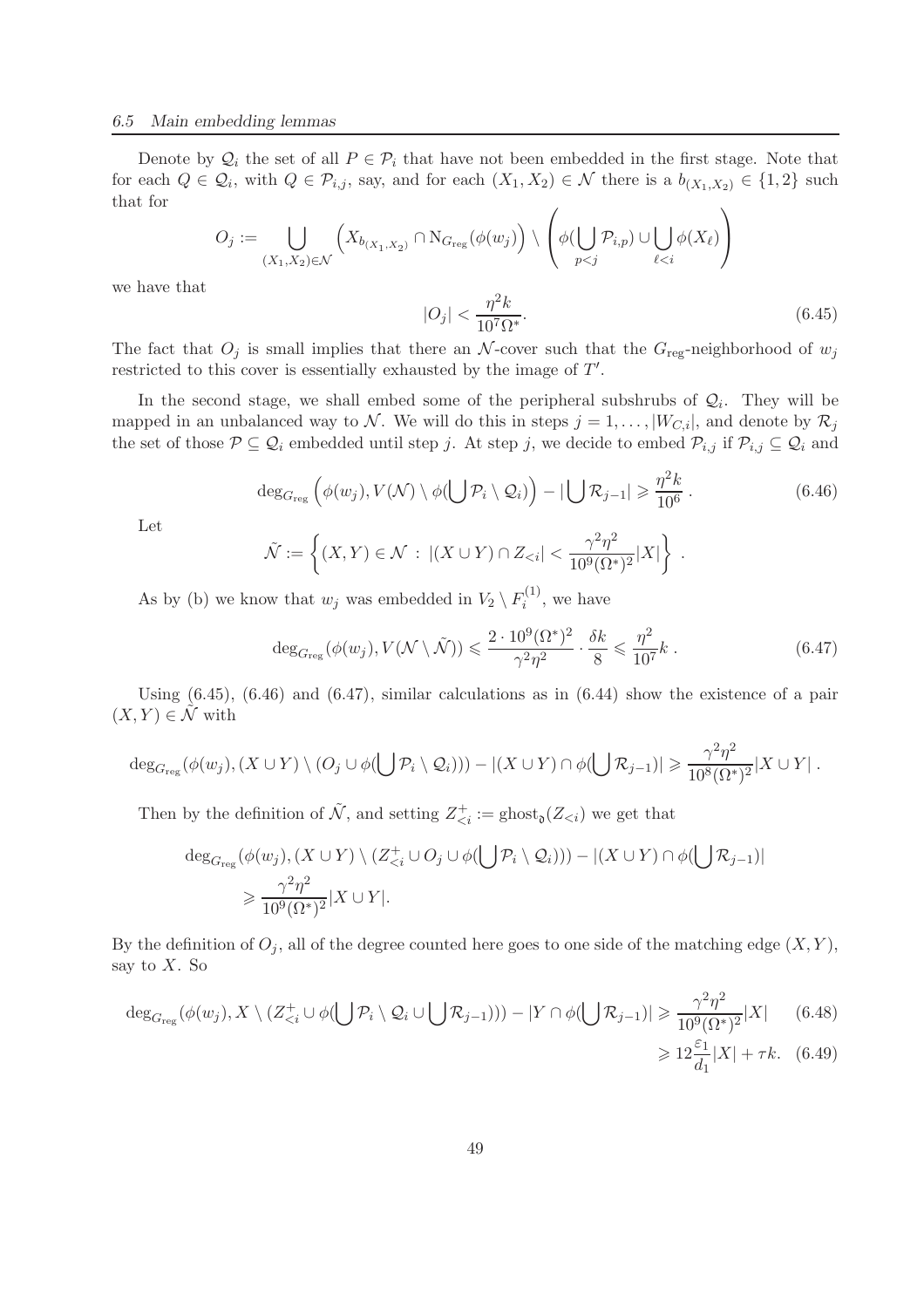Denote by  $\mathcal{Q}_i$  the set of all  $P \in \mathcal{P}_i$  that have not been embedded in the first stage. Note that for each  $Q \in \mathcal{Q}_i$ , with  $Q \in \mathcal{P}_{i,j}$ , say, and for each  $(X_1, X_2) \in \mathcal{N}$  there is a  $b_{(X_1, X_2)} \in \{1, 2\}$  such that for

$$
O_j := \bigcup_{(X_1, X_2) \in \mathcal{N}} \left( X_{b_{(X_1, X_2)}} \cap N_{G_{\text{reg}}}(\phi(w_j)) \setminus \left( \phi(\bigcup_{p < j} \mathcal{P}_{i,p}) \cup \bigcup_{\ell < i} \phi(X_\ell) \right) \right)
$$

we have that

$$
|O_j| < \frac{\eta^2 k}{10^7 \Omega^*}.\tag{6.45}
$$

The fact that  $O_i$  is small implies that there an N-cover such that the  $G_{reg}$ -neighborhood of  $w_i$ restricted to this cover is essentially exhausted by the image of T'.

In the second stage, we shall embed some of the peripheral subshrubs of  $\mathcal{Q}_i$ . They will be mapped in an unbalanced way to N. We will do this in steps  $j = 1, ..., |W_{C,i}|$ , and denote by  $\mathcal{R}_j$ the set of those  $P \subseteq Q_i$  embedded until step j. At step j, we decide to embed  $P_{i,j}$  if  $P_{i,j} \subseteq Q_i$  and

$$
\deg_{G_{\text{reg}}} \left( \phi(w_j), V(\mathcal{N}) \setminus \phi(\bigcup \mathcal{P}_i \setminus \mathcal{Q}_i) \right) - |\bigcup \mathcal{R}_{j-1}| \geqslant \frac{\eta^2 k}{10^6} \,. \tag{6.46}
$$

Let

$$
\tilde{\mathcal{N}} := \left\{ (X, Y) \in \mathcal{N} \, : \, \left| (X \cup Y) \cap Z_{\leq i} \right| < \frac{\gamma^2 \eta^2}{10^9 (\Omega^*)^2} |X| \right\} \, .
$$

As by (b) we know that  $w_j$  was embedded in  $V_2 \setminus F_i^{(1)}$  $i^{(1)}$ , we have

$$
\deg_{G_{\text{reg}}}(\phi(w_j), V(\mathcal{N}\setminus\tilde{\mathcal{N}})) \leqslant \frac{2 \cdot 10^9 (\Omega^*)^2}{\gamma^2 \eta^2} \cdot \frac{\delta k}{8} \leqslant \frac{\eta^2}{10^7} k \ . \tag{6.47}
$$

Using  $(6.45)$ ,  $(6.46)$  and  $(6.47)$ , similar calculations as in  $(6.44)$  show the existence of a pair  $(X, Y) \in \mathcal{N}$  with

$$
\deg_{G_{\text{reg}}}(\phi(w_j), (X \cup Y) \setminus (O_j \cup \phi(\bigcup \mathcal{P}_i \setminus Q_i))) - |(X \cup Y) \cap \phi(\bigcup \mathcal{R}_{j-1})| \geq \frac{\gamma^2 \eta^2}{10^8 (\Omega^*)^2} |X \cup Y|.
$$

Then by the definition of  $\tilde{\mathcal{N}}$ , and setting  $Z^+_{\leq i} := \text{ghost}_0(Z_{\leq i})$  we get that

$$
\deg_{G_{\text{reg}}}(\phi(w_j), (X \cup Y) \setminus (Z_{\leq i}^+ \cup O_j \cup \phi(\bigcup \mathcal{P}_i \setminus Q_i))) - |(X \cup Y) \cap \phi(\bigcup \mathcal{R}_{j-1})|
$$
  
\$\geq \frac{\gamma^2 \eta^2}{10^9 (\Omega^\*)^2} | X \cup Y|.

By the definition of  $O_i$ , all of the degree counted here goes to one side of the matching edge  $(X, Y)$ , say to  $X$ . So

$$
\deg_{G_{\text{reg}}}(\phi(w_j), X \setminus (Z_{\leq i}^+ \cup \phi(\bigcup \mathcal{P}_i \setminus \mathcal{Q}_i \cup \bigcup \mathcal{R}_{j-1}))) - |Y \cap \phi(\bigcup \mathcal{R}_{j-1})| \geq \frac{\gamma^2 \eta^2}{10^9 (\Omega^*)^2} |X| \qquad (6.48)
$$
  

$$
\geq 12 \frac{\varepsilon_1}{d_1} |X| + \tau k. \quad (6.49)
$$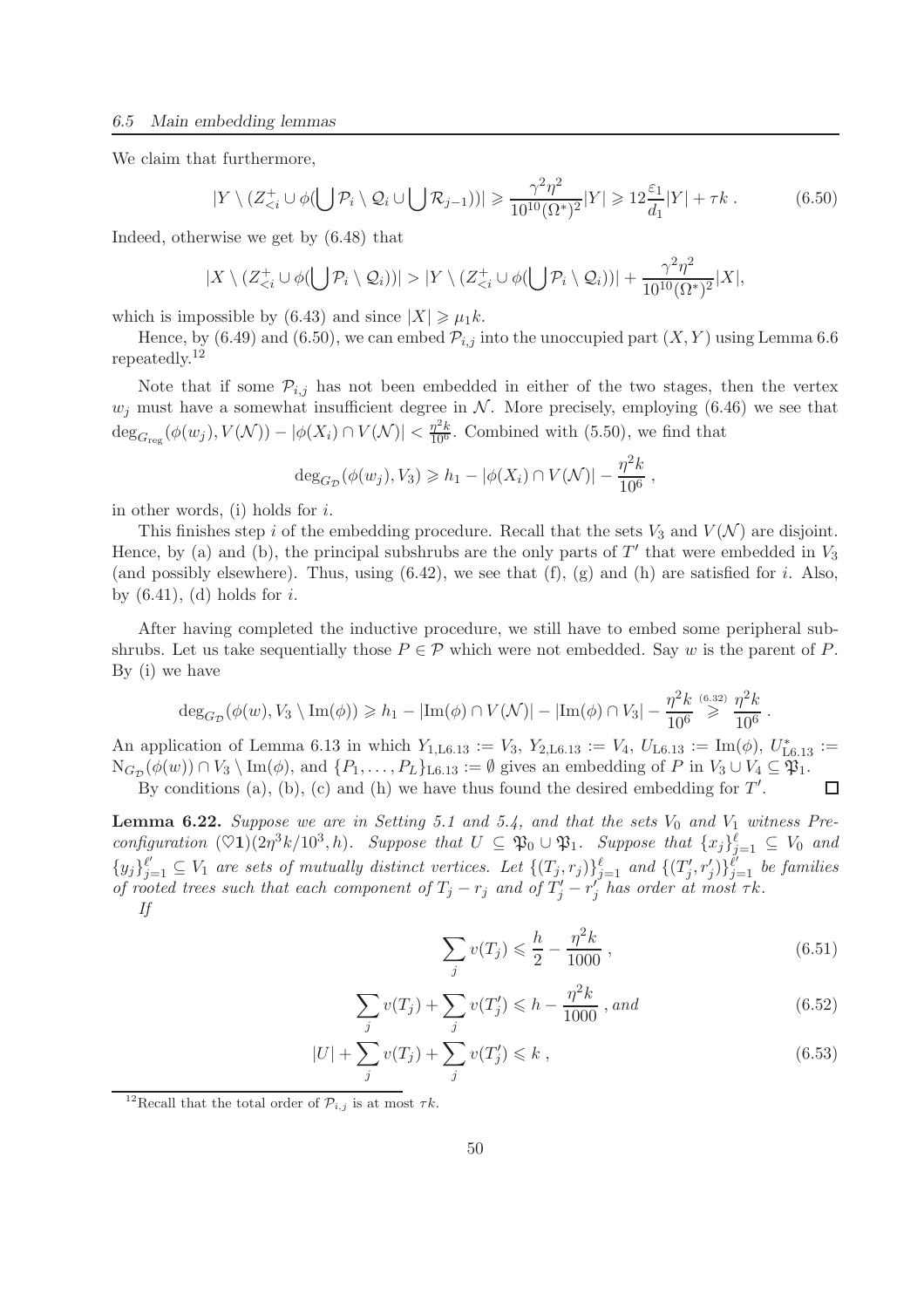We claim that furthermore,

$$
|Y \setminus (Z_{\leq i}^+ \cup \phi(\bigcup \mathcal{P}_i \setminus \mathcal{Q}_i \cup \bigcup \mathcal{R}_{j-1}))| \geq \frac{\gamma^2 \eta^2}{10^{10} (\Omega^*)^2} |Y| \geq 12 \frac{\varepsilon_1}{d_1} |Y| + \tau k. \tag{6.50}
$$

Indeed, otherwise we get by (6.48) that

$$
|X \setminus (Z_{\leq i}^+ \cup \phi(\bigcup \mathcal{P}_i \setminus \mathcal{Q}_i))| > |Y \setminus (Z_{\leq i}^+ \cup \phi(\bigcup \mathcal{P}_i \setminus \mathcal{Q}_i))| + \frac{\gamma^2 \eta^2}{10^{10} (\Omega^*)^2} |X|,
$$

which is impossible by (6.43) and since  $|X| \ge \mu_1 k$ .

Hence, by (6.49) and (6.50), we can embed  $\mathcal{P}_{i,j}$  into the unoccupied part  $(X, Y)$  using Lemma 6.6 repeatedly.<sup>12</sup>

Note that if some  $\mathcal{P}_{i,j}$  has not been embedded in either of the two stages, then the vertex  $w_j$  must have a somewhat insufficient degree in N. More precisely, employing (6.46) we see that  $\deg_{G_{\text{reg}}}(\phi(w_j), V(\mathcal{N})) - |\phi(X_i) \cap V(\mathcal{N})| < \frac{\eta^2 k}{10^6}$ . Combined with (5.50), we find that

$$
deg_{G_{\mathcal{D}}}(\phi(w_j), V_3) \geq h_1 - |\phi(X_i) \cap V(\mathcal{N})| - \frac{\eta^2 k}{10^6},
$$

in other words, (i) holds for i.

This finishes step i of the embedding procedure. Recall that the sets  $V_3$  and  $V(\mathcal{N})$  are disjoint. Hence, by (a) and (b), the principal subshrubs are the only parts of  $T'$  that were embedded in  $V_3$ (and possibly elsewhere). Thus, using  $(6.42)$ , we see that  $(f)$ ,  $(g)$  and  $(h)$  are satisfied for *i*. Also, by  $(6.41)$ ,  $(d)$  holds for i.

After having completed the inductive procedure, we still have to embed some peripheral subshrubs. Let us take sequentially those  $P \in \mathcal{P}$  which were not embedded. Say w is the parent of P. By (i) we have

$$
\deg_{G_{\mathcal{D}}}(\phi(w), V_3 \setminus \text{Im}(\phi)) \geq h_1 - |\text{Im}(\phi) \cap V(\mathcal{N})| - |\text{Im}(\phi) \cap V_3| - \frac{\eta^2 k}{10^6} \stackrel{(6.32)}{\geq} \frac{\eta^2 k}{10^6}.
$$

An application of Lemma 6.13 in which  $Y_{1,L6.13} := V_3$ ,  $Y_{2,L6.13} := V_4$ ,  $U_{L6.13} := \text{Im}(\phi)$ ,  $U_{L6.13}^* :=$  $N_{G_{\mathcal{D}}}(\phi(w)) \cap V_3 \setminus \text{Im}(\phi)$ , and  $\{P_1, \ldots, P_L\}_{L6.13} := \emptyset$  gives an embedding of P in  $V_3 \cup V_4 \subseteq \mathfrak{P}_1$ .

By conditions (a), (b), (c) and (h) we have thus found the desired embedding for  $T'$ .  $\Box$ 

**Lemma 6.22.** Suppose we are in Setting 5.1 and 5.4, and that the sets  $V_0$  and  $V_1$  witness Pre $configuration \ (\heartsuit1)(2\eta^3k/10^3, h)$ *. Suppose that*  $U \subseteq \mathfrak{P}_0 \cup \mathfrak{P}_1$ *. Suppose that*  $\{x_j\}_{j=1}^{\ell} \subseteq V_0$  and  $\{y_j\}_{j=1}^{\ell'} \subseteq V_1$  are sets of mutually distinct vertices. Let  $\{(T_j, r_j)\}_{j=1}^{\ell}$  and  $\{(T'_j, r'_j)\}_{j=1}^{\ell'}$  be families *of rooted trees such that each component of*  $T_j - r_j$  *and of*  $T'_j - r'_j$  *has order at most*  $\tau k$ *. If*

$$
\sum_{j} v(T_j) \leq \frac{h}{2} - \frac{\eta^2 k}{1000},
$$
\n(6.51)

$$
\sum_{j} v(T_j) + \sum_{j} v(T'_j) \leq h - \frac{\eta^2 k}{1000}, \text{ and} \tag{6.52}
$$

$$
|U| + \sum_{j} v(T_j) + \sum_{j} v(T'_j) \le k , \qquad (6.53)
$$

<sup>&</sup>lt;sup>12</sup>Recall that the total order of  $\mathcal{P}_{i,j}$  is at most  $\tau k$ .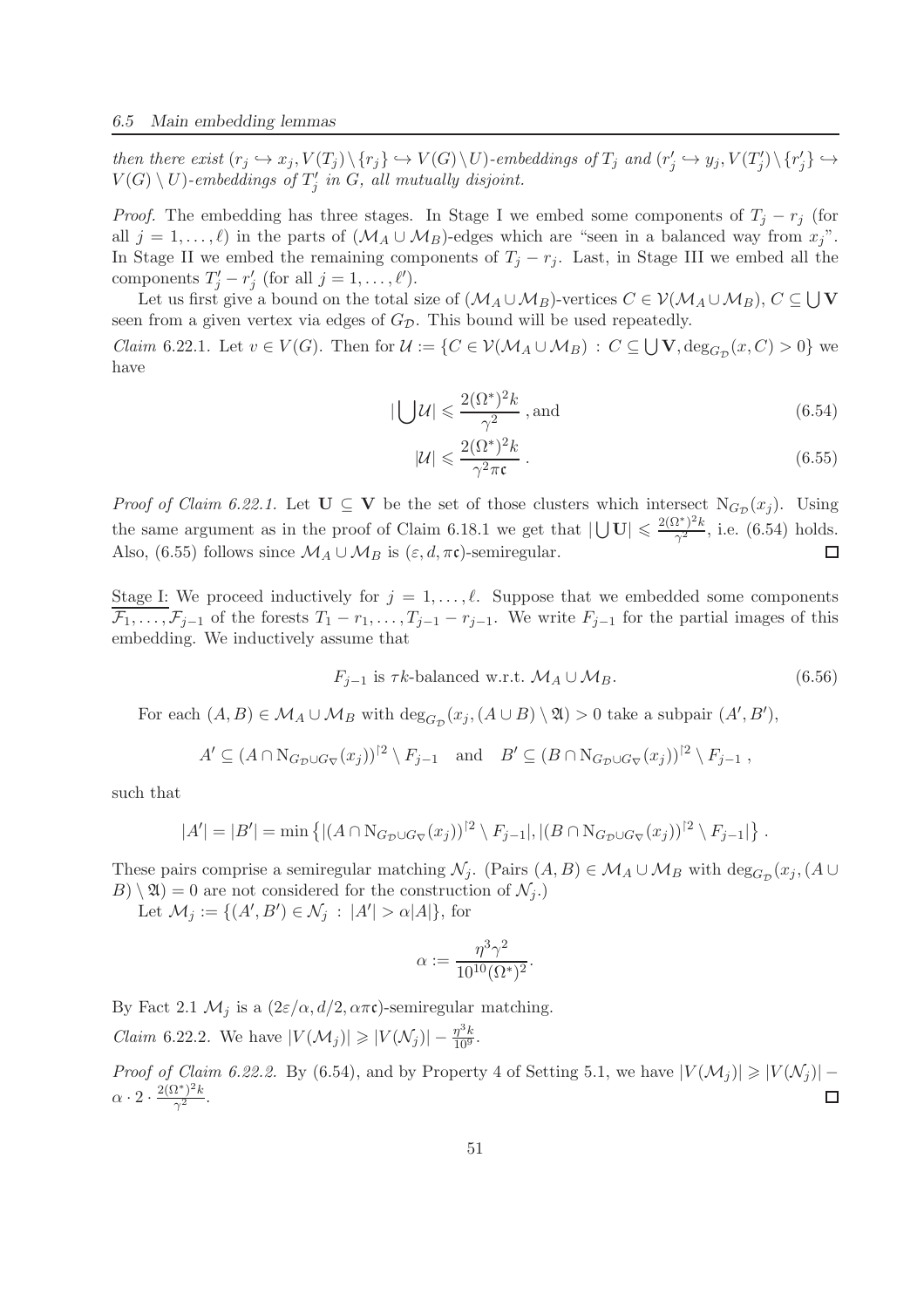$then\ there\ exist\ (r_j \hookrightarrow x_j, V(T_j) \setminus \{r_j\} \hookrightarrow V(G) \setminus U\)-embedding\ of\ T_j\ and\ (r'_j \hookrightarrow y_j, V(T'_j) \setminus \{r'_j\} \hookrightarrow$  $V(G) \setminus U$ )-embeddings of  $T_j'$  in  $G$ , all mutually disjoint.

*Proof.* The embedding has three stages. In Stage I we embed some components of  $T_i - r_j$  (for all  $j = 1, ..., \ell$  in the parts of  $(\mathcal{M}_A \cup \mathcal{M}_B)$ -edges which are "seen in a balanced way from  $x_j$ ". In Stage II we embed the remaining components of  $T_j - r_j$ . Last, in Stage III we embed all the components  $T'_j - r'_j$  (for all  $j = 1, ..., \ell'$ ).

Let us first give a bound on the total size of  $(\mathcal{M}_A \cup \mathcal{M}_B)$ -vertices  $C \in \mathcal{V}(\mathcal{M}_A \cup \mathcal{M}_B)$ ,  $C \subseteq \bigcup V$ seen from a given vertex via edges of  $G_{\mathcal{D}}$ . This bound will be used repeatedly.

*Claim* 6.22.1. Let  $v \in V(G)$ . Then for  $\mathcal{U} := \{ C \in \mathcal{V}(\mathcal{M}_A \cup \mathcal{M}_B) : C \subseteq \bigcup V, \deg_{G_D}(x, C) > 0 \}$  we have

$$
|\bigcup \mathcal{U}| \leqslant \frac{2(\Omega^*)^2 k}{\gamma^2}, \text{and} \tag{6.54}
$$

$$
|\mathcal{U}| \leqslant \frac{2(\Omega^*)^2 k}{\gamma^2 \pi \mathfrak{c}} \,. \tag{6.55}
$$

*Proof of Claim 6.22.1.* Let  $U \subseteq V$  be the set of those clusters which intersect  $N_{G_{\mathcal{D}}}(x_j)$ . Using the same argument as in the proof of Claim 6.18.1 we get that  $|\bigcup \mathbf{U}| \leqslant \frac{2(\Omega^*)^2 k}{\gamma^2}$  $\frac{\mu}{\gamma^2}$ , i.e. (6.54) holds. Also, (6.55) follows since  $\mathcal{M}_A \cup \mathcal{M}_B$  is  $(\varepsilon, d, \pi\mathfrak{c})$ -semiregular.  $\Box$ 

Stage I: We proceed inductively for  $j = 1, \ldots, \ell$ . Suppose that we embedded some components  $\mathcal{F}_1, \ldots, \mathcal{F}_{j-1}$  of the forests  $T_1 - r_1, \ldots, T_{j-1} - r_{j-1}$ . We write  $F_{j-1}$  for the partial images of this embedding. We inductively assume that

$$
F_{j-1} \text{ is } \tau k\text{-balanced w.r.t. } \mathcal{M}_A \cup \mathcal{M}_B. \tag{6.56}
$$

For each  $(A, B) \in M_A \cup M_B$  with  $\deg_{G_{\mathcal{D}}}(x_j, (A \cup B) \setminus \mathfrak{A}) > 0$  take a subpair  $(A', B')$ ,

$$
A' \subseteq (A \cap N_{G_{\mathcal{D}} \cup G_{\nabla}}(x_j))^{2} \setminus F_{j-1} \quad \text{and} \quad B' \subseteq (B \cap N_{G_{\mathcal{D}} \cup G_{\nabla}}(x_j))^{2} \setminus F_{j-1} ,
$$

such that

$$
|A'| = |B'| = \min \left\{ |(A \cap N_{G_{\mathcal{D}} \cup G_{\nabla}}(x_j))|^{2} \setminus F_{j-1}|, |(B \cap N_{G_{\mathcal{D}} \cup G_{\nabla}}(x_j))|^{2} \setminus F_{j-1}| \right\}.
$$

These pairs comprise a semiregular matching  $\mathcal{N}_j$ . (Pairs  $(A, B) \in \mathcal{M}_A \cup \mathcal{M}_B$  with  $\deg_{G_{\mathcal{D}}}(x_j, (A \cup$  $B(\setminus \mathfrak{A}) = 0$  are not considered for the construction of  $\mathcal{N}_j$ .

Let  $\mathcal{M}_j := \{ (A', B') \in \mathcal{N}_j : |A'| > \alpha |A| \},\$ for

$$
\alpha:=\frac{\eta^3\gamma^2}{10^{10}(\Omega^*)^2}.
$$

By Fact 2.1  $\mathcal{M}_j$  is a  $(2\varepsilon/\alpha, d/2, \alpha\pi\mathfrak{c})$ -semiregular matching. *Claim* 6.22.2. We have  $|V(\mathcal{M}_j)| \geq |V(\mathcal{N}_j)| - \frac{\eta^3 k}{10^9}$ .

*Proof of Claim 6.22.2.* By (6.54), and by Property 4 of Setting 5.1, we have  $|V(\mathcal{M}_j)| \geq |V(\mathcal{N}_j)|$  –  $\alpha \cdot 2 \cdot \frac{2(\Omega^*)^2 k}{\gamma^2}$  $\frac{\iota + \kappa}{\gamma^2}$ .  $\Box$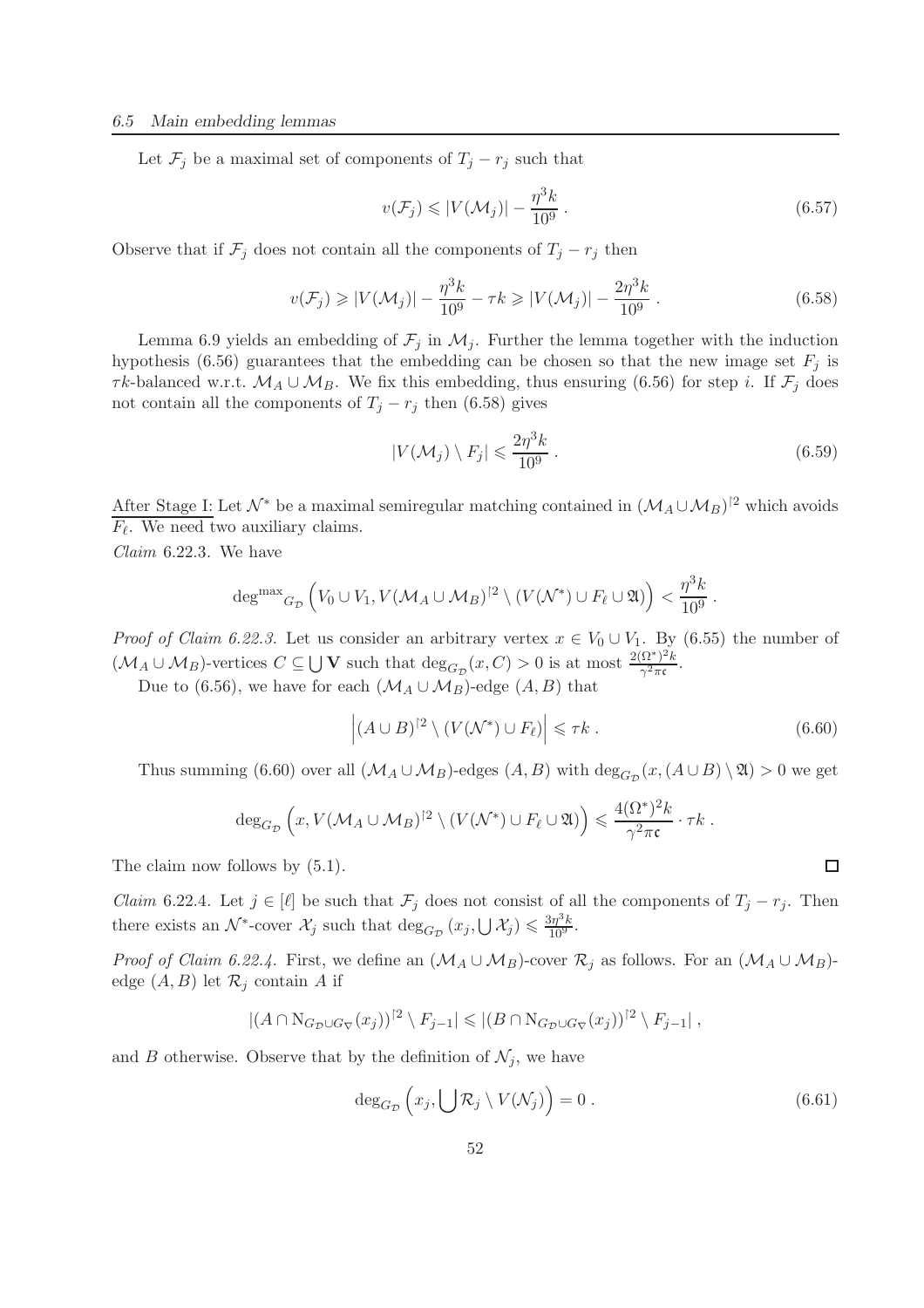Let  $\mathcal{F}_j$  be a maximal set of components of  $T_j - r_j$  such that

$$
v(\mathcal{F}_j) \leqslant |V(\mathcal{M}_j)| - \frac{\eta^3 k}{10^9} \,. \tag{6.57}
$$

Observe that if  $\mathcal{F}_j$  does not contain all the components of  $T_j - r_j$  then

$$
v(\mathcal{F}_j) \ge |V(\mathcal{M}_j)| - \frac{\eta^3 k}{10^9} - \tau k \ge |V(\mathcal{M}_j)| - \frac{2\eta^3 k}{10^9}.
$$
 (6.58)

Lemma 6.9 yields an embedding of  $\mathcal{F}_j$  in  $\mathcal{M}_j$ . Further the lemma together with the induction hypothesis (6.56) guarantees that the embedding can be chosen so that the new image set  $F_j$  is  $\tau k$ -balanced w.r.t.  $\mathcal{M}_A \cup \mathcal{M}_B$ . We fix this embedding, thus ensuring (6.56) for step *i*. If  $\mathcal{F}_j$  does not contain all the components of  $T_i - r_j$  then (6.58) gives

$$
|V(\mathcal{M}_j) \setminus F_j| \leqslant \frac{2\eta^3 k}{10^9} \,. \tag{6.59}
$$

After Stage I: Let  $\mathcal{N}^*$  be a maximal semiregular matching contained in  $(\mathcal{M}_A \cup \mathcal{M}_B)^{\upharpoonright 2}$  which avoids  $F_{\ell}$ . We need two auxiliary claims.

*Claim* 6.22.3*.* We have

$$
\deg^{max}_{\text{G}_{\mathcal{D}}}\left(V_0 \cup V_1, V(\mathcal{M}_A \cup \mathcal{M}_B)^{2} \setminus (V(\mathcal{N}^*) \cup F_{\ell} \cup \mathfrak{A})\right) < \frac{\eta^3 k}{10^9}.
$$

*Proof of Claim 6.22.3.* Let us consider an arbitrary vertex  $x \in V_0 \cup V_1$ . By (6.55) the number of  $(\mathcal{M}_A \cup \mathcal{M}_B)$ -vertices  $C \subseteq \bigcup \mathbf{V}$  such that  $\deg_{G_{\mathcal{D}}}(x, C) > 0$  is at most  $\frac{2(\Omega^*)^2 k}{\gamma^2 \pi \mathfrak{c}}$  $\frac{\Delta E}{\gamma^2 \pi c}$ .

Due to (6.56), we have for each  $(\mathcal{M}_A \cup \mathcal{M}_B)$ -edge  $(A, B)$  that

$$
\left| (A \cup B)^{\dagger 2} \setminus (V(\mathcal{N}^*) \cup F_{\ell}) \right| \leq \tau k . \tag{6.60}
$$

Thus summing (6.60) over all  $(\mathcal{M}_A \cup \mathcal{M}_B)$ -edges  $(A, B)$  with  $\deg_{G_{\mathcal{D}}}(x, (A \cup B) \setminus \mathfrak{A}) > 0$  we get

$$
\deg_{G_{\mathcal{D}}}\left(x,V(\mathcal{M}_A\cup\mathcal{M}_B)^{2}\setminus\left(V(\mathcal{N}^*)\cup F_{\ell}\cup\mathfrak{A}\right)\right)\leqslant\frac{4(\Omega^*)^2k}{\gamma^2\pi\mathfrak{c}}\cdot\tau k.
$$

The claim now follows by  $(5.1)$ .

*Claim* 6.22.4*.* Let  $j \in [\ell]$  be such that  $\mathcal{F}_j$  does not consist of all the components of  $T_j - r_j$ . Then there exists an  $\mathcal{N}^*$ -cover  $\mathcal{X}_j$  such that  $\deg_{G_{\mathcal{D}}}(x_j, \bigcup \mathcal{X}_j) \leq \frac{3\eta^3 k}{10^9}$ .

*Proof of Claim 6.22.4.* First, we define an  $(\mathcal{M}_A \cup \mathcal{M}_B)$ -cover  $\mathcal{R}_j$  as follows. For an  $(\mathcal{M}_A \cup \mathcal{M}_B)$ edge  $(A, B)$  let  $\mathcal{R}_j$  contain A if

$$
|(A \cap N_{G_{\mathcal{D}} \cup G_{\nabla}}(x_j))^{2} \setminus F_{j-1}| \leqslant |(B \cap N_{G_{\mathcal{D}} \cup G_{\nabla}}(x_j))^{2} \setminus F_{j-1}|,
$$

and B otherwise. Observe that by the definition of  $\mathcal{N}_j$ , we have

$$
\deg_{G_{\mathcal{D}}}\left(x_j,\bigcup\mathcal{R}_j\setminus V(\mathcal{N}_j)\right)=0\ .
$$
\n(6.61)

 $\Box$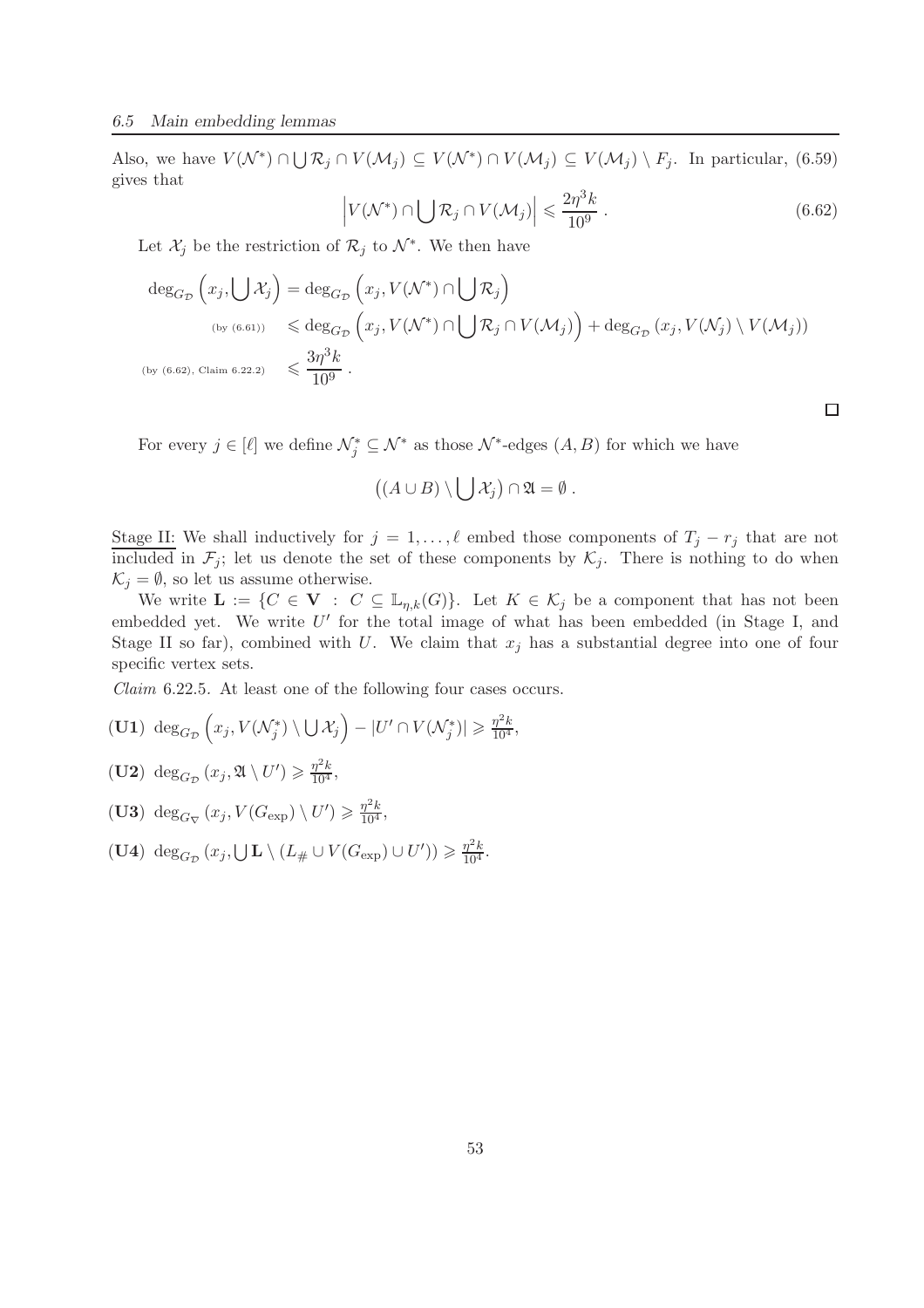Also, we have  $V(\mathcal{N}^*) \cap \bigcup \mathcal{R}_j \cap V(\mathcal{M}_j) \subseteq V(\mathcal{N}^*) \cap V(\mathcal{M}_j) \subseteq V(\mathcal{M}_j) \setminus F_j$ . In particular, (6.59) gives that

$$
\left| V(\mathcal{N}^*) \cap \bigcup \mathcal{R}_j \cap V(\mathcal{M}_j) \right| \leqslant \frac{2\eta^3 k}{10^9} \,. \tag{6.62}
$$

 $\Box$ 

Let  $\mathcal{X}_j$  be the restriction of  $\mathcal{R}_j$  to  $\mathcal{N}^*$ . We then have

$$
\deg_{G_{\mathcal{D}}}\left(x_j,\bigcup \mathcal{X}_j\right) = \deg_{G_{\mathcal{D}}}\left(x_j,V(\mathcal{N}^*)\cap \bigcup \mathcal{R}_j\right)
$$
\n
$$
\deg_{G_{\mathcal{D}}}\left(x_j,V(\mathcal{N}^*)\cap \bigcup \mathcal{R}_j\cap V(\mathcal{M}_j)\right) + \deg_{G_{\mathcal{D}}}\left(x_j,V(\mathcal{N}_j)\setminus V(\mathcal{M}_j)\right)
$$
\n
$$
\deg_{G_{\mathcal{D}}}\left(x_j,\bigcup \mathcal{N}_j\right) \leq \frac{3\eta^3 k}{10^9}.
$$

For every  $j \in [\ell]$  we define  $\mathcal{N}_{j}^{*} \subseteq \mathcal{N}^{*}$  as those  $\mathcal{N}^{*}$ -edges  $(A, B)$  for which we have

$$
((A\cup B)\setminus\bigcup\mathcal{X}_j)\cap\mathfrak{A}=\emptyset.
$$

Stage II: We shall inductively for  $j = 1, \ldots, \ell$  embed those components of  $T_j - r_j$  that are not included in  $\mathcal{F}_j$ ; let us denote the set of these components by  $\mathcal{K}_j$ . There is nothing to do when  $\mathcal{K}_i = \emptyset$ , so let us assume otherwise.

We write  $\mathbf{L} := \{C \in \mathbf{V} : C \subseteq \mathbb{L}_{\eta,k}(G)\}.$  Let  $K \in \mathcal{K}_j$  be a component that has not been embedded yet. We write  $U'$  for the total image of what has been embedded (in Stage I, and Stage II so far), combined with U. We claim that  $x_j$  has a substantial degree into one of four specific vertex sets.

*Claim* 6.22.5*.* At least one of the following four cases occurs.

$$
(\mathbf{U1}) \deg_{G_{\mathcal{D}}}\left(x_j, V(\mathcal{N}_j^*) \setminus \bigcup \mathcal{X}_j\right) - |U' \cap V(\mathcal{N}_j^*)| \geq \frac{\eta^2 k}{10^4},
$$

- (**U2**)  $\deg_{G_{\mathcal{D}}}(x_j, \mathfrak{A}\setminus U') \geq \frac{\eta^2 k}{10^4},$
- (**U3**) deg<sub>*G* $\triangledown$ </sub>  $(x_j, V(G_{exp}) \setminus U') \geq \frac{\eta^2 k}{10^4}$ ,
- (**U4**)  $\deg_{G_{\mathcal{D}}}(x_j, \bigcup \mathbf{L} \setminus (L_{\#} \cup V(G_{\exp}) \cup U')) \geq \frac{\eta^2 k}{10^4}.$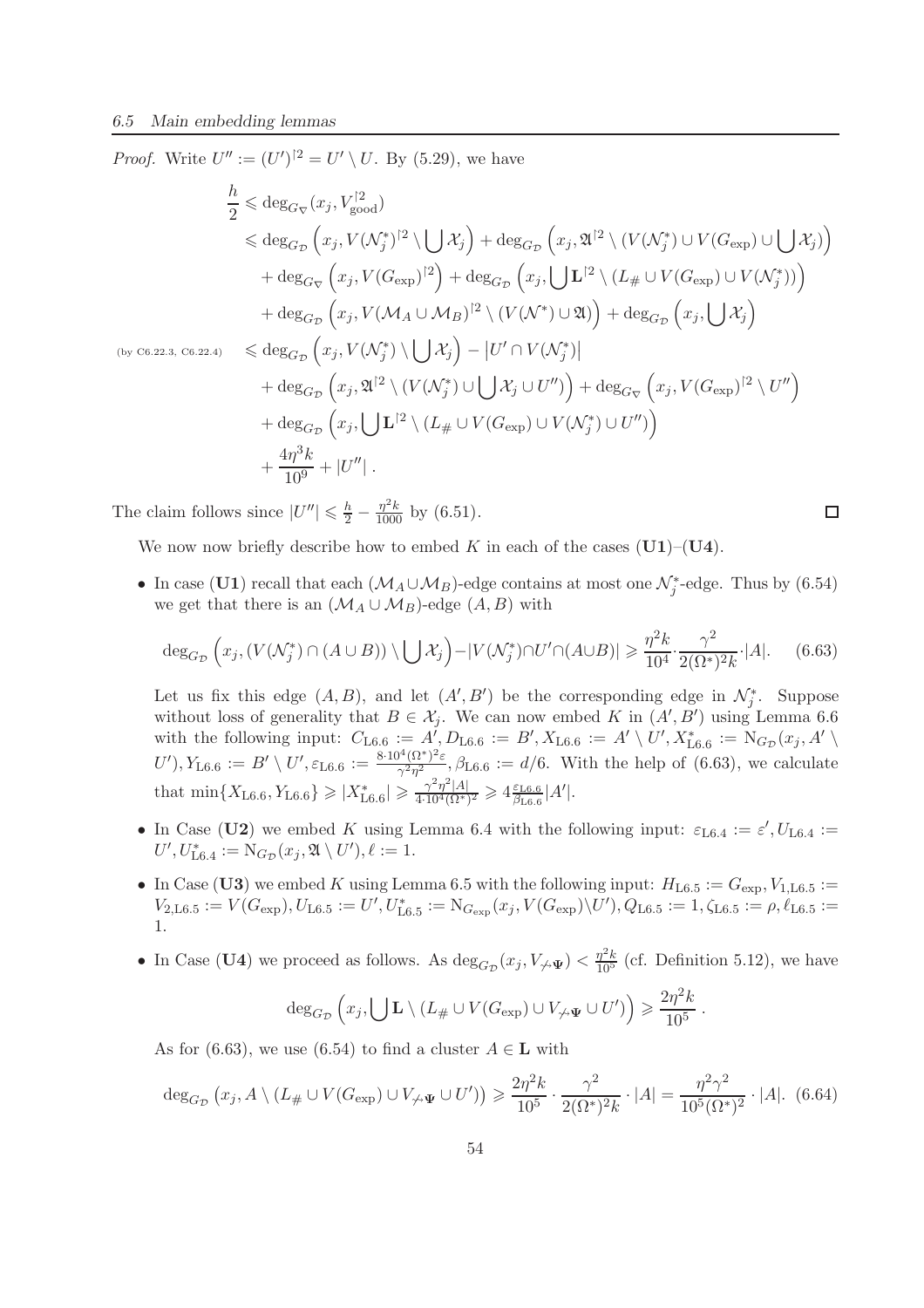*Proof.* Write  $U'' := (U')^{2} = U' \setminus U$ . By (5.29), we have

$$
\frac{h}{2} \leqslant \deg_{G_{\nabla}}(x_j, V_{\text{good}}^{\dagger 2})
$$
\n
$$
\leqslant \deg_{G_{\nabla}}(x_j, V(\mathcal{N}_j^*)^2 \setminus \bigcup \mathcal{X}_j) + \deg_{G_{\nabla}}(x_j, \mathfrak{A}^{\dagger 2} \setminus (V(\mathcal{N}_j^*) \cup V(G_{\text{exp}}) \cup \bigcup \mathcal{X}_j))
$$
\n
$$
+ \deg_{G_{\nabla}}(x_j, V(G_{\text{exp}})^{\dagger 2}) + \deg_{G_{\nabla}}(x_j, \bigcup \mathbf{L}^{\dagger 2} \setminus (L_{\#} \cup V(G_{\text{exp}}) \cup V(\mathcal{N}_j^*)) )
$$
\n
$$
+ \deg_{G_{\nabla}}(x_j, V(\mathcal{M}_A \cup \mathcal{M}_B)^{\dagger 2} \setminus (V(\mathcal{N}^*) \cup \mathfrak{A}) ) + \deg_{G_{\nabla}}(x_j, \bigcup \mathcal{X}_j )
$$
\n
$$
\leqslant \deg_{G_{\nabla}}(x_j, V(\mathcal{N}_j^*) \setminus \bigcup \mathcal{X}_j) - |U' \cap V(\mathcal{N}_j^*)|
$$
\n
$$
+ \deg_{G_{\nabla}}(x_j, \mathfrak{A}^{\dagger 2} \setminus (V(\mathcal{N}_j^*) \cup \bigcup \mathcal{X}_j \cup U'') ) + \deg_{G_{\nabla}}(x_j, V(G_{\text{exp}})^{\dagger 2} \setminus U'')
$$
\n
$$
+ \deg_{G_{\nabla}}(x_j, \bigcup \mathbf{L}^{\dagger 2} \setminus (L_{\#} \cup V(G_{\text{exp}}) \cup V(\mathcal{N}_j^*) \cup U'') )
$$
\n
$$
+ \frac{4\eta^3 k}{10^9} + |U''|.
$$

The claim follows since  $|U''| \leq \frac{h}{2} - \frac{\eta^2 k}{1000}$  by (6.51).

We now now briefly describe how to embed K in each of the cases  $(U1)–(U4)$ .

• In case (U1) recall that each  $(\mathcal{M}_A \cup \mathcal{M}_B)$ -edge contains at most one  $\mathcal{N}_j^*$ -edge. Thus by (6.54) we get that there is an  $(\mathcal{M}_A \cup \mathcal{M}_B)$ -edge  $(A, B)$  with

$$
\deg_{G_{\mathcal{D}}}\left(x_j, \left(V(\mathcal{N}_j^*) \cap (A \cup B)\right) \setminus \bigcup \mathcal{X}_j\right) - |V(\mathcal{N}_j^*) \cap U' \cap (A \cup B)| \ge \frac{\eta^2 k}{10^4} \cdot \frac{\gamma^2}{2(\Omega^*)^2 k} \cdot |A|.
$$
 (6.63)

 $\Box$ 

Let us fix this edge  $(A, B)$ , and let  $(A', B')$  be the corresponding edge in  $\mathcal{N}_{j}^{*}$ . Suppose without loss of generality that  $B \in \mathcal{X}_j$ . We can now embed K in  $(A', B')$  using Lemma 6.6 with the following input:  $C_{\text{L6.6}} := A', D_{\text{L6.6}} := B', X_{\text{L6.6}} := A' \setminus U', X_{\text{L6.6}}^* := \text{N}_{G_{\mathcal{D}}}(x_j, A')$  $(U'), Y_{\text{L6.6}} := B' \setminus U', \varepsilon_{\text{L6.6}} := \frac{8 \cdot 10^4 (\Omega^*)^2 \varepsilon}{\gamma^2 \eta^2}$  $\frac{\partial^2 \mathbf{Q}(\Omega^2)}{\partial^2 \eta^2}$ ,  $\beta_{\text{L6.6}} := d/6$ . With the help of (6.63), we calculate that  $\min\{X_{\text{L6.6}}, Y_{\text{L6.6}}\} \geqslant |X^*_{\text{L6.6}}| \geqslant \frac{\gamma^2 \eta^2 |A|}{4 \cdot 10^4 (\Omega^*)}$  $\frac{\gamma^2\eta^2|A|}{4\cdot10^4(\Omega^*)^2}\geqslant 4\frac{\varepsilon_{\rm L6.6}}{\beta_{\rm L6.6}}$  $\frac{\varepsilon_{\rm L6.6}}{\beta_{\rm L6.6}}|A'|.$ 

- In Case (U2) we embed K using Lemma 6.4 with the following input:  $\varepsilon_{\text{L6.4}} := \varepsilon', U_{\text{L6.4}} :=$  $U', U^*_{\text{L6.4}} := \text{N}_{G_{\mathcal{D}}}(x_j, \mathfrak{A} \setminus U'), \ell := 1.$
- In Case (U3) we embed K using Lemma 6.5 with the following input:  $H_{\text{L6.5}} := G_{\text{exp}}$ ,  $V_{1,\text{L6.5}} :=$  $V_{2,\text{L6.5}}:=V(G_{\text{exp}}), U_{\text{L6.5}}:=U', U_{\text{L6.5}}^*:=\mathrm{N}_{G_{\text{exp}}}(x_j,V(G_{\text{exp}})\backslash U'), Q_{\text{L6.5}}:=1, \zeta_{\text{L6.5}}:=\rho, \ell_{\text{L6.5}}:=0$ 1.
- In Case (U4) we proceed as follows. As  $\deg_{G_{\mathcal{D}}}(x_j, V_{\not\to \Psi}) < \frac{\eta^2 k}{10^5}$  (cf. Definition 5.12), we have

$$
\deg_{G_{\mathcal{D}}}\left(x_j,\bigcup \mathbf{L}\setminus (L_{\#}\cup V(G_{\exp})\cup V_{\neq \Psi}\cup U')\right) \geq \frac{2\eta^2k}{10^5}.
$$

As for (6.63), we use (6.54) to find a cluster  $A \in L$  with

$$
\deg_{G_{\mathcal{D}}}(x_j, A \setminus (L_{\#} \cup V(G_{\exp}) \cup V_{\nleftrightarrow \Psi} \cup U')) \geq \frac{2\eta^2 k}{10^5} \cdot \frac{\gamma^2}{2(\Omega^*)^2 k} \cdot |A| = \frac{\eta^2 \gamma^2}{10^5 (\Omega^*)^2} \cdot |A|.
$$
 (6.64)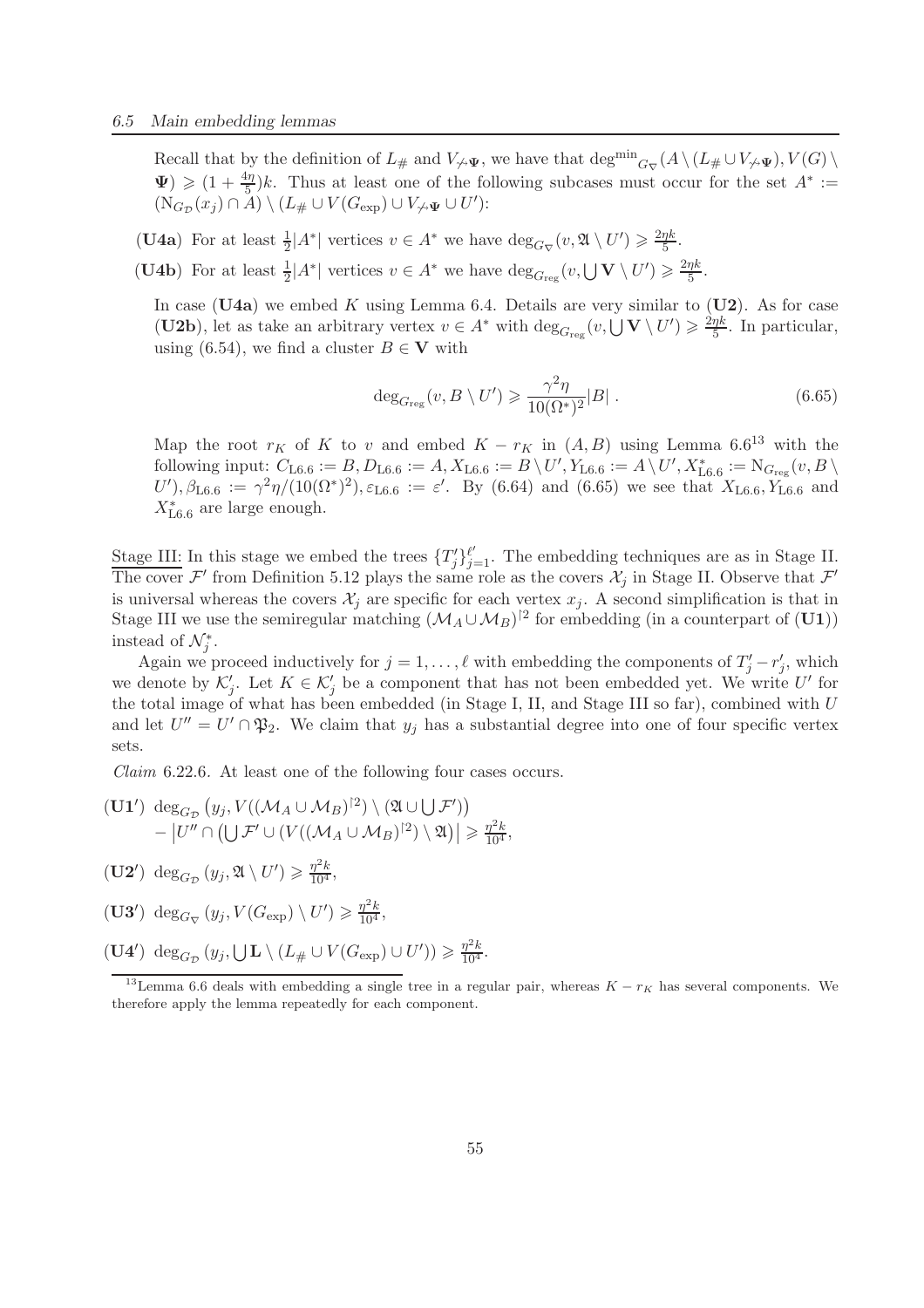Recall that by the definition of  $L_{\#}$  and  $V_{\nless \Psi}$ , we have that  $\deg^{min}_{G_{\nabla}}(A \setminus (L_{\#} \cup V_{\nless \Psi}), V(G) \setminus$  $\Psi$ )  $\geq (1 + \frac{4\eta}{5})k$ . Thus at least one of the following subcases must occur for the set  $A^* :=$  $(N_{G_{\mathcal{D}}}(x_j) \cap A) \setminus (L_{\#} \cup V(G_{\exp}) \cup V_{\nleftrightarrow \Psi} \cup U')$ :

- (U4a) For at least  $\frac{1}{2}|A^*|$  vertices  $v \in A^*$  we have  $\deg_{G_{\nabla}}(v, \mathfrak{A} \setminus U') \geq \frac{2\eta k}{5}$  $\frac{\eta\kappa}{5}$ .
- (U4b) For at least  $\frac{1}{2}|A^*|$  vertices  $v \in A^*$  we have  $\deg_{G_{reg}}(v, \bigcup V \setminus U') \geq \frac{2\eta k}{5}$  $\frac{\eta\kappa}{5}$ .

In case (U4a) we embed K using Lemma 6.4. Details are very similar to (U2). As for case (U2b), let as take an arbitrary vertex  $v \in A^*$  with  $\deg_{G_{reg}}(v, \bigcup V \setminus U') \geq \frac{2\eta k}{5}$  $\frac{\eta\kappa}{5}$ . In particular, using (6.54), we find a cluster  $B \in V$  with

$$
\deg_{G_{\text{reg}}}(v, B \setminus U') \geq \frac{\gamma^2 \eta}{10(\Omega^*)^2} |B| \tag{6.65}
$$

Map the root  $r_K$  of K to v and embed  $K - r_K$  in  $(A, B)$  using Lemma 6.6<sup>13</sup> with the  $\text{following input: } C_{\text{L6.6}} := B, D_{\text{L6.6}} := A, X_{\text{L6.6}} := B \setminus U', Y_{\text{L6.6}} := A \setminus U', X_{\text{L6.6}}^* := \text{N}_{G_{\text{reg}}}(v, B \setminus V)$  $U'$ ,  $\beta_{\text{L6.6}} := \gamma^2 \eta/(10(\Omega^*)^2)$ ,  $\varepsilon_{\text{L6.6}} := \varepsilon'$ . By (6.64) and (6.65) we see that  $X_{\text{L6.6}}$ ,  $Y_{\text{L6.6}}$  and  $X_{\text{L6.6}}^*$  are large enough.

Stage III: In this stage we embed the trees  $\{T_j'\}_{j=1}^{\ell'}$ . The embedding techniques are as in Stage II. The cover  $\mathcal{F}'$  from Definition 5.12 plays the same role as the covers  $\mathcal{X}_j$  in Stage II. Observe that  $\mathcal{F}'$ is universal whereas the covers  $\mathcal{X}_j$  are specific for each vertex  $x_j$ . A second simplification is that in Stage III we use the semiregular matching  $(M_A \cup M_B)^{2}$  for embedding (in a counterpart of (U1)) instead of  $\mathcal{N}_{j}^{*}$ .

Again we proceed inductively for  $j = 1, \ldots, \ell$  with embedding the components of  $T'_j - r'_j$ , which we denote by  $\mathcal{K}'_j$ . Let  $K \in \mathcal{K}'_j$  be a component that has not been embedded yet. We write U' for the total image of what has been embedded (in Stage I, II, and Stage III so far), combined with U and let  $U'' = U' \cap \mathfrak{P}_2$ . We claim that  $y_j$  has a substantial degree into one of four specific vertex sets.

*Claim* 6.22.6*.* At least one of the following four cases occurs.

- $(\mathbf{U1'}) \deg_{G_{\mathcal{D}}}(y_j,V((\mathcal{M}_A\cup \mathcal{M}_B)^{\upharpoonright 2})\setminus (\mathfrak{A}\cup \bigcup \mathcal{F}'))$  $-|U''\cap\left(\bigcup\mathcal{F}'\cup\left(V((\mathcal{M}_A\cup\mathcal{M}_B)^{\upharpoonright 2})\setminus\mathfrak{A}\right)|\geqslant\frac{\eta^2k}{10^4},$
- $(\mathbf{U2}') \deg_{G_{\mathcal{D}}}(y_j, \mathfrak{A}\setminus U') \geq \frac{\eta^2 k}{10^4},$

(**U3'**) deg<sub>*G* $\mathcal{L}}$ </sub>  $(y_j, V(G_{exp}) \setminus U') \geq \frac{\eta^2 k}{10^4}$ ,

 $(\mathbf{U4}') \deg_{G_{\mathcal{D}}}(y_j, \mathbf{U}\mathbf{L}\setminus (L_{\#}\cup V(G_{\exp})\cup U')) \geq \frac{\eta^2 k}{10^4}.$ 

<sup>&</sup>lt;sup>13</sup>Lemma 6.6 deals with embedding a single tree in a regular pair, whereas  $K - r_K$  has several components. We therefore apply the lemma repeatedly for each component.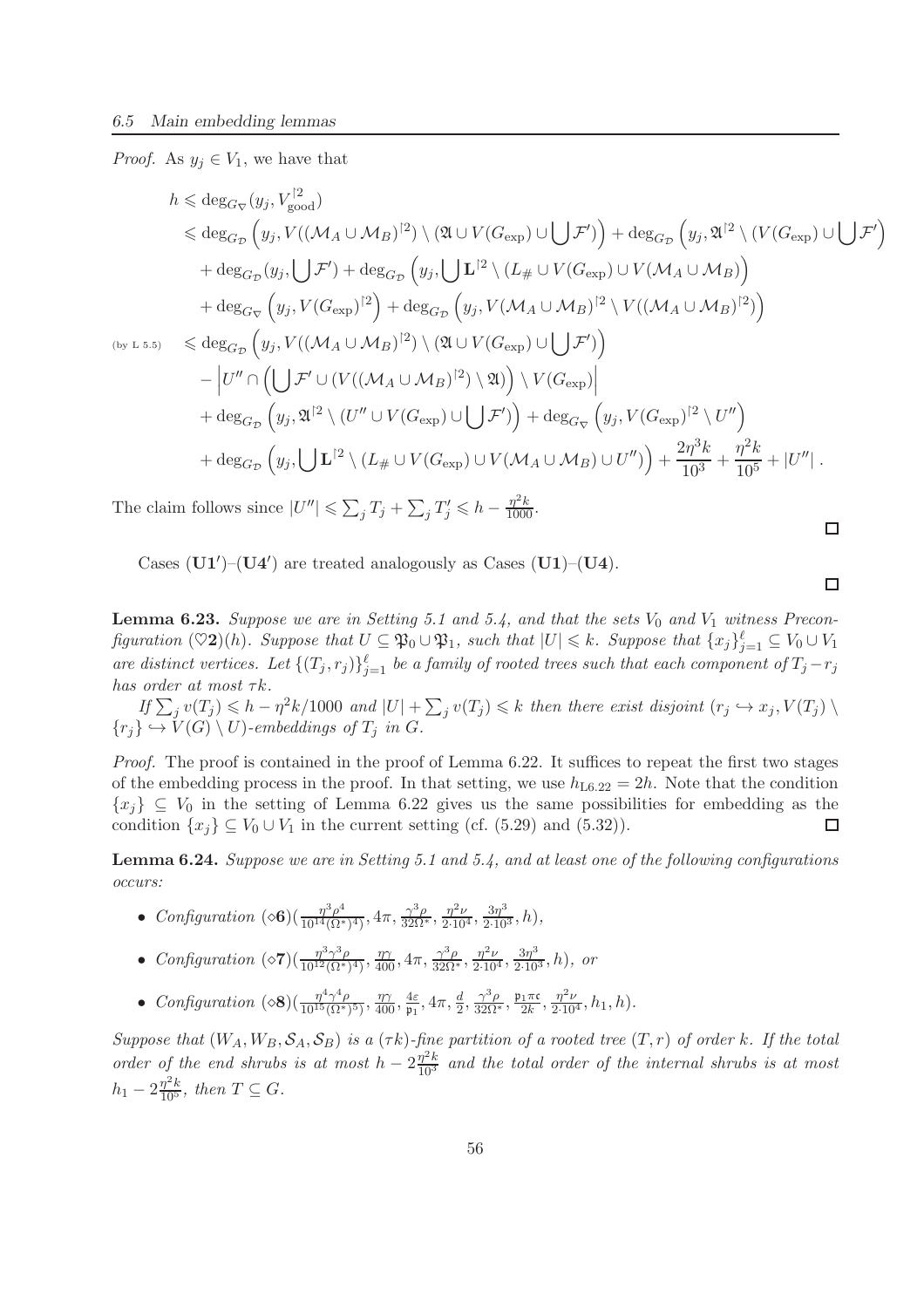*Proof.* As  $y_j \in V_1$ , we have that

$$
h \leqslant \deg_{G_{\nabla}}(y_j, V_{\text{good}}^{[2]})
$$
  
\n
$$
\leqslant \deg_{G_{\nabla}}(y_j, V((\mathcal{M}_A \cup \mathcal{M}_B)^{[2]}) \setminus (\mathfrak{A} \cup V(G_{\exp}) \cup \bigcup \mathcal{F}') + \deg_{G_{\nabla}}(y_j, \mathfrak{A}^{[2]} \setminus (V(G_{\exp}) \cup \bigcup \mathcal{F}')
$$
  
\n
$$
+ \deg_{G_{\nabla}}(y_j, \bigcup \mathcal{F}') + \deg_{G_{\nabla}}(y_j, \bigcup \mathbf{L}^{[2]} \setminus (L_{\#} \cup V(G_{\exp}) \cup V(\mathcal{M}_A \cup \mathcal{M}_B))
$$
  
\n
$$
+ \deg_{G_{\nabla}}(y_j, V(G_{\exp})^{[2]}) + \deg_{G_{\nabla}}(y_j, V(\mathcal{M}_A \cup \mathcal{M}_B)^{[2]} \setminus V((\mathcal{M}_A \cup \mathcal{M}_B)^{[2]})
$$
  
\n
$$
\leqslant \deg_{G_{\nabla}}(y_j, V((\mathcal{M}_A \cup \mathcal{M}_B)^{[2]}) \setminus (\mathfrak{A} \cup V(G_{\exp}) \cup \bigcup \mathcal{F}'))
$$
  
\n
$$
- \Big| U'' \cap \Big( \bigcup \mathcal{F}' \cup (V((\mathcal{M}_A \cup \mathcal{M}_B)^{[2]}) \setminus \mathfrak{A})\Big) \setminus V(G_{\exp}) \Big|
$$
  
\n
$$
+ \deg_{G_{\nabla}}(y_j, \mathfrak{A}^{[2]} \setminus (U'' \cup V(G_{\exp}) \cup \bigcup \mathcal{F}')\Big) + \deg_{G_{\nabla}}(y_j, V(G_{\exp})^{[2]} \setminus U'')
$$
  
\n
$$
+ \deg_{G_{\nabla}}(y_j, \bigcup \mathbf{L}^{[2]} \setminus (L_{\#} \cup V(G_{\exp}) \cup V(\mathcal{M}_A \cup \mathcal{M}_B) \cup U'')\Big) + \frac{2\eta^3 k}{10^3} + \frac{\eta^2 k}{10^5} + |U''|.
$$

The claim follows since  $|U''| \leq \sum_j T_j + \sum_j T'_j \leq h - \frac{\eta^2 k}{1000}$ .

Cases  $(U1')$ – $(U4')$  are treated analogously as Cases  $(U1)$ – $(U4)$ .

**Lemma 6.23.** Suppose we are in Setting 5.1 and 5.4, and that the sets  $V_0$  and  $V_1$  witness Precon*figuration*  $(\heartsuit 2)(h)$ *. Suppose that*  $U \subseteq \mathfrak{P}_0 \cup \mathfrak{P}_1$ *, such that*  $|U| \leq k$ *. Suppose that*  $\{x_j\}_{j=1}^{\ell} \subseteq V_0 \cup V_1$ *are distinct vertices.* Let  $\{(T_j, r_j)\}_{j=1}^{\ell}$  be a family of rooted trees such that each component of  $T_j - r_j$ *has order at most*  $\tau k$ *.* 

 $If \sum_j v(T_j) \leqslant h - \eta^2 k/1000$  and  $|U| + \sum_j v(T_j) \leqslant k$  *then there exist disjoint*  $(r_j \hookrightarrow x_j, V(T_j) \setminus T_j)$  ${r_j} \hookrightarrow V(G) \setminus U$ *)*-embeddings of  $T_j$  in G.

*Proof.* The proof is contained in the proof of Lemma 6.22. It suffices to repeat the first two stages of the embedding process in the proof. In that setting, we use  $h_{\text{L}6.22} = 2h$ . Note that the condition  $\{x_j\} \subseteq V_0$  in the setting of Lemma 6.22 gives us the same possibilities for embedding as the condition  $\{x_i\} \subseteq V_0 \cup V_1$  in the current setting (cf. (5.29) and (5.32)). condition  $\{x_i\} \subseteq V_0 \cup V_1$  in the current setting (cf. (5.29) and (5.32)).

Lemma 6.24. *Suppose we are in Setting 5.1 and 5.4, and at least one of the following configurations occurs:*

- *Configuration*  $(\diamond 6)(\frac{\eta^3 \rho^4}{10^{14} (\Omega^*)}$  $\frac{\eta^3 \rho^4}{10^{14} (\Omega^*)^4}$ ,  $4\pi$ ,  $\frac{\gamma^3 \rho}{32\Omega^*}$ ,  $\frac{\eta^2 \nu}{2 \cdot 10^4}$ ,  $\frac{3\eta^3}{2 \cdot 10^3}$ , h),
- *Configuration*  $(\diamond 7)(\frac{\eta^3 \gamma^3 \rho}{10^{12} (\Omega^*)^2})$  $\frac{\eta^3 \gamma^3 \rho}{10^{12} (\Omega^*)^4}$ ,  $\frac{\eta \gamma}{400}$ ,  $4\pi$ ,  $\frac{\gamma^3 \rho}{32\Omega^*}$ ,  $\frac{\eta^2 \nu}{2 \cdot 10^4}$ ,  $\frac{3\eta^3}{2 \cdot 10^3}$ , h), or
- *Configuration*  $(\diamond 8) (\frac{\eta^4 \gamma^4 \rho}{10^{15} (\Omega^*)})$  $\frac{\eta^4\gamma^4\rho}{10^{15}(\Omega^*)^5)}$ ,  $\frac{\eta\gamma}{400}$ ,  $\frac{4\varepsilon}{\mathfrak{p}_1}$  $\frac{4\varepsilon}{\mathfrak{p}_1}, 4\pi, \frac{d}{2}, \frac{\gamma^3 \rho}{32\Omega^*}, \frac{\mathfrak{p}_1 \pi \mathfrak{c}}{2k}$  $\frac{1}{2k}, \frac{\eta^2 \nu}{2 \cdot 10^4}, h_1, h).$

*Suppose that*  $(W_A, W_B, \mathcal{S}_A, \mathcal{S}_B)$  *is a*  $(\tau k)$ *-fine partition of a rooted tree*  $(T, r)$  *of order* k*. If the total* order of the end shrubs is at most  $h - 2\frac{\eta^2 k}{10^3}$  and the total order of the internal shrubs is at most  $h_1 - 2\frac{\eta^2 k}{10^5}$ , then  $T \subseteq G$ .

 $\Box$ 

 $\Box$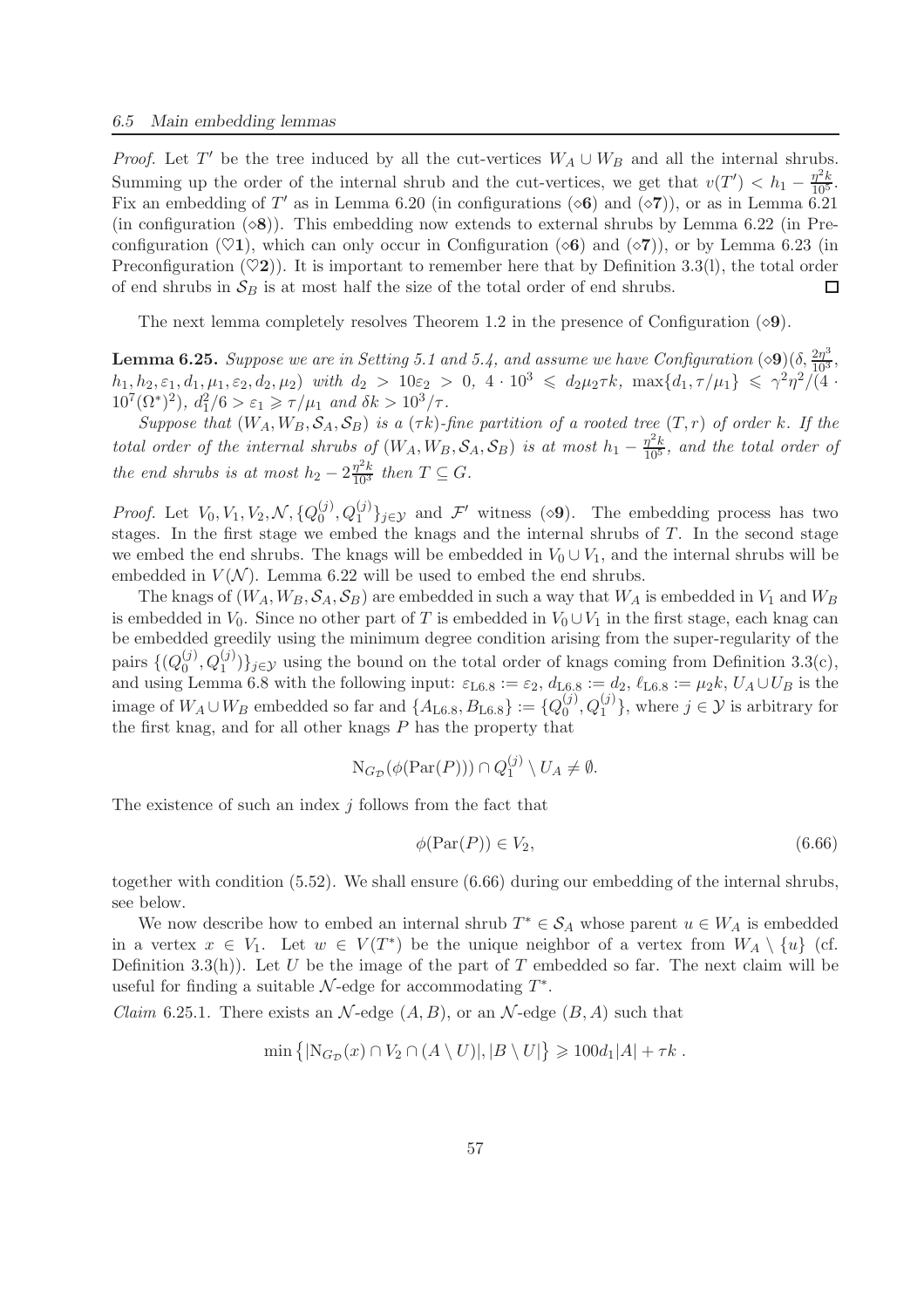*Proof.* Let T' be the tree induced by all the cut-vertices  $W_A \cup W_B$  and all the internal shrubs. Summing up the order of the internal shrub and the cut-vertices, we get that  $v(T') < h_1 - \frac{\eta^2 k}{10^5}$ . Fix an embedding of T' as in Lemma 6.20 (in configurations  $(\diamond 6)$  and  $(\diamond 7)$ ), or as in Lemma 6.21 (in configuration  $(\diamond 8)$ ). This embedding now extends to external shrubs by Lemma 6.22 (in Preconfiguration ( $\heartsuit$ 1), which can only occur in Configuration ( $\diamond$ 6) and ( $\diamond$ 7)), or by Lemma 6.23 (in Preconfiguration ( $\heartsuit$ 2)). It is important to remember here that by Definition 3.3(l), the total order of end shrubs in  $S_R$  is at most half the size of the total order of end shrubs. of end shrubs in  $S_B$  is at most half the size of the total order of end shrubs.

The next lemma completely resolves Theorem 1.2 in the presence of Configuration  $(\diamond 9)$ .

**Lemma 6.25.** Suppose we are in Setting 5.1 and 5.4, and assume we have Configuration  $(\diamond 9)(\delta, \frac{2\eta^3}{10^3},$  $h_1, h_2, \varepsilon_1, d_1, \mu_1, \varepsilon_2, d_2, \mu_2$  *with*  $d_2 > 10\varepsilon_2 > 0$ ,  $4 \cdot 10^3 \leq d_2\mu_2\tau k$ ,  $\max\{d_1, \tau/\mu_1\} \leq \gamma^2\eta^2/\tilde{(\mathfrak{4}} + \mathfrak{a})$  $10^7(\Omega^*)^2$ ,  $d_1^2/6 > \varepsilon_1 \ge \frac{\tau}{\mu_1}$  and  $\delta k > 10^3/\tau$ .

*Suppose that*  $(W_A, W_B, \mathcal{S}_A, \mathcal{S}_B)$  *is a*  $(\tau k)$ *-fine partition of a rooted tree*  $(T, r)$  *of order* k*.* If the *total order of the internal shrubs of*  $(W_A, W_B, \mathcal{S}_A, \mathcal{S}_B)$  *is at most*  $h_1 - \frac{\eta^2 k}{10^5}$ *, and the total order of the end shrubs is at most*  $h_2 - 2\frac{\eta^2 k}{10^3}$  *then*  $T \subseteq G$ *.* 

*Proof.* Let  $V_0, V_1, V_2, \mathcal{N}, \{Q_0^{(j)}\}$  $(0, \mathbb{Q}_1^{(j)}, \mathbb{Q}_1^{(j)})_{j \in \mathcal{Y}}$  and  $\mathcal{F}'$  witness  $(\diamond 9)$ . The embedding process has two stages. In the first stage we embed the knags and the internal shrubs of  $T$ . In the second stage we embed the end shrubs. The knags will be embedded in  $V_0 \cup V_1$ , and the internal shrubs will be embedded in  $V(N)$ . Lemma 6.22 will be used to embed the end shrubs.

The knags of  $(W_A, W_B, \mathcal{S}_A, \mathcal{S}_B)$  are embedded in such a way that  $W_A$  is embedded in  $V_1$  and  $W_B$ is embedded in  $V_0$ . Since no other part of T is embedded in  $V_0 \cup V_1$  in the first stage, each knag can be embedded greedily using the minimum degree condition arising from the super-regularity of the pairs  $\{Q_0^{(j)}\}$  $(0, Q_1^{(j)}, Q_1^{(j)})\}_{j\in\mathcal{Y}}$  using the bound on the total order of knags coming from Definition 3.3(c), and using Lemma 6.8 with the following input:  $\varepsilon_{\text{L6.8}} := \varepsilon_2$ ,  $d_{\text{L6.8}} := d_2$ ,  $\ell_{\text{L6.8}} := \mu_2 k$ ,  $U_A \cup U_B$  is the image of  $W_A \cup W_B$  embedded so far and  $\{A_{\text{L6.8}}, B_{\text{L6.8}}\} := \{Q_0^{(j)}\}$  $\{(\begin{aligned}\n\langle j \rangle, Q_1^{(j)}\n\end{aligned}\}$ , where  $j \in \mathcal{Y}$  is arbitrary for the first knag, and for all other knags  $P$  has the property that

$$
N_{G_{\mathcal{D}}}(\phi(\operatorname{Par}(P))) \cap Q_1^{(j)} \setminus U_A \neq \emptyset.
$$

The existence of such an index  $j$  follows from the fact that

$$
\phi(\operatorname{Par}(P)) \in V_2,\tag{6.66}
$$

together with condition (5.52). We shall ensure (6.66) during our embedding of the internal shrubs, see below.

We now describe how to embed an internal shrub  $T^* \in \mathcal{S}_A$  whose parent  $u \in W_A$  is embedded in a vertex  $x \in V_1$ . Let  $w \in V(T^*)$  be the unique neighbor of a vertex from  $W_A \setminus \{u\}$  (cf. Definition 3.3(h)). Let U be the image of the part of T embedded so far. The next claim will be useful for finding a suitable  $N$ -edge for accommodating  $T^*$ .

*Claim* 6.25.1. There exists an  $\mathcal{N}$ -edge  $(A, B)$ , or an  $\mathcal{N}$ -edge  $(B, A)$  such that

$$
\min\left\{|\mathcal{N}_{G_{\mathcal{D}}}(x)\cap V_2\cap (A\setminus U)|,|B\setminus U|\right\}\geqslant 100d_1|A|+\tau k\;.
$$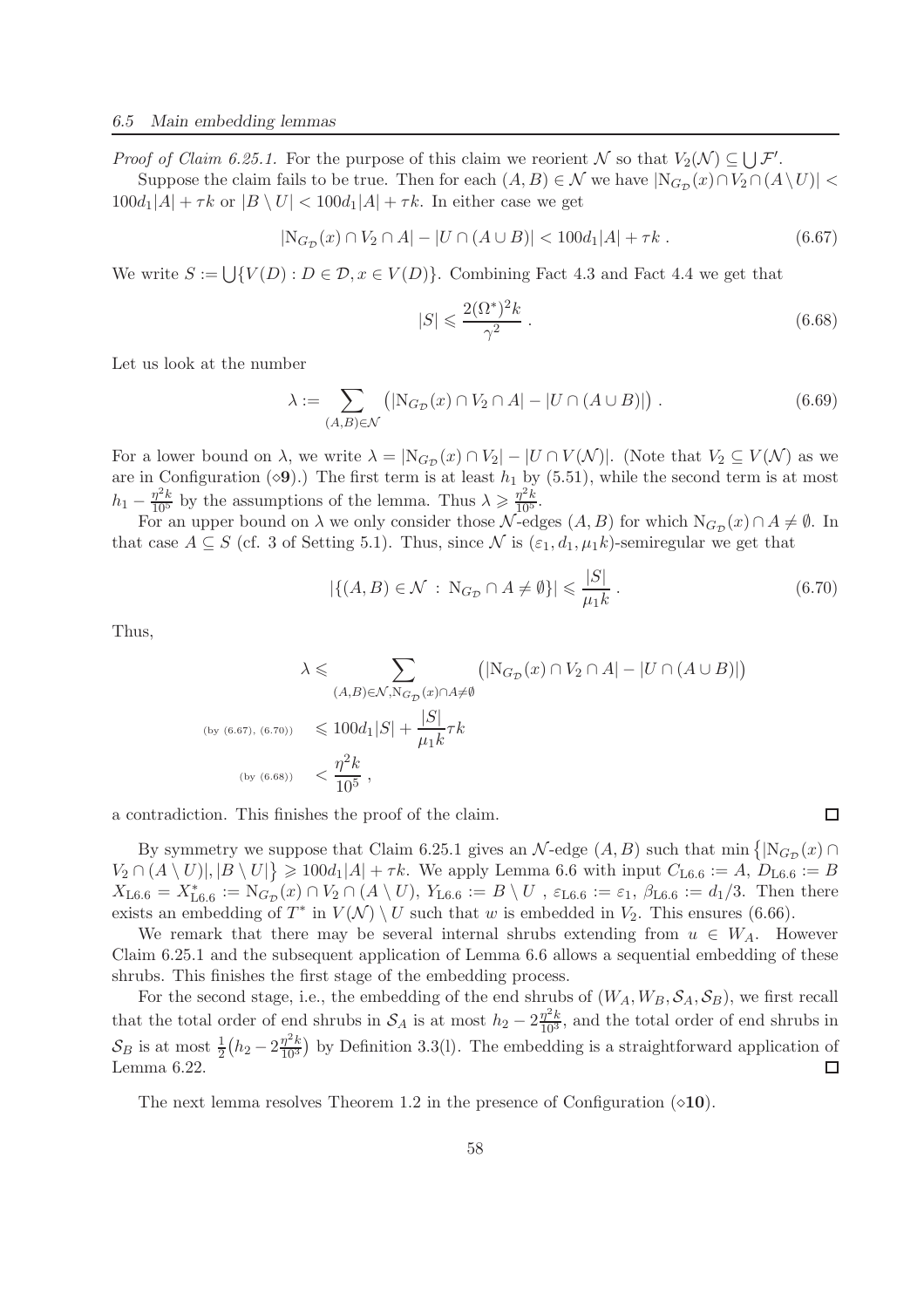*Proof of Claim 6.25.1.* For the purpose of this claim we reorient  $\mathcal N$  so that  $V_2(\mathcal N) \subseteq \bigcup \mathcal F'$ .

Suppose the claim fails to be true. Then for each  $(A, B) \in \mathcal{N}$  we have  $|N_{G_{\mathcal{D}}}(x) \cap V_2 \cap (A \setminus U)|$  $100d_1|A| + \tau k$  or  $|B \setminus U| < 100d_1|A| + \tau k$ . In either case we get

$$
|N_{G_{\mathcal{D}}}(x) \cap V_2 \cap A| - |U \cap (A \cup B)| < 100d_1|A| + \tau k. \tag{6.67}
$$

We write  $S := \bigcup \{V(D) : D \in \mathcal{D}, x \in V(D)\}$ . Combining Fact 4.3 and Fact 4.4 we get that

$$
|S| \leqslant \frac{2(\Omega^*)^2 k}{\gamma^2} \,. \tag{6.68}
$$

Let us look at the number

$$
\lambda := \sum_{(A,B)\in\mathcal{N}} \left( |N_{G_{\mathcal{D}}}(x) \cap V_2 \cap A| - |U \cap (A \cup B)| \right). \tag{6.69}
$$

For a lower bound on  $\lambda$ , we write  $\lambda = |N_{G_{\mathcal{D}}}(x) \cap V_2| - |U \cap V(\mathcal{N})|$ . (Note that  $V_2 \subseteq V(\mathcal{N})$  as we are in Configuration  $(\diamond 9)$ .) The first term is at least  $h_1$  by (5.51), while the second term is at most  $h_1 - \frac{\eta^2 k}{10^5}$  by the assumptions of the lemma. Thus  $\lambda \geq \frac{\eta^2 k}{10^5}$ .

For an upper bound on  $\lambda$  we only consider those  $\mathcal{N}$ -edges  $(A, B)$  for which  $N_{G_{\mathcal{D}}}(x) \cap A \neq \emptyset$ . In that case  $A \subseteq S$  (cf. 3 of Setting 5.1). Thus, since N is  $(\varepsilon_1, d_1, \mu_1 k)$ -semiregular we get that

$$
|\{(A,B)\in\mathcal{N}\,:\,\mathrm{N}_{G_{\mathcal{D}}}\cap A\neq\emptyset\}|\leqslant\frac{|S|}{\mu_1k}.
$$
\n
$$
(6.70)
$$

 $\Box$ 

Thus,

$$
\lambda \leqslant \sum_{\substack{(A,B)\in\mathcal{N},\mathrm{N}_{G_{\mathcal{D}}}(x)\cap A\neq\emptyset}} \left( |\mathrm{N}_{G_{\mathcal{D}}}(x)\cap V_2\cap A| - |U\cap (A\cup B)| \right)
$$
\n
$$
\text{(by (6.67), (6.70))} \leqslant 100d_1|S| + \frac{|S|}{\mu_1k}\tau k
$$
\n
$$
\text{(by (6.68))} \leqslant \frac{\eta^2 k}{10^5},
$$

a contradiction. This finishes the proof of the claim.

By symmetry we suppose that Claim 6.25.1 gives an  $\mathcal{N}$ -edge  $(A, B)$  such that min  $\{N_{G_{\mathcal{D}}}(x) \cap$  $V_2 \cap (A \setminus U)|, |B \setminus U|\} \geq 100d_1|A| + \tau k$ . We apply Lemma 6.6 with input  $C_{L6.6} := A, D_{L6.6} := B$  $X_{\text{L6.6}} = X_{\text{L6.6}}^* := \text{N}_{G_{\mathcal{D}}}(x) \cap V_2 \cap (A \setminus U), Y_{\text{L6.6}} := B \setminus U, \ \varepsilon_{\text{L6.6}} := \varepsilon_1, \ \beta_{\text{L6.6}} := d_1/3.$  Then there exists an embedding of  $T^*$  in  $V(\mathcal{N}) \setminus U$  such that w is embedded in  $V_2$ . This ensures (6.66).

We remark that there may be several internal shrubs extending from  $u \in W_A$ . However Claim 6.25.1 and the subsequent application of Lemma 6.6 allows a sequential embedding of these shrubs. This finishes the first stage of the embedding process.

For the second stage, i.e., the embedding of the end shrubs of  $(W_A, W_B, \mathcal{S}_A, \mathcal{S}_B)$ , we first recall that the total order of end shrubs in  $S_A$  is at most  $h_2 - 2\frac{\eta^2 k}{10^3}$ , and the total order of end shrubs in  $\mathcal{S}_B$  is at most  $\frac{1}{2} (h_2 - 2 \frac{\eta^2 k}{10^3})$  $\frac{\eta^2 k}{10^3}$  by Definition 3.3(1). The embedding is a straightforward application of Lemma 6.22.  $\Box$ 

The next lemma resolves Theorem 1.2 in the presence of Configuration  $(\diamond 10)$ .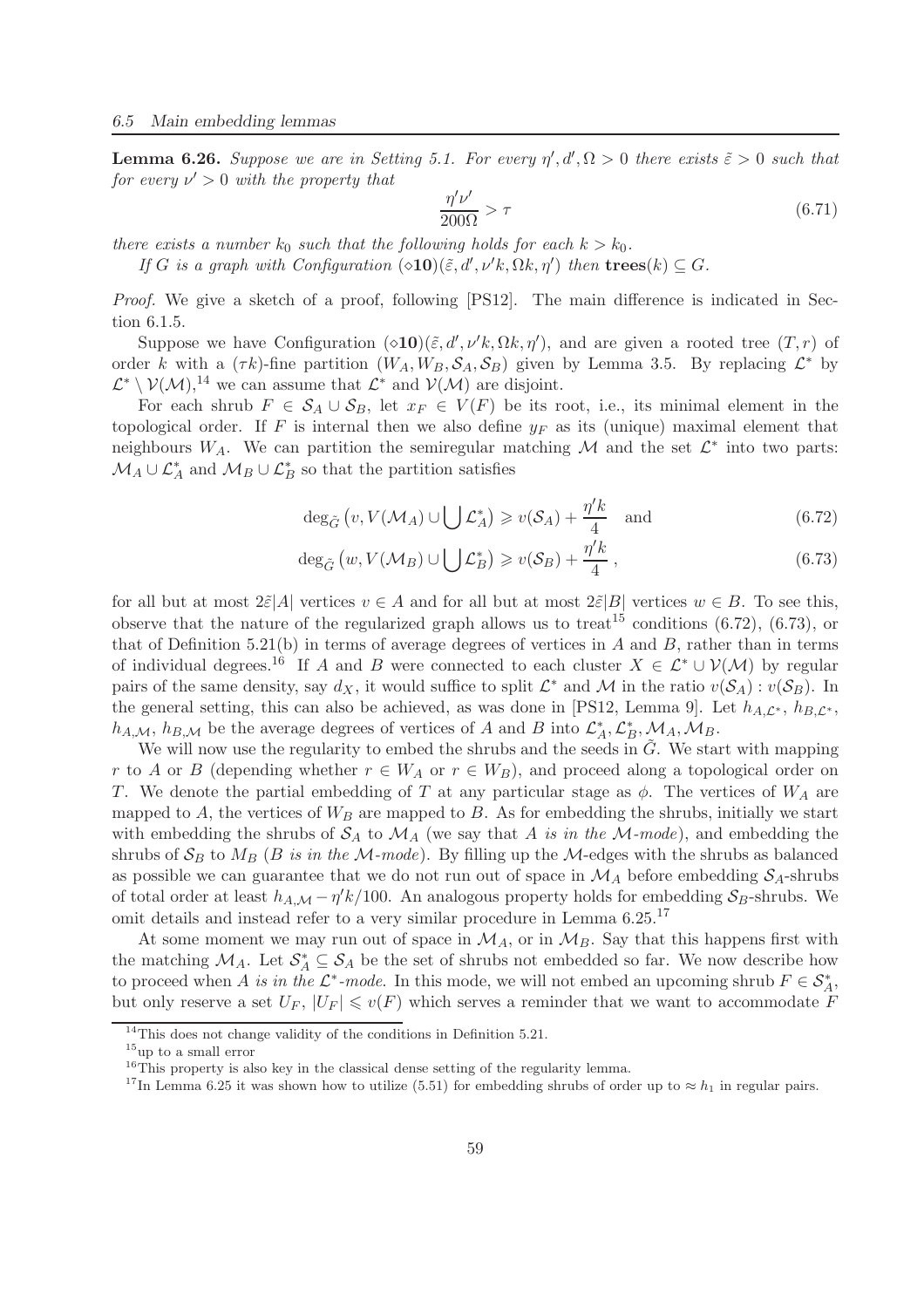**Lemma 6.26.** Suppose we are in Setting 5.1. For every  $\eta', d', \Omega > 0$  there exists  $\tilde{\varepsilon} > 0$  such that  $for\ every\ \nu' > 0\ with\ the\ property\ that$ 

$$
\frac{\eta'\nu'}{200\Omega} > \tau \tag{6.71}
$$

*there exists a number*  $k_0$  *such that the following holds for each*  $k > k_0$ *.* 

*If* G is a graph with Configuration  $(\triangle 10)(\tilde{\varepsilon}, d', \nu' k, \Omega k, \eta')$  then  $\mathbf{trees}(k) \subseteq G$ .

*Proof.* We give a sketch of a proof, following [PS12]. The main difference is indicated in Section 6.1.5.

Suppose we have Configuration  $(\infty 10)(\tilde{\varepsilon}, d', \nu' k, \Omega k, \eta')$ , and are given a rooted tree  $(T, r)$  of order k with a  $(\tau k)$ -fine partition  $(W_A, W_B, \mathcal{S}_A, \mathcal{S}_B)$  given by Lemma 3.5. By replacing  $\mathcal{L}^*$  by  $\mathcal{L}^* \setminus \mathcal{V}(\mathcal{M})$ ,<sup>14</sup> we can assume that  $\mathcal{L}^*$  and  $\mathcal{V}(\mathcal{M})$  are disjoint.

For each shrub  $F \in S_A \cup S_B$ , let  $x_F \in V(F)$  be its root, i.e., its minimal element in the topological order. If F is internal then we also define  $y_F$  as its (unique) maximal element that neighbours  $W_A$ . We can partition the semiregular matching M and the set  $\mathcal{L}^*$  into two parts:  $M_A \cup \mathcal{L}_A^*$  and  $M_B \cup \mathcal{L}_B^*$  so that the partition satisfies

$$
\deg_{\tilde{G}}\left(v, V(\mathcal{M}_A) \cup \bigcup \mathcal{L}_A^*\right) \geqslant v(\mathcal{S}_A) + \frac{\eta' k}{4} \quad \text{and} \tag{6.72}
$$

$$
\deg_{\tilde{G}}\left(w, V(\mathcal{M}_B) \cup \bigcup \mathcal{L}_B^*\right) \geqslant v(\mathcal{S}_B) + \frac{\eta' k}{4},\tag{6.73}
$$

for all but at most  $2\tilde{\varepsilon}|A|$  vertices  $v \in A$  and for all but at most  $2\tilde{\varepsilon}|B|$  vertices  $w \in B$ . To see this, observe that the nature of the regularized graph allows us to treat<sup>15</sup> conditions (6.72), (6.73), or that of Definition 5.21(b) in terms of average degrees of vertices in  $A$  and  $B$ , rather than in terms of individual degrees.<sup>16</sup> If A and B were connected to each cluster  $X \in \mathcal{L}^* \cup \mathcal{V}(\mathcal{M})$  by regular pairs of the same density, say  $d_X$ , it would suffice to split  $\mathcal{L}^*$  and  $\mathcal{M}$  in the ratio  $v(\mathcal{S}_A): v(\mathcal{S}_B)$ . In the general setting, this can also be achieved, as was done in [PS12, Lemma 9]. Let  $h_{A,\mathcal{L}^*}$ ,  $h_{B,\mathcal{L}^*}$ ,  $h_{A,\mathcal{M}}, h_{B,\mathcal{M}}$  be the average degrees of vertices of A and B into  $\mathcal{L}_A^*, \mathcal{L}_B^*, \mathcal{M}_A, \mathcal{M}_B$ .

We will now use the regularity to embed the shrubs and the seeds in  $G$ . We start with mapping r to A or B (depending whether  $r \in W_A$  or  $r \in W_B$ ), and proceed along a topological order on T. We denote the partial embedding of T at any particular stage as  $\phi$ . The vertices of  $W_A$  are mapped to  $A$ , the vertices of  $W_B$  are mapped to  $B$ . As for embedding the shrubs, initially we start with embedding the shrubs of  $S_A$  to  $\mathcal{M}_A$  (we say that A *is in the*  $\mathcal{M}\text{-}mode$ ), and embedding the shrubs of  $S_B$  to  $M_B$  (B *is in the* M-mode). By filling up the M-edges with the shrubs as balanced as possible we can guarantee that we do not run out of space in  $\mathcal{M}_A$  before embedding  $\mathcal{S}_A$ -shrubs of total order at least  $h_{A,\mathcal{M}} - \eta' k/100$ . An analogous property holds for embedding  $\mathcal{S}_B$ -shrubs. We omit details and instead refer to a very similar procedure in Lemma 6.25.<sup>17</sup>

At some moment we may run out of space in  $\mathcal{M}_A$ , or in  $\mathcal{M}_B$ . Say that this happens first with the matching  $\mathcal{M}_A$ . Let  $\mathcal{S}_A^* \subseteq \mathcal{S}_A$  be the set of shrubs not embedded so far. We now describe how to proceed when A *is in the*  $\mathcal{L}^*$ -mode. In this mode, we will not embed an upcoming shrub  $F \in \mathcal{S}_{A}^*$ , but only reserve a set  $U_F$ ,  $|U_F| \leq v(F)$  which serves a reminder that we want to accommodate F

<sup>&</sup>lt;sup>14</sup>This does not change validity of the conditions in Definition 5.21.

 $15$ up to a small error

<sup>&</sup>lt;sup>16</sup>This property is also key in the classical dense setting of the regularity lemma.

<sup>&</sup>lt;sup>17</sup>In Lemma 6.25 it was shown how to utilize (5.51) for embedding shrubs of order up to  $\approx h_1$  in regular pairs.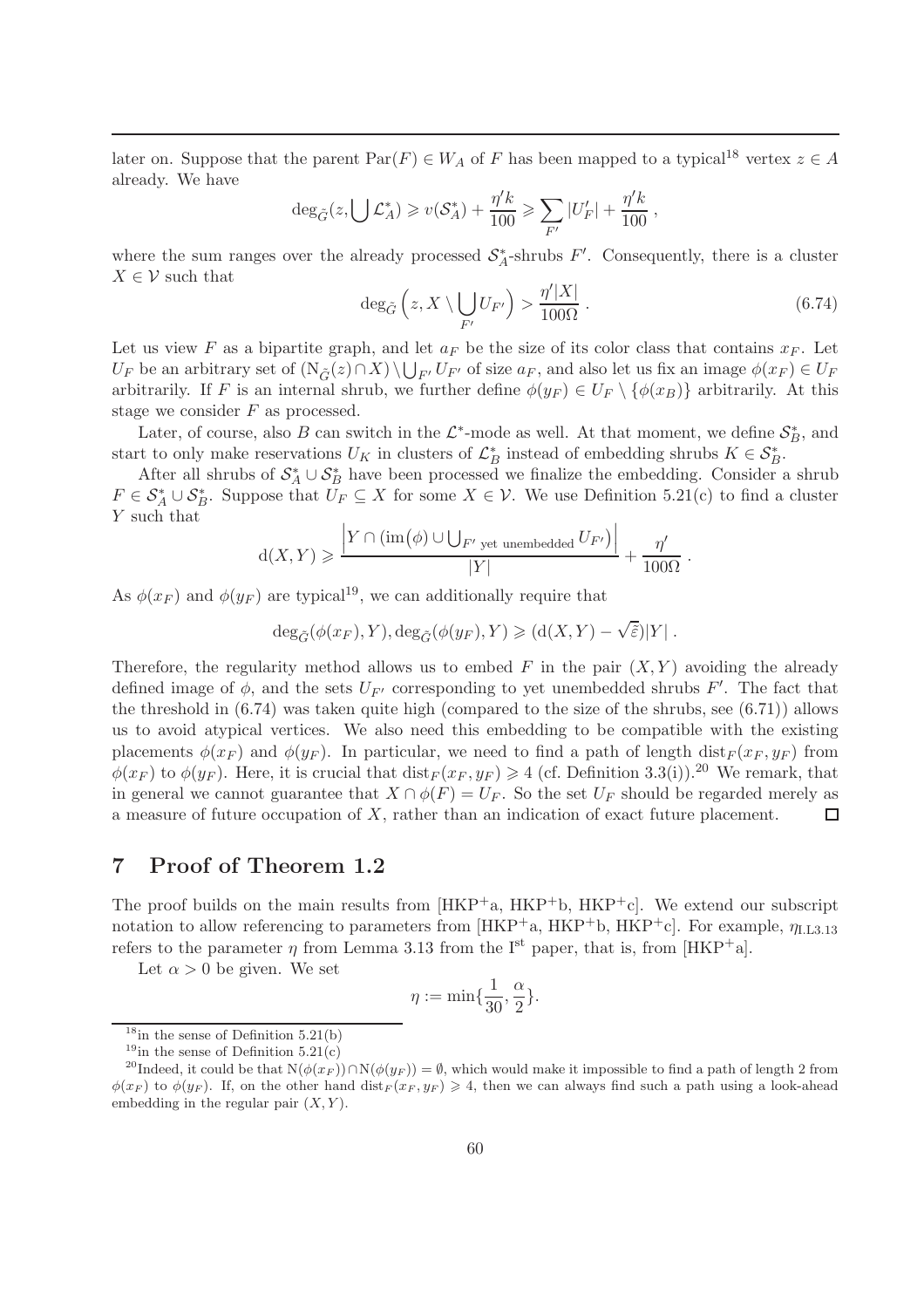later on. Suppose that the parent  $\text{Par}(F) \in W_A$  of F has been mapped to a typical<sup>18</sup> vertex  $z \in A$ already. We have

$$
\deg_{\tilde{G}}(z, \bigcup \mathcal{L}_A^*) \geq v(\mathcal{S}_A^*) + \frac{\eta'^k}{100} \geqslant \sum_{F'} |U'_F| + \frac{\eta'^k}{100},
$$

where the sum ranges over the already processed  $S_A^*$ -shrubs  $F'$ . Consequently, there is a cluster  $X \in \mathcal{V}$  such that

$$
\deg_{\tilde{G}}\left(z, X \setminus \bigcup_{F'} U_{F'}\right) > \frac{\eta'|X|}{100\Omega} \ . \tag{6.74}
$$

Let us view F as a bipartite graph, and let  $a_F$  be the size of its color class that contains  $x_F$ . Let  $U_F$  be an arbitrary set of  $(N_{\tilde{G}}(z) \cap X) \setminus \bigcup_{F'} U_{F'}$  of size  $a_F$ , and also let us fix an image  $\phi(x_F) \in U_F$ arbitrarily. If F is an internal shrub, we further define  $\phi(y_F) \in U_F \setminus {\phi(x_B)}$  arbitrarily. At this stage we consider F as processed.

Later, of course, also B can switch in the  $\mathcal{L}^*$ -mode as well. At that moment, we define  $\mathcal{S}_{B}^*$ , and start to only make reservations  $U_K$  in clusters of  $\mathcal{L}_B^*$  instead of embedding shrubs  $K \in \mathcal{S}_B^*$ .

After all shrubs of  $S_A^* \cup S_B^*$  have been processed we finalize the embedding. Consider a shrub  $F \in \mathcal{S}_{A}^{*} \cup \mathcal{S}_{B}^{*}$ . Suppose that  $U_F \subseteq X$  for some  $X \in \mathcal{V}$ . We use Definition 5.21(c) to find a cluster Y such that

$$
d(X,Y) \geqslant \frac{\left|Y \cap (\operatorname{im} \left( \phi \right) \cup \bigcup_{F' \text{ yet unembedded}} U_{F'} \right)\right|}{|Y|} + \frac{\eta'}{100\Omega} \; .
$$

As  $\phi(x_F)$  and  $\phi(y_F)$  are typical<sup>19</sup>, we can additionally require that

$$
\deg_{\tilde{G}}(\phi(x_F), Y), \deg_{\tilde{G}}(\phi(y_F), Y) \geq (d(X, Y) - \sqrt{\tilde{\varepsilon}})|Y|.
$$

Therefore, the regularity method allows us to embed  $F$  in the pair  $(X, Y)$  avoiding the already defined image of  $\phi$ , and the sets  $U_{F'}$  corresponding to yet unembedded shrubs  $F'$ . The fact that the threshold in (6.74) was taken quite high (compared to the size of the shrubs, see (6.71)) allows us to avoid atypical vertices. We also need this embedding to be compatible with the existing placements  $\phi(x_F)$  and  $\phi(y_F)$ . In particular, we need to find a path of length dist $F(x_F, y_F)$  from  $\phi(x_F)$  to  $\phi(y_F)$ . Here, it is crucial that  $dist_F(x_F, y_F) \geq 4$  (cf. Definition 3.3(i)).<sup>20</sup> We remark, that in general we cannot guarantee that  $X \cap \phi(F) = U_F$ . So the set  $U_F$  should be regarded merely as a measure of future occupation of X, rather than an indication of exact future placement. a measure of future occupation of X, rather than an indication of exact future placement.

## 7 Proof of Theorem 1.2

The proof builds on the main results from  $[HKP^+a, HKP^+b, HKP^+c]$ . We extend our subscript notation to allow referencing to parameters from  $[HKP^+a, HKP^+b, HKP^+c]$ . For example,  $\eta_{1,1,3,13}$ refers to the parameter  $\eta$  from Lemma 3.13 from the I<sup>st</sup> paper, that is, from [HKP<sup>+</sup>a].

Let  $\alpha > 0$  be given. We set

$$
\eta := \min\{\frac{1}{30}, \frac{\alpha}{2}\}.
$$

 $18$ in the sense of Definition 5.21(b)

<sup>&</sup>lt;sup>19</sup>in the sense of Definition  $5.21(c)$ 

<sup>&</sup>lt;sup>20</sup>Indeed, it could be that  $N(\phi(x_F)) \cap N(\phi(y_F)) = \emptyset$ , which would make it impossible to find a path of length 2 from  $\phi(x_F)$  to  $\phi(y_F)$ . If, on the other hand dist $_F(x_F, y_F) \ge 4$ , then we can always find such a path using a look-ahead embedding in the regular pair  $(X, Y)$ .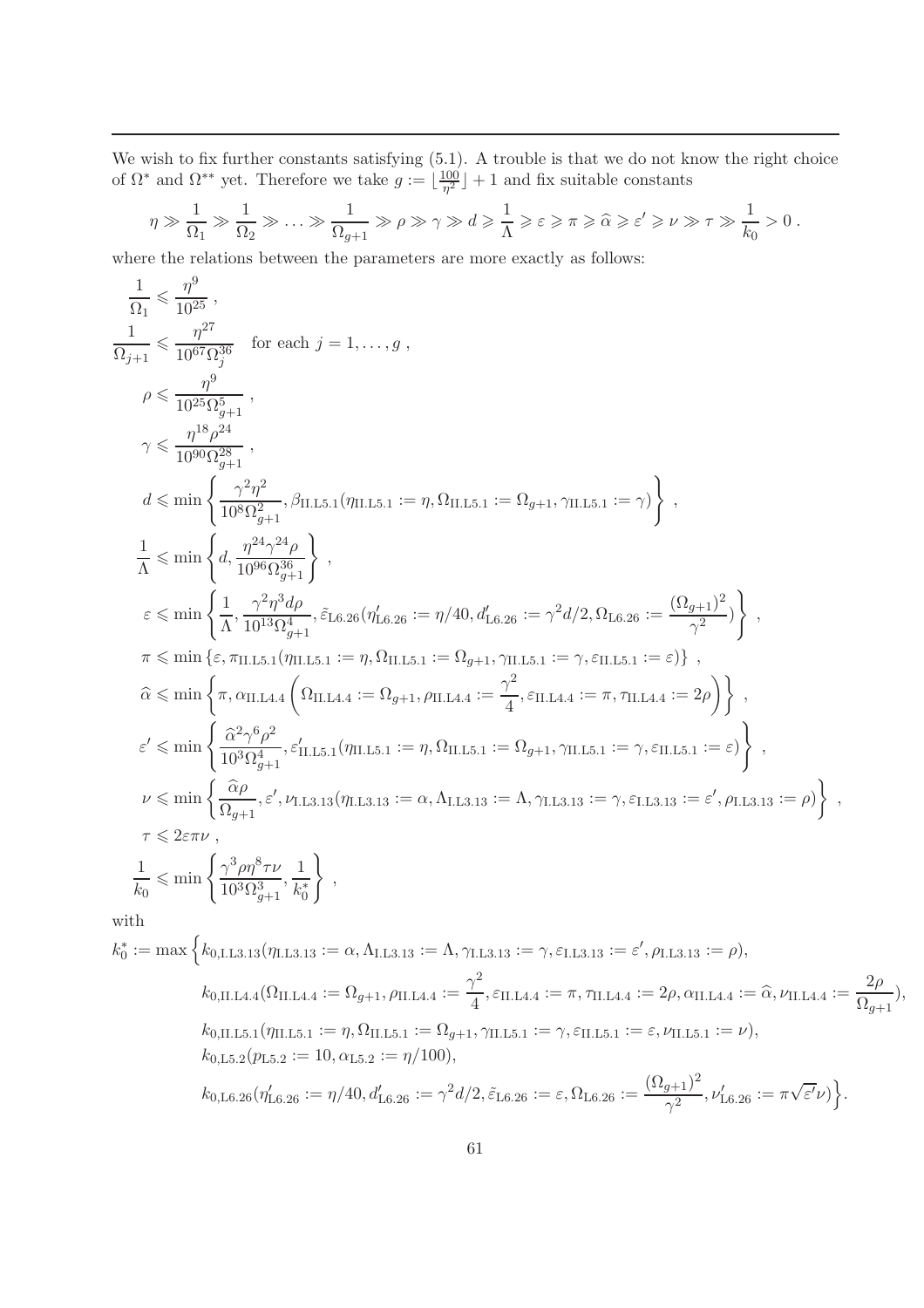We wish to fix further constants satisfying (5.1). A trouble is that we do not know the right choice of  $\Omega^*$  and  $\Omega^{**}$  yet. Therefore we take  $g := \lfloor \frac{100}{\eta^2} \rfloor$  $\frac{100}{\eta^2}$  + 1 and fix suitable constants

$$
\eta \gg \frac{1}{\Omega_1} \gg \frac{1}{\Omega_2} \gg \ldots \gg \frac{1}{\Omega_{g+1}} \gg \rho \gg \gamma \gg d \geq \frac{1}{\Lambda} \geq \varepsilon \geq \pi \geq \widehat{\alpha} \geq \varepsilon' \geq \nu \gg \tau \gg \frac{1}{k_0} > 0.
$$

where the relations between the parameters are more exactly as follows:

$$
\frac{1}{\Omega_{I}} \leq \frac{\eta^{9}}{10^{25}},
$$
\n
$$
\frac{1}{\Omega_{I}+1} \leq \frac{\eta^{27}}{10^{67} \Omega_{27}^{36}}
$$
 for each  $j = 1, ..., g$ ,  
\n
$$
\rho \leq \frac{\eta^{9}}{10^{25} \Omega_{g+1}^{5/4}},
$$
\n
$$
\gamma \leq \frac{\eta^{18} \rho^{24}}{10^{90} \Omega_{g+1}^{28}},
$$
\n
$$
d \leq \min \left\{ \frac{\gamma^{2} \eta^{2}}{10^{8} \Omega_{g+1}^{2}} , \beta_{\text{H.L.5.1}}(\eta_{\text{H.L.5.1}} := \eta, \Omega_{\text{H.L.5.1}} := \Omega_{g+1}, \gamma_{\text{H.L.5.1}} := \gamma \right\},
$$
\n
$$
\frac{1}{\Lambda} \leq \min \left\{ d, \frac{\eta^{24} \gamma^{24} \rho}{10^{96} \Omega_{g+1}^{36}} \right\},
$$
\n
$$
\varepsilon \leq \min \left\{ \frac{1}{\Lambda}, \frac{\gamma^{2} \eta^{2} d \rho}{10^{13} \Omega_{g+1}^{4}}, \delta_{\text{L6.26}}(\eta'_{\text{L6.26}} := \eta/40, d'_{\text{L6.26}} := \gamma^{2} d / 2, \Omega_{\text{L6.26}} := \frac{(\Omega_{g+1})^{2}}{\gamma^{2}} \right\},
$$
\n
$$
\pi \leq \min \left\{ \varepsilon, \pi_{\text{H.L.5.1}}(\eta_{\text{H.L.5.1}} := \Omega_{g+1}, \gamma_{\text{H.L.5.1}} := \gamma, \varepsilon_{\text{H.L.5.1}} := \varepsilon) \right\},
$$
\n
$$
\hat{\alpha} \leq \min \left\{ \pi, \alpha_{\text{H.L.4.4}} \left( \Omega_{\text{H.L.4.4}} := \Omega_{g+1}, \rho_{\text{H.L.5.1}} := \Omega_{g+1}, \gamma_{\text{H.L.5.1}} := \gamma, \varepsilon_{\text{H.L.5.1}} := \varepsilon \right) \right\},
$$
\n
$$
\varepsilon'
$$

$$
k_0^* := \max \Big\{ k_{0,\text{I.L3.13}}(\eta_{\text{I.L3.13}} := \alpha, \Lambda_{\text{I.L3.13}} := \Lambda, \gamma_{\text{I.L3.13}} := \gamma, \varepsilon_{\text{I.L3.13}} := \varepsilon', \rho_{\text{I.L3.13}} := \rho \Big),
$$
  
\n
$$
k_{0,\text{II.L4.4}}(\Omega_{\text{II.L4.4}} := \Omega_{g+1}, \rho_{\text{II.L4.4}} := \frac{\gamma^2}{4}, \varepsilon_{\text{II.L4.4}} := \pi, \tau_{\text{II.L4.4}} := 2\rho, \alpha_{\text{II.L4.4}} := \hat{\alpha}, \nu_{\text{II.L4.4}} := \frac{2\rho}{\Omega_{g+1}}),
$$
  
\n
$$
k_{0,\text{II.L5.1}}(\eta_{\text{II.L5.1}} := \eta, \Omega_{\text{II.L5.1}} := \Omega_{g+1}, \gamma_{\text{II.L5.1}} := \gamma, \varepsilon_{\text{II.L5.1}} := \varepsilon, \nu_{\text{II.L5.1}} := \nu),
$$
  
\n
$$
k_{0,\text{I.5.2}}(p_{\text{I.5.2}} := 10, \alpha_{\text{I.5.2}} := \eta/100),
$$
  
\n
$$
k_{0,\text{I.6.26}}(\eta'_{\text{I.6.26}} := \eta/40, d'_{\text{I.6.26}} := \gamma^2 d/2, \tilde{\varepsilon}_{\text{I.6.26}} := \varepsilon, \Omega_{\text{I.6.26}} := \frac{(\Omega_{g+1})^2}{\gamma^2}, \nu'_{\text{I.6.26}} := \pi \sqrt{\varepsilon'} \nu) \Big\}.
$$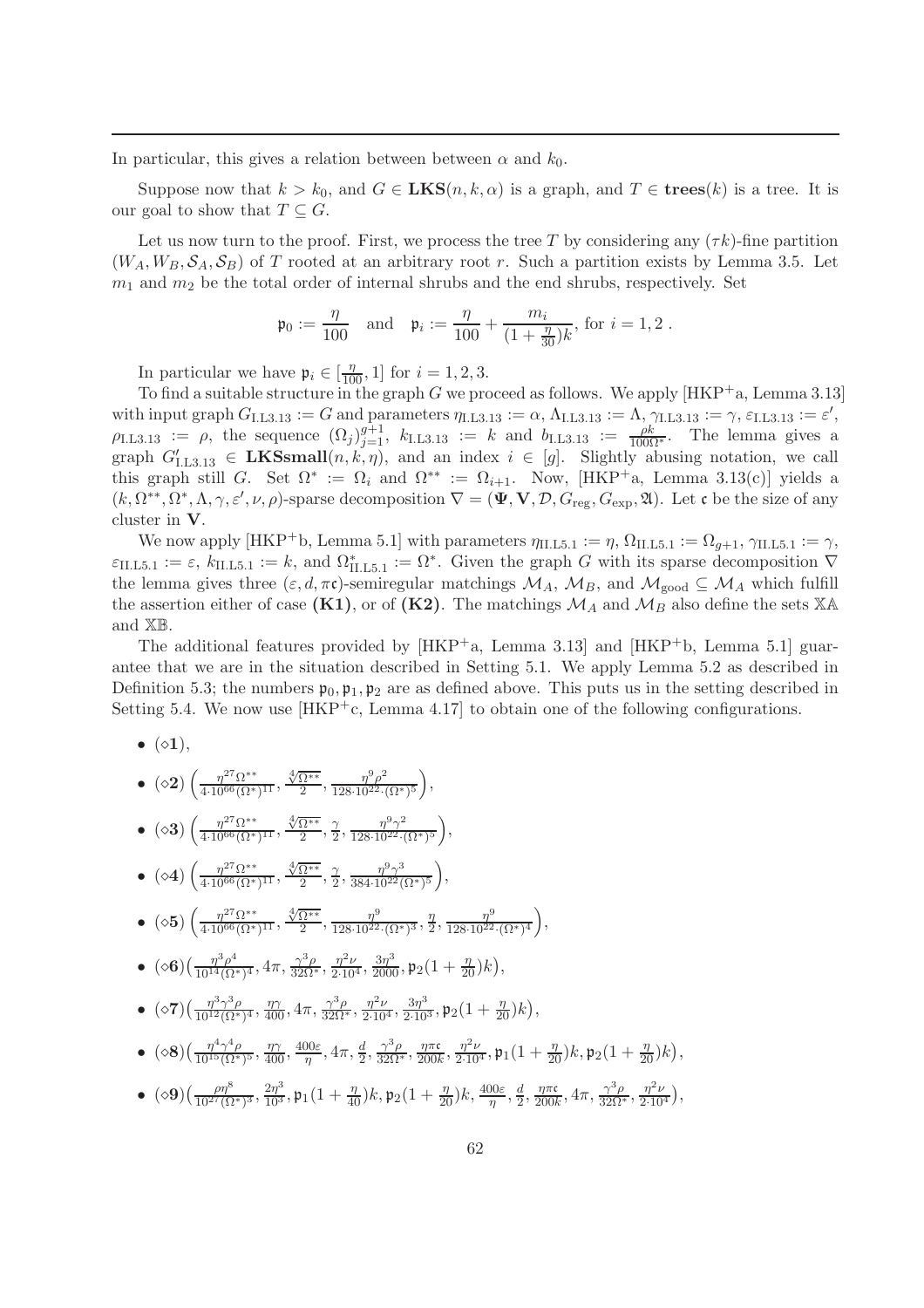In particular, this gives a relation between between  $\alpha$  and  $k_0$ .

Suppose now that  $k > k_0$ , and  $G \in \mathbf{LKS}(n, k, \alpha)$  is a graph, and  $T \in \mathbf{trees}(k)$  is a tree. It is our goal to show that  $T \subset G$ .

Let us now turn to the proof. First, we process the tree T by considering any  $(\tau k)$ -fine partition  $(W_A, W_B, \mathcal{S}_A, \mathcal{S}_B)$  of T rooted at an arbitrary root r. Such a partition exists by Lemma 3.5. Let  $m_1$  and  $m_2$  be the total order of internal shrubs and the end shrubs, respectively. Set

$$
\mathfrak{p}_0 := \frac{\eta}{100}
$$
 and  $\mathfrak{p}_i := \frac{\eta}{100} + \frac{m_i}{(1 + \frac{\eta}{30})k}$ , for  $i = 1, 2$ .

In particular we have  $\mathfrak{p}_i \in \left[\frac{\eta}{100}, 1\right]$  for  $i = 1, 2, 3$ .

To find a suitable structure in the graph  $G$  we proceed as follows. We apply  $[HKP^+a, Lemma 3.13]$ with input graph  $G_{\text{I.L3.13}} := G$  and parameters  $\eta_{\text{I.L3.13}} := \alpha, \Lambda_{\text{I.L3.13}} := \Lambda, \gamma_{\text{I.L3.13}} := \gamma, \varepsilon_{\text{I.L3.13}} := \varepsilon',$  $\rho_{\text{I.L3.13}} := \rho$ , the sequence  $(\Omega_j)_{j=1}^{g+1}$ ,  $k_{\text{I.L3.13}} := k$  and  $b_{\text{I.L3.13}} := \frac{\rho k}{100\Omega^*}$ . The lemma gives a graph  $G'_{1,1,3,13} \in \mathbf{LKSsmall}(n,k,\eta)$ , and an index  $i \in [g]$ . Slightly abusing notation, we call this graph still G. Set  $\Omega^* := \Omega_i$  and  $\Omega^{**} := \Omega_{i+1}$ . Now, [HKP<sup>+</sup>a, Lemma 3.13(c)] yields a  $(k, \Omega^{**}, \Omega^*, \Lambda, \gamma, \varepsilon', \nu, \rho)$ -sparse decomposition  $\nabla = (\Psi, \mathbf{V}, \mathcal{D}, G_{\text{reg}}, G_{\text{exp}}, \mathfrak{A})$ . Let c be the size of any cluster in V.

We now apply [HKP<sup>+</sup>b, Lemma 5.1] with parameters  $\eta_{\text{II},\text{L5},1} := \eta$ ,  $\Omega_{\text{II},\text{L5},1} := \Omega_{q+1}$ ,  $\gamma_{\text{II},\text{L5},1} := \gamma$ ,  $\varepsilon_{\text{II},\text{L5.1}} := \varepsilon, k_{\text{II},\text{L5.1}} := k$ , and  $\Omega^*_{\text{II},\text{L5.1}} := \Omega^*$ . Given the graph G with its sparse decomposition  $\nabla$ the lemma gives three  $(\varepsilon, d, \pi\mathfrak{c})$ -semiregular matchings  $\mathcal{M}_A$ ,  $\mathcal{M}_B$ , and  $\mathcal{M}_{\text{good}} \subseteq \mathcal{M}_A$  which fulfill the assertion either of case (K1), or of (K2). The matchings  $\mathcal{M}_A$  and  $\mathcal{M}_B$  also define the sets XA and XB.

The additional features provided by  $[HKP^+a, \text{ Lemma } 3.13]$  and  $[HKP^+b, \text{ Lemma } 5.1]$  guarantee that we are in the situation described in Setting 5.1. We apply Lemma 5.2 as described in Definition 5.3; the numbers  $\mathfrak{p}_0, \mathfrak{p}_1, \mathfrak{p}_2$  are as defined above. This puts us in the setting described in Setting 5.4. We now use  $[HKP^+c, \text{ Lemma } 4.17]$  to obtain one of the following configurations.

 $\bullet$  ( $\diamond$ 1),

• 
$$
(\diamond 2) \left( \frac{\eta^{27} \Omega^{**}}{4 \cdot 10^{66} (\Omega^*)^{11}}, \frac{\sqrt[4]{\Omega^{**}}}{2}, \frac{\eta^9 \rho^2}{128 \cdot 10^{22} \cdot (\Omega^*)^5} \right)
$$

- $\bullet$  (◇3)  $\left(\frac{\eta^{27}Ω^{**}}{4 \cdot 10^{66} (Ω^{*}}\right)$  $\frac{\eta^{27}\Omega^{**}}{4\cdot10^{66}(\Omega^{*})^{11}}, \frac{\sqrt[4]{\Omega^{**}}}{2}$  $\frac{\Omega^{**}}{2}, \frac{\gamma}{2}$  $\frac{\gamma}{2}, \frac{\eta^9 \gamma^2}{128 \cdot 10^{22} \cdot 0}$  $\frac{\eta^9 \gamma^2}{128 \cdot 10^{22} \cdot (\Omega^*)^5},$
- $\bullet$  (◇4)  $\left(\frac{\eta^{27}Ω^{**}}{4 \cdot 10^{66} (Ω^{*})}\right)$  $\frac{\eta^{27}\Omega^{**}}{4\cdot10^{66}(\Omega^{*})^{11}}, \frac{\sqrt[4]{\Omega^{**}}}{2}$  $\frac{\Omega^{**}}{2}, \frac{\gamma}{2}$  $\frac{\gamma}{2}, \frac{\eta^9 \gamma^3}{384 \cdot 10^{22}}$  $\frac{\eta^9 \gamma^3}{384 \cdot 10^{22} (\Omega^*)^5},$
- $\bullet$  (◇5)  $\left(\frac{\eta^{27}Ω^{**}}{4 \cdot 10^{66} (Ω^{*})}\right)$  $\frac{\eta^{27}\Omega^{**}}{4\cdot10^{66}(\Omega^{*})^{11}}, \frac{\sqrt[4]{\Omega^{**}}}{2}$  $\frac{\overline{\Omega^{**}}}{2}, \frac{\eta^9}{128 \cdot 10^{22}}$  $\frac{\eta^9}{128\cdot 10^{22}\cdot (\Omega^*)^3}, \frac{\eta}{2}$  $\frac{\eta}{2}, \frac{\eta^9}{128 \cdot 10^{22}}$  $\frac{\eta^9}{128 \cdot 10^{22} \cdot (\Omega^*)^4}$ ,
- $\bullet \ \ (\diamond \mathbf{6}) \left( \frac{\eta^3 \rho^4}{10^{14} (\Omega^2)} \right.$  $\frac{\eta^3\rho^4}{10^{14}(\Omega^*)^4}, 4\pi, \frac{\gamma^3\rho}{32\Omega^*}, \frac{\eta^2\nu}{2\cdot 10^4}, \frac{3\eta^3}{2000}, \mathfrak{p}_2(1+\frac{\eta}{20})k),$
- $\bullet \ \ (\diamond 7) \left( \frac{\eta^3 \gamma^3 \rho}{10^{12} (\Omega^*} \right.$  $\frac{\eta^3 \gamma^3 \rho}{10^{12} (\Omega^*)^4}, \frac{\eta \gamma}{400}, 4\pi, \frac{\gamma^3 \rho}{32\Omega^*}, \frac{\eta^2 \nu}{2 \cdot 10^4}, \frac{3\eta^3}{2 \cdot 10^3}, \mathfrak{p}_2(1+\frac{\eta}{20}) k),$
- $\bullet \ \ (\diamond 8) \left( \frac{\eta^4 \gamma^4 \rho}{10^{15} (\Omega^*} \right.$  $\frac{\eta^4\gamma^4\rho}{10^{15}(\Omega^*)^5}$ ,  $\frac{\eta\gamma}{400}$ ,  $\frac{400\varepsilon}{\eta}$  $\frac{100\varepsilon}{\eta}, 4\pi, \frac{d}{2}, \frac{\gamma^3 \rho}{32\Omega^*}, \frac{\eta \pi \mathfrak{c}}{200h}$  $\frac{\eta \pi \mathfrak{c}}{200 k}, \frac{\eta^2 \nu}{2 \cdot 10^4}, \mathfrak{p}_1(1+\frac{\eta}{20}) k, \mathfrak{p}_2(1+\frac{\eta}{20}) k),$
- $\bullet \ \ (\diamond 9) \bigl( \frac{\rho \eta^8}{10^{27} (\Omega)}$  $\frac{\rho\eta^{8}}{10^{27}(\Omega^{*})^3},\frac{2\eta^{3}}{10^3},\mathfrak{p}_{1}(1+\frac{\eta}{40})k,\mathfrak{p}_{2}(1+\frac{\eta}{20})k,\frac{400\varepsilon}{\eta},\frac{d}{2}$  $\frac{d}{2}, \frac{\eta \pi \mathfrak{c}}{200k}$  $\frac{\eta \pi \mathfrak{c}}{200k}, 4\pi, \frac{\gamma^3 \rho}{32 \Omega^*}, \frac{\eta^2 \nu}{2 \cdot 10}$  $2·10<sup>4</sup>$  $),$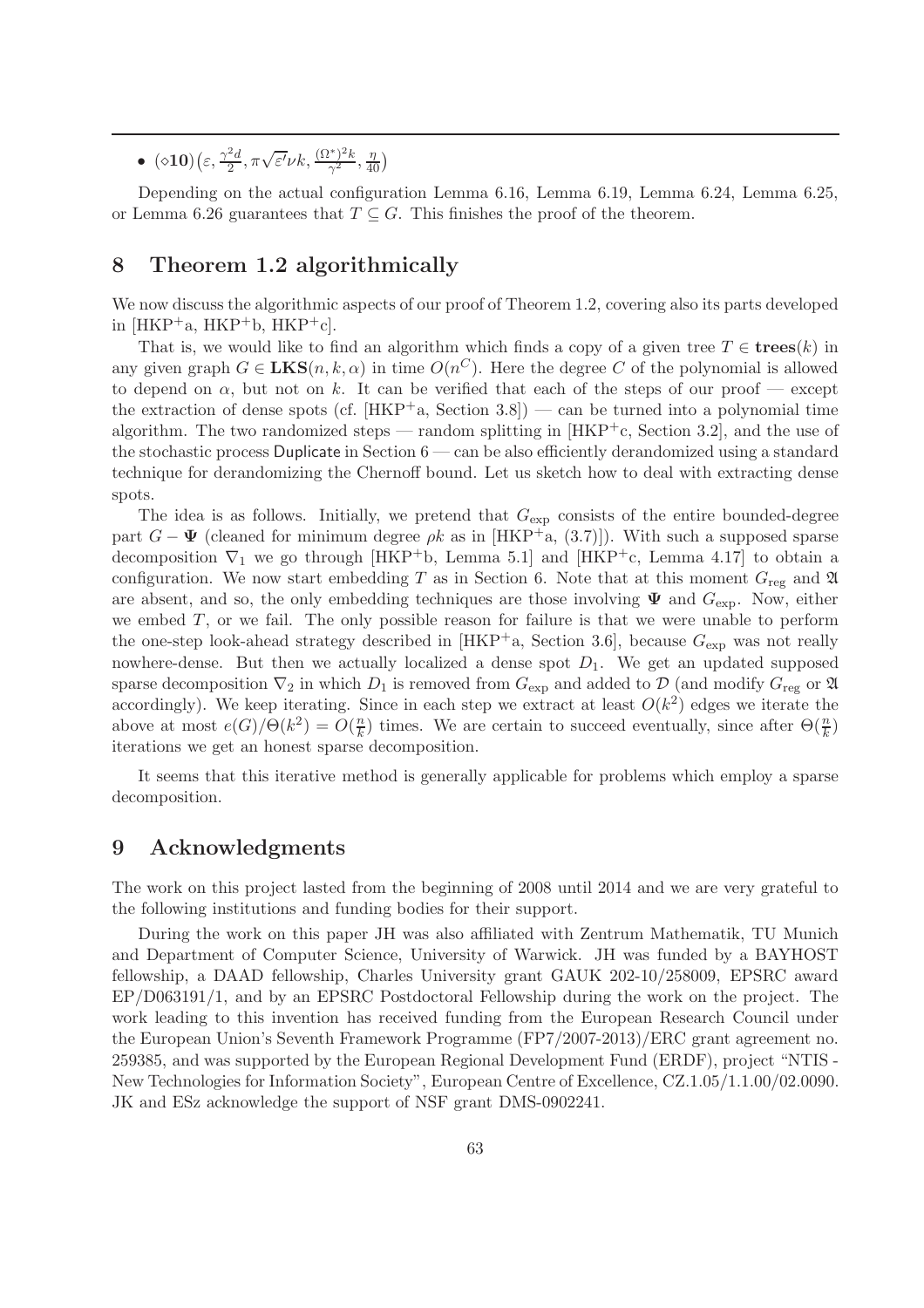$\bullet \ \ (\diamond{10})\left(\varepsilon,\frac{\gamma^2d}{2}\right)$  $\frac{2d}{2}, \pi\sqrt{\varepsilon'}\nu k, \frac{(\Omega^*)^2 k}{\gamma^2}$  $\frac{(n^*)^2 k}{\gamma^2}, \frac{\eta}{40}$ 

Depending on the actual configuration Lemma 6.16, Lemma 6.19, Lemma 6.24, Lemma 6.25, or Lemma 6.26 guarantees that  $T \subseteq G$ . This finishes the proof of the theorem.

## 8 Theorem 1.2 algorithmically

We now discuss the algorithmic aspects of our proof of Theorem 1.2, covering also its parts developed in  $[HKP^+a, HKP^+b, HKP^+c].$ 

That is, we would like to find an algorithm which finds a copy of a given tree  $T \in \mathbf{trees}(k)$  in any given graph  $G \in \mathbf{LKS}(n, k, \alpha)$  in time  $O(n^C)$ . Here the degree C of the polynomial is allowed to depend on  $\alpha$ , but not on k. It can be verified that each of the steps of our proof — except the extraction of dense spots (cf.  $[HKP^+a, Section 3.8])$  — can be turned into a polynomial time algorithm. The two randomized steps — random splitting in  $[HKP^+c, Section 3.2]$ , and the use of the stochastic process Duplicate in Section 6 — can be also efficiently derandomized using a standard technique for derandomizing the Chernoff bound. Let us sketch how to deal with extracting dense spots.

The idea is as follows. Initially, we pretend that  $G_{\text{exp}}$  consists of the entire bounded-degree part  $G - \Psi$  (cleaned for minimum degree  $\rho k$  as in [HKP<sup>+</sup>a, (3.7)]). With such a supposed sparse decomposition  $\nabla_1$  we go through [HKP<sup>+</sup>b, Lemma 5.1] and [HKP<sup>+</sup>c, Lemma 4.17] to obtain a configuration. We now start embedding T as in Section 6. Note that at this moment  $G_{\text{reg}}$  and  $\mathfrak A$ are absent, and so, the only embedding techniques are those involving  $\Psi$  and  $G_{\text{exp}}$ . Now, either we embed  $T$ , or we fail. The only possible reason for failure is that we were unable to perform the one-step look-ahead strategy described in [HKP<sup>+</sup>a, Section 3.6], because  $G_{\text{exp}}$  was not really nowhere-dense. But then we actually localized a dense spot  $D_1$ . We get an updated supposed sparse decomposition  $\nabla_2$  in which  $D_1$  is removed from  $G_{\text{exp}}$  and added to  $\mathcal{D}$  (and modify  $G_{\text{reg}}$  or  $\mathfrak A$ accordingly). We keep iterating. Since in each step we extract at least  $O(k^2)$  edges we iterate the above at most  $e(G)/\Theta(k^2) = O(\frac{nk}{k})$  $\frac{n}{k}$ ) times. We are certain to succeed eventually, since after  $\Theta(\frac{n}{k})$ iterations we get an honest sparse decomposition.

It seems that this iterative method is generally applicable for problems which employ a sparse decomposition.

## 9 Acknowledgments

The work on this project lasted from the beginning of 2008 until 2014 and we are very grateful to the following institutions and funding bodies for their support.

During the work on this paper JH was also affiliated with Zentrum Mathematik, TU Munich and Department of Computer Science, University of Warwick. JH was funded by a BAYHOST fellowship, a DAAD fellowship, Charles University grant GAUK 202-10/258009, EPSRC award EP/D063191/1, and by an EPSRC Postdoctoral Fellowship during the work on the project. The work leading to this invention has received funding from the European Research Council under the European Union's Seventh Framework Programme (FP7/2007-2013)/ERC grant agreement no. 259385, and was supported by the European Regional Development Fund (ERDF), project "NTIS - New Technologies for Information Society", European Centre of Excellence, CZ.1.05/1.1.00/02.0090. JK and ESz acknowledge the support of NSF grant DMS-0902241.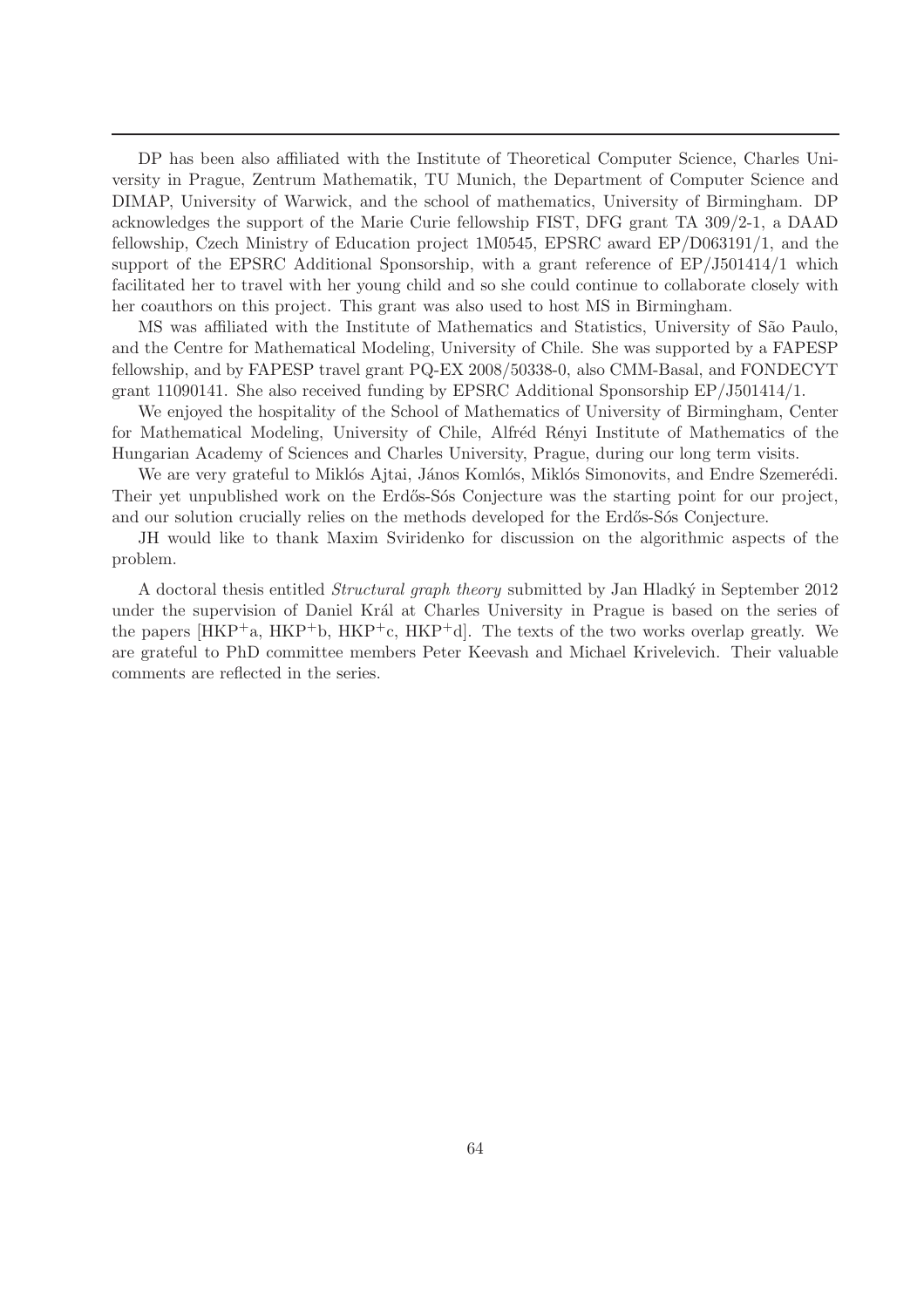DP has been also affiliated with the Institute of Theoretical Computer Science, Charles University in Prague, Zentrum Mathematik, TU Munich, the Department of Computer Science and DIMAP, University of Warwick, and the school of mathematics, University of Birmingham. DP acknowledges the support of the Marie Curie fellowship FIST, DFG grant TA 309/2-1, a DAAD fellowship, Czech Ministry of Education project 1M0545, EPSRC award EP/D063191/1, and the support of the EPSRC Additional Sponsorship, with a grant reference of EP/J501414/1 which facilitated her to travel with her young child and so she could continue to collaborate closely with her coauthors on this project. This grant was also used to host MS in Birmingham.

MS was affiliated with the Institute of Mathematics and Statistics, University of São Paulo, and the Centre for Mathematical Modeling, University of Chile. She was supported by a FAPESP fellowship, and by FAPESP travel grant PQ-EX 2008/50338-0, also CMM-Basal, and FONDECYT grant 11090141. She also received funding by EPSRC Additional Sponsorship EP/J501414/1.

We enjoyed the hospitality of the School of Mathematics of University of Birmingham, Center for Mathematical Modeling, University of Chile, Alfréd Rényi Institute of Mathematics of the Hungarian Academy of Sciences and Charles University, Prague, during our long term visits.

We are very grateful to Miklós Ajtai, János Komlós, Miklós Simonovits, and Endre Szemerédi. Their yet unpublished work on the Erdős-Sós Conjecture was the starting point for our project, and our solution crucially relies on the methods developed for the Erdős-Sós Conjecture.

JH would like to thank Maxim Sviridenko for discussion on the algorithmic aspects of the problem.

A doctoral thesis entitled *Structural graph theory* submitted by Jan Hladký in September 2012 under the supervision of Daniel Král at Charles University in Prague is based on the series of the papers  $[HKP^+a, HKP^+b, HKP^+c, HKP^+d]$ . The texts of the two works overlap greatly. We are grateful to PhD committee members Peter Keevash and Michael Krivelevich. Their valuable comments are reflected in the series.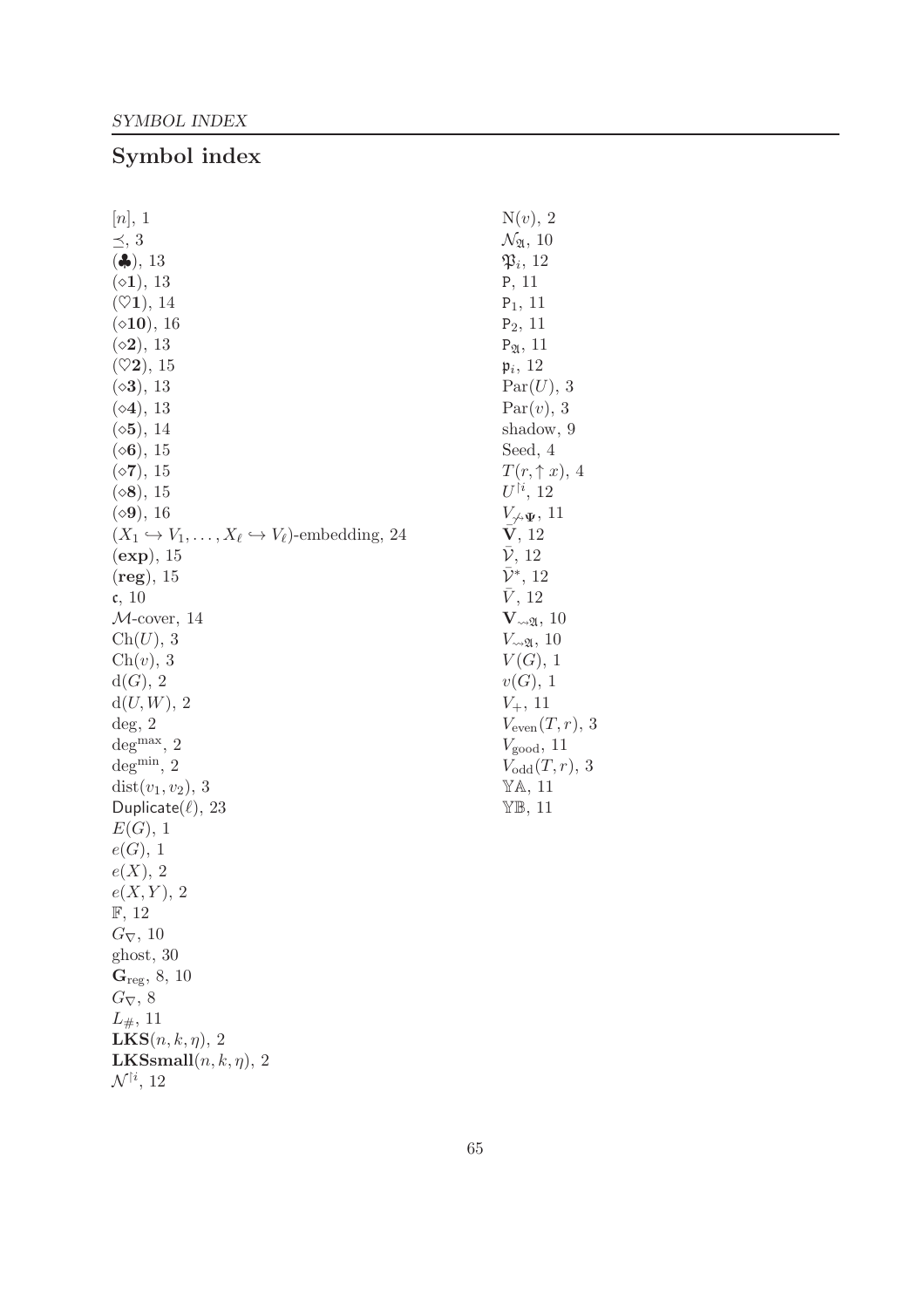# Symbol index

| [n], 1                                                                            | $N(v)$ , 2                               |
|-----------------------------------------------------------------------------------|------------------------------------------|
| $\preceq$ , 3                                                                     | $\mathcal{N}_{\mathfrak{A}}, 10$         |
| $(\clubsuit), 13$                                                                 | $\mathfrak{P}_i$ , 12                    |
| $(\diamond 1), 13$                                                                | P, 11                                    |
| $(\heartsuit 1), 14$                                                              | $P_1$ , 11                               |
| $(\diamond 10), 16$                                                               | $P_2$ , 11                               |
| $({\diamond}2), 13$                                                               | $P_{\mathfrak{A}}, 11$                   |
| $(\heartsuit 2), 15$                                                              | $\mathfrak{p}_i$ , 12                    |
| $(\diamond 3)$ , 13                                                               | Par(U), 3                                |
| $(\diamond 4), 13$                                                                | Par(v), 3                                |
| $({\diamond 5}), 14$                                                              | shadow, 9                                |
| $({\diamond}6), 15$                                                               | Seed, 4                                  |
| $({\diamond}7), 15$                                                               | $T(r, \uparrow x), 4$                    |
| $(\diamond 8)$ , 15                                                               | $U^{\dagger i}$ , 12                     |
| $(\diamond 9), 16$                                                                | $V_{\gamma \rightarrow \Psi}$ , 11       |
| $(X_1 \hookrightarrow V_1, \ldots, X_\ell \hookrightarrow V_\ell)$ -embedding, 24 | V, 12                                    |
| (exp), 15                                                                         | $\bar{\mathcal{V}}$ , 12                 |
| $(\text{reg})$ , 15                                                               | $\bar{\mathcal{V}}^*, 12$                |
| $\mathfrak{c}, 10$                                                                | V, 12                                    |
| $M$ -cover, 14                                                                    | $\mathbf{V}_{\leadsto \mathfrak{A}}, 10$ |
| Ch(U), 3                                                                          | $V_{\leadsto \mathfrak{A}}$ , 10         |
| $\mathrm{Ch}(v)$ , 3                                                              | $V(G)$ , 1                               |
| d(G), 2                                                                           | v(G), 1                                  |
| $d(U, W)$ , 2                                                                     | $V_{+}$ , 11                             |
| $\deg$ , 2                                                                        | $V_{\text{even}}(T,r)$ , 3               |
| $\mathrm{deg}^{\max},\,2$                                                         | $V_{\text{good}}$ , 11                   |
| $\deg^{\min},\,2$                                                                 | $V_{odd}(T,r),$ 3                        |
| $dist(v_1, v_2), 3$                                                               | YA, 11                                   |
| Duplicate $(\ell)$ , 23                                                           | $Y\mathbb{B}$ , 11                       |
| E(G), 1                                                                           |                                          |
| e(G), 1                                                                           |                                          |
| e(X), 2                                                                           |                                          |
| $e(X,Y)$ , 2                                                                      |                                          |
| $\mathbb{F}$ , 12                                                                 |                                          |
| $G_{\nabla}$ , 10                                                                 |                                          |
| ghost, 30                                                                         |                                          |
| $G_{reg}$ , 8, 10                                                                 |                                          |
| $G_{\nabla}$ , 8                                                                  |                                          |
| $L_{\#}, 11$                                                                      |                                          |
| $LKS(n, k, \eta), 2$                                                              |                                          |
| <b>LKSsmall</b> $(n, k, \eta)$ , 2                                                |                                          |
| $\mathcal{N}^{\dagger i}$ , 12                                                    |                                          |

 $3\,$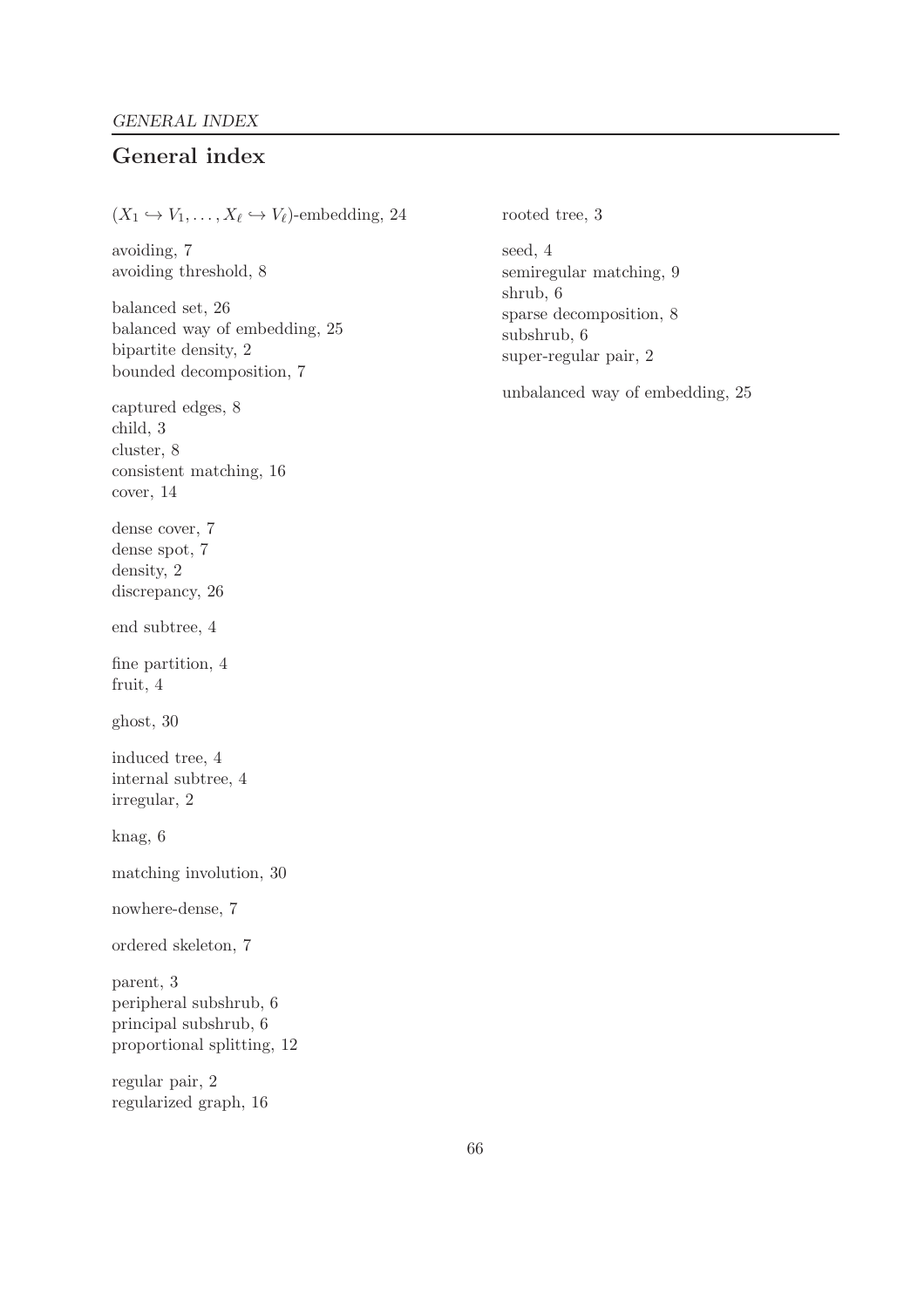## General index

 $(X_1 \hookrightarrow V_1, \ldots, X_\ell \hookrightarrow V_\ell)$ -embedding, 24 avoiding, 7 avoiding threshold, 8 balanced set, 26 balanced way of embedding, 25 bipartite density, 2 bounded decomposition, 7 captured edges, 8 child, 3 cluster, 8 consistent matching, 16 cover, 14 dense cover, 7 dense spot, 7 density, 2 discrepancy, 26 end subtree, 4 fine partition, 4 fruit, 4 ghost, 30 induced tree, 4 internal subtree, 4 irregular, 2 knag, 6 matching involution, 30 nowhere-dense, 7 ordered skeleton, 7 parent, 3 peripheral subshrub, 6 principal subshrub, 6 proportional splitting, 12 regular pair, 2 regularized graph, 16 rooted tree, 3 seed, 4 semiregular matching, 9 shrub, 6 sparse decomposition, 8 subshrub, 6 super-regular pair, 2 unbalanced way of embedding, 25